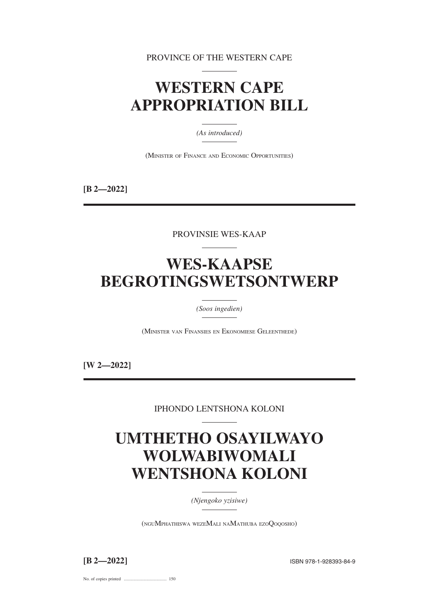PROVINCE OF THE WESTERN CAPE

# **WESTERN CAPE APPROPRIATION BILL**

*(As introduced)*

(MINISTER OF FINANCE AND ECONOMIC OPPORTUNITIES)

**[B 2—2022]**

PROVINSIE WES-KAAP

# **WES-KAAPSE BEGROTINGSWETSONTWERP**

*(Soos ingedien)*

(MINISTER VAN FINANSIES EN EKONOMIESE GELEENTHEDE)

**[W 2—2022]**

IPHONDO LENTSHONA KOLONI

# **UMTHETHO OSAYILWAYO WOLWABIWOMALI WENTSHONA KOLONI**

*(Njengoko yzisiwe)*

(NGUMPHATHISWA WEZEMALI NAMATHUBA EZOQOQOSHO)

**[B 2—2022]** ISBN 978-1-928393-84-9

No. of copies printed ....................................... 150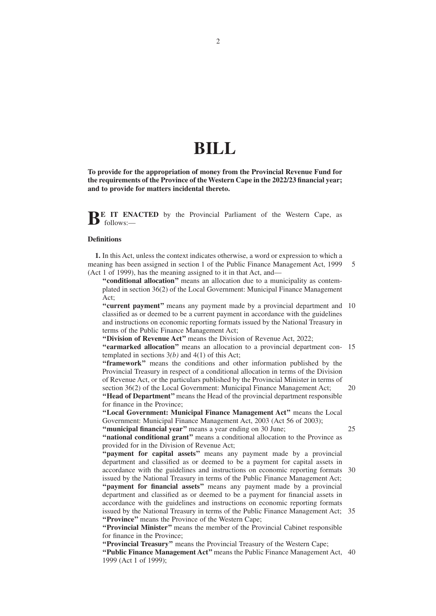# **BILL**

**To provide for the appropriation of money from the Provincial Revenue Fund for the requirements of the Province of the Western Cape in the 2022/23 financial year; and to provide for matters incidental thereto.**

**BE IT ENACTED** by the Provincial Parliament of the Western Cape, as  $\bullet$  follows:

#### **Definitions**

**1.** In this Act, unless the context indicates otherwise, a word or expression to which a meaning has been assigned in section 1 of the Public Finance Management Act, 1999 (Act 1 of 1999), has the meaning assigned to it in that Act, and— 5

**''conditional allocation''** means an allocation due to a municipality as contemplated in section 36(2) of the Local Government: Municipal Finance Management Act;

"current payment" means any payment made by a provincial department and 10 classified as or deemed to be a current payment in accordance with the guidelines and instructions on economic reporting formats issued by the National Treasury in terms of the Public Finance Management Act;

**''Division of Revenue Act''** means the Division of Revenue Act, 2022;

**"earmarked allocation"** means an allocation to a provincial department con-15 templated in sections 3*(b)* and 4(1) of this Act;

**''framework''** means the conditions and other information published by the Provincial Treasury in respect of a conditional allocation in terms of the Division of Revenue Act, or the particulars published by the Provincial Minister in terms of section 36(2) of the Local Government: Municipal Finance Management Act; **''Head of Department''** means the Head of the provincial department responsible 20

for finance in the Province;

**''Local Government: Municipal Finance Management Act''** means the Local Government: Municipal Finance Management Act, 2003 (Act 56 of 2003); "municipal financial year" means a year ending on 30 June;

25

**''national conditional grant''** means a conditional allocation to the Province as provided for in the Division of Revenue Act;

**''payment for capital assets''** means any payment made by a provincial department and classified as or deemed to be a payment for capital assets in accordance with the guidelines and instructions on economic reporting formats 30 issued by the National Treasury in terms of the Public Finance Management Act; **''payment for financial assets''** means any payment made by a provincial department and classified as or deemed to be a payment for financial assets in accordance with the guidelines and instructions on economic reporting formats issued by the National Treasury in terms of the Public Finance Management Act; 35 **''Province''** means the Province of the Western Cape;

**''Provincial Minister''** means the member of the Provincial Cabinet responsible for finance in the Province;

**''Provincial Treasury''** means the Provincial Treasury of the Western Cape; "Public Finance Management Act" means the Public Finance Management Act, 40 1999 (Act 1 of 1999);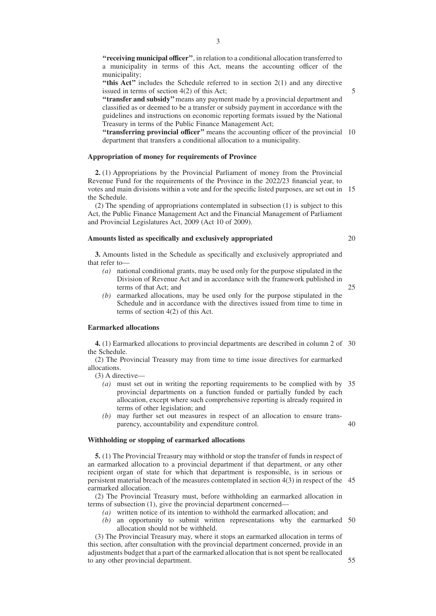**''receiving municipal officer''**, in relation to a conditional allocation transferred to a municipality in terms of this Act, means the accounting officer of the municipality;

"this Act" includes the Schedule referred to in section 2(1) and any directive issued in terms of section 4(2) of this Act;

**''transfer and subsidy''**means any payment made by a provincial department and classified as or deemed to be a transfer or subsidy payment in accordance with the guidelines and instructions on economic reporting formats issued by the National Treasury in terms of the Public Finance Management Act;

**"transferring provincial officer"** means the accounting officer of the provincial 10 department that transfers a conditional allocation to a municipality.

### **Appropriation of money for requirements of Province**

**2.** (1) Appropriations by the Provincial Parliament of money from the Provincial Revenue Fund for the requirements of the Province in the 2022/23 financial year, to votes and main divisions within a vote and for the specific listed purposes, are set out in 15 the Schedule.

(2) The spending of appropriations contemplated in subsection (1) is subject to this Act, the Public Finance Management Act and the Financial Management of Parliament and Provincial Legislatures Act, 2009 (Act 10 of 2009).

## **Amounts listed as specifically and exclusively appropriated**

**3.** Amounts listed in the Schedule as specifically and exclusively appropriated and that refer to—

- *(a)* national conditional grants, may be used only for the purpose stipulated in the Division of Revenue Act and in accordance with the framework published in terms of that Act; and
- 25

40

20

*(b)* earmarked allocations, may be used only for the purpose stipulated in the Schedule and in accordance with the directives issued from time to time in terms of section 4(2) of this Act.

#### **Earmarked allocations**

**4.** (1) Earmarked allocations to provincial departments are described in column 2 of 30 the Schedule.

(2) The Provincial Treasury may from time to time issue directives for earmarked allocations.

(3) A directive—

- *(a)* must set out in writing the reporting requirements to be complied with by 35 provincial departments on a function funded or partially funded by each allocation, except where such comprehensive reporting is already required in terms of other legislation; and
- *(b)* may further set out measures in respect of an allocation to ensure transparency, accountability and expenditure control.

### **Withholding or stopping of earmarked allocations**

**5.** (1) The Provincial Treasury may withhold or stop the transfer of funds in respect of an earmarked allocation to a provincial department if that department, or any other recipient organ of state for which that department is responsible, is in serious or persistent material breach of the measures contemplated in section 4(3) in respect of the 45 earmarked allocation.

(2) The Provincial Treasury must, before withholding an earmarked allocation in terms of subsection (1), give the provincial department concerned—

- *(a)* written notice of its intention to withhold the earmarked allocation; and
- *(b)* an opportunity to submit written representations why the earmarked 50 allocation should not be withheld.

(3) The Provincial Treasury may, where it stops an earmarked allocation in terms of this section, after consultation with the provincial department concerned, provide in an adjustments budget that a part of the earmarked allocation that is not spent be reallocated to any other provincial department.

5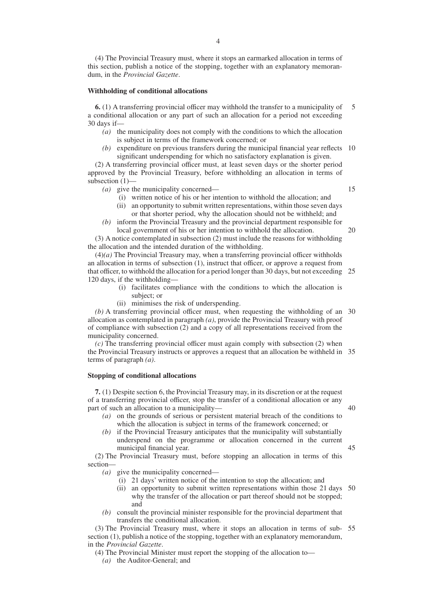(4) The Provincial Treasury must, where it stops an earmarked allocation in terms of this section, publish a notice of the stopping, together with an explanatory memorandum, in the *Provincial Gazette*.

#### **Withholding of conditional allocations**

**6.** (1) A transferring provincial officer may withhold the transfer to a municipality of a conditional allocation or any part of such an allocation for a period not exceeding 30 days if— 5

- *(a)* the municipality does not comply with the conditions to which the allocation is subject in terms of the framework concerned; or
- *(b)* expenditure on previous transfers during the municipal financial year reflects 10 significant underspending for which no satisfactory explanation is given.

(2) A transferring provincial officer must, at least seven days or the shorter period approved by the Provincial Treasury, before withholding an allocation in terms of subsection (1)—

- *(a)* give the municipality concerned—
	- (i) written notice of his or her intention to withhold the allocation; and
	- (ii) an opportunity to submit written representations, within those seven days or that shorter period, why the allocation should not be withheld; and
- *(b)* inform the Provincial Treasury and the provincial department responsible for local government of his or her intention to withhold the allocation.

(3) A notice contemplated in subsection (2) must include the reasons for withholding the allocation and the intended duration of the withholding.

 $(4)(a)$  The Provincial Treasury may, when a transferring provincial officer withholds an allocation in terms of subsection (1), instruct that officer, or approve a request from that officer, to withhold the allocation for a period longer than 30 days, but not exceeding 25 120 days, if the withholding—

- (i) facilitates compliance with the conditions to which the allocation is subject; or
- (ii) minimises the risk of underspending.

*(b)* A transferring provincial officer must, when requesting the withholding of an 30 allocation as contemplated in paragraph *(a)*, provide the Provincial Treasury with proof of compliance with subsection (2) and a copy of all representations received from the municipality concerned.

*(c)* The transferring provincial officer must again comply with subsection (2) when the Provincial Treasury instructs or approves a request that an allocation be withheld in 35 terms of paragraph *(a)*.

### **Stopping of conditional allocations**

**7.** (1) Despite section 6, the Provincial Treasury may, in its discretion or at the request of a transferring provincial officer, stop the transfer of a conditional allocation or any part of such an allocation to a municipality—

- *(a)* on the grounds of serious or persistent material breach of the conditions to which the allocation is subject in terms of the framework concerned; or
- *(b)* if the Provincial Treasury anticipates that the municipality will substantially underspend on the programme or allocation concerned in the current municipal financial year.

(2) The Provincial Treasury must, before stopping an allocation in terms of this section—

*(a)* give the municipality concerned—

- (i) 21 days' written notice of the intention to stop the allocation; and
- (ii) an opportunity to submit written representations within those 21 days 50 why the transfer of the allocation or part thereof should not be stopped; and
- *(b)* consult the provincial minister responsible for the provincial department that transfers the conditional allocation.

(3) The Provincial Treasury must, where it stops an allocation in terms of sub-55section (1), publish a notice of the stopping, together with an explanatory memorandum, in the *Provincial Gazette*.

(4) The Provincial Minister must report the stopping of the allocation to—

*(a)* the Auditor-General; and

45

40

15

20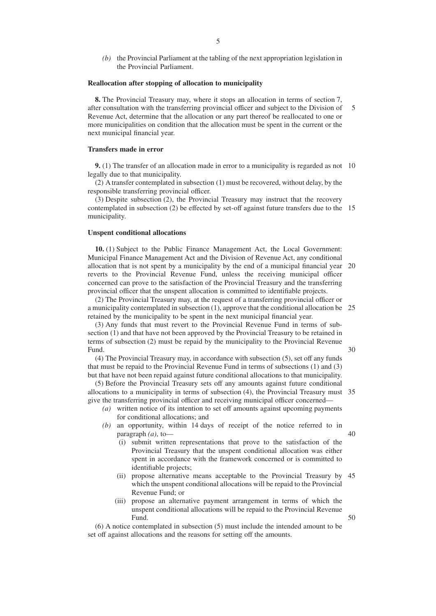*(b)* the Provincial Parliament at the tabling of the next appropriation legislation in the Provincial Parliament.

### **Reallocation after stopping of allocation to municipality**

**8.** The Provincial Treasury may, where it stops an allocation in terms of section 7, after consultation with the transferring provincial officer and subject to the Division of Revenue Act, determine that the allocation or any part thereof be reallocated to one or more municipalities on condition that the allocation must be spent in the current or the next municipal financial year. 5

#### **Transfers made in error**

**9.** (1) The transfer of an allocation made in error to a municipality is regarded as not 10 legally due to that municipality.

(2) A transfer contemplated in subsection (1) must be recovered, without delay, by the responsible transferring provincial officer.

(3) Despite subsection (2), the Provincial Treasury may instruct that the recovery contemplated in subsection (2) be effected by set-off against future transfers due to the 15 municipality.

#### **Unspent conditional allocations**

**10.** (1) Subject to the Public Finance Management Act, the Local Government: Municipal Finance Management Act and the Division of Revenue Act, any conditional allocation that is not spent by a municipality by the end of a municipal financial year 20 reverts to the Provincial Revenue Fund, unless the receiving municipal officer concerned can prove to the satisfaction of the Provincial Treasury and the transferring provincial officer that the unspent allocation is committed to identifiable projects.

(2) The Provincial Treasury may, at the request of a transferring provincial officer or a municipality contemplated in subsection (1), approve that the conditional allocation be 25 retained by the municipality to be spent in the next municipal financial year.

(3) Any funds that must revert to the Provincial Revenue Fund in terms of subsection (1) and that have not been approved by the Provincial Treasury to be retained in terms of subsection (2) must be repaid by the municipality to the Provincial Revenue Fund.

(4) The Provincial Treasury may, in accordance with subsection (5), set off any funds that must be repaid to the Provincial Revenue Fund in terms of subsections (1) and (3) but that have not been repaid against future conditional allocations to that municipality.

(5) Before the Provincial Treasury sets off any amounts against future conditional allocations to a municipality in terms of subsection (4), the Provincial Treasury must 35 give the transferring provincial officer and receiving municipal officer concerned—

- *(a)* written notice of its intention to set off amounts against upcoming payments for conditional allocations; and
- *(b)* an opportunity, within 14 days of receipt of the notice referred to in paragraph *(a)*, to—
	- 40

50

30

- (i) submit written representations that prove to the satisfaction of the Provincial Treasury that the unspent conditional allocation was either spent in accordance with the framework concerned or is committed to identifiable projects;
- (ii) propose alternative means acceptable to the Provincial Treasury by 45 which the unspent conditional allocations will be repaid to the Provincial Revenue Fund; or
- (iii) propose an alternative payment arrangement in terms of which the unspent conditional allocations will be repaid to the Provincial Revenue Fund.

(6) A notice contemplated in subsection (5) must include the intended amount to be set off against allocations and the reasons for setting off the amounts.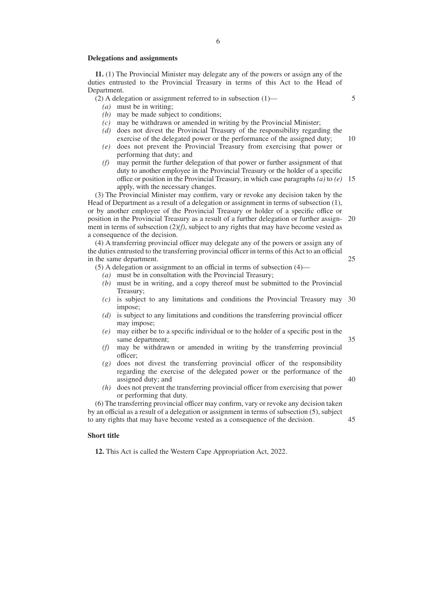#### **Delegations and assignments**

**11.** (1) The Provincial Minister may delegate any of the powers or assign any of the duties entrusted to the Provincial Treasury in terms of this Act to the Head of Department.

(2) A delegation or assignment referred to in subsection (1)—

- *(a)* must be in writing;
- *(b)* may be made subject to conditions;
- *(c)* may be withdrawn or amended in writing by the Provincial Minister;
- *(d)* does not divest the Provincial Treasury of the responsibility regarding the exercise of the delegated power or the performance of the assigned duty;
- *(e)* does not prevent the Provincial Treasury from exercising that power or performing that duty; and
- *(f)* may permit the further delegation of that power or further assignment of that duty to another employee in the Provincial Treasury or the holder of a specific office or position in the Provincial Treasury, in which case paragraphs *(a)* to *(e)* 15 apply, with the necessary changes.

(3) The Provincial Minister may confirm, vary or revoke any decision taken by the Head of Department as a result of a delegation or assignment in terms of subsection (1), or by another employee of the Provincial Treasury or holder of a specific office or position in the Provincial Treasury as a result of a further delegation or further assign-20 ment in terms of subsection (2)*(f)*, subject to any rights that may have become vested as a consequence of the decision.

(4) A transferring provincial officer may delegate any of the powers or assign any of the duties entrusted to the transferring provincial officer in terms of this Act to an official in the same department.

(5) A delegation or assignment to an official in terms of subsection (4)—

- *(a)* must be in consultation with the Provincial Treasury;
- *(b)* must be in writing, and a copy thereof must be submitted to the Provincial Treasury;
- *(c)* is subject to any limitations and conditions the Provincial Treasury may 30 impose;
- *(d)* is subject to any limitations and conditions the transferring provincial officer may impose;
- *(e)* may either be to a specific individual or to the holder of a specific post in the same department;
- *(f)* may be withdrawn or amended in writing by the transferring provincial officer;
- *(g)* does not divest the transferring provincial officer of the responsibility regarding the exercise of the delegated power or the performance of the assigned duty; and
- *(h)* does not prevent the transferring provincial officer from exercising that power or performing that duty.

(6) The transferring provincial officer may confirm, vary or revoke any decision taken by an official as a result of a delegation or assignment in terms of subsection (5), subject to any rights that may have become vested as a consequence of the decision. 45

#### **Short title**

**12.** This Act is called the Western Cape Appropriation Act, 2022.

5

10

40

35

25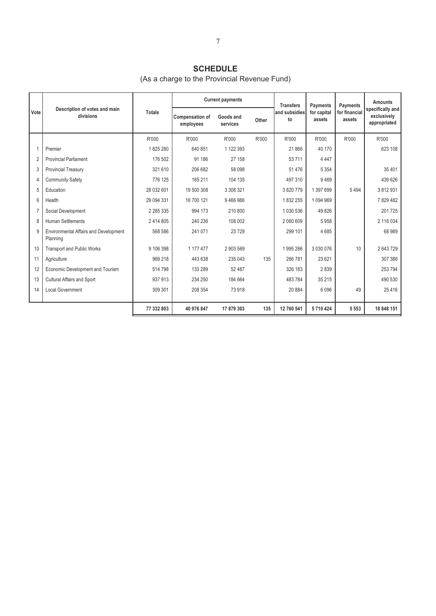## **SCHEDULE**

# (As a charge to the Provincial Revenue Fund)

|                |                                                   |               |                                     | <b>Current payments</b> |       | <b>Transfers</b>    | Payments              | Payments                | <b>Amounts</b>                                  |
|----------------|---------------------------------------------------|---------------|-------------------------------------|-------------------------|-------|---------------------|-----------------------|-------------------------|-------------------------------------------------|
| Vote           | Description of votes and main<br>divisions        | <b>Totals</b> | <b>Compensation of</b><br>employees | Goods and<br>services   | Other | and subsidies<br>to | for capital<br>assets | for financial<br>assets | specifically and<br>exclusively<br>appropriated |
|                |                                                   | R'000         | R'000                               | R'000                   | R'000 | R'000               | R'000                 | R'000                   | R'000                                           |
|                | Premier                                           | 1825280       | 640 851                             | 1 122 393               |       | 21 866              | 40 170                |                         | 623 108                                         |
| $\overline{2}$ | <b>Provincial Parliament</b>                      | 176 502       | 91 186                              | 27 158                  |       | 53 711              | 4 4 4 7               |                         |                                                 |
| 3              | <b>Provincial Treasury</b>                        | 321 610       | 206 682                             | 58 098                  |       | 51 4 7 6            | 5 3 5 4               |                         | 35 401                                          |
| 4              | <b>Community Safety</b>                           | 776 125       | 165 211                             | 104 135                 |       | 497 310             | 9469                  |                         | 439 626                                         |
| 5              | Education                                         | 28 032 601    | 19 500 308                          | 3 308 321               |       | 3820779             | 1 397 699             | 5494                    | 3812931                                         |
| 6              | Health                                            | 29 094 331    | 16 700 121                          | 9466986                 |       | 1832255             | 1094969               |                         | 7829482                                         |
|                | Social Development                                | 2 285 335     | 994 173                             | 210 800                 |       | 1 030 536           | 49 826                |                         | 201 725                                         |
| 8              | <b>Human Settlements</b>                          | 2 414 805     | 240 236                             | 108 002                 |       | 2 060 609           | 5958                  |                         | 2 116 034                                       |
| 9              | Environmental Affairs and Development<br>Planning | 568 586       | 241 071                             | 23729                   |       | 299 101             | 4685                  |                         | 68 989                                          |
| 10             | <b>Transport and Public Works</b>                 | 9 106 398     | 1 177 477                           | 2903569                 |       | 1995266             | 3 0 3 0 0 7 6         | 10                      | 2 643 729                                       |
| 11             | Agriculture                                       | 969 218       | 443 638                             | 235 043                 | 135   | 266 781             | 23 6 21               |                         | 307 386                                         |
| 12             | Economic Development and Tourism                  | 514798        | 133 289                             | 52 487                  |       | 326 183             | 2839                  |                         | 253 794                                         |
| 13             | Cultural Affairs and Sport                        | 937 913       | 234 250                             | 184 664                 |       | 483 784             | 35 215                |                         | 490 530                                         |
| 14             | <b>Local Government</b>                           | 309 301       | 208 354                             | 73918                   |       | 20884               | 6 0 9 6               | 49                      | 25 4 16                                         |
|                |                                                   | 77 332 803    | 40 976 847                          | 17 879 303              | 135   | 12 760 541          | 5710424               | 5 5 5 3                 | 18 848 151                                      |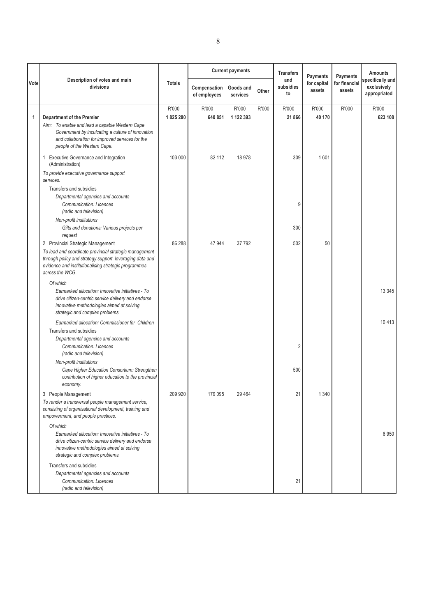|              |                                                                                                                                                                                                                                    |                  | <b>Current payments</b>      |                       |       | <b>Transfers</b>       | Payments              | <b>Payments</b>         | <b>Amounts</b><br>specifically and |
|--------------|------------------------------------------------------------------------------------------------------------------------------------------------------------------------------------------------------------------------------------|------------------|------------------------------|-----------------------|-------|------------------------|-----------------------|-------------------------|------------------------------------|
| Vote         | Description of votes and main<br>divisions                                                                                                                                                                                         | <b>Totals</b>    | Compensation<br>of employees | Goods and<br>services | Other | and<br>subsidies<br>to | for capital<br>assets | for financial<br>assets | exclusively<br>appropriated        |
| $\mathbf{1}$ | <b>Department of the Premier</b><br>Aim: To enable and lead a capable Western Cape                                                                                                                                                 | R'000<br>1825280 | R'000<br>640 851             | R'000<br>1 122 393    | R'000 | R'000<br>21 866        | R'000<br>40 170       | R'000                   | R'000<br>623 108                   |
|              | Government by inculcating a culture of innovation<br>and collaboration for improved services for the<br>people of the Western Cape.                                                                                                |                  |                              |                       |       |                        |                       |                         |                                    |
|              | 1 Executive Governance and Integration<br>(Administration)                                                                                                                                                                         | 103 000          | 82 112                       | 18 978                |       | 309                    | 1601                  |                         |                                    |
|              | To provide executive governance support<br>services.                                                                                                                                                                               |                  |                              |                       |       |                        |                       |                         |                                    |
|              | Transfers and subsidies<br>Departmental agencies and accounts<br><b>Communication: Licences</b><br>(radio and television)                                                                                                          |                  |                              |                       |       | 9                      |                       |                         |                                    |
|              | Non-profit institutions<br>Gifts and donations: Various projects per<br>request                                                                                                                                                    |                  |                              |                       |       | 300                    |                       |                         |                                    |
|              | 2 Provincial Strategic Management<br>To lead and coordinate provincial strategic management<br>through policy and strategy support, leveraging data and<br>evidence and institutionalising strategic programmes<br>across the WCG. | 86 288           | 47 944                       | 37 792                |       | 502                    | 50                    |                         |                                    |
|              | Of which<br>Earmarked allocation: Innovative initiatives - To<br>drive citizen-centric service delivery and endorse<br>innovative methodologies aimed at solving<br>strategic and complex problems.                                |                  |                              |                       |       |                        |                       |                         | 13 3 45                            |
|              | Earmarked allocation: Commissioner for Children<br>Transfers and subsidies                                                                                                                                                         |                  |                              |                       |       |                        |                       |                         | 10413                              |
|              | Departmental agencies and accounts<br>Communication: Licences<br>(radio and television)                                                                                                                                            |                  |                              |                       |       | 2                      |                       |                         |                                    |
|              | Non-profit institutions<br>Cape Higher Education Consortium: Strengthen<br>contribution of higher education to the provincial<br>economy.                                                                                          |                  |                              |                       |       | 500                    |                       |                         |                                    |
|              | 3 People Management<br>To render a transversal people management service,<br>consisting of organisational development, training and<br>empowerment, and people practices.                                                          | 209 920          | 179 095                      | 29 4 64               |       | 21                     | 1 3 4 0               |                         |                                    |
|              | Of which<br>Earmarked allocation: Innovative initiatives - To<br>drive citizen-centric service delivery and endorse<br>innovative methodologies aimed at solving<br>strategic and complex problems.                                |                  |                              |                       |       |                        |                       |                         | 6950                               |
|              | Transfers and subsidies<br>Departmental agencies and accounts<br><b>Communication: Licences</b><br>(radio and television)                                                                                                          |                  |                              |                       |       | 21                     |                       |                         |                                    |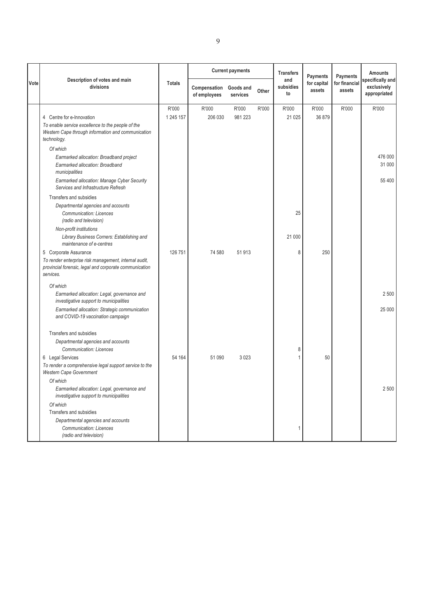|      | Description of votes and main                                                                                                |               |                              | <b>Current payments</b> |       | <b>Transfers</b>       | Payments              | <b>Payments</b>         | <b>Amounts</b><br>specifically and<br>exclusively<br>appropriated |
|------|------------------------------------------------------------------------------------------------------------------------------|---------------|------------------------------|-------------------------|-------|------------------------|-----------------------|-------------------------|-------------------------------------------------------------------|
| Vote | divisions                                                                                                                    | <b>Totals</b> | Compensation<br>of employees | Goods and<br>services   | Other | and<br>subsidies<br>to | for capital<br>assets | for financial<br>assets |                                                                   |
|      |                                                                                                                              | R'000         | R'000                        | R'000                   | R'000 | R'000                  | R'000                 | R'000                   | R'000                                                             |
|      | 4 Centre for e-Innovation                                                                                                    | 1 245 157     | 206 030                      | 981 223                 |       | 21 0 25                | 36 879                |                         |                                                                   |
|      | To enable service excellence to the people of the<br>Western Cape through information and communication<br>technology.       |               |                              |                         |       |                        |                       |                         |                                                                   |
|      | Of which                                                                                                                     |               |                              |                         |       |                        |                       |                         |                                                                   |
|      | Earmarked allocation: Broadband project<br>Earmarked allocation: Broadband<br>municipalities                                 |               |                              |                         |       |                        |                       |                         | 476 000<br>31 000                                                 |
|      | Earmarked allocation: Manage Cyber Security<br>Services and Infrastructure Refresh                                           |               |                              |                         |       |                        |                       |                         | 55 400                                                            |
|      | Transfers and subsidies                                                                                                      |               |                              |                         |       |                        |                       |                         |                                                                   |
|      | Departmental agencies and accounts<br><b>Communication: Licences</b><br>(radio and television)                               |               |                              |                         |       | 25                     |                       |                         |                                                                   |
|      | Non-profit institutions                                                                                                      |               |                              |                         |       |                        |                       |                         |                                                                   |
|      | Library Business Corners: Establishing and<br>maintenance of e-centres                                                       |               |                              |                         |       | 21 000                 |                       |                         |                                                                   |
|      | 5 Corporate Assurance                                                                                                        | 126 751       | 74 580                       | 51 913                  |       | 8                      | 250                   |                         |                                                                   |
|      | To render enterprise risk management, internal audit,<br>provincial forensic, legal and corporate communication<br>services. |               |                              |                         |       |                        |                       |                         |                                                                   |
|      | Of which                                                                                                                     |               |                              |                         |       |                        |                       |                         |                                                                   |
|      | Earmarked allocation: Legal, governance and<br>investigative support to municipalities                                       |               |                              |                         |       |                        |                       |                         | 2500                                                              |
|      | Earmarked allocation: Strategic communication<br>and COVID-19 vaccination campaign                                           |               |                              |                         |       |                        |                       |                         | 25 000                                                            |
|      | Transfers and subsidies                                                                                                      |               |                              |                         |       |                        |                       |                         |                                                                   |
|      | Departmental agencies and accounts<br><b>Communication: Licences</b>                                                         |               |                              |                         |       | 8                      |                       |                         |                                                                   |
|      | 6 Legal Services                                                                                                             | 54 164        | 51 090                       | 3 0 2 3                 |       |                        | 50                    |                         |                                                                   |
|      | To render a comprehensive legal support service to the<br><b>Western Cape Government</b>                                     |               |                              |                         |       |                        |                       |                         |                                                                   |
|      | Of which                                                                                                                     |               |                              |                         |       |                        |                       |                         |                                                                   |
|      | Earmarked allocation: Legal, governance and<br>investigative support to municipalities                                       |               |                              |                         |       |                        |                       |                         | 2 500                                                             |
|      | Of which                                                                                                                     |               |                              |                         |       |                        |                       |                         |                                                                   |
|      | Transfers and subsidies                                                                                                      |               |                              |                         |       |                        |                       |                         |                                                                   |
|      | Departmental agencies and accounts<br>Communication: Licences<br>(radio and television)                                      |               |                              |                         |       |                        |                       |                         |                                                                   |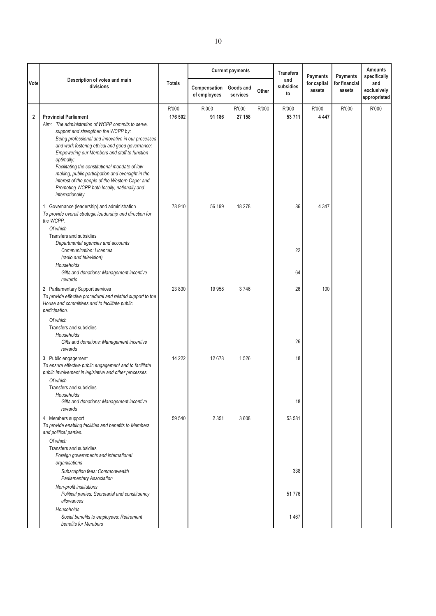|             | Description of votes and main                                                                                                                                                                                                                                                                                                                                                                                                                                                                                                 |                  |                              | <b>Current payments</b> |       | <b>Transfers</b><br>and | Payments              | <b>Payments</b>         | <b>Amounts</b><br>specifically     |
|-------------|-------------------------------------------------------------------------------------------------------------------------------------------------------------------------------------------------------------------------------------------------------------------------------------------------------------------------------------------------------------------------------------------------------------------------------------------------------------------------------------------------------------------------------|------------------|------------------------------|-------------------------|-------|-------------------------|-----------------------|-------------------------|------------------------------------|
| Vote        | divisions                                                                                                                                                                                                                                                                                                                                                                                                                                                                                                                     | <b>Totals</b>    | Compensation<br>of employees | Goods and<br>services   | Other | subsidies<br>to         | for capital<br>assets | for financial<br>assets | and<br>exclusively<br>appropriated |
| $\mathbf 2$ | <b>Provincial Parliament</b><br>Aim: The administration of WCPP commits to serve,<br>support and strengthen the WCPP by:<br>Being professional and innovative in our processes<br>and work fostering ethical and good governance;<br>Empowering our Members and staff to function<br>optimally;<br>Facilitating the constitutional mandate of law<br>making, public participation and oversight in the<br>interest of the people of the Western Cape; and<br>Promoting WCPP both locally, nationally and<br>internationality. | R'000<br>176 502 | R'000<br>91 186              | R'000<br>27 158         | R'000 | R'000<br>53 711         | R'000<br>4 4 4 7      | R'000                   | R'000                              |
|             | 1 Governance (leadership) and administration<br>To provide overall strategic leadership and direction for<br>the WCPP.<br>Of which<br>Transfers and subsidies<br>Departmental agencies and accounts<br>Communication: Licences<br>(radio and television)<br>Households<br>Gifts and donations: Management incentive                                                                                                                                                                                                           | 78 910           | 56 199                       | 18 278                  |       | 86<br>22<br>64          | 4 3 4 7               |                         |                                    |
|             | rewards<br>2 Parliamentary Support services<br>To provide effective procedural and related support to the<br>House and committees and to facilitate public<br>participation.                                                                                                                                                                                                                                                                                                                                                  | 23 8 30          | 19 958                       | 3746                    |       | 26                      | 100                   |                         |                                    |
|             | Of which<br>Transfers and subsidies<br>Households<br>Gifts and donations: Management incentive<br>rewards                                                                                                                                                                                                                                                                                                                                                                                                                     |                  |                              |                         |       | 26                      |                       |                         |                                    |
|             | 3 Public engagement<br>To ensure effective public engagement and to facilitate<br>public involvement in legislative and other processes.<br>Of which<br>Transfers and subsidies<br>Households<br>Gifts and donations: Management incentive<br>rewards                                                                                                                                                                                                                                                                         | 14 2 22          | 12 678                       | 1526                    |       | 18<br>18                |                       |                         |                                    |
|             | 4 Members support<br>To provide enabling facilities and benefits to Members<br>and political parties.<br>Of which<br>Transfers and subsidies<br>Foreign governments and international                                                                                                                                                                                                                                                                                                                                         | 59 540           | 2 3 5 1                      | 3608                    |       | 53 581                  |                       |                         |                                    |
|             | organisations<br>Subscription fees: Commonwealth<br><b>Parliamentary Association</b><br>Non-profit institutions<br>Political parties: Secretarial and constituency                                                                                                                                                                                                                                                                                                                                                            |                  |                              |                         |       | 338<br>51776            |                       |                         |                                    |
|             | allowances<br>Households<br>Social benefits to employees: Retirement<br>benefits for Members                                                                                                                                                                                                                                                                                                                                                                                                                                  |                  |                              |                         |       | 1467                    |                       |                         |                                    |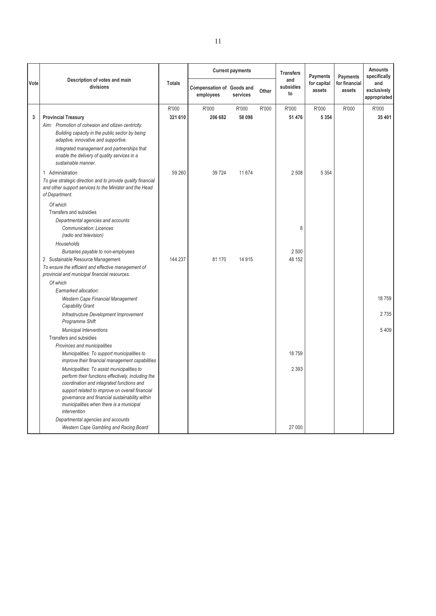|              |                                                                                                                                           |               |                                               | <b>Current payments</b> |       | <b>Transfers</b>       | Payments              | <b>Payments</b>         | <b>Amounts</b><br>specifically     |
|--------------|-------------------------------------------------------------------------------------------------------------------------------------------|---------------|-----------------------------------------------|-------------------------|-------|------------------------|-----------------------|-------------------------|------------------------------------|
| Vote         | Description of votes and main<br>divisions                                                                                                | <b>Totals</b> | <b>Compensation of Goods and</b><br>employees | services                | Other | and<br>subsidies<br>to | for capital<br>assets | for financial<br>assets | and<br>exclusively<br>appropriated |
|              |                                                                                                                                           | R'000         | R'000                                         | R'000                   | R'000 | R'000                  | R'000                 | R'000                   | R'000                              |
| $\mathbf{3}$ | <b>Provincial Treasury</b>                                                                                                                | 321 610       | 206 682                                       | 58 098                  |       | 51 476                 | 5 3 5 4               |                         | 35 401                             |
|              | Aim: Promotion of cohesion and citizen centricity.                                                                                        |               |                                               |                         |       |                        |                       |                         |                                    |
|              | Building capacity in the public sector by being<br>adaptive, innovative and supportive.                                                   |               |                                               |                         |       |                        |                       |                         |                                    |
|              | Integrated management and partnerships that<br>enable the delivery of quality services in a<br>sustainable manner.                        |               |                                               |                         |       |                        |                       |                         |                                    |
|              | 1 Administration                                                                                                                          | 59 260        | 39 7 24                                       | 11 674                  |       | 2508                   | 5 3 5 4               |                         |                                    |
|              | To give strategic direction and to provide quality financial<br>and other support services to the Minister and the Head<br>of Department. |               |                                               |                         |       |                        |                       |                         |                                    |
|              | Of which                                                                                                                                  |               |                                               |                         |       |                        |                       |                         |                                    |
|              | Transfers and subsidies                                                                                                                   |               |                                               |                         |       |                        |                       |                         |                                    |
|              | Departmental agencies and accounts                                                                                                        |               |                                               |                         |       |                        |                       |                         |                                    |
|              | Communication: Licences<br>(radio and television)                                                                                         |               |                                               |                         |       | 8                      |                       |                         |                                    |
|              | Households                                                                                                                                |               |                                               |                         |       |                        |                       |                         |                                    |
|              | Bursaries payable to non-employees                                                                                                        |               |                                               |                         |       | 2 500                  |                       |                         |                                    |
|              | 2 Sustainable Resource Management                                                                                                         | 144 237       | 81 170                                        | 14 9 15                 |       | 48 152                 |                       |                         |                                    |
|              | To ensure the efficient and effective management of<br>provincial and municipal financial resources.                                      |               |                                               |                         |       |                        |                       |                         |                                    |
|              | Of which                                                                                                                                  |               |                                               |                         |       |                        |                       |                         |                                    |
|              | Earmarked allocation:                                                                                                                     |               |                                               |                         |       |                        |                       |                         |                                    |
|              | Western Cape Financial Management<br>Capability Grant                                                                                     |               |                                               |                         |       |                        |                       |                         | 18759                              |
|              | Infrastructure Development Improvement<br>Programme Shift                                                                                 |               |                                               |                         |       |                        |                       |                         | 2735                               |
|              | <b>Municipal Interventions</b>                                                                                                            |               |                                               |                         |       |                        |                       |                         | 5409                               |
|              | Transfers and subsidies                                                                                                                   |               |                                               |                         |       |                        |                       |                         |                                    |
|              | Provinces and municipalities                                                                                                              |               |                                               |                         |       |                        |                       |                         |                                    |
|              | Municipalities: To support municipalities to<br>improve their financial management capabilities                                           |               |                                               |                         |       | 18759                  |                       |                         |                                    |
|              | Municipalities: To assist municipalities to                                                                                               |               |                                               |                         |       | 2 3 9 3                |                       |                         |                                    |
|              | perform their functions effectively, including the<br>coordination and integrated functions and                                           |               |                                               |                         |       |                        |                       |                         |                                    |
|              | support related to improve on overall financial                                                                                           |               |                                               |                         |       |                        |                       |                         |                                    |
|              | governance and financial sustainability within                                                                                            |               |                                               |                         |       |                        |                       |                         |                                    |
|              | municipalities when there is a municipal<br>intervention                                                                                  |               |                                               |                         |       |                        |                       |                         |                                    |
|              | Departmental agencies and accounts                                                                                                        |               |                                               |                         |       |                        |                       |                         |                                    |
|              | Western Cape Gambling and Racing Board                                                                                                    |               |                                               |                         |       | 27 000                 |                       |                         |                                    |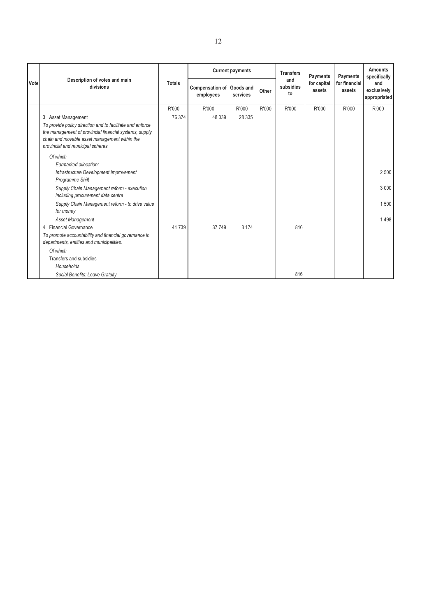|       | Description of votes and main                                                                                                                                                                                                   |               |                                               | <b>Current payments</b> |       | <b>Transfers</b>       | Payments              | Payments                | <b>Amounts</b><br>specifically     |
|-------|---------------------------------------------------------------------------------------------------------------------------------------------------------------------------------------------------------------------------------|---------------|-----------------------------------------------|-------------------------|-------|------------------------|-----------------------|-------------------------|------------------------------------|
| Votel | divisions                                                                                                                                                                                                                       | <b>Totals</b> | <b>Compensation of Goods and</b><br>employees | services                | Other | and<br>subsidies<br>to | for capital<br>assets | for financial<br>assets | and<br>exclusively<br>appropriated |
|       |                                                                                                                                                                                                                                 | R'000         | R'000                                         | R'000                   | R'000 | R'000                  | R'000                 | R'000                   | R'000                              |
|       | 3 Asset Management<br>To provide policy direction and to facilitate and enforce<br>the management of provincial financial systems, supply<br>chain and movable asset management within the<br>provincial and municipal spheres. | 76 374        | 48 0 39                                       | 28 3 35                 |       |                        |                       |                         |                                    |
|       | Of which                                                                                                                                                                                                                        |               |                                               |                         |       |                        |                       |                         |                                    |
|       | Earmarked allocation:<br>Infrastructure Development Improvement<br>Programme Shift                                                                                                                                              |               |                                               |                         |       |                        |                       |                         | 2 500                              |
|       | Supply Chain Management reform - execution<br>including procurement data centre                                                                                                                                                 |               |                                               |                         |       |                        |                       |                         | 3 0 0 0                            |
|       | Supply Chain Management reform - to drive value<br>for money                                                                                                                                                                    |               |                                               |                         |       |                        |                       |                         | 1500                               |
|       | Asset Management                                                                                                                                                                                                                |               |                                               |                         |       |                        |                       |                         | 1498                               |
|       | 4 Financial Governance                                                                                                                                                                                                          | 41739         | 37 749                                        | 3 1 7 4                 |       | 816                    |                       |                         |                                    |
|       | To promote accountability and financial governance in<br>departments, entities and municipalities.                                                                                                                              |               |                                               |                         |       |                        |                       |                         |                                    |
|       | Of which                                                                                                                                                                                                                        |               |                                               |                         |       |                        |                       |                         |                                    |
|       | Transfers and subsidies                                                                                                                                                                                                         |               |                                               |                         |       |                        |                       |                         |                                    |
|       | Households                                                                                                                                                                                                                      |               |                                               |                         |       |                        |                       |                         |                                    |
|       | Social Benefits: Leave Gratuity                                                                                                                                                                                                 |               |                                               |                         |       | 816                    |                       |                         |                                    |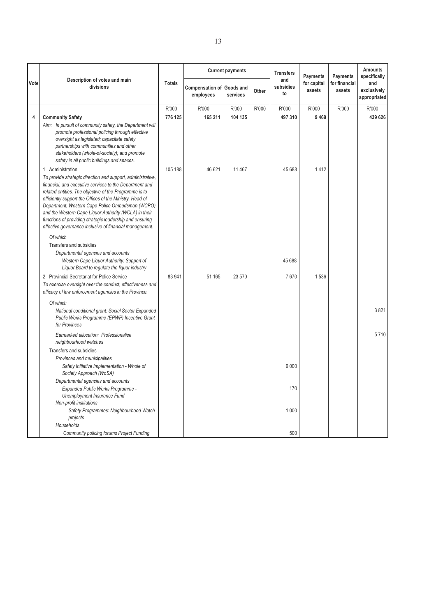|      | Description of votes and main                                                                                                                                                                                                                                                                                                                                                                                                                                                    |               |                                               | <b>Current payments</b> |       | <b>Transfers</b>       | Payments              | Payments                | <b>Amounts</b><br>specifically     |
|------|----------------------------------------------------------------------------------------------------------------------------------------------------------------------------------------------------------------------------------------------------------------------------------------------------------------------------------------------------------------------------------------------------------------------------------------------------------------------------------|---------------|-----------------------------------------------|-------------------------|-------|------------------------|-----------------------|-------------------------|------------------------------------|
| Vote | divisions                                                                                                                                                                                                                                                                                                                                                                                                                                                                        | <b>Totals</b> | <b>Compensation of Goods and</b><br>employees | services                | Other | and<br>subsidies<br>to | for capital<br>assets | for financial<br>assets | and<br>exclusively<br>appropriated |
|      |                                                                                                                                                                                                                                                                                                                                                                                                                                                                                  | R'000         | R'000                                         | R'000                   | R'000 | R'000                  | R'000                 | R'000                   | R'000                              |
| 4    | <b>Community Safety</b>                                                                                                                                                                                                                                                                                                                                                                                                                                                          | 776 125       | 165 211                                       | 104 135                 |       | 497 310                | 9469                  |                         | 439 626                            |
|      | Aim: In pursuit of community safety, the Department will<br>promote professional policing through effective<br>oversight as legislated; capacitate safety<br>partnerships with communities and other<br>stakeholders (whole-of-society); and promote<br>safety in all public buildings and spaces.                                                                                                                                                                               |               |                                               |                         |       |                        |                       |                         |                                    |
|      | 1 Administration                                                                                                                                                                                                                                                                                                                                                                                                                                                                 | 105 188       | 46 621                                        | 11 467                  |       | 45 688                 | 1412                  |                         |                                    |
|      | To provide strategic direction and support, administrative,<br>financial, and executive services to the Department and<br>related entities. The objective of the Programme is to<br>efficiently support the Offices of the Ministry, Head of<br>Department, Western Cape Police Ombudsman (WCPO)<br>and the Western Cape Liquor Authority (WCLA) in their<br>functions of providing strategic leadership and ensuring<br>effective governance inclusive of financial management. |               |                                               |                         |       |                        |                       |                         |                                    |
|      | Of which                                                                                                                                                                                                                                                                                                                                                                                                                                                                         |               |                                               |                         |       |                        |                       |                         |                                    |
|      | Transfers and subsidies                                                                                                                                                                                                                                                                                                                                                                                                                                                          |               |                                               |                         |       |                        |                       |                         |                                    |
|      | Departmental agencies and accounts                                                                                                                                                                                                                                                                                                                                                                                                                                               |               |                                               |                         |       |                        |                       |                         |                                    |
|      | Western Cape Liquor Authority: Support of<br>Liquor Board to regulate the liquor industry                                                                                                                                                                                                                                                                                                                                                                                        |               |                                               |                         |       | 45 688                 |                       |                         |                                    |
|      | 2 Provincial Secretariat for Police Service                                                                                                                                                                                                                                                                                                                                                                                                                                      | 83 941        | 51 165                                        | 23 570                  |       | 7670                   | 1536                  |                         |                                    |
|      | To exercise oversight over the conduct, effectiveness and<br>efficacy of law enforcement agencies in the Province.                                                                                                                                                                                                                                                                                                                                                               |               |                                               |                         |       |                        |                       |                         |                                    |
|      | Of which                                                                                                                                                                                                                                                                                                                                                                                                                                                                         |               |                                               |                         |       |                        |                       |                         |                                    |
|      | National conditional grant: Social Sector Expanded<br>Public Works Programme (EPWP) Incentive Grant<br>for Provinces                                                                                                                                                                                                                                                                                                                                                             |               |                                               |                         |       |                        |                       |                         | 3821                               |
|      | Earmarked allocation: Professionalise<br>neighbourhood watches                                                                                                                                                                                                                                                                                                                                                                                                                   |               |                                               |                         |       |                        |                       |                         | 5710                               |
|      | Transfers and subsidies                                                                                                                                                                                                                                                                                                                                                                                                                                                          |               |                                               |                         |       |                        |                       |                         |                                    |
|      | Provinces and municipalities                                                                                                                                                                                                                                                                                                                                                                                                                                                     |               |                                               |                         |       |                        |                       |                         |                                    |
|      | Safety Initiative Implementation - Whole of<br>Society Approach (WoSA)                                                                                                                                                                                                                                                                                                                                                                                                           |               |                                               |                         |       | 6 0 0 0                |                       |                         |                                    |
|      | Departmental agencies and accounts                                                                                                                                                                                                                                                                                                                                                                                                                                               |               |                                               |                         |       |                        |                       |                         |                                    |
|      | Expanded Public Works Programme -                                                                                                                                                                                                                                                                                                                                                                                                                                                |               |                                               |                         |       | 170                    |                       |                         |                                    |
|      | Unemployment Insurance Fund<br>Non-profit institutions                                                                                                                                                                                                                                                                                                                                                                                                                           |               |                                               |                         |       |                        |                       |                         |                                    |
|      | Safety Programmes: Neighbourhood Watch                                                                                                                                                                                                                                                                                                                                                                                                                                           |               |                                               |                         |       | 1 0 0 0                |                       |                         |                                    |
|      | projects                                                                                                                                                                                                                                                                                                                                                                                                                                                                         |               |                                               |                         |       |                        |                       |                         |                                    |
|      | Households                                                                                                                                                                                                                                                                                                                                                                                                                                                                       |               |                                               |                         |       |                        |                       |                         |                                    |
|      | <b>Community policing forums Project Funding</b>                                                                                                                                                                                                                                                                                                                                                                                                                                 |               |                                               |                         |       | 500                    |                       |                         |                                    |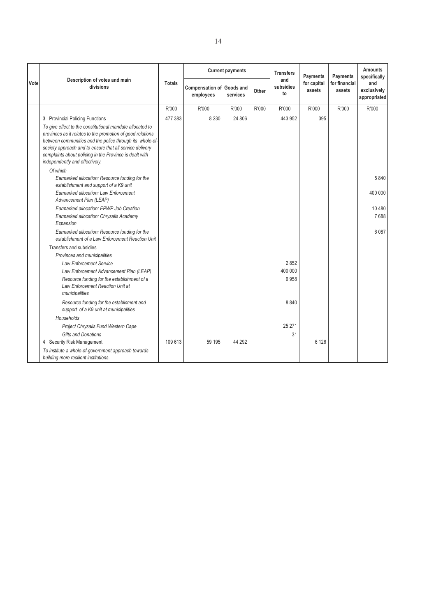|      |                                                                                                                                                                                                                                                                                                                                              |               |                                               | <b>Current payments</b> |       | <b>Transfers</b>       | Payments              | Payments                | <b>Amounts</b><br>specifically     |
|------|----------------------------------------------------------------------------------------------------------------------------------------------------------------------------------------------------------------------------------------------------------------------------------------------------------------------------------------------|---------------|-----------------------------------------------|-------------------------|-------|------------------------|-----------------------|-------------------------|------------------------------------|
| Vote | Description of votes and main<br>divisions                                                                                                                                                                                                                                                                                                   | <b>Totals</b> | <b>Compensation of Goods and</b><br>employees | services                | Other | and<br>subsidies<br>to | for capital<br>assets | for financial<br>assets | and<br>exclusively<br>appropriated |
|      |                                                                                                                                                                                                                                                                                                                                              | R'000         | R'000                                         | R'000                   | R'000 | R'000                  | R'000                 | R'000                   | R'000                              |
|      | 3 Provincial Policing Functions                                                                                                                                                                                                                                                                                                              | 477 383       | 8 2 3 0                                       | 24 806                  |       | 443 952                | 395                   |                         |                                    |
|      | To give effect to the constitutional mandate allocated to<br>provinces as it relates to the promotion of good relations<br>between communities and the police through its whole-of-<br>society approach and to ensure that all service delivery<br>complaints about policing in the Province is dealt with<br>independently and effectively. |               |                                               |                         |       |                        |                       |                         |                                    |
|      | Of which<br>Earmarked allocation: Resource funding for the                                                                                                                                                                                                                                                                                   |               |                                               |                         |       |                        |                       |                         | 5840                               |
|      | establishment and support of a K9 unit                                                                                                                                                                                                                                                                                                       |               |                                               |                         |       |                        |                       |                         |                                    |
|      | <b>Earmarked allocation: Law Enforcement</b><br>Advancement Plan (LEAP)                                                                                                                                                                                                                                                                      |               |                                               |                         |       |                        |                       |                         | 400 000                            |
|      | Earmarked allocation: EPWP Job Creation                                                                                                                                                                                                                                                                                                      |               |                                               |                         |       |                        |                       |                         | 10 480                             |
|      | Earmarked allocation: Chrysalis Academy<br>Expansion                                                                                                                                                                                                                                                                                         |               |                                               |                         |       |                        |                       |                         | 7688                               |
|      | Earmarked allocation: Resource funding for the<br>establishment of a Law Enforcement Reaction Unit                                                                                                                                                                                                                                           |               |                                               |                         |       |                        |                       |                         | 6 0 8 7                            |
|      | Transfers and subsidies                                                                                                                                                                                                                                                                                                                      |               |                                               |                         |       |                        |                       |                         |                                    |
|      | Provinces and municipalities                                                                                                                                                                                                                                                                                                                 |               |                                               |                         |       |                        |                       |                         |                                    |
|      | <b>Law Enforcement Service</b><br>Law Enforcement Advancement Plan (LEAP)                                                                                                                                                                                                                                                                    |               |                                               |                         |       | 2852<br>400 000        |                       |                         |                                    |
|      | Resource funding for the establishment of a<br>Law Enforcement Reaction Unit at<br>municipalities                                                                                                                                                                                                                                            |               |                                               |                         |       | 6958                   |                       |                         |                                    |
|      | Resource funding for the establisment and<br>support of a K9 unit at municipalities                                                                                                                                                                                                                                                          |               |                                               |                         |       | 8840                   |                       |                         |                                    |
|      | Households<br>Project Chrysalis Fund Western Cape<br>Gifts and Donations                                                                                                                                                                                                                                                                     |               |                                               |                         |       | 25 27 1<br>31          |                       |                         |                                    |
|      | 4 Security Risk Management                                                                                                                                                                                                                                                                                                                   | 109 613       | 59 195                                        | 44 292                  |       |                        | 6 1 2 6               |                         |                                    |
|      | To institute a whole-of-government approach towards<br>building more resilient institutions.                                                                                                                                                                                                                                                 |               |                                               |                         |       |                        |                       |                         |                                    |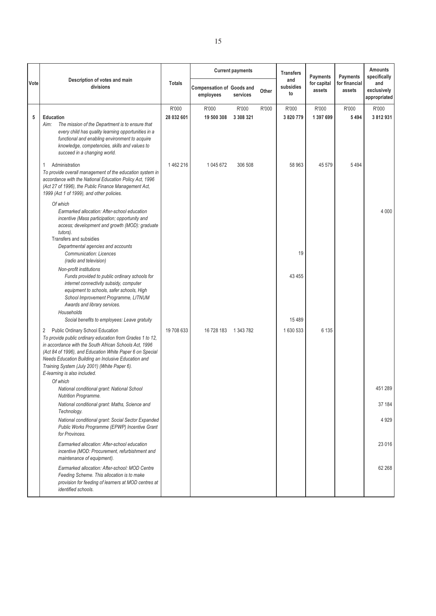|      |                                                                                                                                                                                                                                                                                                                                                                                          |                     |                                               | <b>Current payments</b> |       | <b>Transfers</b>       | <b>Payments</b>       | <b>Payments</b>         | <b>Amounts</b><br>specifically     |
|------|------------------------------------------------------------------------------------------------------------------------------------------------------------------------------------------------------------------------------------------------------------------------------------------------------------------------------------------------------------------------------------------|---------------------|-----------------------------------------------|-------------------------|-------|------------------------|-----------------------|-------------------------|------------------------------------|
| Vote | Description of votes and main<br>divisions                                                                                                                                                                                                                                                                                                                                               | <b>Totals</b>       | <b>Compensation of Goods and</b><br>employees | services                | Other | and<br>subsidies<br>to | for capital<br>assets | for financial<br>assets | and<br>exclusively<br>appropriated |
| 5    | <b>Education</b><br>The mission of the Department is to ensure that<br>Aim:<br>every child has quality learning opportunities in a<br>functional and enabling environment to acquire<br>knowledge, competencies, skills and values to<br>succeed in a changing world.                                                                                                                    | R'000<br>28 032 601 | R'000<br>19 500 308                           | R'000<br>3 308 321      | R'000 | R'000<br>3 820 779     | R'000<br>1 397 699    | R'000<br>5494           | R'000<br>3812931                   |
|      | Administration<br>1<br>To provide overall management of the education system in<br>accordance with the National Education Policy Act, 1996<br>(Act 27 of 1996), the Public Finance Management Act,<br>1999 (Act 1 of 1999), and other policies.                                                                                                                                          | 1462216             | 1 045 672                                     | 306 508                 |       | 58 963                 | 45 579                | 5494                    |                                    |
|      | Of which<br>Earmarked allocation: After-school education<br>incentive (Mass participation; opportunity and<br>access; development and growth (MOD): graduate<br>tutors).<br>Transfers and subsidies                                                                                                                                                                                      |                     |                                               |                         |       |                        |                       |                         | 4 0 0 0                            |
|      | Departmental agencies and accounts<br><b>Communication: Licences</b><br>(radio and television)                                                                                                                                                                                                                                                                                           |                     |                                               |                         |       | 19                     |                       |                         |                                    |
|      | Non-profit institutions<br>Funds provided to public ordinary schools for<br>internet connectivity subsidy, computer<br>equipment to schools, safer schools, High<br>School Improvement Programme, LITNUM<br>Awards and library services.                                                                                                                                                 |                     |                                               |                         |       | 43 4 55                |                       |                         |                                    |
|      | Households<br>Social benefits to employees: Leave gratuity                                                                                                                                                                                                                                                                                                                               |                     |                                               |                         |       | 15 4 8 9               |                       |                         |                                    |
|      | Public Ordinary School Education<br>$\overline{2}$<br>To provide public ordinary education from Grades 1 to 12,<br>in accordance with the South African Schools Act, 1996<br>(Act 84 of 1996), and Education White Paper 6 on Special<br>Needs Education Building an Inclusive Education and<br>Training System (July 2001) (White Paper 6).<br>E-learning is also included.<br>Of which | 19 708 633          | 16 728 183 1 343 782                          |                         |       | 1630 533               | 6 1 3 5               |                         |                                    |
|      | National conditional grant: National School<br><b>Nutrition Programme.</b>                                                                                                                                                                                                                                                                                                               |                     |                                               |                         |       |                        |                       |                         | 451 289                            |
|      | National conditional grant: Maths, Science and<br>Technology.                                                                                                                                                                                                                                                                                                                            |                     |                                               |                         |       |                        |                       |                         | 37 184                             |
|      | National conditional grant: Social Sector Expanded<br>Public Works Programme (EPWP) Incentive Grant<br>for Provinces.                                                                                                                                                                                                                                                                    |                     |                                               |                         |       |                        |                       |                         | 4 9 2 9                            |
|      | Earmarked allocation: After-school education<br>incentive (MOD: Procurement, refurbishment and<br>maintenance of equipment).                                                                                                                                                                                                                                                             |                     |                                               |                         |       |                        |                       |                         | 23 016                             |
|      | Earmarked allocation: After-school: MOD Centre<br>Feeding Scheme. This allocation is to make<br>provision for feeding of learners at MOD centres at<br>identified schools.                                                                                                                                                                                                               |                     |                                               |                         |       |                        |                       |                         | 62 268                             |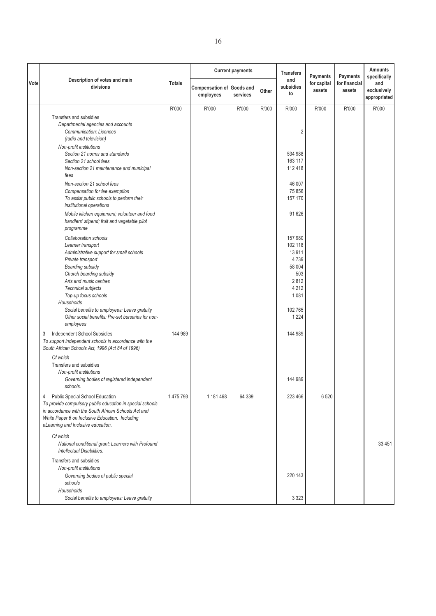|      |                                                                                                                                                                                                                                                                                                                                                                                                                                                                                                                                                                                                                                                               |               |                                               | <b>Current payments</b> |       | <b>Transfers</b>                                                                                                                           | <b>Payments</b>       | <b>Payments</b>         | <b>Amounts</b><br>specifically     |
|------|---------------------------------------------------------------------------------------------------------------------------------------------------------------------------------------------------------------------------------------------------------------------------------------------------------------------------------------------------------------------------------------------------------------------------------------------------------------------------------------------------------------------------------------------------------------------------------------------------------------------------------------------------------------|---------------|-----------------------------------------------|-------------------------|-------|--------------------------------------------------------------------------------------------------------------------------------------------|-----------------------|-------------------------|------------------------------------|
| Vote | Description of votes and main<br>divisions                                                                                                                                                                                                                                                                                                                                                                                                                                                                                                                                                                                                                    | <b>Totals</b> | <b>Compensation of Goods and</b><br>employees | services                | Other | and<br>subsidies<br>to                                                                                                                     | for capital<br>assets | for financial<br>assets | and<br>exclusively<br>appropriated |
|      |                                                                                                                                                                                                                                                                                                                                                                                                                                                                                                                                                                                                                                                               | R'000         | R'000                                         | R'000                   | R'000 | R'000                                                                                                                                      | R'000                 | R'000                   | R'000                              |
|      | Transfers and subsidies<br>Departmental agencies and accounts<br><b>Communication: Licences</b><br>(radio and television)<br>Non-profit institutions<br>Section 21 norms and standards<br>Section 21 school fees<br>Non-section 21 maintenance and municipal<br>fees<br>Non-section 21 school fees<br>Compensation for fee exemption<br>To assist public schools to perform their<br>institutional operations<br>Mobile kitchen equipment; volunteer and food<br>handlers' stipend; fruit and vegetable pilot<br>programme<br>Collaboration schools<br>Learner transport<br>Administrative support for small schools<br>Private transport<br>Boarding subsidy |               |                                               |                         |       | $\overline{2}$<br>534 988<br>163 117<br>112 418<br>46 007<br>75 856<br>157 170<br>91 626<br>157 980<br>102 118<br>13 911<br>4739<br>58 004 |                       |                         |                                    |
|      | Church boarding subsidy<br>Arts and music centres<br>Technical subjects<br>Top-up focus schools<br>Households<br>Social benefits to employees: Leave gratuity<br>Other social benefits: Pre-set bursaries for non-<br>employees                                                                                                                                                                                                                                                                                                                                                                                                                               |               |                                               |                         |       | 503<br>2812<br>4 2 1 2<br>1 0 8 1<br>102 765<br>1 2 2 4                                                                                    |                       |                         |                                    |
|      | 3<br><b>Independent School Subsidies</b><br>To support independent schools in accordance with the<br>South African Schools Act, 1996 (Act 84 of 1996)<br>Of which<br>Transfers and subsidies<br>Non-profit institutions<br>Governing bodies of registered independent<br>schools.                                                                                                                                                                                                                                                                                                                                                                             | 144 989       |                                               |                         |       | 144 989<br>144 989                                                                                                                         |                       |                         |                                    |
|      | Public Special School Education<br>4<br>To provide compulsory public education in special schools<br>in accordance with the South African Schools Act and<br>White Paper 6 on Inclusive Education. Including<br>eLearning and Inclusive education.<br>Of which                                                                                                                                                                                                                                                                                                                                                                                                | 1475793       | 1 181 468                                     | 64 339                  |       | 223 466                                                                                                                                    | 6 5 20                |                         |                                    |
|      | National conditional grant: Learners with Profound<br>Intellectual Disabilities.                                                                                                                                                                                                                                                                                                                                                                                                                                                                                                                                                                              |               |                                               |                         |       |                                                                                                                                            |                       |                         | 33 451                             |
|      | Transfers and subsidies<br>Non-profit institutions<br>Governing bodies of public special<br>schools                                                                                                                                                                                                                                                                                                                                                                                                                                                                                                                                                           |               |                                               |                         |       | 220 143                                                                                                                                    |                       |                         |                                    |
|      | Households<br>Social benefits to employees: Leave gratuity                                                                                                                                                                                                                                                                                                                                                                                                                                                                                                                                                                                                    |               |                                               |                         |       | 3 3 2 3                                                                                                                                    |                       |                         |                                    |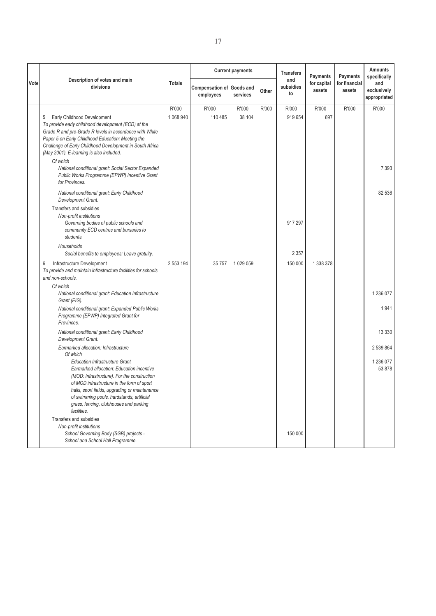|      |                                                                                                                                                                                                                                                                                                                                        |               |                                               | <b>Current payments</b> |       | <b>Transfers</b>       | <b>Payments</b>       | <b>Payments</b>         | <b>Amounts</b><br>specifically     |
|------|----------------------------------------------------------------------------------------------------------------------------------------------------------------------------------------------------------------------------------------------------------------------------------------------------------------------------------------|---------------|-----------------------------------------------|-------------------------|-------|------------------------|-----------------------|-------------------------|------------------------------------|
| Vote | Description of votes and main<br>divisions                                                                                                                                                                                                                                                                                             | <b>Totals</b> | <b>Compensation of Goods and</b><br>employees | services                | Other | and<br>subsidies<br>to | for capital<br>assets | for financial<br>assets | and<br>exclusively<br>appropriated |
|      |                                                                                                                                                                                                                                                                                                                                        | R'000         | R'000                                         | R'000                   | R'000 | R'000                  | R'000                 | R'000                   | R'000                              |
|      | Early Childhood Development<br>5<br>To provide early childhood development (ECD) at the<br>Grade R and pre-Grade R levels in accordance with White<br>Paper 5 on Early Childhood Education: Meeting the<br>Challenge of Early Childhood Development in South Africa<br>(May 2001). E-learning is also included.                        | 1 068 940     | 110 485                                       | 38 104                  |       | 919 654                | 697                   |                         |                                    |
|      | Of which<br>National conditional grant: Social Sector Expanded<br>Public Works Programme (EPWP) Incentive Grant<br>for Provinces.                                                                                                                                                                                                      |               |                                               |                         |       |                        |                       |                         | 7 3 9 3                            |
|      | National conditional grant: Early Childhood<br>Development Grant.                                                                                                                                                                                                                                                                      |               |                                               |                         |       |                        |                       |                         | 82 536                             |
|      | Transfers and subsidies<br>Non-profit institutions<br>Governing bodies of public schools and<br>community ECD centres and bursaries to<br>students.                                                                                                                                                                                    |               |                                               |                         |       | 917 297                |                       |                         |                                    |
|      | Households<br>Social benefits to employees: Leave gratuity.                                                                                                                                                                                                                                                                            |               |                                               |                         |       | 2 3 5 7                |                       |                         |                                    |
|      | Infrastructure Development<br>6<br>To provide and maintain infrastructure facilities for schools<br>and non-schools.                                                                                                                                                                                                                   | 2 553 194     |                                               | 35 757 1 029 059        |       | 150 000                | 1 338 378             |                         |                                    |
|      | Of which<br>National conditional grant: Education Infrastructure<br>Grant (EIG).                                                                                                                                                                                                                                                       |               |                                               |                         |       |                        |                       |                         | 1 236 077                          |
|      | National conditional grant: Expanded Public Works<br>Programme (EPWP) Integrated Grant for<br>Provinces.                                                                                                                                                                                                                               |               |                                               |                         |       |                        |                       |                         | 1941                               |
|      | National conditional grant: Early Childhood<br>Development Grant.                                                                                                                                                                                                                                                                      |               |                                               |                         |       |                        |                       |                         | 13 3 3 0                           |
|      | Earmarked allocation: Infrastructure<br>Of which                                                                                                                                                                                                                                                                                       |               |                                               |                         |       |                        |                       |                         | 2 539 864                          |
|      | <b>Education Infrastructure Grant</b><br>Earmarked allocation: Education incentive<br>(MOD: Infrastructure). For the construction<br>of MOD infrastructure in the form of sport<br>halls, sport fields, upgrading or maintenance<br>of swimming pools, hardstands, artificial<br>grass, fencing, clubhouses and parking<br>facilities. |               |                                               |                         |       |                        |                       |                         | 1 236 077<br>53 878                |
|      | Transfers and subsidies<br>Non-profit institutions<br>School Governing Body (SGB) projects -<br>School and School Hall Programme.                                                                                                                                                                                                      |               |                                               |                         |       | 150 000                |                       |                         |                                    |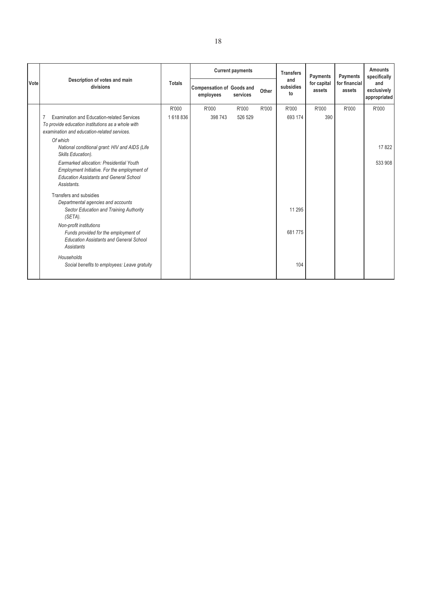|      |                                                                                                                                                           |               |                                               | <b>Current payments</b> |       | <b>Transfers</b>       | Payments              | Payments                | <b>Amounts</b><br>specifically     |
|------|-----------------------------------------------------------------------------------------------------------------------------------------------------------|---------------|-----------------------------------------------|-------------------------|-------|------------------------|-----------------------|-------------------------|------------------------------------|
| Vote | Description of votes and main<br>divisions                                                                                                                | <b>Totals</b> | <b>Compensation of Goods and</b><br>employees | services                | Other | and<br>subsidies<br>to | for capital<br>assets | for financial<br>assets | and<br>exclusively<br>appropriated |
|      |                                                                                                                                                           | R'000         | R'000                                         | R'000                   | R'000 | R'000                  | R'000                 | R'000                   | R'000                              |
|      | <b>Examination and Education-related Services</b><br>To provide education institutions as a whole with<br>examination and education-related services.     | 1618836       | 398 743                                       | 526 529                 |       | 693 174                | 390                   |                         |                                    |
|      | Of which<br>National conditional grant: HIV and AIDS (Life<br>Skills Education).                                                                          |               |                                               |                         |       |                        |                       |                         | 17822                              |
|      | Earmarked allocation: Presidential Youth<br>Employment Initiative. For the employment of<br><b>Education Assistants and General School</b><br>Assistants. |               |                                               |                         |       |                        |                       |                         | 533 908                            |
|      | Transfers and subsidies                                                                                                                                   |               |                                               |                         |       |                        |                       |                         |                                    |
|      | Departmental agencies and accounts<br>Sector Education and Training Authority<br>(SETA).                                                                  |               |                                               |                         |       | 11 295                 |                       |                         |                                    |
|      | Non-profit institutions<br>Funds provided for the employment of<br><b>Education Assistants and General School</b><br><b>Assistants</b>                    |               |                                               |                         |       | 681775                 |                       |                         |                                    |
|      | Households<br>Social benefits to employees: Leave gratuity                                                                                                |               |                                               |                         |       | 104                    |                       |                         |                                    |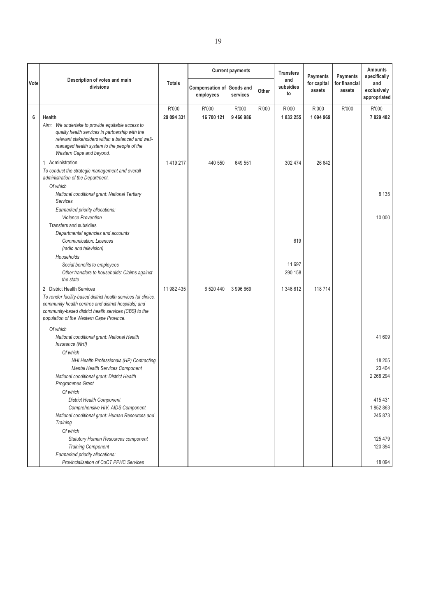|      |                                                                                                                                                                                                                                                           |               |                                               | <b>Current payments</b> |       | <b>Transfers</b>       | <b>Payments</b>       | <b>Payments</b>         | <b>Amounts</b><br>specifically     |
|------|-----------------------------------------------------------------------------------------------------------------------------------------------------------------------------------------------------------------------------------------------------------|---------------|-----------------------------------------------|-------------------------|-------|------------------------|-----------------------|-------------------------|------------------------------------|
| Vote | Description of votes and main<br>divisions                                                                                                                                                                                                                | <b>Totals</b> | <b>Compensation of Goods and</b><br>employees | services                | Other | and<br>subsidies<br>to | for capital<br>assets | for financial<br>assets | and<br>exclusively<br>appropriated |
|      |                                                                                                                                                                                                                                                           | R'000         | R'000                                         | R'000                   | R'000 | R'000                  | R'000                 | R'000                   | R'000                              |
| 6    | Health                                                                                                                                                                                                                                                    | 29 094 331    | 16 700 121                                    | 9466986                 |       | 1832255                | 1094969               |                         | 7829482                            |
|      | Aim: We undertake to provide equitable access to<br>quality health services in partnership with the<br>relevant stakeholders within a balanced and well-<br>managed health system to the people of the<br>Western Cape and beyond.                        |               |                                               |                         |       |                        |                       |                         |                                    |
|      | 1 Administration                                                                                                                                                                                                                                          | 1419217       | 440 550                                       | 649 551                 |       | 302 474                | 26 642                |                         |                                    |
|      | To conduct the strategic management and overall<br>administration of the Department.                                                                                                                                                                      |               |                                               |                         |       |                        |                       |                         |                                    |
|      | Of which                                                                                                                                                                                                                                                  |               |                                               |                         |       |                        |                       |                         |                                    |
|      | National conditional grant: National Tertiary<br>Services                                                                                                                                                                                                 |               |                                               |                         |       |                        |                       |                         | 8 1 3 5                            |
|      | Earmarked priority allocations:<br><b>Violence Prevention</b>                                                                                                                                                                                             |               |                                               |                         |       |                        |                       |                         | 10 000                             |
|      | Transfers and subsidies                                                                                                                                                                                                                                   |               |                                               |                         |       |                        |                       |                         |                                    |
|      | Departmental agencies and accounts<br><b>Communication: Licences</b><br>(radio and television)                                                                                                                                                            |               |                                               |                         |       | 619                    |                       |                         |                                    |
|      | Households                                                                                                                                                                                                                                                |               |                                               |                         |       |                        |                       |                         |                                    |
|      | Social benefits to employees                                                                                                                                                                                                                              |               |                                               |                         |       | 11 697                 |                       |                         |                                    |
|      | Other transfers to households: Claims against<br>the state                                                                                                                                                                                                |               |                                               |                         |       | 290 158                |                       |                         |                                    |
|      | 2 District Health Services<br>To render facility-based district health services (at clinics,<br>community health centres and district hospitals) and<br>community-based district health services (CBS) to the<br>population of the Western Cape Province. | 11 982 435    | 6 520 440                                     | 3996669                 |       | 1 346 612              | 118 714               |                         |                                    |
|      | Of which                                                                                                                                                                                                                                                  |               |                                               |                         |       |                        |                       |                         |                                    |
|      | National conditional grant: National Health<br>Insurance (NHI)                                                                                                                                                                                            |               |                                               |                         |       |                        |                       |                         | 41 609                             |
|      | Of which                                                                                                                                                                                                                                                  |               |                                               |                         |       |                        |                       |                         |                                    |
|      | NHI Health Professionals (HP) Contracting                                                                                                                                                                                                                 |               |                                               |                         |       |                        |                       |                         | 18 20 5<br>23 4 04                 |
|      | Mental Health Services Component<br>National conditional grant: District Health<br><b>Programmes Grant</b>                                                                                                                                                |               |                                               |                         |       |                        |                       |                         | 2 2 68 2 94                        |
|      | Of which                                                                                                                                                                                                                                                  |               |                                               |                         |       |                        |                       |                         |                                    |
|      | <b>District Health Component</b>                                                                                                                                                                                                                          |               |                                               |                         |       |                        |                       |                         | 415 431                            |
|      | Comprehensive HIV, AIDS Component                                                                                                                                                                                                                         |               |                                               |                         |       |                        |                       |                         | 1852863                            |
|      | National conditional grant: Human Resources and                                                                                                                                                                                                           |               |                                               |                         |       |                        |                       |                         | 245 873                            |
|      | Training                                                                                                                                                                                                                                                  |               |                                               |                         |       |                        |                       |                         |                                    |
|      | Of which                                                                                                                                                                                                                                                  |               |                                               |                         |       |                        |                       |                         |                                    |
|      | Statutory Human Resources component<br><b>Training Component</b>                                                                                                                                                                                          |               |                                               |                         |       |                        |                       |                         | 125 479<br>120 394                 |
|      | Earmarked priority allocations:                                                                                                                                                                                                                           |               |                                               |                         |       |                        |                       |                         |                                    |
|      | Provincialisation of CoCT PPHC Services                                                                                                                                                                                                                   |               |                                               |                         |       |                        |                       |                         | 18 0 94                            |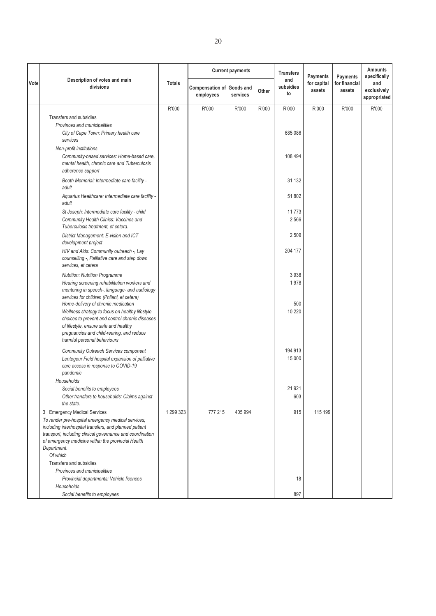|      |                                                                                                                                             |               |                                               | <b>Current payments</b> |       | <b>Transfers</b>       | <b>Payments</b>       | <b>Payments</b>         | <b>Amounts</b><br>specifically     |
|------|---------------------------------------------------------------------------------------------------------------------------------------------|---------------|-----------------------------------------------|-------------------------|-------|------------------------|-----------------------|-------------------------|------------------------------------|
| Vote | Description of votes and main<br>divisions                                                                                                  | <b>Totals</b> | <b>Compensation of Goods and</b><br>employees | services                | Other | and<br>subsidies<br>to | for capital<br>assets | for financial<br>assets | and<br>exclusively<br>appropriated |
|      |                                                                                                                                             | R'000         | R'000                                         | R'000                   | R'000 | R'000                  | R'000                 | R'000                   | R'000                              |
|      | Transfers and subsidies                                                                                                                     |               |                                               |                         |       |                        |                       |                         |                                    |
|      | Provinces and municipalities                                                                                                                |               |                                               |                         |       |                        |                       |                         |                                    |
|      | City of Cape Town: Primary health care<br>services                                                                                          |               |                                               |                         |       | 685 086                |                       |                         |                                    |
|      | Non-profit institutions                                                                                                                     |               |                                               |                         |       |                        |                       |                         |                                    |
|      | Community-based services: Home-based care,<br>mental health, chronic care and Tuberculosis<br>adherence support                             |               |                                               |                         |       | 108 494                |                       |                         |                                    |
|      | Booth Memorial: Intermediate care facility -<br>adult                                                                                       |               |                                               |                         |       | 31 132                 |                       |                         |                                    |
|      | Aquarius Healthcare: Intermediate care facility -<br>adult                                                                                  |               |                                               |                         |       | 51 802                 |                       |                         |                                    |
|      | St Joseph: Intermediate care facility - child                                                                                               |               |                                               |                         |       | 11773                  |                       |                         |                                    |
|      | Community Health Clinics: Vaccines and<br>Tuberculosis treatment, et cetera.                                                                |               |                                               |                         |       | 2566                   |                       |                         |                                    |
|      | District Management: E-vision and ICT<br>development project                                                                                |               |                                               |                         |       | 2509                   |                       |                         |                                    |
|      | HIV and Aids: Community outreach -, Lay<br>counselling -, Palliative care and step down<br>services, et cetera                              |               |                                               |                         |       | 204 177                |                       |                         |                                    |
|      | <b>Nutrition: Nutrition Programme</b>                                                                                                       |               |                                               |                         |       | 3 9 3 8                |                       |                         |                                    |
|      | Hearing screening rehabilitation workers and<br>mentoring in speech-, language- and audiology<br>services for children (Philani, et cetera) |               |                                               |                         |       | 1978                   |                       |                         |                                    |
|      | Home-delivery of chronic medication                                                                                                         |               |                                               |                         |       | 500                    |                       |                         |                                    |
|      | Wellness strategy to focus on healthy lifestyle                                                                                             |               |                                               |                         |       | 10 220                 |                       |                         |                                    |
|      | choices to prevent and control chronic diseases                                                                                             |               |                                               |                         |       |                        |                       |                         |                                    |
|      | of lifestyle, ensure safe and healthy<br>pregnancies and child-rearing, and reduce                                                          |               |                                               |                         |       |                        |                       |                         |                                    |
|      | harmful personal behaviours                                                                                                                 |               |                                               |                         |       |                        |                       |                         |                                    |
|      | Community Outreach Services component                                                                                                       |               |                                               |                         |       | 194 913                |                       |                         |                                    |
|      | Lentegeur Field hospital expansion of palliative                                                                                            |               |                                               |                         |       | 15 000                 |                       |                         |                                    |
|      | care access in response to COVID-19                                                                                                         |               |                                               |                         |       |                        |                       |                         |                                    |
|      | pandemic                                                                                                                                    |               |                                               |                         |       |                        |                       |                         |                                    |
|      | Households<br>Social benefits to employees                                                                                                  |               |                                               |                         |       | 21 921                 |                       |                         |                                    |
|      | Other transfers to households: Claims against                                                                                               |               |                                               |                         |       | 603                    |                       |                         |                                    |
|      | the state.                                                                                                                                  |               |                                               |                         |       |                        |                       |                         |                                    |
|      | 3 Emergency Medical Services                                                                                                                | 1 299 323     | 777 215                                       | 405 994                 |       | 915                    | 115 199               |                         |                                    |
|      | To render pre-hospital emergency medical services,                                                                                          |               |                                               |                         |       |                        |                       |                         |                                    |
|      | including interhospital transfers, and planned patient<br>transport, including clinical governance and coordination                         |               |                                               |                         |       |                        |                       |                         |                                    |
|      | of emergency medicine within the provincial Health                                                                                          |               |                                               |                         |       |                        |                       |                         |                                    |
|      | Department.                                                                                                                                 |               |                                               |                         |       |                        |                       |                         |                                    |
|      | Of which                                                                                                                                    |               |                                               |                         |       |                        |                       |                         |                                    |
|      | Transfers and subsidies<br>Provinces and municipalities                                                                                     |               |                                               |                         |       |                        |                       |                         |                                    |
|      | Provincial departments: Vehicle licences                                                                                                    |               |                                               |                         |       | 18                     |                       |                         |                                    |
|      | Households                                                                                                                                  |               |                                               |                         |       |                        |                       |                         |                                    |
|      | Social benefits to employees                                                                                                                |               |                                               |                         |       | 897                    |                       |                         |                                    |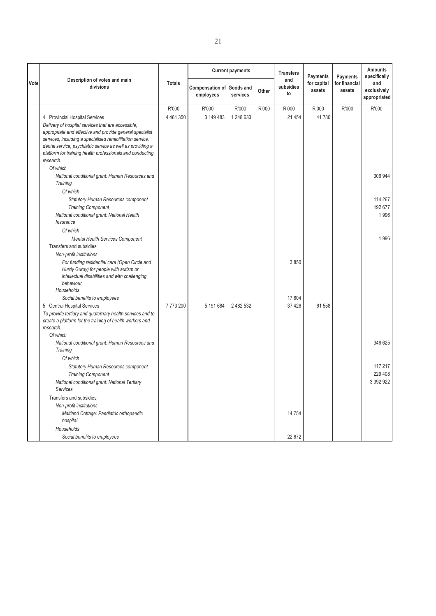|      |                                                                                                                         |               |                                               | <b>Current payments</b> |       | <b>Transfers</b>       | <b>Payments</b>       | <b>Payments</b>         | <b>Amounts</b><br>specifically     |
|------|-------------------------------------------------------------------------------------------------------------------------|---------------|-----------------------------------------------|-------------------------|-------|------------------------|-----------------------|-------------------------|------------------------------------|
| Vote | Description of votes and main<br>divisions                                                                              | <b>Totals</b> | <b>Compensation of Goods and</b><br>employees | services                | Other | and<br>subsidies<br>to | for capital<br>assets | for financial<br>assets | and<br>exclusively<br>appropriated |
|      |                                                                                                                         | R'000         | R'000                                         | R'000                   | R'000 | R'000                  | R'000                 | R'000                   | R'000                              |
|      | 4 Provincial Hospital Services                                                                                          | 4 461 350     | 3 149 483                                     | 1 248 633               |       | 21 4 5 4               | 41780                 |                         |                                    |
|      | Delivery of hospital services that are accessible,                                                                      |               |                                               |                         |       |                        |                       |                         |                                    |
|      | appropriate and effective and provide general specialist                                                                |               |                                               |                         |       |                        |                       |                         |                                    |
|      | services, including a specialised rehabilitation service,                                                               |               |                                               |                         |       |                        |                       |                         |                                    |
|      | dental service, psychiatric service as well as providing a<br>platform for training health professionals and conducting |               |                                               |                         |       |                        |                       |                         |                                    |
|      | research.                                                                                                               |               |                                               |                         |       |                        |                       |                         |                                    |
|      | Of which                                                                                                                |               |                                               |                         |       |                        |                       |                         |                                    |
|      | National conditional grant: Human Resources and                                                                         |               |                                               |                         |       |                        |                       |                         | 306 944                            |
|      | Training                                                                                                                |               |                                               |                         |       |                        |                       |                         |                                    |
|      | Of which                                                                                                                |               |                                               |                         |       |                        |                       |                         |                                    |
|      | <b>Statutory Human Resources component</b>                                                                              |               |                                               |                         |       |                        |                       |                         | 114 267                            |
|      | <b>Training Component</b>                                                                                               |               |                                               |                         |       |                        |                       |                         | 192 677                            |
|      | National conditional grant: National Health                                                                             |               |                                               |                         |       |                        |                       |                         | 1996                               |
|      | Insurance                                                                                                               |               |                                               |                         |       |                        |                       |                         |                                    |
|      | Of which                                                                                                                |               |                                               |                         |       |                        |                       |                         |                                    |
|      | Mental Health Services Component                                                                                        |               |                                               |                         |       |                        |                       |                         | 1996                               |
|      | Transfers and subsidies                                                                                                 |               |                                               |                         |       |                        |                       |                         |                                    |
|      | Non-profit institutions                                                                                                 |               |                                               |                         |       | 3850                   |                       |                         |                                    |
|      | For funding residential care (Open Circle and<br>Hurdy Gurdy) for people with autism or                                 |               |                                               |                         |       |                        |                       |                         |                                    |
|      | intellectual disabilities and with challenging                                                                          |               |                                               |                         |       |                        |                       |                         |                                    |
|      | behaviour                                                                                                               |               |                                               |                         |       |                        |                       |                         |                                    |
|      | Households                                                                                                              |               |                                               |                         |       |                        |                       |                         |                                    |
|      | Social benefits to employees                                                                                            |               |                                               |                         |       | 17 604                 |                       |                         |                                    |
|      | 5 Central Hospital Services                                                                                             | 7773200       | 5 191 684                                     | 2482532                 |       | 37 4 26                | 61 558                |                         |                                    |
|      | To provide tertiary and quaternary health services and to<br>create a platform for the training of health workers and   |               |                                               |                         |       |                        |                       |                         |                                    |
|      | research.                                                                                                               |               |                                               |                         |       |                        |                       |                         |                                    |
|      | Of which                                                                                                                |               |                                               |                         |       |                        |                       |                         |                                    |
|      | National conditional grant: Human Resources and                                                                         |               |                                               |                         |       |                        |                       |                         | 346 625                            |
|      | Training                                                                                                                |               |                                               |                         |       |                        |                       |                         |                                    |
|      | Of which                                                                                                                |               |                                               |                         |       |                        |                       |                         |                                    |
|      | <b>Statutory Human Resources component</b>                                                                              |               |                                               |                         |       |                        |                       |                         | 117 217                            |
|      | <b>Training Component</b>                                                                                               |               |                                               |                         |       |                        |                       |                         | 229 408                            |
|      | National conditional grant: National Tertiary                                                                           |               |                                               |                         |       |                        |                       |                         | 3 3 9 2 9 2 2                      |
|      | <b>Services</b>                                                                                                         |               |                                               |                         |       |                        |                       |                         |                                    |
|      | Transfers and subsidies                                                                                                 |               |                                               |                         |       |                        |                       |                         |                                    |
|      | Non-profit institutions                                                                                                 |               |                                               |                         |       |                        |                       |                         |                                    |
|      | Maitland Cottage: Paediatric orthopaedic                                                                                |               |                                               |                         |       | 14 7 54                |                       |                         |                                    |
|      | hospital                                                                                                                |               |                                               |                         |       |                        |                       |                         |                                    |
|      | Households                                                                                                              |               |                                               |                         |       |                        |                       |                         |                                    |
|      | Social benefits to employees                                                                                            |               |                                               |                         |       | 22 672                 |                       |                         |                                    |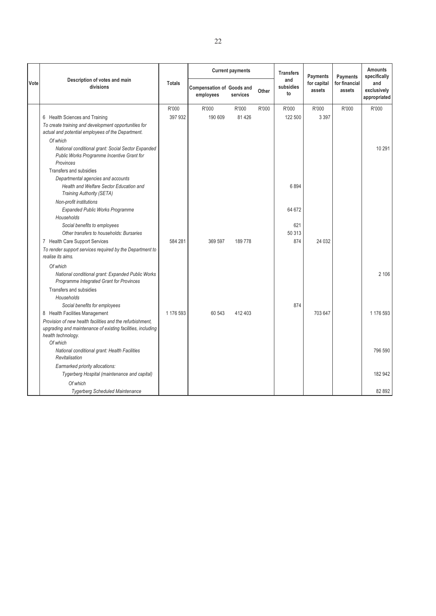|      |                                                                                                                                                |               |                                               | <b>Current payments</b> |       | <b>Transfers</b>       | <b>Payments</b>       | <b>Payments</b>         | <b>Amounts</b><br>specifically     |
|------|------------------------------------------------------------------------------------------------------------------------------------------------|---------------|-----------------------------------------------|-------------------------|-------|------------------------|-----------------------|-------------------------|------------------------------------|
| Vote | Description of votes and main<br>divisions                                                                                                     | <b>Totals</b> | <b>Compensation of Goods and</b><br>employees | services                | Other | and<br>subsidies<br>to | for capital<br>assets | for financial<br>assets | and<br>exclusively<br>appropriated |
|      |                                                                                                                                                | R'000         | R'000                                         | R'000                   | R'000 | R'000                  | R'000                 | R'000                   | R'000                              |
|      | 6 Health Sciences and Training                                                                                                                 | 397 932       | 190 609                                       | 81 4 26                 |       | 122 500                | 3 3 9 7               |                         |                                    |
|      | To create training and development opportunities for<br>actual and potential employees of the Department.                                      |               |                                               |                         |       |                        |                       |                         |                                    |
|      | Of which                                                                                                                                       |               |                                               |                         |       |                        |                       |                         |                                    |
|      | National conditional grant: Social Sector Expanded<br>Public Works Programme Incentive Grant for<br>Provinces                                  |               |                                               |                         |       |                        |                       |                         | 10 291                             |
|      | Transfers and subsidies                                                                                                                        |               |                                               |                         |       |                        |                       |                         |                                    |
|      | Departmental agencies and accounts<br>Health and Welfare Sector Education and<br>Training Authority (SETA)                                     |               |                                               |                         |       | 6894                   |                       |                         |                                    |
|      | Non-profit institutions<br><b>Expanded Public Works Programme</b>                                                                              |               |                                               |                         |       | 64 672                 |                       |                         |                                    |
|      | Households<br>Social benefits to employees                                                                                                     |               |                                               |                         |       | 621                    |                       |                         |                                    |
|      | Other transfers to households: Bursaries<br>7 Health Care Support Services                                                                     | 584 281       | 369 597                                       | 189778                  |       | 50 313<br>874          | 24 0 32               |                         |                                    |
|      | To render support services required by the Department to<br>realise its aims.                                                                  |               |                                               |                         |       |                        |                       |                         |                                    |
|      | Of which                                                                                                                                       |               |                                               |                         |       |                        |                       |                         |                                    |
|      | National conditional grant: Expanded Public Works<br>Programme Integrated Grant for Provinces                                                  |               |                                               |                         |       |                        |                       |                         | 2 106                              |
|      | Transfers and subsidies<br>Households                                                                                                          |               |                                               |                         |       |                        |                       |                         |                                    |
|      | Social benefits for employees                                                                                                                  |               |                                               |                         |       | 874                    |                       |                         |                                    |
|      | 8 Health Facilities Management                                                                                                                 | 1 176 593     | 60 543                                        | 412 403                 |       |                        | 703 647               |                         | 1 176 593                          |
|      | Provision of new health facilities and the refurbishment,<br>upgrading and maintenance of existing facilities, including<br>health technology. |               |                                               |                         |       |                        |                       |                         |                                    |
|      | Of which                                                                                                                                       |               |                                               |                         |       |                        |                       |                         |                                    |
|      | National conditional grant: Health Facilities<br>Revitalisation                                                                                |               |                                               |                         |       |                        |                       |                         | 796 590                            |
|      | Earmarked priority allocations:                                                                                                                |               |                                               |                         |       |                        |                       |                         |                                    |
|      | Tygerberg Hospital (maintenance and capital)                                                                                                   |               |                                               |                         |       |                        |                       |                         | 182 942                            |
|      | Of which                                                                                                                                       |               |                                               |                         |       |                        |                       |                         |                                    |
|      | <b>Tygerberg Scheduled Maintenance</b>                                                                                                         |               |                                               |                         |       |                        |                       |                         | 82 892                             |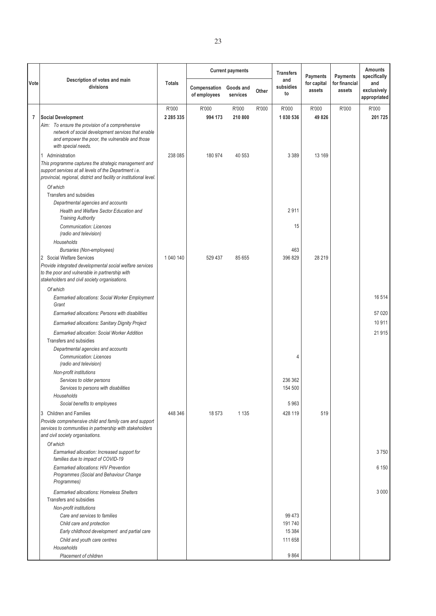|      |                                                                                                                                                                                      |               |                              | <b>Current payments</b> |       | <b>Transfers</b>       | <b>Payments</b>       | Payments                | <b>Amounts</b><br>specifically     |
|------|--------------------------------------------------------------------------------------------------------------------------------------------------------------------------------------|---------------|------------------------------|-------------------------|-------|------------------------|-----------------------|-------------------------|------------------------------------|
| Vote | Description of votes and main<br>divisions                                                                                                                                           | <b>Totals</b> | Compensation<br>of employees | Goods and<br>services   | Other | and<br>subsidies<br>to | for capital<br>assets | for financial<br>assets | and<br>exclusively<br>appropriated |
|      |                                                                                                                                                                                      | R'000         | R'000                        | R'000                   | R'000 | R'000                  | R'000                 | R'000                   | R'000                              |
| 7    | <b>Social Development</b>                                                                                                                                                            | 2 2 8 5 3 3 5 | 994 173                      | 210 800                 |       | 1 030 536              | 49 826                |                         | 201 725                            |
|      | Aim: To ensure the provision of a comprehensive<br>network of social development services that enable<br>and empower the poor, the vulnerable and those<br>with special needs.       |               |                              |                         |       |                        |                       |                         |                                    |
|      | 1 Administration                                                                                                                                                                     | 238 085       | 180 974                      | 40 553                  |       | 3 3 8 9                | 13 169                |                         |                                    |
|      | This programme captures the strategic management and<br>support services at all levels of the Department i.e.<br>provincial, regional, district and facility or institutional level. |               |                              |                         |       |                        |                       |                         |                                    |
|      | Of which                                                                                                                                                                             |               |                              |                         |       |                        |                       |                         |                                    |
|      | Transfers and subsidies<br>Departmental agencies and accounts<br>Health and Welfare Sector Education and<br><b>Training Authority</b>                                                |               |                              |                         |       | 2911                   |                       |                         |                                    |
|      | <b>Communication: Licences</b><br>(radio and television)                                                                                                                             |               |                              |                         |       | 15                     |                       |                         |                                    |
|      | Households                                                                                                                                                                           |               |                              |                         |       |                        |                       |                         |                                    |
|      | <b>Bursaries (Non-employees)</b><br>2 Social Welfare Services                                                                                                                        | 1 040 140     | 529 437                      | 85 655                  |       | 463<br>396 829         | 28 219                |                         |                                    |
|      | Provide integrated developmental social welfare services                                                                                                                             |               |                              |                         |       |                        |                       |                         |                                    |
|      | to the poor and vulnerable in partnership with<br>stakeholders and civil society organisations.                                                                                      |               |                              |                         |       |                        |                       |                         |                                    |
|      | Of which                                                                                                                                                                             |               |                              |                         |       |                        |                       |                         |                                    |
|      | Earmarked allocations: Social Worker Employment<br>Grant                                                                                                                             |               |                              |                         |       |                        |                       |                         | 16 514                             |
|      | Earmarked allocations: Persons with disabilities                                                                                                                                     |               |                              |                         |       |                        |                       |                         | 57 020                             |
|      | Earmarked allocations: Sanitary Dignity Project                                                                                                                                      |               |                              |                         |       |                        |                       |                         | 10 911                             |
|      | Earmarked allocation: Social Worker Addition<br>Transfers and subsidies                                                                                                              |               |                              |                         |       |                        |                       |                         | 21 915                             |
|      | Departmental agencies and accounts<br>Communication: Licences<br>(radio and television)                                                                                              |               |                              |                         |       | 4                      |                       |                         |                                    |
|      | Non-profit institutions                                                                                                                                                              |               |                              |                         |       |                        |                       |                         |                                    |
|      | Services to older persons                                                                                                                                                            |               |                              |                         |       | 236 362                |                       |                         |                                    |
|      | Services to persons with disabilities<br>Households                                                                                                                                  |               |                              |                         |       | 154 500                |                       |                         |                                    |
|      | Social benefits to employees                                                                                                                                                         |               |                              |                         |       | 5963                   |                       |                         |                                    |
|      | 3 Children and Families                                                                                                                                                              | 448 346       | 18 573                       | 1 1 3 5                 |       | 428 119                | 519                   |                         |                                    |
|      | Provide comprehensive child and family care and support<br>services to communities in partnership with stakeholders<br>and civil society organisations.                              |               |                              |                         |       |                        |                       |                         |                                    |
|      | Of which                                                                                                                                                                             |               |                              |                         |       |                        |                       |                         |                                    |
|      | Earmarked allocation: Increased support for<br>families due to impact of COVID-19                                                                                                    |               |                              |                         |       |                        |                       |                         | 3750                               |
|      | Earmarked allocations: HIV Prevention<br>Programmes (Social and Behaviour Change<br>Programmes)                                                                                      |               |                              |                         |       |                        |                       |                         | 6 150                              |
|      | Earmarked allocations: Homeless Shelters                                                                                                                                             |               |                              |                         |       |                        |                       |                         | 3 0 0 0                            |
|      | Transfers and subsidies                                                                                                                                                              |               |                              |                         |       |                        |                       |                         |                                    |
|      | Non-profit institutions                                                                                                                                                              |               |                              |                         |       |                        |                       |                         |                                    |
|      | Care and services to families                                                                                                                                                        |               |                              |                         |       | 99 473                 |                       |                         |                                    |
|      | Child care and protection<br>Early childhood development and partial care                                                                                                            |               |                              |                         |       | 191740<br>15 3 84      |                       |                         |                                    |
|      | Child and youth care centres                                                                                                                                                         |               |                              |                         |       | 111 658                |                       |                         |                                    |
|      | Households                                                                                                                                                                           |               |                              |                         |       |                        |                       |                         |                                    |
|      | Placement of children                                                                                                                                                                |               |                              |                         |       | 9864                   |                       |                         |                                    |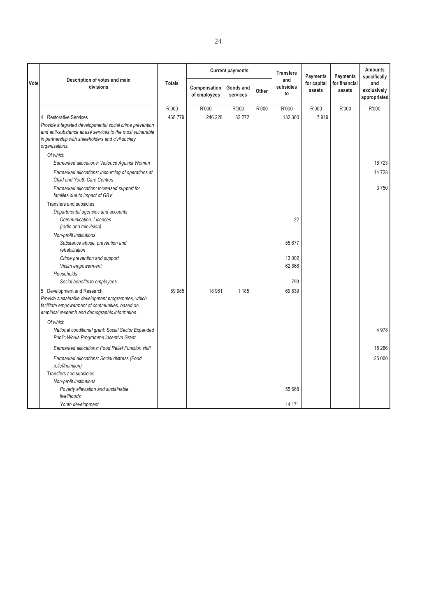|      |                                                                                                                                                                                                                                                                                                                                                                                                                                                                                                                                                                                        |                 |                              | <b>Current payments</b> |       | <b>Transfers</b>                                 | <b>Payments</b>       | Payments                | <b>Amounts</b><br>specifically     |
|------|----------------------------------------------------------------------------------------------------------------------------------------------------------------------------------------------------------------------------------------------------------------------------------------------------------------------------------------------------------------------------------------------------------------------------------------------------------------------------------------------------------------------------------------------------------------------------------------|-----------------|------------------------------|-------------------------|-------|--------------------------------------------------|-----------------------|-------------------------|------------------------------------|
| Vote | Description of votes and main<br>divisions                                                                                                                                                                                                                                                                                                                                                                                                                                                                                                                                             | <b>Totals</b>   | Compensation<br>of employees | Goods and<br>services   | Other | and<br>subsidies<br>to                           | for capital<br>assets | for financial<br>assets | and<br>exclusively<br>appropriated |
|      | 4 Restorative Services<br>Provide integrated developmental social crime prevention<br>and anti-substance abuse services to the most vulnerable<br>in partnership with stakeholders and civil society<br>organisations.<br>Of which                                                                                                                                                                                                                                                                                                                                                     | R'000<br>468779 | R'000<br>246 228             | R'000<br>82 27 2        | R'000 | R'000<br>132 360                                 | R'000<br>7919         | R'000                   | R'000                              |
|      | Earmarked allocations: Violence Against Women                                                                                                                                                                                                                                                                                                                                                                                                                                                                                                                                          |                 |                              |                         |       |                                                  |                       |                         | 18723                              |
|      | Earmarked allocations: Insourcing of operations at<br>Child and Youth Care Centres                                                                                                                                                                                                                                                                                                                                                                                                                                                                                                     |                 |                              |                         |       |                                                  |                       |                         | 14728                              |
|      | Earmarked allocation: Increased support for<br>families due to impact of GBV<br>Transfers and subsidies<br>Departmental agencies and accounts<br><b>Communication: Licences</b><br>(radio and television)<br>Non-profit institutions<br>Substance abuse, prevention and<br>rehabilitation<br>Crime prevention and support<br>Victim empowerment<br>Households<br>Social benefits to employees<br>5 Development and Research<br>Provide sustainable development programmes, which<br>facilitate empowerment of communities, based on<br>empirical research and demographic information. | 89 985          | 18 961                       | 1 1 8 5                 |       | 22<br>55 677<br>13 002<br>62 866<br>793<br>69839 |                       |                         | 3750                               |
|      | Of which                                                                                                                                                                                                                                                                                                                                                                                                                                                                                                                                                                               |                 |                              |                         |       |                                                  |                       |                         |                                    |
|      | National conditional grant: Social Sector Expanded<br>Public Works Programme Incentive Grant                                                                                                                                                                                                                                                                                                                                                                                                                                                                                           |                 |                              |                         |       |                                                  |                       |                         | 4978                               |
|      | Earmarked allocations: Food Relief Function shift                                                                                                                                                                                                                                                                                                                                                                                                                                                                                                                                      |                 |                              |                         |       |                                                  |                       |                         | 15 28 6                            |
|      | Earmarked allocations: Social distress (Food<br>relief/nutrition)<br>Transfers and subsidies<br>Non-profit institutions<br>Poverty alleviation and sustainable<br>livelihoods                                                                                                                                                                                                                                                                                                                                                                                                          |                 |                              |                         |       | 55 668                                           |                       |                         | 25 000                             |
|      | Youth development                                                                                                                                                                                                                                                                                                                                                                                                                                                                                                                                                                      |                 |                              |                         |       | 14 171                                           |                       |                         |                                    |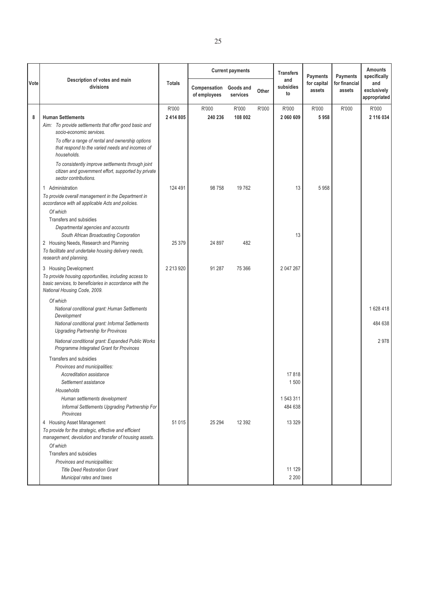|             |                                                                                                                                                  |               |                              | <b>Current payments</b> |       | <b>Transfers</b>       | <b>Payments</b>       | <b>Payments</b>         | <b>Amounts</b><br>specifically     |
|-------------|--------------------------------------------------------------------------------------------------------------------------------------------------|---------------|------------------------------|-------------------------|-------|------------------------|-----------------------|-------------------------|------------------------------------|
| <b>Vote</b> | Description of votes and main<br>divisions                                                                                                       | <b>Totals</b> | Compensation<br>of employees | Goods and<br>services   | Other | and<br>subsidies<br>to | for capital<br>assets | for financial<br>assets | and<br>exclusively<br>appropriated |
|             |                                                                                                                                                  | R'000         | R'000                        | R'000                   | R'000 | R'000                  | R'000                 | R'000                   | R'000                              |
| 8           | <b>Human Settlements</b>                                                                                                                         | 2 414 805     | 240 236                      | 108 002                 |       | 2 060 609              | 5958                  |                         | 2 116 034                          |
|             | Aim: To provide settlements that offer good basic and<br>socio-economic services.                                                                |               |                              |                         |       |                        |                       |                         |                                    |
|             | To offer a range of rental and ownership options<br>that respond to the varied needs and incomes of<br>households.                               |               |                              |                         |       |                        |                       |                         |                                    |
|             | To consistently improve settlements through joint<br>citizen and government effort, supported by private<br>sector contributions.                |               |                              |                         |       |                        |                       |                         |                                    |
|             | 1 Administration                                                                                                                                 | 124 491       | 98 758                       | 19762                   |       | 13                     | 5958                  |                         |                                    |
|             | To provide overall management in the Department in<br>accordance with all applicable Acts and policies.                                          |               |                              |                         |       |                        |                       |                         |                                    |
|             | Of which<br>Transfers and subsidies                                                                                                              |               |                              |                         |       |                        |                       |                         |                                    |
|             | Departmental agencies and accounts                                                                                                               |               |                              |                         |       |                        |                       |                         |                                    |
|             | South African Broadcasting Corporation<br>2 Housing Needs, Research and Planning                                                                 | 25 379        | 24 897                       | 482                     |       | 13                     |                       |                         |                                    |
|             | To facilitate and undertake housing delivery needs,<br>research and planning.                                                                    |               |                              |                         |       |                        |                       |                         |                                    |
|             | 3 Housing Development                                                                                                                            | 2 213 920     | 91 287                       | 75 366                  |       | 2 047 267              |                       |                         |                                    |
|             | To provide housing opportunities, including access to<br>basic services, to beneficiaries in accordance with the<br>National Housing Code, 2009. |               |                              |                         |       |                        |                       |                         |                                    |
|             | Of which                                                                                                                                         |               |                              |                         |       |                        |                       |                         |                                    |
|             | National conditional grant: Human Settlements<br>Development                                                                                     |               |                              |                         |       |                        |                       |                         | 1628 418                           |
|             | National conditional grant: Informal Settlements<br><b>Upgrading Partnership for Provinces</b>                                                   |               |                              |                         |       |                        |                       |                         | 484 638                            |
|             | National conditional grant: Expanded Public Works<br>Programme Integrated Grant for Provinces                                                    |               |                              |                         |       |                        |                       |                         | 2978                               |
|             | Transfers and subsidies                                                                                                                          |               |                              |                         |       |                        |                       |                         |                                    |
|             | Provinces and municipalities:<br>Accreditation assistance                                                                                        |               |                              |                         |       | 17818                  |                       |                         |                                    |
|             | Settlement assistance                                                                                                                            |               |                              |                         |       | 1500                   |                       |                         |                                    |
|             | Households                                                                                                                                       |               |                              |                         |       |                        |                       |                         |                                    |
|             | Human settlements development                                                                                                                    |               |                              |                         |       | 1543311                |                       |                         |                                    |
|             | Informal Settlements Upgrading Partnership For<br>Provinces                                                                                      |               |                              |                         |       | 484 638                |                       |                         |                                    |
|             | 4 Housing Asset Management                                                                                                                       | 51 0 15       | 25 294                       | 12 3 9 2                |       | 13 3 29                |                       |                         |                                    |
|             | To provide for the strategic, effective and efficient<br>management, devolution and transfer of housing assets.                                  |               |                              |                         |       |                        |                       |                         |                                    |
|             | Of which                                                                                                                                         |               |                              |                         |       |                        |                       |                         |                                    |
|             | Transfers and subsidies                                                                                                                          |               |                              |                         |       |                        |                       |                         |                                    |
|             | Provinces and municipalities:                                                                                                                    |               |                              |                         |       |                        |                       |                         |                                    |
|             | <b>Title Deed Restoration Grant</b>                                                                                                              |               |                              |                         |       | 11 129                 |                       |                         |                                    |
|             | Municipal rates and taxes                                                                                                                        |               |                              |                         |       | 2 2 0 0                |                       |                         |                                    |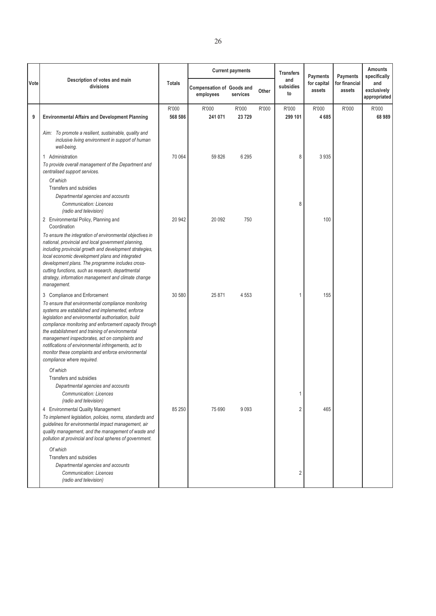|      |                                                                                                                                                                                                                                                                                                                                                                                                                                                                                                                                                                                       |                  |                                               | <b>Current payments</b> |       | <b>Transfers</b>                      | Payments              | <b>Payments</b>         | <b>Amounts</b><br>specifically     |
|------|---------------------------------------------------------------------------------------------------------------------------------------------------------------------------------------------------------------------------------------------------------------------------------------------------------------------------------------------------------------------------------------------------------------------------------------------------------------------------------------------------------------------------------------------------------------------------------------|------------------|-----------------------------------------------|-------------------------|-------|---------------------------------------|-----------------------|-------------------------|------------------------------------|
| Vote | Description of votes and main<br>divisions                                                                                                                                                                                                                                                                                                                                                                                                                                                                                                                                            | <b>Totals</b>    | <b>Compensation of Goods and</b><br>employees | services                | Other | and<br>subsidies<br>to                | for capital<br>assets | for financial<br>assets | and<br>exclusively<br>appropriated |
| 9    | <b>Environmental Affairs and Development Planning</b>                                                                                                                                                                                                                                                                                                                                                                                                                                                                                                                                 | R'000<br>568 586 | R'000<br>241 071                              | R'000<br>23729          | R'000 | R'000<br>299 101                      | R'000<br>4685         | R'000                   | R'000<br>68 989                    |
|      | Aim: To promote a resilient, sustainable, quality and<br>inclusive living environment in support of human<br>well-being.<br>1 Administration                                                                                                                                                                                                                                                                                                                                                                                                                                          | 70 064           | 59826                                         | 6 2 9 5                 |       | 8                                     | 3 9 3 5               |                         |                                    |
|      | To provide overall management of the Department and<br>centralised support services.<br>Of which<br>Transfers and subsidies<br>Departmental agencies and accounts<br>Communication: Licences<br>(radio and television)                                                                                                                                                                                                                                                                                                                                                                |                  |                                               |                         |       | 8                                     |                       |                         |                                    |
|      | 2 Environmental Policy, Planning and<br>Coordination<br>To ensure the integration of environmental objectives in<br>national, provincial and local government planning,<br>including provincial growth and development strategies,<br>local economic development plans and integrated<br>development plans. The programme includes cross-<br>cutting functions, such as research, departmental<br>strategy, information management and climate change<br>management.                                                                                                                  | 20 942           | 20 092                                        | 750                     |       |                                       | 100                   |                         |                                    |
|      | 3 Compliance and Enforcement<br>To ensure that environmental compliance monitoring<br>systems are established and implemented, enforce<br>legislation and environmental authorisation, build<br>compliance monitoring and enforcement capacity through<br>the establishment and training of environmental<br>management inspectorates, act on complaints and<br>notifications of environmental infringements, act to<br>monitor these complaints and enforce environmental<br>compliance where required.<br>Of which<br>Transfers and subsidies<br>Departmental agencies and accounts | 30 580           | 25 871                                        | 4 5 5 3                 |       | 1                                     | 155                   |                         |                                    |
|      | <b>Communication: Licences</b><br>(radio and television)<br>4 Environmental Quality Management<br>To implement legislation, policies, norms, standards and<br>guidelines for environmental impact management, air<br>quality management, and the management of waste and<br>pollution at provincial and local spheres of government.<br>Of which<br>Transfers and subsidies<br>Departmental agencies and accounts<br>Communication: Licences<br>(radio and television)                                                                                                                | 85 250           | 75 690                                        | 9093                    |       | 1<br>$\overline{2}$<br>$\overline{2}$ | 465                   |                         |                                    |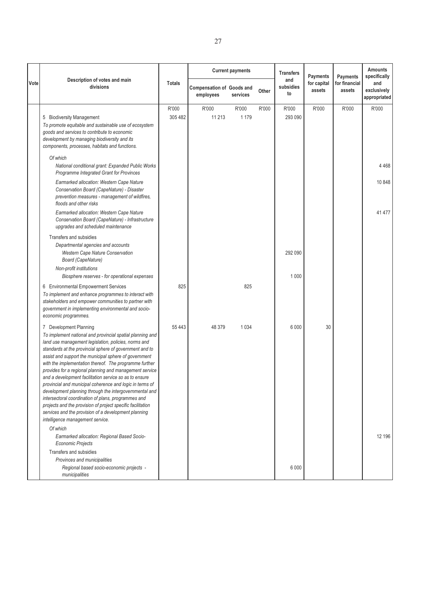|      |                                                                                                                                                                                                                                                                                                                                                                                                                                                                                                                                                                                                                                                                                                                                                                                        |                  |                                               | <b>Current payments</b> |       | <b>Transfers</b>       | <b>Payments</b>       | <b>Payments</b>         | <b>Amounts</b><br>specifically     |
|------|----------------------------------------------------------------------------------------------------------------------------------------------------------------------------------------------------------------------------------------------------------------------------------------------------------------------------------------------------------------------------------------------------------------------------------------------------------------------------------------------------------------------------------------------------------------------------------------------------------------------------------------------------------------------------------------------------------------------------------------------------------------------------------------|------------------|-----------------------------------------------|-------------------------|-------|------------------------|-----------------------|-------------------------|------------------------------------|
| Vote | Description of votes and main<br>divisions                                                                                                                                                                                                                                                                                                                                                                                                                                                                                                                                                                                                                                                                                                                                             | <b>Totals</b>    | <b>Compensation of Goods and</b><br>employees | services                | Other | and<br>subsidies<br>to | for capital<br>assets | for financial<br>assets | and<br>exclusively<br>appropriated |
|      | 5 Biodiversity Management<br>To promote equitable and sustainable use of ecosystem<br>goods and services to contribute to economic<br>development by managing biodiversity and its<br>components, processes, habitats and functions.                                                                                                                                                                                                                                                                                                                                                                                                                                                                                                                                                   | R'000<br>305 482 | R'000<br>11 213                               | R'000<br>1 1 7 9        | R'000 | R'000<br>293 090       | R'000                 | R'000                   | R'000                              |
|      | Of which<br>National conditional grant: Expanded Public Works<br>Programme Integrated Grant for Provinces                                                                                                                                                                                                                                                                                                                                                                                                                                                                                                                                                                                                                                                                              |                  |                                               |                         |       |                        |                       |                         | 4 4 6 8                            |
|      | Earmarked allocation: Western Cape Nature<br>Conservation Board (CapeNature) - Disaster<br>prevention measures - management of wildfires,<br>floods and other risks                                                                                                                                                                                                                                                                                                                                                                                                                                                                                                                                                                                                                    |                  |                                               |                         |       |                        |                       |                         | 10 848                             |
|      | Earmarked allocation: Western Cape Nature<br>Conservation Board (CapeNature) - Infrastructure<br>upgrades and scheduled maintenance                                                                                                                                                                                                                                                                                                                                                                                                                                                                                                                                                                                                                                                    |                  |                                               |                         |       |                        |                       |                         | 41 477                             |
|      | Transfers and subsidies<br>Departmental agencies and accounts<br><b>Western Cape Nature Conservation</b><br>Board (CapeNature)                                                                                                                                                                                                                                                                                                                                                                                                                                                                                                                                                                                                                                                         |                  |                                               |                         |       | 292 090                |                       |                         |                                    |
|      | Non-profit institutions<br>Biosphere reserves - for operational expenses                                                                                                                                                                                                                                                                                                                                                                                                                                                                                                                                                                                                                                                                                                               |                  |                                               |                         |       | 1 0 0 0                |                       |                         |                                    |
|      | 6 Environmental Empowerment Services<br>To implement and enhance programmes to interact with<br>stakeholders and empower communities to partner with<br>government in implementing environmental and socio-<br>economic programmes.                                                                                                                                                                                                                                                                                                                                                                                                                                                                                                                                                    | 825              |                                               | 825                     |       |                        |                       |                         |                                    |
|      | 7 Development Planning<br>To implement national and provincial spatial planning and<br>land use management legislation, policies, norms and<br>standards at the provincial sphere of government and to<br>assist and support the municipal sphere of government<br>with the implementation thereof. The programme further<br>provides for a regional planning and management service<br>and a development facilitation service so as to ensure<br>provincial and municipal coherence and logic in terms of<br>development planning through the intergovernmental and<br>intersectoral coordination of plans, programmes and<br>projects and the provision of project specific facilitation<br>services and the provision of a development planning<br>intelligence management service. | 55 443           | 48 379                                        | 1 0 3 4                 |       | 6 0 0 0                | 30                    |                         |                                    |
|      | Of which<br>Earmarked allocation: Regional Based Socio-<br><b>Economic Projects</b>                                                                                                                                                                                                                                                                                                                                                                                                                                                                                                                                                                                                                                                                                                    |                  |                                               |                         |       |                        |                       |                         | 12 196                             |
|      | Transfers and subsidies<br>Provinces and municipalities<br>Regional based socio-economic projects -<br>municipalities                                                                                                                                                                                                                                                                                                                                                                                                                                                                                                                                                                                                                                                                  |                  |                                               |                         |       | 6 0 0 0                |                       |                         |                                    |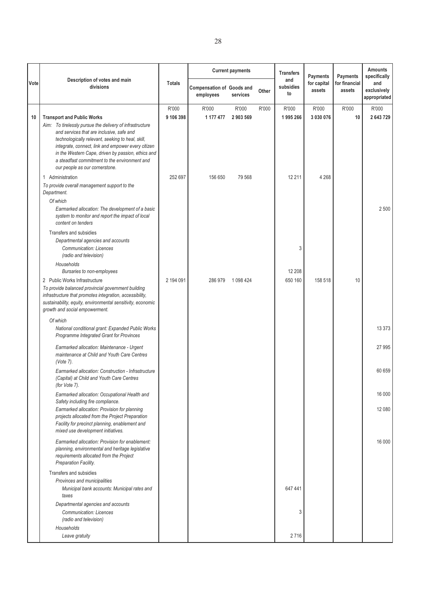|      | Description of votes and main                                                                                                                                                                                                                                                                                                                                |                    |                                               | <b>Current payments</b> |       | <b>Transfers</b><br>and | Payments              | Payments                | <b>Amounts</b><br>specifically     |
|------|--------------------------------------------------------------------------------------------------------------------------------------------------------------------------------------------------------------------------------------------------------------------------------------------------------------------------------------------------------------|--------------------|-----------------------------------------------|-------------------------|-------|-------------------------|-----------------------|-------------------------|------------------------------------|
| Vote | divisions                                                                                                                                                                                                                                                                                                                                                    | <b>Totals</b>      | <b>Compensation of Goods and</b><br>employees | services                | Other | subsidies<br>to         | for capital<br>assets | for financial<br>assets | and<br>exclusively<br>appropriated |
| 10   | <b>Transport and Public Works</b><br>Aim: To tirelessly pursue the delivery of infrastructure<br>and services that are inclusive, safe and<br>technologically relevant, seeking to heal, skill,<br>integrate, connect, link and empower every citizen<br>in the Western Cape, driven by passion, ethics and<br>a steadfast commitment to the environment and | R'000<br>9 106 398 | R'000<br>1 177 477                            | R'000<br>2 903 569      | R'000 | R'000<br>1995 266       | R'000<br>3 030 076    | R'000<br>10             | R'000<br>2 643 729                 |
|      | our people as our cornerstone.<br>1 Administration<br>To provide overall management support to the<br>Department.<br>Of which<br>Earmarked allocation: The development of a basic<br>system to monitor and report the impact of local<br>content on tenders                                                                                                  | 252 697            | 156 650                                       | 79 568                  |       | 12 211                  | 4 2 6 8               |                         | 2 500                              |
|      | Transfers and subsidies<br>Departmental agencies and accounts<br><b>Communication: Licences</b><br>(radio and television)<br>Households<br>Bursaries to non-employees                                                                                                                                                                                        |                    |                                               |                         |       | 3<br>12 208             |                       |                         |                                    |
|      | 2 Public Works Infrastructure<br>To provide balanced provincial government building<br>infrastructure that promotes integration, accessibility,<br>sustainability, equity, environmental sensitivity, economic<br>growth and social empowerment.                                                                                                             | 2 194 091          | 286 979                                       | 1 098 424               |       | 650 160                 | 158 518               | 10                      |                                    |
|      | Of which<br>National conditional grant: Expanded Public Works<br>Programme Integrated Grant for Provinces                                                                                                                                                                                                                                                    |                    |                                               |                         |       |                         |                       |                         | 13 3 7 3                           |
|      | Earmarked allocation: Maintenance - Urgent<br>maintenance at Child and Youth Care Centres<br>(Vote 7).                                                                                                                                                                                                                                                       |                    |                                               |                         |       |                         |                       |                         | 27 995                             |
|      | Earmarked allocation: Construction - Infrastructure<br>(Capital) at Child and Youth Care Centres<br>(for Vote 7).                                                                                                                                                                                                                                            |                    |                                               |                         |       |                         |                       |                         | 60 659                             |
|      | Earmarked allocation: Occupational Health and<br>Safety including fire compliance.                                                                                                                                                                                                                                                                           |                    |                                               |                         |       |                         |                       |                         | 16 000                             |
|      | Earmarked allocation: Provision for planning<br>projects allocated from the Project Preparation<br>Facility for precinct planning, enablement and<br>mixed use development initiatives.                                                                                                                                                                      |                    |                                               |                         |       |                         |                       |                         | 12 080                             |
|      | Earmarked allocation: Provision for enablement:<br>planning, environmental and heritage legislative<br>requirements allocated from the Project<br>Preparation Facility.                                                                                                                                                                                      |                    |                                               |                         |       |                         |                       |                         | 16 000                             |
|      | Transfers and subsidies<br>Provinces and municipalities<br>Municipal bank accounts: Municipal rates and<br>taxes                                                                                                                                                                                                                                             |                    |                                               |                         |       | 647 441                 |                       |                         |                                    |
|      | Departmental agencies and accounts<br><b>Communication: Licences</b><br>(radio and television)<br>Households                                                                                                                                                                                                                                                 |                    |                                               |                         |       | 3                       |                       |                         |                                    |
|      | Leave gratuity                                                                                                                                                                                                                                                                                                                                               |                    |                                               |                         |       | 2716                    |                       |                         |                                    |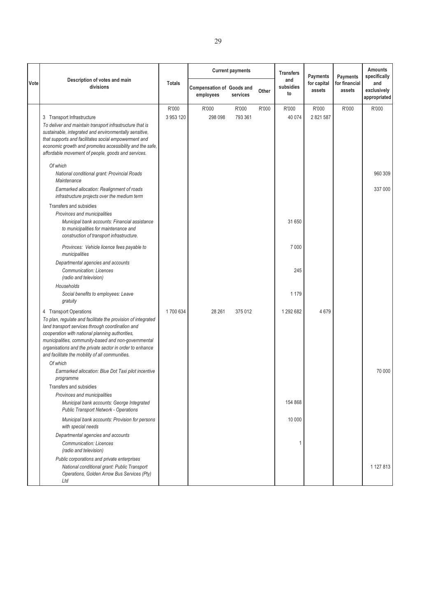|      |                                                                                                                                                                                                                                                                                                                                                                      |                    |                                               | <b>Current payments</b> |       | <b>Transfers</b><br>and | <b>Payments</b>       | Payments                | <b>Amounts</b><br>specifically     |
|------|----------------------------------------------------------------------------------------------------------------------------------------------------------------------------------------------------------------------------------------------------------------------------------------------------------------------------------------------------------------------|--------------------|-----------------------------------------------|-------------------------|-------|-------------------------|-----------------------|-------------------------|------------------------------------|
| Vote | Description of votes and main<br>divisions                                                                                                                                                                                                                                                                                                                           | <b>Totals</b>      | <b>Compensation of Goods and</b><br>employees | services                | Other | subsidies<br>to         | for capital<br>assets | for financial<br>assets | and<br>exclusively<br>appropriated |
|      | 3 Transport Infrastructure<br>To deliver and maintain transport infrastructure that is<br>sustainable, integrated and environmentally sensitive,<br>that supports and facilitates social empowerment and<br>economic growth and promotes accessibility and the safe,<br>affordable movement of people, goods and services.                                           | R'000<br>3 953 120 | R'000<br>298 098                              | R'000<br>793 361        | R'000 | R'000<br>40 074         | R'000<br>2 821 587    | R'000                   | R'000                              |
|      | Of which<br>National conditional grant: Provincial Roads<br>Maintenance<br>Earmarked allocation: Realignment of roads<br>infrastructure projects over the medium term                                                                                                                                                                                                |                    |                                               |                         |       |                         |                       |                         | 960 309<br>337 000                 |
|      | Transfers and subsidies<br>Provinces and municipalities<br>Municipal bank accounts: Financial assistance<br>to municipalities for maintenance and<br>construction of transport infrastructure.                                                                                                                                                                       |                    |                                               |                         |       | 31 650                  |                       |                         |                                    |
|      | Provinces: Vehicle licence fees payable to<br>municipalities<br>Departmental agencies and accounts<br><b>Communication: Licences</b><br>(radio and television)                                                                                                                                                                                                       |                    |                                               |                         |       | 7 0 0 0<br>245          |                       |                         |                                    |
|      | Households<br>Social benefits to employees: Leave<br>gratuity                                                                                                                                                                                                                                                                                                        |                    |                                               |                         |       | 1 1 7 9                 |                       |                         |                                    |
|      | 4 Transport Operations<br>To plan, regulate and facilitate the provision of integrated<br>land transport services through coordination and<br>cooperation with national planning authorities,<br>municipalities, community-based and non-governmental<br>organisations and the private sector in order to enhance<br>and facilitate the mobility of all communities. | 1700 634           | 28 261                                        | 375 012                 |       | 1 292 682               | 4679                  |                         |                                    |
|      | Of which<br>Earmarked allocation: Blue Dot Taxi pilot incentive<br>programme                                                                                                                                                                                                                                                                                         |                    |                                               |                         |       |                         |                       |                         | 70 000                             |
|      | Transfers and subsidies<br>Provinces and municipalities<br>Municipal bank accounts: George Integrated<br><b>Public Transport Network - Operations</b>                                                                                                                                                                                                                |                    |                                               |                         |       | 154 868                 |                       |                         |                                    |
|      | Municipal bank accounts: Provision for persons<br>with special needs                                                                                                                                                                                                                                                                                                 |                    |                                               |                         |       | 10 000                  |                       |                         |                                    |
|      | Departmental agencies and accounts<br><b>Communication: Licences</b><br>(radio and television)                                                                                                                                                                                                                                                                       |                    |                                               |                         |       | 1                       |                       |                         |                                    |
|      | Public corporations and private enterprises<br>National conditional grant: Public Transport<br>Operations, Golden Arrow Bus Services (Pty)<br>Ltd                                                                                                                                                                                                                    |                    |                                               |                         |       |                         |                       |                         | 1 127 813                          |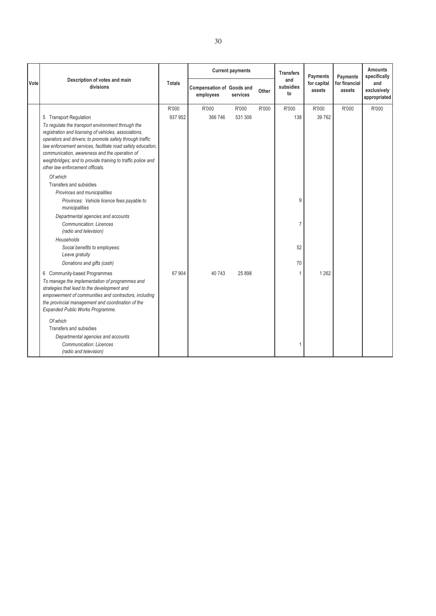|      |                                                                                                                                                                                                                                                                                                                                                                                                                                                            |                  |                                               | <b>Current payments</b> |       | <b>Transfers</b>       | Payments              | Payments                | <b>Amounts</b><br>specifically     |
|------|------------------------------------------------------------------------------------------------------------------------------------------------------------------------------------------------------------------------------------------------------------------------------------------------------------------------------------------------------------------------------------------------------------------------------------------------------------|------------------|-----------------------------------------------|-------------------------|-------|------------------------|-----------------------|-------------------------|------------------------------------|
| Vote | Description of votes and main<br>divisions                                                                                                                                                                                                                                                                                                                                                                                                                 | <b>Totals</b>    | <b>Compensation of Goods and</b><br>employees | services                | Other | and<br>subsidies<br>to | for capital<br>assets | for financial<br>assets | and<br>exclusively<br>appropriated |
|      | 5 Transport Regulation<br>To regulate the transport environment through the<br>registration and licensing of vehicles, associations,<br>operators and drivers; to promote safety through traffic<br>law enforcement services, facilitate road safety education,<br>communication, awareness and the operation of<br>weighbridges; and to provide training to traffic police and<br>other law enforcement officials.<br>Of which<br>Transfers and subsidies | R'000<br>937 952 | R'000<br>366 746                              | R'000<br>531 306        | R'000 | R'000<br>138           | R'000<br>39 762       | R'000                   | R'000                              |
|      | Provinces and municipalities<br>Provinces: Vehicle licence fees payable to<br>municipalities<br>Departmental agencies and accounts<br><b>Communication: Licences</b><br>(radio and television)<br>Households<br>Social benefits to employees:<br>Leave gratuity<br>Donations and gifts (cash)                                                                                                                                                              |                  |                                               |                         |       | 9<br>7<br>52<br>70     |                       |                         |                                    |
|      | 6 Community-based Programmes<br>To manage the implementation of programmes and<br>strategies that lead to the development and<br>empowerment of communities and contractors, including<br>the provincial management and coordination of the<br>Expanded Public Works Programme.<br>Of which<br>Transfers and subsidies<br>Departmental agencies and accounts<br><b>Communication: Licences</b><br>(radio and television)                                   | 67 904           | 40743                                         | 25 898                  |       | 1<br>1                 | 1 2 6 2               |                         |                                    |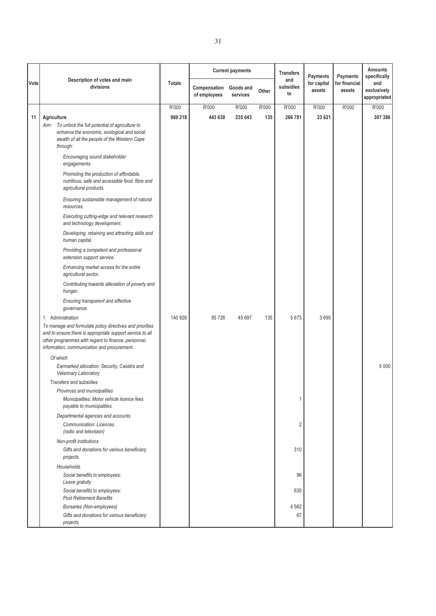|      | Description of votes and main<br>divisions                                                                                                                                                                                  | <b>Totals</b> |                              | <b>Current payments</b> |       | <b>Transfers</b>       | <b>Payments</b><br>for capital<br>assets | <b>Payments</b><br>for financial<br>assets | <b>Amounts</b><br>specifically     |
|------|-----------------------------------------------------------------------------------------------------------------------------------------------------------------------------------------------------------------------------|---------------|------------------------------|-------------------------|-------|------------------------|------------------------------------------|--------------------------------------------|------------------------------------|
| Vote |                                                                                                                                                                                                                             |               | Compensation<br>of employees | Goods and<br>services   | Other | and<br>subsidies<br>to |                                          |                                            | and<br>exclusively<br>appropriated |
|      |                                                                                                                                                                                                                             | R'000         | R'000                        | R'000                   | R'000 | R'000                  | R'000                                    | R'000                                      | R'000                              |
| 11   | Agriculture                                                                                                                                                                                                                 | 969 218       | 443 638                      | 235 043                 | 135   | 266 781                | 23 621                                   |                                            | 307 386                            |
|      | Aim: To unlock the full potential of agriculture to                                                                                                                                                                         |               |                              |                         |       |                        |                                          |                                            |                                    |
|      | enhance the economic, ecological and social                                                                                                                                                                                 |               |                              |                         |       |                        |                                          |                                            |                                    |
|      | wealth of all the people of the Western Cape                                                                                                                                                                                |               |                              |                         |       |                        |                                          |                                            |                                    |
|      | through:                                                                                                                                                                                                                    |               |                              |                         |       |                        |                                          |                                            |                                    |
|      | Encouraging sound stakeholder<br>engagements.                                                                                                                                                                               |               |                              |                         |       |                        |                                          |                                            |                                    |
|      | Promoting the production of affordable,                                                                                                                                                                                     |               |                              |                         |       |                        |                                          |                                            |                                    |
|      | nutritious, safe and accessible food, fibre and                                                                                                                                                                             |               |                              |                         |       |                        |                                          |                                            |                                    |
|      | agricultural products.                                                                                                                                                                                                      |               |                              |                         |       |                        |                                          |                                            |                                    |
|      | Ensuring sustainable management of natural<br>resources.                                                                                                                                                                    |               |                              |                         |       |                        |                                          |                                            |                                    |
|      | Executing cutting-edge and relevant research<br>and technology development.                                                                                                                                                 |               |                              |                         |       |                        |                                          |                                            |                                    |
|      | Developing, retaining and attracting skills and<br>human capital.                                                                                                                                                           |               |                              |                         |       |                        |                                          |                                            |                                    |
|      | Providing a competent and professional<br>extension support service.                                                                                                                                                        |               |                              |                         |       |                        |                                          |                                            |                                    |
|      | Enhancing market access for the entire<br>agricultural sector.                                                                                                                                                              |               |                              |                         |       |                        |                                          |                                            |                                    |
|      | Contributing towards alleviation of poverty and<br>hunger.                                                                                                                                                                  |               |                              |                         |       |                        |                                          |                                            |                                    |
|      | Ensuring transparent and effective<br>governance.                                                                                                                                                                           |               |                              |                         |       |                        |                                          |                                            |                                    |
|      | Administration<br>$\mathbf{1}$                                                                                                                                                                                              | 140 926       | 85726                        | 45 697                  | 135   | 5673                   | 3695                                     |                                            |                                    |
|      | To manage and formulate policy directives and priorities<br>and to ensure there is appropriate support service to all<br>other programmes with regard to finance, personnel,<br>information, communication and procurement. |               |                              |                         |       |                        |                                          |                                            |                                    |
|      | Of which                                                                                                                                                                                                                    |               |                              |                         |       |                        |                                          |                                            |                                    |
|      | Earmarked allocation: Security, Casidra and<br>Veterinary Laboratory                                                                                                                                                        |               |                              |                         |       |                        |                                          |                                            | 5 0 0 0                            |
|      | Transfers and subsidies                                                                                                                                                                                                     |               |                              |                         |       |                        |                                          |                                            |                                    |
|      | Provinces and municipalities                                                                                                                                                                                                |               |                              |                         |       |                        |                                          |                                            |                                    |
|      | Municipalities: Motor vehicle licence fees<br>payable to municipalities                                                                                                                                                     |               |                              |                         |       | 1                      |                                          |                                            |                                    |
|      | Departmental agencies and accounts                                                                                                                                                                                          |               |                              |                         |       |                        |                                          |                                            |                                    |
|      | <b>Communication: Licences</b><br>(radio and television)                                                                                                                                                                    |               |                              |                         |       | $\overline{2}$         |                                          |                                            |                                    |
|      | Non-profit institutions                                                                                                                                                                                                     |               |                              |                         |       |                        |                                          |                                            |                                    |
|      | Gifts and donations for various beneficiary<br>projects                                                                                                                                                                     |               |                              |                         |       | 310                    |                                          |                                            |                                    |
|      | Households                                                                                                                                                                                                                  |               |                              |                         |       |                        |                                          |                                            |                                    |
|      | Social benefits to employees:<br>Leave gratuity                                                                                                                                                                             |               |                              |                         |       | 96                     |                                          |                                            |                                    |
|      | Social benefits to employees:<br><b>Post Retirement Benefits</b>                                                                                                                                                            |               |                              |                         |       | 635                    |                                          |                                            |                                    |
|      | <b>Bursaries (Non-employees)</b>                                                                                                                                                                                            |               |                              |                         |       | 4 5 6 2                |                                          |                                            |                                    |
|      | Gifts and donations for various beneficiary<br>projects                                                                                                                                                                     |               |                              |                         |       | 67                     |                                          |                                            |                                    |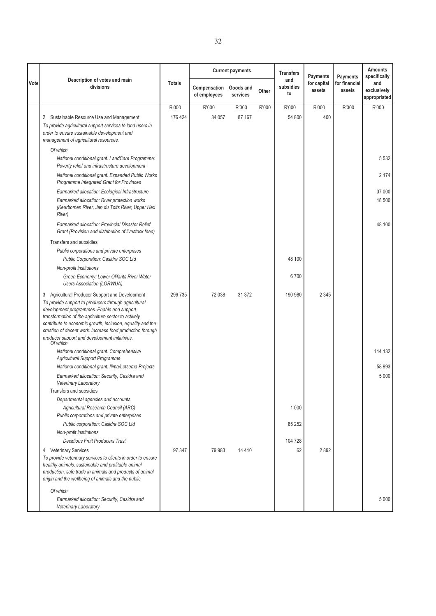|      | Description of votes and main<br>divisions                                                                                                                                                                                                                                                                                                                                                               | <b>Totals</b> |                              | <b>Current payments</b> |       | <b>Transfers</b>       | <b>Payments</b><br>for capital<br>assets | <b>Payments</b><br>for financial<br>assets | <b>Amounts</b><br>specifically     |
|------|----------------------------------------------------------------------------------------------------------------------------------------------------------------------------------------------------------------------------------------------------------------------------------------------------------------------------------------------------------------------------------------------------------|---------------|------------------------------|-------------------------|-------|------------------------|------------------------------------------|--------------------------------------------|------------------------------------|
| Vote |                                                                                                                                                                                                                                                                                                                                                                                                          |               | Compensation<br>of employees | Goods and<br>services   | Other | and<br>subsidies<br>to |                                          |                                            | and<br>exclusively<br>appropriated |
|      |                                                                                                                                                                                                                                                                                                                                                                                                          | R'000         | R'000                        | R'000                   | R'000 | R'000                  | R'000                                    | R'000                                      | R'000                              |
|      | 2 Sustainable Resource Use and Management                                                                                                                                                                                                                                                                                                                                                                | 176 424       | 34 057                       | 87 167                  |       | 54 800                 | 400                                      |                                            |                                    |
|      | To provide agricultural support services to land users in<br>order to ensure sustainable development and<br>management of agricultural resources.                                                                                                                                                                                                                                                        |               |                              |                         |       |                        |                                          |                                            |                                    |
|      | Of which                                                                                                                                                                                                                                                                                                                                                                                                 |               |                              |                         |       |                        |                                          |                                            |                                    |
|      | National conditional grant: LandCare Programme:<br>Poverty relief and infrastructure development                                                                                                                                                                                                                                                                                                         |               |                              |                         |       |                        |                                          |                                            | 5 5 3 2                            |
|      | National conditional grant: Expanded Public Works<br>Programme Integrated Grant for Provinces                                                                                                                                                                                                                                                                                                            |               |                              |                         |       |                        |                                          |                                            | 2 1 7 4                            |
|      | Earmarked allocation: Ecological Infrastructure                                                                                                                                                                                                                                                                                                                                                          |               |                              |                         |       |                        |                                          |                                            | 37 000                             |
|      | Earmarked allocation: River protection works<br>(Keurbomen River, Jan du Toits River, Upper Hex<br>River)                                                                                                                                                                                                                                                                                                |               |                              |                         |       |                        |                                          |                                            | 18 500                             |
|      | Earmarked allocation: Provincial Disaster Relief<br>Grant (Provision and distribution of livestock feed)                                                                                                                                                                                                                                                                                                 |               |                              |                         |       |                        |                                          |                                            | 48 100                             |
|      | Transfers and subsidies                                                                                                                                                                                                                                                                                                                                                                                  |               |                              |                         |       |                        |                                          |                                            |                                    |
|      | Public corporations and private enterprises                                                                                                                                                                                                                                                                                                                                                              |               |                              |                         |       |                        |                                          |                                            |                                    |
|      | Public Corporation: Casidra SOC Ltd                                                                                                                                                                                                                                                                                                                                                                      |               |                              |                         |       | 48 100                 |                                          |                                            |                                    |
|      | Non-profit institutions                                                                                                                                                                                                                                                                                                                                                                                  |               |                              |                         |       |                        |                                          |                                            |                                    |
|      | Green Economy: Lower Olifants River Water<br><b>Users Association (LORWUA)</b>                                                                                                                                                                                                                                                                                                                           |               |                              |                         |       | 6700                   |                                          |                                            |                                    |
|      | Agricultural Producer Support and Development<br>3<br>To provide support to producers through agricultural<br>development programmes. Enable and support<br>transformation of the agriculture sector to actively<br>contribute to economic growth, inclusion, equality and the<br>creation of decent work. Increase food production through<br>producer support and development initiatives.<br>Of which | 296 735       | 72 038                       | 31 372                  |       | 190 980                | 2 3 4 5                                  |                                            |                                    |
|      | National conditional grant: Comprehensive<br><b>Agricultural Support Programme</b>                                                                                                                                                                                                                                                                                                                       |               |                              |                         |       |                        |                                          |                                            | 114 132                            |
|      | National conditional grant: Ilima/Letsema Projects                                                                                                                                                                                                                                                                                                                                                       |               |                              |                         |       |                        |                                          |                                            | 58 993                             |
|      | Earmarked allocation: Security, Casidra and<br><b>Veterinary Laboratory</b>                                                                                                                                                                                                                                                                                                                              |               |                              |                         |       |                        |                                          |                                            | 5 0 0 0                            |
|      | Transfers and subsidies                                                                                                                                                                                                                                                                                                                                                                                  |               |                              |                         |       |                        |                                          |                                            |                                    |
|      | Departmental agencies and accounts<br>Agricultural Research Council (ARC)                                                                                                                                                                                                                                                                                                                                |               |                              |                         |       | 1 0 0 0                |                                          |                                            |                                    |
|      | Public corporations and private enterprises                                                                                                                                                                                                                                                                                                                                                              |               |                              |                         |       |                        |                                          |                                            |                                    |
|      | Public corporation: Casidra SOC Ltd                                                                                                                                                                                                                                                                                                                                                                      |               |                              |                         |       | 85 25 2                |                                          |                                            |                                    |
|      | Non-profit institutions                                                                                                                                                                                                                                                                                                                                                                                  |               |                              |                         |       |                        |                                          |                                            |                                    |
|      | <b>Decidious Fruit Producers Trust</b>                                                                                                                                                                                                                                                                                                                                                                   |               |                              |                         |       | 104 728                |                                          |                                            |                                    |
|      | 4 Veterinary Services<br>To provide veterinary services to clients in order to ensure<br>healthy animals, sustainable and profitable animal<br>production, safe trade in animals and products of animal<br>origin and the wellbeing of animals and the public.                                                                                                                                           | 97 347        | 79 983                       | 14 4 10                 |       | 62                     | 2892                                     |                                            |                                    |
|      | Of which<br>Earmarked allocation: Security, Casidra and<br>Veterinary Laboratory                                                                                                                                                                                                                                                                                                                         |               |                              |                         |       |                        |                                          |                                            | 5 0 0 0                            |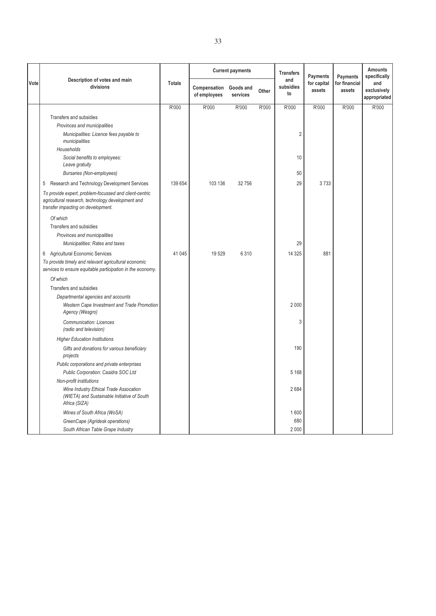|      | Description of votes and main<br>divisions                                                                                                             | <b>Totals</b> |                              | <b>Current payments</b> |       | <b>Transfers</b><br>and<br>subsidies<br>to | <b>Payments</b><br>for capital<br>assets | <b>Payments</b>         | <b>Amounts</b><br>specifically     |
|------|--------------------------------------------------------------------------------------------------------------------------------------------------------|---------------|------------------------------|-------------------------|-------|--------------------------------------------|------------------------------------------|-------------------------|------------------------------------|
| Vote |                                                                                                                                                        |               | Compensation<br>of employees | Goods and<br>services   | Other |                                            |                                          | for financial<br>assets | and<br>exclusively<br>appropriated |
|      |                                                                                                                                                        | R'000         | R'000                        | R'000                   | R'000 | R'000                                      | R'000                                    | R'000                   | R'000                              |
|      | Transfers and subsidies                                                                                                                                |               |                              |                         |       |                                            |                                          |                         |                                    |
|      | Provinces and municipalities                                                                                                                           |               |                              |                         |       |                                            |                                          |                         |                                    |
|      | Municipalities: Licence fees payable to<br>municipalities                                                                                              |               |                              |                         |       | $\overline{2}$                             |                                          |                         |                                    |
|      | Households                                                                                                                                             |               |                              |                         |       |                                            |                                          |                         |                                    |
|      | Social benefits to employees:<br>Leave gratuity                                                                                                        |               |                              |                         |       | 10                                         |                                          |                         |                                    |
|      | <b>Bursaries (Non-employees)</b>                                                                                                                       |               |                              |                         |       | 50                                         |                                          |                         |                                    |
|      | 5 Research and Technology Development Services                                                                                                         | 139 654       | 103 136                      | 32 756                  |       | 29                                         | 3733                                     |                         |                                    |
|      | To provide expert, problem-focussed and client-centric<br>agricultural research, technology development and<br>transfer impacting on development.      |               |                              |                         |       |                                            |                                          |                         |                                    |
|      | Of which                                                                                                                                               |               |                              |                         |       |                                            |                                          |                         |                                    |
|      | Transfers and subsidies                                                                                                                                |               |                              |                         |       |                                            |                                          |                         |                                    |
|      | Provinces and municipalities                                                                                                                           |               |                              |                         |       |                                            |                                          |                         |                                    |
|      | Municipalities: Rates and taxes                                                                                                                        |               |                              |                         |       | 29                                         |                                          |                         |                                    |
|      | 6 Agricultural Economic Services<br>To provide timely and relevant agricultural economic<br>services to ensure equitable participation in the economy. | 41 045        | 19529                        | 6 3 1 0                 |       | 14 3 25                                    | 881                                      |                         |                                    |
|      | Of which                                                                                                                                               |               |                              |                         |       |                                            |                                          |                         |                                    |
|      | Transfers and subsidies                                                                                                                                |               |                              |                         |       |                                            |                                          |                         |                                    |
|      | Departmental agencies and accounts                                                                                                                     |               |                              |                         |       |                                            |                                          |                         |                                    |
|      | Western Cape Investment and Trade Promotion<br>Agency (Wesgro)                                                                                         |               |                              |                         |       | 2 0 0 0                                    |                                          |                         |                                    |
|      | <b>Communication: Licences</b><br>(radio and television)                                                                                               |               |                              |                         |       | 3                                          |                                          |                         |                                    |
|      | <b>Higher Education Institutions</b>                                                                                                                   |               |                              |                         |       |                                            |                                          |                         |                                    |
|      | Gifts and donations for various beneficiary<br>projects                                                                                                |               |                              |                         |       | 190                                        |                                          |                         |                                    |
|      | Public corporations and private enterprises                                                                                                            |               |                              |                         |       |                                            |                                          |                         |                                    |
|      | Public Corporation: Casidra SOC Ltd                                                                                                                    |               |                              |                         |       | 5 1 6 8                                    |                                          |                         |                                    |
|      | Non-profit institutions                                                                                                                                |               |                              |                         |       |                                            |                                          |                         |                                    |
|      | Wine Industry Ethical Trade Assocation<br>(WIETA) and Sustainable Initiative of South<br>Africa (SIZA)                                                 |               |                              |                         |       | 2684                                       |                                          |                         |                                    |
|      | Wines of South Africa (WoSA)                                                                                                                           |               |                              |                         |       | 1600                                       |                                          |                         |                                    |
|      | GreenCape (Agridesk operations)                                                                                                                        |               |                              |                         |       | 680                                        |                                          |                         |                                    |
|      | South African Table Grape Industry                                                                                                                     |               |                              |                         |       | 2 0 0 0                                    |                                          |                         |                                    |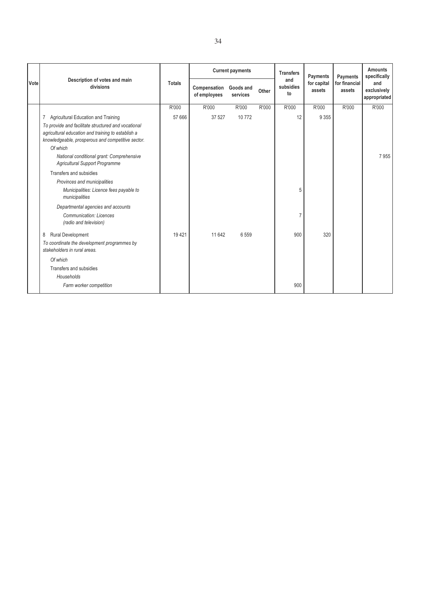|      | Description of votes and main<br>divisions                                                                                                                                 |               | <b>Current payments</b>                |          |       | <b>Transfers</b>       | Payments              | Payments                | <b>Amounts</b><br>specifically     |
|------|----------------------------------------------------------------------------------------------------------------------------------------------------------------------------|---------------|----------------------------------------|----------|-------|------------------------|-----------------------|-------------------------|------------------------------------|
| Vote |                                                                                                                                                                            | <b>Totals</b> | Compensation Goods and<br>of employees | services | Other | and<br>subsidies<br>to | for capital<br>assets | for financial<br>assets | and<br>exclusively<br>appropriated |
|      |                                                                                                                                                                            | R'000         | R'000                                  | R'000    | R'000 | R'000                  | R'000                 | R'000                   | R'000                              |
|      | Agricultural Education and Training<br>7                                                                                                                                   | 57 666        | 37 527                                 | 10772    |       | 12                     | 9 3 5 5               |                         |                                    |
|      | To provide and facilitate structured and vocational<br>agricultural education and training to establish a<br>knowledgeable, prosperous and competitive sector.<br>Of which |               |                                        |          |       |                        |                       |                         |                                    |
|      | National conditional grant: Comprehensive<br><b>Agricultural Support Programme</b>                                                                                         |               |                                        |          |       |                        |                       |                         | 7955                               |
|      | Transfers and subsidies                                                                                                                                                    |               |                                        |          |       |                        |                       |                         |                                    |
|      | Provinces and municipalities                                                                                                                                               |               |                                        |          |       |                        |                       |                         |                                    |
|      | Municipalities: Licence fees payable to<br>municipalities                                                                                                                  |               |                                        |          |       | 5                      |                       |                         |                                    |
|      | Departmental agencies and accounts                                                                                                                                         |               |                                        |          |       |                        |                       |                         |                                    |
|      | Communication: Licences<br>(radio and television)                                                                                                                          |               |                                        |          |       |                        |                       |                         |                                    |
|      | <b>Rural Development</b><br>8                                                                                                                                              | 19 4 21       | 11 642                                 | 6 5 5 9  |       | 900                    | 320                   |                         |                                    |
|      | To coordinate the development programmes by<br>stakeholders in rural areas.                                                                                                |               |                                        |          |       |                        |                       |                         |                                    |
|      | Of which                                                                                                                                                                   |               |                                        |          |       |                        |                       |                         |                                    |
|      | Transfers and subsidies                                                                                                                                                    |               |                                        |          |       |                        |                       |                         |                                    |
|      | Households                                                                                                                                                                 |               |                                        |          |       |                        |                       |                         |                                    |
|      | Farm worker competition                                                                                                                                                    |               |                                        |          |       | 900                    |                       |                         |                                    |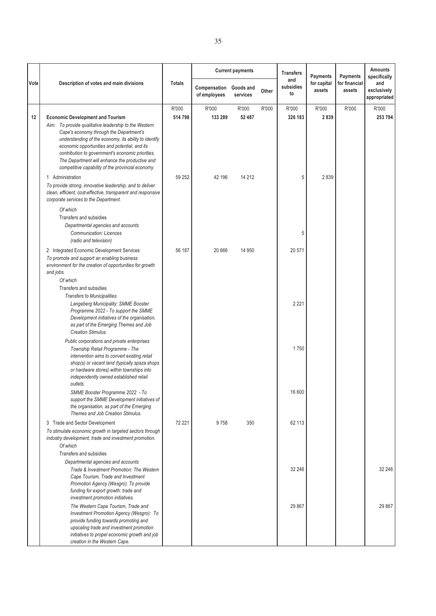| Vote | Description of votes and main divisions                                                                                                                                                                                                                                                                                                                                                                           | <b>Totals</b>    | <b>Current payments</b>      |                       |       | <b>Transfers</b><br>and<br>subsidies | <b>Payments</b><br>for capital | <b>Payments</b><br>for financial | <b>Amounts</b><br>specifically<br>and |
|------|-------------------------------------------------------------------------------------------------------------------------------------------------------------------------------------------------------------------------------------------------------------------------------------------------------------------------------------------------------------------------------------------------------------------|------------------|------------------------------|-----------------------|-------|--------------------------------------|--------------------------------|----------------------------------|---------------------------------------|
|      |                                                                                                                                                                                                                                                                                                                                                                                                                   |                  | Compensation<br>of employees | Goods and<br>services | Other | to                                   | assets                         | assets                           | exclusively<br>appropriated           |
| 12   | <b>Economic Development and Tourism</b><br>Aim: To provide qualitative leadership to the Western<br>Cape's economy through the Department's<br>understanding of the economy, its ability to identify<br>economic opportunities and potential, and its<br>contribution to government's economic priorities.<br>The Department will enhance the productive and<br>competitive capability of the provincial economy. | R'000<br>514 798 | R'000<br>133 289             | R'000<br>52 487       | R'000 | R'000<br>326 183                     | R'000<br>2839                  | R'000                            | R'000<br>253 794                      |
|      | 1 Administration<br>To provide strong, innovative leadership, and to deliver<br>clean, efficient, cost-effective, transparent and responsive<br>corporate services to the Department.                                                                                                                                                                                                                             | 59 25 2          | 42 196                       | 14 2 12               |       | 5                                    | 2839                           |                                  |                                       |
|      | Of which<br>Transfers and subsidies<br>Departmental agencies and accounts<br>Communication: Licences<br>(radio and television)                                                                                                                                                                                                                                                                                    |                  |                              |                       |       | 5                                    |                                |                                  |                                       |
|      | 2 Integrated Economic Development Services<br>To promote and support an enabling business<br>environment for the creation of opportunities for growth<br>and jobs.                                                                                                                                                                                                                                                | 56 187           | 20 666                       | 14 950                |       | 20 571                               |                                |                                  |                                       |
|      | Of which<br>Transfers and subsidies<br>Transfers to Municipalities<br>Langeberg Municipality: SMME Booster<br>Programme 2022 - To support the SMME<br>Development initiatives of the organisation,<br>as part of the Emerging Themes and Job<br><b>Creation Stimulus.</b>                                                                                                                                         |                  |                              |                       |       | 2 2 2 1                              |                                |                                  |                                       |
|      | Public corporations and private enterprises<br>Township Retail Programme - The<br>intervention aims to convert existing retail<br>shop(s) or vacant land (typically spaza shops<br>or hardware stores) within townships into<br>independently owned established retail<br>outlets.                                                                                                                                |                  |                              |                       |       | 1750                                 |                                |                                  |                                       |
|      | SMME Booster Programme 2022 - To<br>support the SMME Development initiatives of<br>the organisation, as part of the Emerging<br>Themes and Job Creation Stimulus.                                                                                                                                                                                                                                                 |                  |                              |                       |       | 16 600                               |                                |                                  |                                       |
|      | 3 Trade and Sector Development<br>To stimulate economic growth in targeted sectors through<br>industry development, trade and investment promotion.<br>Of which                                                                                                                                                                                                                                                   | 72 221           | 9758                         | 350                   |       | 62 113                               |                                |                                  |                                       |
|      | Transfers and subsidies<br>Departmental agencies and accounts<br>Trade & Investment Promotion: The Western<br>Cape Tourism, Trade and Investment<br>Promotion Agency (Wesgro): To provide<br>funding for export growth: trade and<br>investment promotion initiatives.                                                                                                                                            |                  |                              |                       |       | 32 246                               |                                |                                  | 32 246                                |
|      | The Western Cape Tourism, Trade and<br>Investment Promotion Agency (Wesgro): To<br>provide funding towards promoting and<br>upscaling trade and investment promotion<br>initiatives to propel economic growth and job<br>creation in the Western Cape.                                                                                                                                                            |                  |                              |                       |       | 29 867                               |                                |                                  | 29 867                                |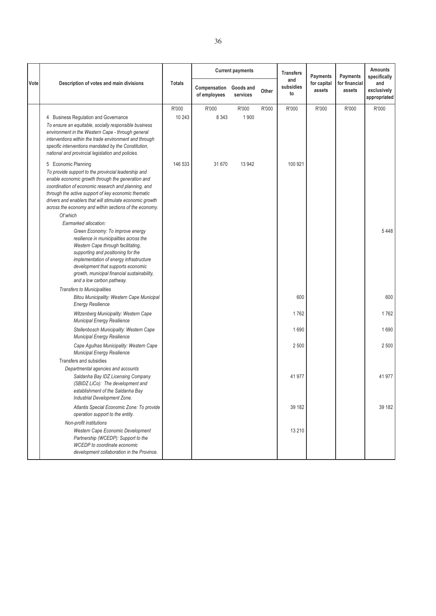|      | Description of votes and main divisions                                                                                                                                                                                                                                                                                                                  | <b>Totals</b> |                              | <b>Current payments</b> |       | <b>Transfers</b><br>and<br>subsidies<br>to | <b>Payments</b><br>for capital<br>assets | <b>Payments</b><br>for financial<br>assets | <b>Amounts</b><br>specifically<br>and<br>exclusively<br>appropriated |
|------|----------------------------------------------------------------------------------------------------------------------------------------------------------------------------------------------------------------------------------------------------------------------------------------------------------------------------------------------------------|---------------|------------------------------|-------------------------|-------|--------------------------------------------|------------------------------------------|--------------------------------------------|----------------------------------------------------------------------|
| Vote |                                                                                                                                                                                                                                                                                                                                                          |               | Compensation<br>of employees | Goods and<br>services   | Other |                                            |                                          |                                            |                                                                      |
|      |                                                                                                                                                                                                                                                                                                                                                          | R'000         | R'000                        | R'000                   | R'000 | R'000                                      | R'000                                    | R'000                                      | R'000                                                                |
|      | 4 Business Regulation and Governance<br>To ensure an equitable, socially responsible business<br>environment in the Western Cape - through general<br>interventions within the trade environment and through<br>specific interventions mandated by the Constitution,<br>national and provincial legislation and policies.                                | 10 243        | 8 3 4 3                      | 1900                    |       |                                            |                                          |                                            |                                                                      |
|      | 5 Economic Planning                                                                                                                                                                                                                                                                                                                                      | 146 533       | 31 670                       | 13 942                  |       | 100 921                                    |                                          |                                            |                                                                      |
|      | To provide support to the provincial leadership and<br>enable economic growth through the generation and<br>coordination of economic research and planning, and<br>through the active support of key economic thematic<br>drivers and enablers that will stimulate economic growth<br>across the economy and within sections of the economy.<br>Of which |               |                              |                         |       |                                            |                                          |                                            |                                                                      |
|      | Earmarked allocation:                                                                                                                                                                                                                                                                                                                                    |               |                              |                         |       |                                            |                                          |                                            |                                                                      |
|      | Green Economy: To improve energy<br>resilience in municipalities across the<br>Western Cape through facilitating,<br>supporting and positioning for the<br>implementation of energy infrastructure<br>development that supports economic<br>growth, municipal financial sustainability,<br>and a low carbon pathway.                                     |               |                              |                         |       |                                            |                                          |                                            | 5448                                                                 |
|      | <b>Transfers to Municipalities</b>                                                                                                                                                                                                                                                                                                                       |               |                              |                         |       |                                            |                                          |                                            |                                                                      |
|      | Bitou Municipality: Western Cape Municipal<br><b>Energy Resilience</b>                                                                                                                                                                                                                                                                                   |               |                              |                         |       | 600                                        |                                          |                                            | 600                                                                  |
|      | Witzenberg Municipality: Western Cape<br>Municipal Energy Resilience                                                                                                                                                                                                                                                                                     |               |                              |                         |       | 1762                                       |                                          |                                            | 1762                                                                 |
|      | Stellenbosch Municipality: Western Cape<br>Municipal Energy Resilience                                                                                                                                                                                                                                                                                   |               |                              |                         |       | 1690                                       |                                          |                                            | 1690                                                                 |
|      | Cape Agulhas Municipality: Western Cape<br><b>Municipal Energy Resilience</b>                                                                                                                                                                                                                                                                            |               |                              |                         |       | 2500                                       |                                          |                                            | 2 500                                                                |
|      | Transfers and subsidies<br>Departmental agencies and accounts<br>Saldanha Bay IDZ Licensing Company<br>(SBIDZ LiCo): The development and<br>establishment of the Saldanha Bay<br>Industrial Development Zone.                                                                                                                                            |               |                              |                         |       | 41977                                      |                                          |                                            | 41 977                                                               |
|      | Atlantis Special Economic Zone: To provide<br>operation support to the entity.                                                                                                                                                                                                                                                                           |               |                              |                         |       | 39 182                                     |                                          |                                            | 39 182                                                               |
|      | Non-profit institutions<br>Western Cape Economic Development<br>Partnership (WCEDP): Support to the<br><b>WCEDP</b> to coordinate economic<br>development collaboration in the Province.                                                                                                                                                                 |               |                              |                         |       | 13 2 10                                    |                                          |                                            |                                                                      |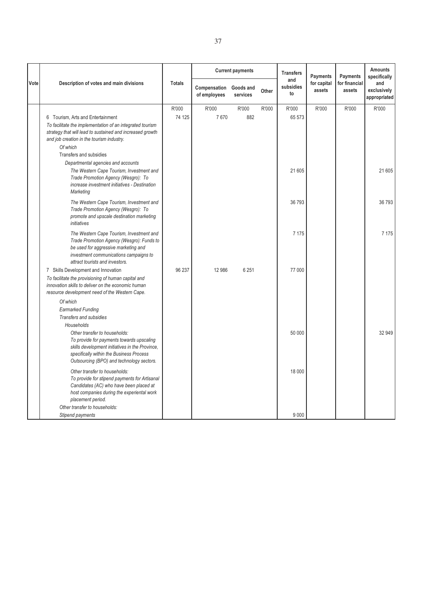|      |                                                                                                                                                                                                                        |                 |                              | <b>Current payments</b> |       | <b>Transfers</b>       | <b>Payments</b>       | <b>Payments</b>         | <b>Amounts</b><br>specifically     |
|------|------------------------------------------------------------------------------------------------------------------------------------------------------------------------------------------------------------------------|-----------------|------------------------------|-------------------------|-------|------------------------|-----------------------|-------------------------|------------------------------------|
| Vote | Description of votes and main divisions                                                                                                                                                                                | <b>Totals</b>   | Compensation<br>of employees | Goods and<br>services   | Other | and<br>subsidies<br>to | for capital<br>assets | for financial<br>assets | and<br>exclusively<br>appropriated |
|      | 6 Tourism, Arts and Entertainment<br>To facilitate the implementation of an integrated tourism                                                                                                                         | R'000<br>74 125 | R'000<br>7670                | R'000<br>882            | R'000 | R'000<br>65 573        | R'000                 | R'000                   | R'000                              |
|      | strategy that will lead to sustained and increased growth<br>and job creation in the tourism industry.<br>Of which<br>Transfers and subsidies                                                                          |                 |                              |                         |       |                        |                       |                         |                                    |
|      | Departmental agencies and accounts<br>The Western Cape Tourism, Investment and<br>Trade Promotion Agency (Wesgro): To<br>increase investment initiatives - Destination<br>Marketing                                    |                 |                              |                         |       | 21 605                 |                       |                         | 21 605                             |
|      | The Western Cape Tourism, Investment and<br>Trade Promotion Agency (Wesgro): To<br>promote and upscale destination marketing<br>initiatives                                                                            |                 |                              |                         |       | 36 793                 |                       |                         | 36 793                             |
|      | The Western Cape Tourism, Investment and<br>Trade Promotion Agency (Wesgro): Funds to<br>be used for aggressive marketing and<br>investment communications campaigns to<br>attract tourists and investors.             |                 |                              |                         |       | 7 1 7 5                |                       |                         | 7 1 7 5                            |
|      | 7 Skills Development and Innovation<br>To facilitate the provisioning of human capital and<br>innovation skills to deliver on the economic human<br>resource development need of the Western Cape.                     | 96 237          | 12 986                       | 6 2 5 1                 |       | 77 000                 |                       |                         |                                    |
|      | Of which<br><b>Earmarked Funding</b><br>Transfers and subsidies<br>Households                                                                                                                                          |                 |                              |                         |       |                        |                       |                         |                                    |
|      | Other transfer to households:<br>To provide for payments towards upscaling<br>skills development initiatives in the Province,<br>specifically within the Business Process<br>Outsourcing (BPO) and technology sectors. |                 |                              |                         |       | 50 000                 |                       |                         | 32 949                             |
|      | Other transfer to households:<br>To provide for stipend payments for Artisanal<br>Candidates (AC) who have been placed at<br>host companies during the experiental work<br>placement period.                           |                 |                              |                         |       | 18 000                 |                       |                         |                                    |
|      | Other transfer to households:<br>Stipend payments                                                                                                                                                                      |                 |                              |                         |       | 9000                   |                       |                         |                                    |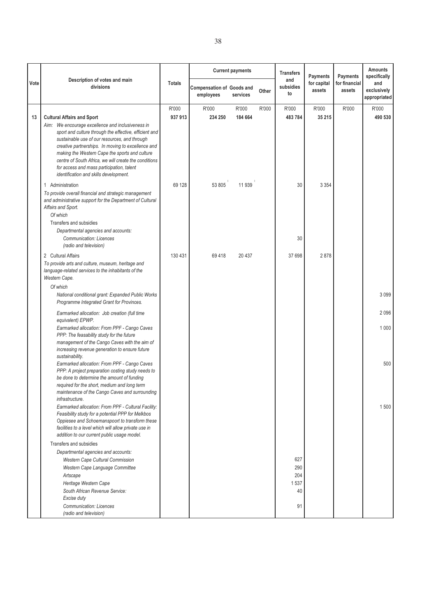|      |                                                                                                                                                                                                                                                                                                                                                                 |                 |                                               | <b>Current payments</b> |       | <b>Transfers</b>                      | <b>Payments</b>       | <b>Payments</b>         | <b>Amounts</b><br>specifically     |
|------|-----------------------------------------------------------------------------------------------------------------------------------------------------------------------------------------------------------------------------------------------------------------------------------------------------------------------------------------------------------------|-----------------|-----------------------------------------------|-------------------------|-------|---------------------------------------|-----------------------|-------------------------|------------------------------------|
| Vote | Description of votes and main<br>divisions                                                                                                                                                                                                                                                                                                                      | <b>Totals</b>   | <b>Compensation of Goods and</b><br>employees | services                | Other | and<br>subsidies<br>to                | for capital<br>assets | for financial<br>assets | and<br>exclusively<br>appropriated |
| 13   | <b>Cultural Affairs and Sport</b><br>Aim: We encourage excellence and inclusiveness in                                                                                                                                                                                                                                                                          | R'000<br>937913 | R'000<br>234 250                              | R'000<br>184 664        | R'000 | R'000<br>483784                       | R'000<br>35 215       | R'000                   | R'000<br>490 530                   |
|      | sport and culture through the effective, efficient and<br>sustainable use of our resources, and through<br>creative partnerships. In moving to excellence and<br>making the Western Cape the sports and culture<br>centre of South Africa, we will create the conditions<br>for access and mass participation, talent<br>identification and skills development. |                 |                                               |                         |       |                                       |                       |                         |                                    |
|      | 1 Administration<br>To provide overall financial and strategic management<br>and administrative support for the Department of Cultural<br>Affairs and Sport.<br>Of which<br>Transfers and subsidies<br>Departmental agencies and accounts:                                                                                                                      | 69 128          | 53 805                                        | 11939                   |       | 30                                    | 3 3 5 4               |                         |                                    |
|      | <b>Communication: Licences</b><br>(radio and television)                                                                                                                                                                                                                                                                                                        |                 |                                               |                         |       | 30                                    |                       |                         |                                    |
|      | 2 Cultural Affairs<br>To provide arts and culture, museum, heritage and<br>language-related services to the inhabitants of the<br>Western Cape.                                                                                                                                                                                                                 | 130 431         | 69418                                         | 20 4 37                 |       | 37 698                                | 2878                  |                         |                                    |
|      | Of which<br>National conditional grant: Expanded Public Works<br>Programme Integrated Grant for Provinces.                                                                                                                                                                                                                                                      |                 |                                               |                         |       |                                       |                       |                         | 3099                               |
|      | Earmarked allocation: Job creation (full time<br>equivalent) EPWP.                                                                                                                                                                                                                                                                                              |                 |                                               |                         |       |                                       |                       |                         | 2096                               |
|      | Earmarked allocation: From PPF - Cango Caves<br>PPP: The feasability study for the future<br>management of the Cango Caves with the aim of<br>increasing revenue generation to ensure future<br>sustainability.                                                                                                                                                 |                 |                                               |                         |       |                                       |                       |                         | 1 0 0 0                            |
|      | Earmarked allocation: From PPF - Cango Caves<br>PPP: A project preparation costing study needs to<br>be done to determine the amount of funding<br>required for the short, medium and long term<br>maintenance of the Cango Caves and surrounding<br>infrastructure.                                                                                            |                 |                                               |                         |       |                                       |                       |                         | 500                                |
|      | Earmarked allocation: From PPF - Cultural Facility:<br>Feasibility study for a potential PPP for Melkbos<br>Oppiesee and Schoemanspoort to transform these<br>facilities to a level which will allow private use in<br>addition to our current public usage model.                                                                                              |                 |                                               |                         |       |                                       |                       |                         | 1500                               |
|      | Transfers and subsidies<br>Departmental agencies and accounts:<br><b>Western Cape Cultural Commission</b><br>Western Cape Language Committee<br>Artscape<br>Heritage Western Cape<br>South African Revenue Service:<br>Excise duty<br><b>Communication: Licences</b>                                                                                            |                 |                                               |                         |       | 627<br>290<br>204<br>1537<br>40<br>91 |                       |                         |                                    |
|      | (radio and television)                                                                                                                                                                                                                                                                                                                                          |                 |                                               |                         |       |                                       |                       |                         |                                    |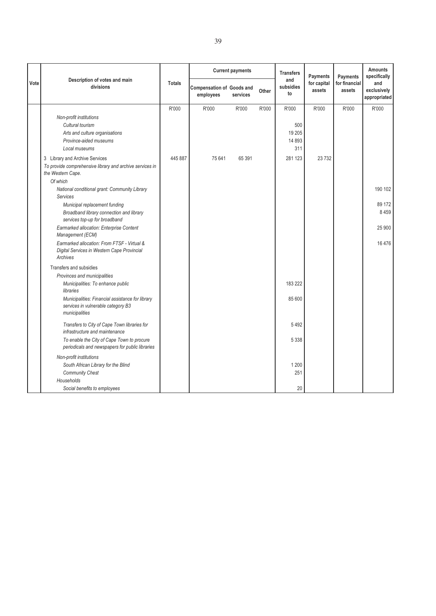|      | Description of votes and main                                                                                            |               |                                               | <b>Current payments</b> |       | <b>Transfers</b><br><b>Payments</b><br>and |                       | <b>Payments</b>         | <b>Amounts</b><br>specifically     |
|------|--------------------------------------------------------------------------------------------------------------------------|---------------|-----------------------------------------------|-------------------------|-------|--------------------------------------------|-----------------------|-------------------------|------------------------------------|
| Vote | divisions                                                                                                                | <b>Totals</b> | <b>Compensation of Goods and</b><br>employees | services                | Other | subsidies<br>to                            | for capital<br>assets | for financial<br>assets | and<br>exclusively<br>appropriated |
|      |                                                                                                                          | R'000         | R'000                                         | R'000                   | R'000 | R'000                                      | R'000                 | R'000                   | R'000                              |
|      | Non-profit institutions<br>Cultural tourism<br>Arts and culture organisations<br>Province-aided museums<br>Local museums |               |                                               |                         |       | 500<br>19 20 5<br>14 8 93<br>311           |                       |                         |                                    |
|      | 3 Library and Archive Services<br>To provide comprehensive library and archive services in<br>the Western Cape.          | 445 887       | 75 641                                        | 65 391                  |       | 281 123                                    | 23 7 32               |                         |                                    |
|      | Of which<br>National conditional grant: Community Library<br>Services                                                    |               |                                               |                         |       |                                            |                       |                         | 190 102                            |
|      | Municipal replacement funding<br>Broadband library connection and library<br>services top-up for broadband               |               |                                               |                         |       |                                            |                       |                         | 89 172<br>8459                     |
|      | Earmarked allocation: Enterprise Content<br>Management (ECM)                                                             |               |                                               |                         |       |                                            |                       |                         | 25 900                             |
|      | Earmarked allocation: From FTSF - Virtual &<br>Digital Services in Western Cape Provincial<br>Archives                   |               |                                               |                         |       |                                            |                       |                         | 16476                              |
|      | Transfers and subsidies                                                                                                  |               |                                               |                         |       |                                            |                       |                         |                                    |
|      | Provinces and municipalities<br>Municipalities: To enhance public<br>libraries                                           |               |                                               |                         |       | 183 222                                    |                       |                         |                                    |
|      | Municipalities: Financial assistance for library<br>services in vulnerable category B3<br>municipalities                 |               |                                               |                         |       | 85 600                                     |                       |                         |                                    |
|      | Transfers to City of Cape Town libraries for<br>infrastructure and maintenance                                           |               |                                               |                         |       | 5492                                       |                       |                         |                                    |
|      | To enable the City of Cape Town to procure<br>periodicals and newspapers for public libraries                            |               |                                               |                         |       | 5 3 3 8                                    |                       |                         |                                    |
|      | Non-profit institutions<br>South African Library for the Blind<br><b>Community Chest</b><br>Households                   |               |                                               |                         |       | 1 2 0 0<br>251                             |                       |                         |                                    |
|      | Social benefits to employees                                                                                             |               |                                               |                         |       | 20                                         |                       |                         |                                    |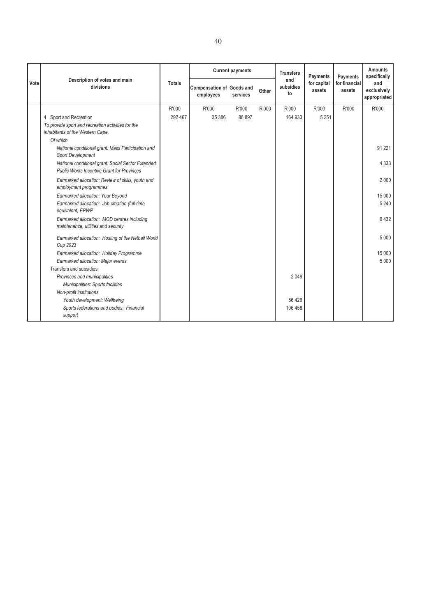|      | Description of votes and main                                                                           |               |                                               | <b>Current payments</b> |       | <b>Transfers</b>       | Payments              | Payments                | <b>Amounts</b><br>specifically     |  |
|------|---------------------------------------------------------------------------------------------------------|---------------|-----------------------------------------------|-------------------------|-------|------------------------|-----------------------|-------------------------|------------------------------------|--|
| Vote | divisions                                                                                               | <b>Totals</b> | <b>Compensation of Goods and</b><br>employees | services                | Other | and<br>subsidies<br>to | for capital<br>assets | for financial<br>assets | and<br>exclusively<br>appropriated |  |
|      |                                                                                                         | R'000         | R'000                                         | R'000                   | R'000 | R'000                  | R'000                 | R'000                   | R'000                              |  |
|      | 4 Sport and Recreation                                                                                  | 292 467       | 35 386                                        | 86 897                  |       | 164 933                | 5 2 5 1               |                         |                                    |  |
|      | To provide sport and recreation activities for the<br>inhabitants of the Western Cape.                  |               |                                               |                         |       |                        |                       |                         |                                    |  |
|      | Of which                                                                                                |               |                                               |                         |       |                        |                       |                         |                                    |  |
|      | National conditional grant: Mass Participation and<br><b>Sport Development</b>                          |               |                                               |                         |       |                        |                       |                         | 91 2 21                            |  |
|      | National conditional grant: Social Sector Extended<br><b>Public Works Incentive Grant for Provinces</b> |               |                                               |                         |       |                        |                       |                         | 4 3 3 3                            |  |
|      | Earmarked allocation: Review of skills, youth and<br>employment programmes                              |               |                                               |                         |       |                        |                       |                         | 2000                               |  |
|      | Earmarked allocation: Year Beyond                                                                       |               |                                               |                         |       |                        |                       |                         | 15 000                             |  |
|      | Earmarked allocation: Job creation (full-time<br>equivalent) EPWP                                       |               |                                               |                         |       |                        |                       |                         | 5 2 4 0                            |  |
|      | Earmarked allocation: MOD centres including<br>maintenance, utilities and security                      |               |                                               |                         |       |                        |                       |                         | 9432                               |  |
|      | Earmarked allocation: Hosting of the Netball World<br>Cup 2023                                          |               |                                               |                         |       |                        |                       |                         | 5 0 0 0                            |  |
|      | Earmarked allocation: Holiday Programme                                                                 |               |                                               |                         |       |                        |                       |                         | 15 000                             |  |
|      | Earmarked allocation: Major events                                                                      |               |                                               |                         |       |                        |                       |                         | 5 0 0 0                            |  |
|      | Transfers and subsidies                                                                                 |               |                                               |                         |       |                        |                       |                         |                                    |  |
|      | Provinces and municipalities                                                                            |               |                                               |                         |       | 2049                   |                       |                         |                                    |  |
|      | Municipalities: Sports facilities                                                                       |               |                                               |                         |       |                        |                       |                         |                                    |  |
|      | Non-profit institutions                                                                                 |               |                                               |                         |       |                        |                       |                         |                                    |  |
|      | Youth development: Wellbeing                                                                            |               |                                               |                         |       | 56 4 26                |                       |                         |                                    |  |
|      | Sports federations and bodies: Financial<br>support                                                     |               |                                               |                         |       | 106 458                |                       |                         |                                    |  |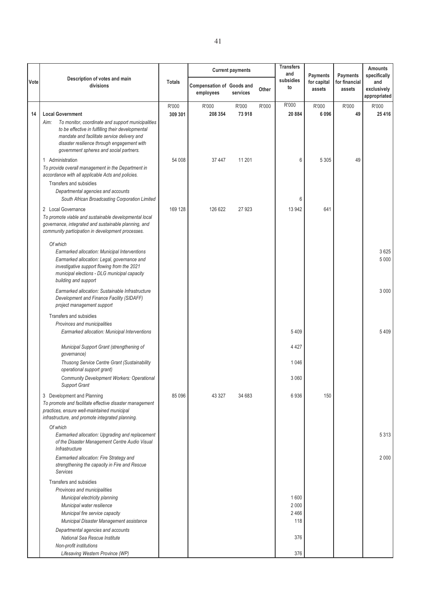|      |                                                                                                                                                                                                                                                         |                  |                                               | <b>Current payments</b> |       | <b>Transfers</b><br>and     | Payments              | Payments                | <b>Amounts</b><br>specifically     |
|------|---------------------------------------------------------------------------------------------------------------------------------------------------------------------------------------------------------------------------------------------------------|------------------|-----------------------------------------------|-------------------------|-------|-----------------------------|-----------------------|-------------------------|------------------------------------|
| Vote | Description of votes and main<br>divisions                                                                                                                                                                                                              | <b>Totals</b>    | <b>Compensation of Goods and</b><br>employees | services                | Other | subsidies<br>to             | for capital<br>assets | for financial<br>assets | and<br>exclusively<br>appropriated |
| 14   | <b>Local Government</b>                                                                                                                                                                                                                                 | R'000<br>309 301 | R'000<br>208 354                              | R'000<br>73918          | R'000 | R'000<br>20884              | R'000<br>6096         | R'000<br>49             | R'000<br>25 4 16                   |
|      | To monitor, coordinate and support municipalities<br>Aim:<br>to be effective in fulfilling their developmental<br>mandate and facilitate service delivery and<br>disaster resilience through engagement with<br>government spheres and social partners. |                  |                                               |                         |       |                             |                       |                         |                                    |
|      | 1 Administration<br>To provide overall management in the Department in<br>accordance with all applicable Acts and policies.                                                                                                                             | 54 008           | 37 447                                        | 11 201                  |       | 6                           | 5 3 0 5               | 49                      |                                    |
|      | Transfers and subsidies<br>Departmental agencies and accounts<br>South African Broadcasting Corporation Limited                                                                                                                                         |                  |                                               |                         |       | 6                           |                       |                         |                                    |
|      | 2 Local Governance<br>To promote viable and sustainable developmental local<br>governance, integrated and sustainable planning, and<br>community participation in development processes.                                                                | 169 128          | 126 622                                       | 27923                   |       | 13 942                      | 641                   |                         |                                    |
|      | Of which<br>Earmarked allocation: Municipal Interventions<br>Earmarked allocation: Legal, governance and<br>investigative support flowing from the 2021<br>municipal elections - DLG municipal capacity<br>building and support                         |                  |                                               |                         |       |                             |                       |                         | 3625<br>5 0 0 0                    |
|      | Earmarked allocation: Sustainable Infrastructure<br>Development and Finance Facility (SIDAFF)<br>project management support                                                                                                                             |                  |                                               |                         |       |                             |                       |                         | 3 0 0 0                            |
|      | Transfers and subsidies<br>Provinces and municipalities<br>Earmarked allocation: Municipal Interventions                                                                                                                                                |                  |                                               |                         |       | 5409                        |                       |                         | 5 4 0 9                            |
|      | Municipal Support Grant (strengthening of<br>governance)                                                                                                                                                                                                |                  |                                               |                         |       | 4 4 2 7                     |                       |                         |                                    |
|      | Thusong Service Centre Grant (Sustainability<br>operational support grant)                                                                                                                                                                              |                  |                                               |                         |       | 1046                        |                       |                         |                                    |
|      | <b>Community Development Workers: Operational</b><br><b>Support Grant</b>                                                                                                                                                                               |                  |                                               |                         |       | 3 0 6 0                     |                       |                         |                                    |
|      | 3 Development and Planning<br>To promote and facilitate effective disaster management<br>practices, ensure well-maintained municipal<br>infrastructure, and promote integrated planning.                                                                | 85 096           | 43 327                                        | 34 683                  |       | 6936                        | 150                   |                         |                                    |
|      | Of which<br>Earmarked allocation: Upgrading and replacement<br>of the Disaster Management Centre Audio Visual<br>Infrastructure                                                                                                                         |                  |                                               |                         |       |                             |                       |                         | 5 3 1 3                            |
|      | Earmarked allocation: Fire Strategy and<br>strengthening the capacity in Fire and Rescue<br>Services                                                                                                                                                    |                  |                                               |                         |       |                             |                       |                         | 2 0 0 0                            |
|      | Transfers and subsidies<br>Provinces and municipalities<br>Municipal electricity planning<br>Municipal water resilience<br>Municipal fire service capacity<br>Municipal Disaster Management assistance                                                  |                  |                                               |                         |       | 1600<br>2000<br>2466<br>118 |                       |                         |                                    |
|      | Departmental agencies and accounts<br>National Sea Rescue Institute                                                                                                                                                                                     |                  |                                               |                         |       | 376                         |                       |                         |                                    |
|      | Non-profit institutions<br>Lifesaving Western Province (WP)                                                                                                                                                                                             |                  |                                               |                         |       | 376                         |                       |                         |                                    |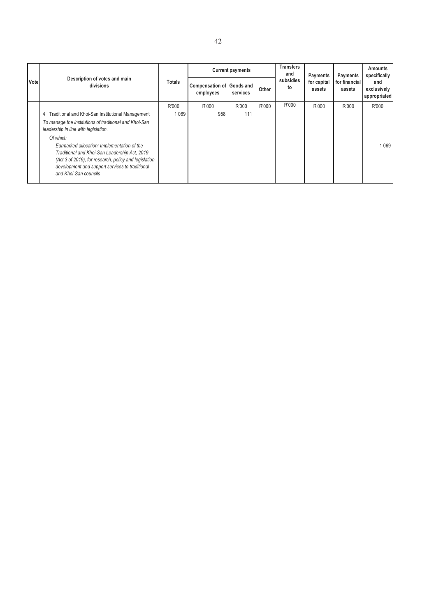|             | Description of votes and main                                                                                                                                                                                                                                                                                                                                                                             |               |                                               | <b>Current payments</b> |       |                 |                                   | Payments                | <b>Amounts</b><br>specifically     |
|-------------|-----------------------------------------------------------------------------------------------------------------------------------------------------------------------------------------------------------------------------------------------------------------------------------------------------------------------------------------------------------------------------------------------------------|---------------|-----------------------------------------------|-------------------------|-------|-----------------|-----------------------------------|-------------------------|------------------------------------|
| <b>Vote</b> | divisions                                                                                                                                                                                                                                                                                                                                                                                                 | <b>Totals</b> | <b>Compensation of Goods and</b><br>employees | services                | Other | subsidies<br>to | Payments<br>for capital<br>assets | for financial<br>assets | and<br>exclusively<br>appropriated |
|             |                                                                                                                                                                                                                                                                                                                                                                                                           | R'000         | R'000                                         | R'000                   | R'000 | R'000           | R'000                             | R'000                   | R'000                              |
|             | Traditional and Khoi-San Institutional Management<br>4<br>To manage the institutions of traditional and Khoi-San<br>leadership in line with legislation.<br>Of which<br>Earmarked allocation: Implementation of the<br>Traditional and Khoi-San Leadership Act, 2019<br>(Act 3 of 2019), for research, policy and legislation<br>development and support services to traditional<br>and Khoi-San councils | 1069          | 958                                           | 111                     |       |                 |                                   |                         | 1 0 6 9                            |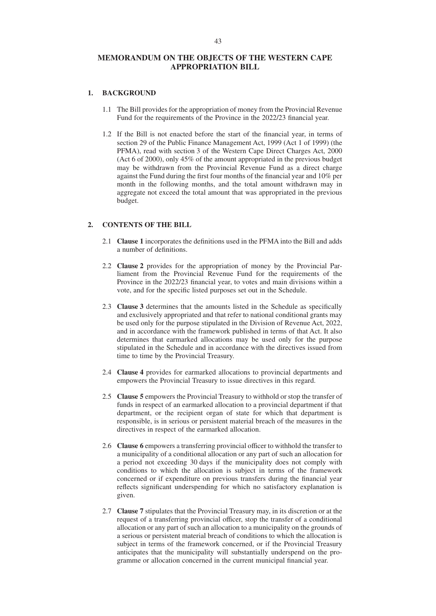#### **MEMORANDUM ON THE OBJECTS OF THE WESTERN CAPE APPROPRIATION BILL**

#### **1. BACKGROUND**

- 1.1 The Bill provides for the appropriation of money from the Provincial Revenue Fund for the requirements of the Province in the 2022/23 financial year.
- 1.2 If the Bill is not enacted before the start of the financial year, in terms of section 29 of the Public Finance Management Act, 1999 (Act 1 of 1999) (the PFMA), read with section 3 of the Western Cape Direct Charges Act, 2000 (Act 6 of 2000), only 45% of the amount appropriated in the previous budget may be withdrawn from the Provincial Revenue Fund as a direct charge against the Fund during the first four months of the financial year and 10% per month in the following months, and the total amount withdrawn may in aggregate not exceed the total amount that was appropriated in the previous budget.

#### **2. CONTENTS OF THE BILL**

- 2.1 **Clause 1** incorporates the definitions used in the PFMA into the Bill and adds a number of definitions.
- 2.2 **Clause 2** provides for the appropriation of money by the Provincial Parliament from the Provincial Revenue Fund for the requirements of the Province in the 2022/23 financial year, to votes and main divisions within a vote, and for the specific listed purposes set out in the Schedule.
- 2.3 **Clause 3** determines that the amounts listed in the Schedule as specifically and exclusively appropriated and that refer to national conditional grants may be used only for the purpose stipulated in the Division of Revenue Act, 2022, and in accordance with the framework published in terms of that Act. It also determines that earmarked allocations may be used only for the purpose stipulated in the Schedule and in accordance with the directives issued from time to time by the Provincial Treasury.
- 2.4 **Clause 4** provides for earmarked allocations to provincial departments and empowers the Provincial Treasury to issue directives in this regard.
- 2.5 **Clause 5** empowers the Provincial Treasury to withhold or stop the transfer of funds in respect of an earmarked allocation to a provincial department if that department, or the recipient organ of state for which that department is responsible, is in serious or persistent material breach of the measures in the directives in respect of the earmarked allocation.
- 2.6 **Clause 6** empowers a transferring provincial officer to withhold the transfer to a municipality of a conditional allocation or any part of such an allocation for a period not exceeding 30 days if the municipality does not comply with conditions to which the allocation is subject in terms of the framework concerned or if expenditure on previous transfers during the financial year reflects significant underspending for which no satisfactory explanation is given.
- 2.7 **Clause 7** stipulates that the Provincial Treasury may, in its discretion or at the request of a transferring provincial officer, stop the transfer of a conditional allocation or any part of such an allocation to a municipality on the grounds of a serious or persistent material breach of conditions to which the allocation is subject in terms of the framework concerned, or if the Provincial Treasury anticipates that the municipality will substantially underspend on the programme or allocation concerned in the current municipal financial year.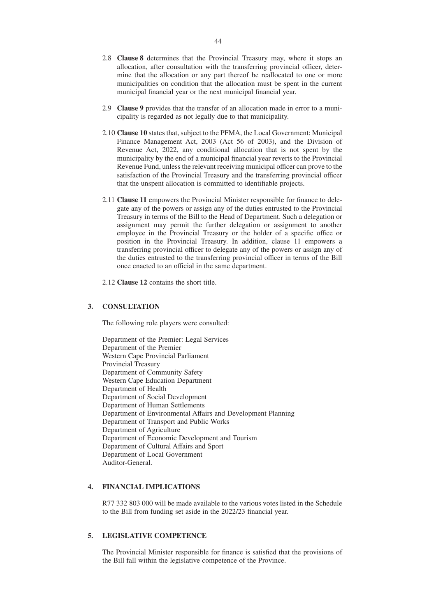- 2.8 **Clause 8** determines that the Provincial Treasury may, where it stops an allocation, after consultation with the transferring provincial officer, determine that the allocation or any part thereof be reallocated to one or more municipalities on condition that the allocation must be spent in the current municipal financial year or the next municipal financial year.
- 2.9 **Clause 9** provides that the transfer of an allocation made in error to a municipality is regarded as not legally due to that municipality.
- 2.10 **Clause 10** states that, subject to the PFMA, the Local Government: Municipal Finance Management Act, 2003 (Act 56 of 2003), and the Division of Revenue Act, 2022, any conditional allocation that is not spent by the municipality by the end of a municipal financial year reverts to the Provincial Revenue Fund, unless the relevant receiving municipal officer can prove to the satisfaction of the Provincial Treasury and the transferring provincial officer that the unspent allocation is committed to identifiable projects.
- 2.11 **Clause 11** empowers the Provincial Minister responsible for finance to delegate any of the powers or assign any of the duties entrusted to the Provincial Treasury in terms of the Bill to the Head of Department. Such a delegation or assignment may permit the further delegation or assignment to another employee in the Provincial Treasury or the holder of a specific office or position in the Provincial Treasury. In addition, clause 11 empowers a transferring provincial officer to delegate any of the powers or assign any of the duties entrusted to the transferring provincial officer in terms of the Bill once enacted to an official in the same department.
- 2.12 **Clause 12** contains the short title.

#### **3. CONSULTATION**

The following role players were consulted:

Department of the Premier: Legal Services Department of the Premier Western Cape Provincial Parliament Provincial Treasury Department of Community Safety Western Cape Education Department Department of Health Department of Social Development Department of Human Settlements Department of Environmental Affairs and Development Planning Department of Transport and Public Works Department of Agriculture Department of Economic Development and Tourism Department of Cultural Affairs and Sport Department of Local Government Auditor-General.

#### **4. FINANCIAL IMPLICATIONS**

R77 332 803 000 will be made available to the various votes listed in the Schedule to the Bill from funding set aside in the 2022/23 financial year.

#### **5. LEGISLATIVE COMPETENCE**

The Provincial Minister responsible for finance is satisfied that the provisions of the Bill fall within the legislative competence of the Province.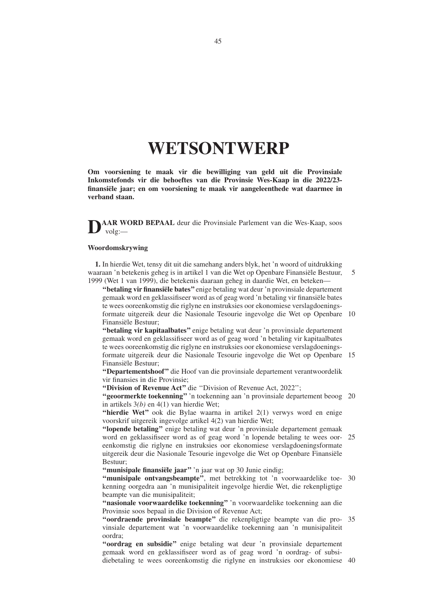# **WETSONTWERP**

**Om voorsiening te maak vir die bewilliging van geld uit die Provinsiale Inkomstefonds vir die behoeftes van die Provinsie Wes-Kaap in die 2022/23 finansiële jaar; en om voorsiening te maak vir aangeleenthede wat daarmee in verband staan.**

AAR WORD BEPAAL deur die Provinsiale Parlement van die Wes-Kaap, soos volg:—

#### **Woordomskrywing**

**1.** In hierdie Wet, tensy dit uit die samehang anders blyk, het 'n woord of uitdrukking waaraan 'n betekenis geheg is in artikel 1 van die Wet op Openbare Finansiële Bestuur, 1999 (Wet 1 van 1999), die betekenis daaraan geheg in daardie Wet, en beteken— 5

**''betaling vir finansiële bates''** enige betaling wat deur 'n provinsiale departement gemaak word en geklassifiseer word as of geag word 'n betaling vir finansiële bates te wees ooreenkomstig die riglyne en instruksies oor ekonomiese verslagdoeningsformate uitgereik deur die Nasionale Tesourie ingevolge die Wet op Openbare 10 Finansiële Bestuur;

**''betaling vir kapitaalbates''** enige betaling wat deur 'n provinsiale departement gemaak word en geklassifiseer word as of geag word 'n betaling vir kapitaalbates te wees ooreenkomstig die riglyne en instruksies oor ekonomiese verslagdoeningsformate uitgereik deur die Nasionale Tesourie ingevolge die Wet op Openbare 15 Finansiële Bestuur;

**''Departementshoof''** die Hoof van die provinsiale departement verantwoordelik vir finansies in die Provinsie;

**''Division of Revenue Act''** die ''Division of Revenue Act, 2022'';

**''geoormerkte toekenning''** 'n toekenning aan 'n provinsiale departement beoog 20 in artikels 3*(b)* en 4(1) van hierdie Wet;

**''hierdie Wet''** ook die Bylae waarna in artikel 2(1) verwys word en enige voorskrif uitgereik ingevolge artikel 4(2) van hierdie Wet;

**''lopende betaling''** enige betaling wat deur 'n provinsiale departement gemaak word en geklassifiseer word as of geag word 'n lopende betaling te wees oor-25 eenkomstig die riglyne en instruksies oor ekonomiese verslagdoeningsformate uitgereik deur die Nasionale Tesourie ingevolge die Wet op Openbare Finansiële Bestuur;

**''munisipale finansiële jaar''** 'n jaar wat op 30 Junie eindig;

"munisipale ontvangsbeampte", met betrekking tot 'n voorwaardelike toe- 30 kenning oorgedra aan 'n munisipaliteit ingevolge hierdie Wet, die rekenpligtige beampte van die munisipaliteit;

**''nasionale voorwaardelike toekenning''** 'n voorwaardelike toekenning aan die Provinsie soos bepaal in die Division of Revenue Act;

**''oordraende provinsiale beampte''** die rekenpligtige beampte van die pro-35 vinsiale departement wat 'n voorwaardelike toekenning aan 'n munisipaliteit oordra;

**''oordrag en subsidie''** enige betaling wat deur 'n provinsiale departement gemaak word en geklassifiseer word as of geag word 'n oordrag- of subsidiebetaling te wees ooreenkomstig die riglyne en instruksies oor ekonomiese 40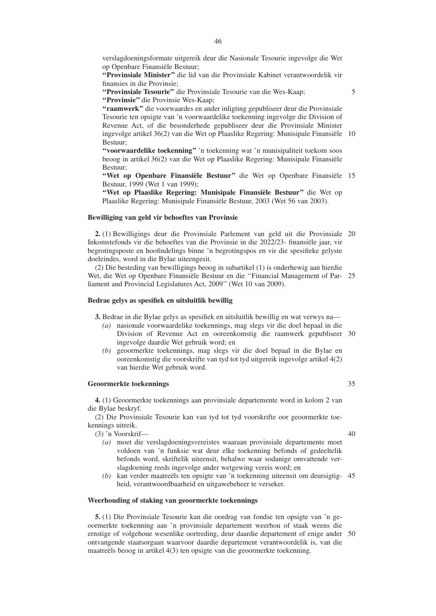verslagdoeningsformate uitgereik deur die Nasionale Tesourie ingevolge die Wet op Openbare Finansiële Bestuur;

**''Provinsiale Minister''** die lid van die Provinsiale Kabinet verantwoordelik vir finansies in die Provinsie;

**''Provinsiale Tesourie''** die Provinsiale Tesourie van die Wes-Kaap;

**''Provinsie''** die Provinsie Wes-Kaap;

**''raamwerk''** die voorwaardes en ander inligting gepubliseer deur die Provinsiale Tesourie ten opsigte van 'n voorwaardelike toekenning ingevolge die Division of Revenue Act, of die besonderhede gepubliseer deur die Provinsiale Minister ingevolge artikel 36(2) van die Wet op Plaaslike Regering: Munisipale Finansiële 10 Bestuur;

**''voorwaardelike toekenning''** 'n toekenning wat 'n munisipaliteit toekom soos beoog in artikel 36(2) van die Wet op Plaaslike Regering: Munisipale Finansiële Bestuur;

**''Wet op Openbare Finansiële Bestuur''** die Wet op Openbare Finansiële 15 Bestuur, 1999 (Wet 1 van 1999);

**''Wet op Plaaslike Regering: Munisipale Finansiële Bestuur''** die Wet op Plaaslike Regering: Munisipale Finansiële Bestuur, 2003 (Wet 56 van 2003).

#### **Bewilliging van geld vir behoeftes van Provinsie**

**2.** (1) Bewilligings deur die Provinsiale Parlement van geld uit die Provinsiale 20 Inkomstefonds vir die behoeftes van die Provinsie in die 2022/23- finansiële jaar, vir begrotingsposte en hoofindelings binne 'n begrotingspos en vir die spesifieke gelyste doeleindes, word in die Bylae uiteengesit.

(2) Die besteding van bewilligings beoog in subartikel (1) is onderhewig aan hierdie Wet, die Wet op Openbare Finansiële Bestuur en die ''Financial Management of Par-25 liament and Provincial Legislatures Act, 2009'' (Wet 10 van 2009).

#### **Bedrae gelys as spesifiek en uitsluitlik bewillig**

**3.** Bedrae in die Bylae gelys as spesifiek en uitsluitlik bewillig en wat verwys na—

- *(a)* nasionale voorwaardelike toekennings, mag slegs vir die doel bepaal in die Division of Revenue Act en ooreenkomstig die raamwerk gepubliseer 30 ingevolge daardie Wet gebruik word; en
- *(b)* geoormerkte toekennings, mag slegs vir die doel bepaal in die Bylae en ooreenkomstig die voorskrifte van tyd tot tyd uitgereik ingevolge artikel 4(2) van hierdie Wet gebruik word.

#### **Geoormerkte toekennings**

**4.** (1) Geoormerkte toekennings aan provinsiale departemente word in kolom 2 van die Bylae beskryf.

(2) Die Provinsiale Tesourie kan van tyd tot tyd voorskrifte oor geoormerkte toekennings uitreik.

(3) 'n Voorskrif—

40

35

5

- *(a)* moet die verslagdoeningsvereistes waaraan provinsiale departemente moet voldoen van 'n funksie wat deur elke toekenning befonds of gedeeltelik befonds word, skriftelik uiteensit, behalwe waar sodanige omvattende verslagdoening reeds ingevolge ander wetgewing vereis word; en
- *(b)* kan verder maatreëls ten opsigte van 'n toekenning uiteensit om deursigtig-45 heid, verantwoordbaarheid en uitgawebeheer te verseker.

#### **Weerhouding of staking van geoormerkte toekennings**

**5.** (1) Die Provinsiale Tesourie kan die oordrag van fondse ten opsigte van 'n geoormerkte toekenning aan 'n provinsiale departement weerhou of staak weens die ernstige of volgehoue wesenlike oortreding, deur daardie departement of enige ander 50ontvangende staatsorgaan waarvoor daardie departement verantwoordelik is, van die maatreëls beoog in artikel 4(3) ten opsigte van die geoormerkte toekenning.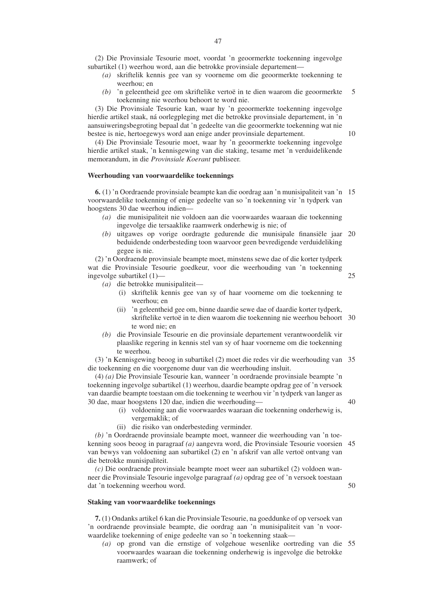(2) Die Provinsiale Tesourie moet, voordat 'n geoormerkte toekenning ingevolge subartikel (1) weerhou word, aan die betrokke provinsiale departement—

- *(a)* skriftelik kennis gee van sy voorneme om die geoormerkte toekenning te weerhou; en
- *(b)* 'n geleentheid gee om skriftelike vertoë in te dien waarom die geoormerkte toekenning nie weerhou behoort te word nie. 5

(3) Die Provinsiale Tesourie kan, waar hy 'n geoormerkte toekenning ingevolge hierdie artikel staak, ná oorlegpleging met die betrokke provinsiale departement, in 'n aansuiweringsbegroting bepaal dat 'n gedeelte van die geoormerkte toekenning wat nie bestee is nie, hertoegewys word aan enige ander provinsiale departement.

(4) Die Provinsiale Tesourie moet, waar hy 'n geoormerkte toekenning ingevolge hierdie artikel staak, 'n kennisgewing van die staking, tesame met 'n verduidelikende memorandum, in die *Provinsiale Koerant* publiseer.

#### **Weerhouding van voorwaardelike toekennings**

**6.** (1) 'n Oordraende provinsiale beampte kan die oordrag aan 'n munisipaliteit van 'n 15 voorwaardelike toekenning of enige gedeelte van so 'n toekenning vir 'n tydperk van hoogstens 30 dae weerhou indien—

- *(a)* die munisipaliteit nie voldoen aan die voorwaardes waaraan die toekenning ingevolge die tersaaklike raamwerk onderhewig is nie; of
- *(b)* uitgawes op vorige oordragte gedurende die munisipale finansiële jaar 20 beduidende onderbesteding toon waarvoor geen bevredigende verduideliking gegee is nie.

(2) 'n Oordraende provinsiale beampte moet, minstens sewe dae of die korter tydperk wat die Provinsiale Tesourie goedkeur, voor die weerhouding van 'n toekenning ingevolge subartikel (1)—

- *(a)* die betrokke munisipaliteit—
	- (i) skriftelik kennis gee van sy of haar voorneme om die toekenning te weerhou; en
	- (ii) 'n geleentheid gee om, binne daardie sewe dae of daardie korter tydperk, skriftelike vertoë in te dien waarom die toekenning nie weerhou behoort 30 te word nie; en
- *(b)* die Provinsiale Tesourie en die provinsiale departement verantwoordelik vir plaaslike regering in kennis stel van sy of haar voorneme om die toekenning te weerhou.

(3) 'n Kennisgewing beoog in subartikel (2) moet die redes vir die weerhouding van 35 die toekenning en die voorgenome duur van die weerhouding insluit.

(4) *(a)* Die Provinsiale Tesourie kan, wanneer 'n oordraende provinsiale beampte 'n toekenning ingevolge subartikel (1) weerhou, daardie beampte opdrag gee of 'n versoek van daardie beampte toestaan om die toekenning te weerhou vir 'n tydperk van langer as 30 dae, maar hoogstens 120 dae, indien die weerhouding—

- (i) voldoening aan die voorwaardes waaraan die toekenning onderhewig is, vergemaklik; of
- (ii) die risiko van onderbesteding verminder.

*(b)* 'n Oordraende provinsiale beampte moet, wanneer die weerhouding van 'n toekenning soos beoog in paragraaf *(a)* aangevra word, die Provinsiale Tesourie voorsien 45 van bewys van voldoening aan subartikel (2) en 'n afskrif van alle vertoë ontvang van die betrokke munisipaliteit.

*(c)* Die oordraende provinsiale beampte moet weer aan subartikel (2) voldoen wanneer die Provinsiale Tesourie ingevolge paragraaf *(a)* opdrag gee of 'n versoek toestaan dat 'n toekenning weerhou word.

#### **Staking van voorwaardelike toekennings**

**7.** (1) Ondanks artikel 6 kan die Provinsiale Tesourie, na goeddunke of op versoek van 'n oordraende provinsiale beampte, die oordrag aan 'n munisipaliteit van 'n voorwaardelike toekenning of enige gedeelte van so 'n toekenning staak—

*(a)* op grond van die ernstige of volgehoue wesenlike oortreding van die 55voorwaardes waaraan die toekenning onderhewig is ingevolge die betrokke raamwerk; of

25

10

50

40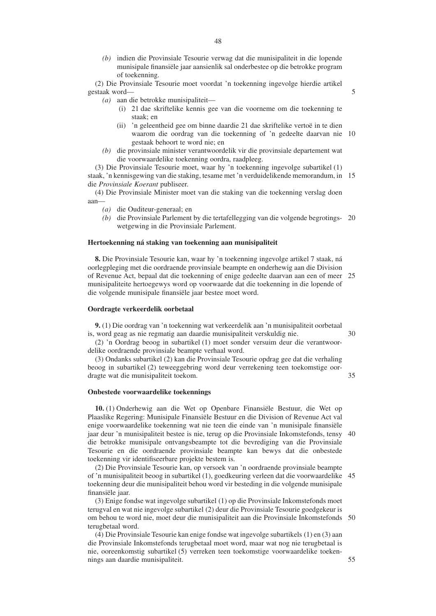*(b)* indien die Provinsiale Tesourie verwag dat die munisipaliteit in die lopende munisipale finansiële jaar aansienlik sal onderbestee op die betrokke program of toekenning.

(2) Die Provinsiale Tesourie moet voordat 'n toekenning ingevolge hierdie artikel gestaak word—

*(a)* aan die betrokke munisipaliteit—

- (i) 21 dae skriftelike kennis gee van die voorneme om die toekenning te staak; en
- (ii) 'n geleentheid gee om binne daardie 21 dae skriftelike vertoë in te dien waarom die oordrag van die toekenning of 'n gedeelte daarvan nie 10 gestaak behoort te word nie; en
- *(b)* die provinsiale minister verantwoordelik vir die provinsiale departement wat die voorwaardelike toekenning oordra, raadpleeg.

(3) Die Provinsiale Tesourie moet, waar hy 'n toekenning ingevolge subartikel (1) staak, 'n kennisgewing van die staking, tesame met 'n verduidelikende memorandum, in 15 die *Provinsiale Koerant* publiseer.

(4) Die Provinsiale Minister moet van die staking van die toekenning verslag doen aan—

- *(a)* die Ouditeur-generaal; en
- *(b)* die Provinsiale Parlement by die tertafellegging van die volgende begrotings-20 wetgewing in die Provinsiale Parlement.

#### **Hertoekenning ná staking van toekenning aan munisipaliteit**

**8.** Die Provinsiale Tesourie kan, waar hy 'n toekenning ingevolge artikel 7 staak, ná oorlegpleging met die oordraende provinsiale beampte en onderhewig aan die Division of Revenue Act, bepaal dat die toekenning of enige gedeelte daarvan aan een of meer 25 munisipaliteite hertoegewys word op voorwaarde dat die toekenning in die lopende of die volgende munisipale finansiële jaar bestee moet word.

#### **Oordragte verkeerdelik oorbetaal**

**9.** (1) Die oordrag van 'n toekenning wat verkeerdelik aan 'n munisipaliteit oorbetaal is, word geag as nie regmatig aan daardie munisipaliteit verskuldig nie. 30

(2) 'n Oordrag beoog in subartikel (1) moet sonder versuim deur die verantwoordelike oordraende provinsiale beampte verhaal word.

(3) Ondanks subartikel (2) kan die Provinsiale Tesourie opdrag gee dat die verhaling beoog in subartikel (2) teweeggebring word deur verrekening teen toekomstige oordragte wat die munisipaliteit toekom.

#### **Onbestede voorwaardelike toekennings**

**10.** (1) Onderhewig aan die Wet op Openbare Finansiële Bestuur, die Wet op Plaaslike Regering: Munisipale Finansiële Bestuur en die Division of Revenue Act val enige voorwaardelike toekenning wat nie teen die einde van 'n munisipale finansiële jaar deur 'n munisipaliteit bestee is nie, terug op die Provinsiale Inkomstefonds, tensy die betrokke munisipale ontvangsbeampte tot die bevrediging van die Provinsiale Tesourie en die oordraende provinsiale beampte kan bewys dat die onbestede toekenning vir identifiseerbare projekte bestem is. 40

(2) Die Provinsiale Tesourie kan, op versoek van 'n oordraende provinsiale beampte of 'n munisipaliteit beoog in subartikel (1), goedkeuring verleen dat die voorwaardelike 45 toekenning deur die munisipaliteit behou word vir besteding in die volgende munisipale finansiële jaar.

(3) Enige fondse wat ingevolge subartikel (1) op die Provinsiale Inkomstefonds moet terugval en wat nie ingevolge subartikel (2) deur die Provinsiale Tesourie goedgekeur is om behou te word nie, moet deur die munisipaliteit aan die Provinsiale Inkomstefonds 50 terugbetaal word.

(4) Die Provinsiale Tesourie kan enige fondse wat ingevolge subartikels (1) en (3) aan die Provinsiale Inkomstefonds terugbetaal moet word, maar wat nog nie terugbetaal is nie, ooreenkomstig subartikel (5) verreken teen toekomstige voorwaardelike toekennings aan daardie munisipaliteit.

35

55

5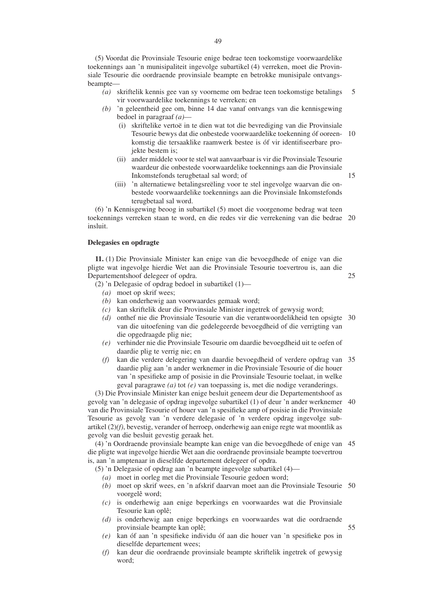(5) Voordat die Provinsiale Tesourie enige bedrae teen toekomstige voorwaardelike toekennings aan 'n munisipaliteit ingevolge subartikel (4) verreken, moet die Provinsiale Tesourie die oordraende provinsiale beampte en betrokke munisipale ontvangsbeampte—

- *(a)* skriftelik kennis gee van sy voorneme om bedrae teen toekomstige betalings vir voorwaardelike toekennings te verreken; en 5
- *(b)* 'n geleentheid gee om, binne 14 dae vanaf ontvangs van die kennisgewing bedoel in paragraaf *(a)*—
	- (i) skriftelike vertoë in te dien wat tot die bevrediging van die Provinsiale Tesourie bewys dat die onbestede voorwaardelike toekenning óf ooreen-10 komstig die tersaaklike raamwerk bestee is óf vir identifiseerbare projekte bestem is;

15

25

55

- (ii) ander middele voor te stel wat aanvaarbaar is vir die Provinsiale Tesourie waardeur die onbestede voorwaardelike toekennings aan die Provinsiale Inkomstefonds terugbetaal sal word; of
- (iii) 'n alternatiewe betalingsreëling voor te stel ingevolge waarvan die onbestede voorwaardelike toekennings aan die Provinsiale Inkomstefonds terugbetaal sal word.

(6) 'n Kennisgewing beoog in subartikel (5) moet die voorgenome bedrag wat teen toekennings verreken staan te word, en die redes vir die verrekening van die bedrae 20 insluit.

#### **Delegasies en opdragte**

**11.** (1) Die Provinsiale Minister kan enige van die bevoegdhede of enige van die pligte wat ingevolge hierdie Wet aan die Provinsiale Tesourie toevertrou is, aan die Departementshoof delegeer of opdra.

- (2) 'n Delegasie of opdrag bedoel in subartikel (1)—
	- *(a)* moet op skrif wees;
	- *(b)* kan onderhewig aan voorwaardes gemaak word;
	- *(c)* kan skriftelik deur die Provinsiale Minister ingetrek of gewysig word;
	- *(d)* onthef nie die Provinsiale Tesourie van die verantwoordelikheid ten opsigte 30 van die uitoefening van die gedelegeerde bevoegdheid of die verrigting van die opgedraagde plig nie;
	- *(e)* verhinder nie die Provinsiale Tesourie om daardie bevoegdheid uit te oefen of daardie plig te verrig nie; en
	- *(f)* kan die verdere delegering van daardie bevoegdheid of verdere opdrag van 35 daardie plig aan 'n ander werknemer in die Provinsiale Tesourie of die houer van 'n spesifieke amp of posisie in die Provinsiale Tesourie toelaat, in welke geval paragrawe *(a)* tot *(e)* van toepassing is, met die nodige veranderings.

(3) Die Provinsiale Minister kan enige besluit geneem deur die Departementshoof as gevolg van 'n delegasie of opdrag ingevolge subartikel (1) of deur 'n ander werknemer van die Provinsiale Tesourie of houer van 'n spesifieke amp of posisie in die Provinsiale Tesourie as gevolg van 'n verdere delegasie of 'n verdere opdrag ingevolge subartikel (2)*(f)*, bevestig, verander of herroep, onderhewig aan enige regte wat moontlik as gevolg van die besluit gevestig geraak het. 40

(4) 'n Oordraende provinsiale beampte kan enige van die bevoegdhede of enige van 45 die pligte wat ingevolge hierdie Wet aan die oordraende provinsiale beampte toevertrou is, aan 'n amptenaar in dieselfde departement delegeer of opdra.

(5) 'n Delegasie of opdrag aan 'n beampte ingevolge subartikel (4)—

- *(a)* moet in oorleg met die Provinsiale Tesourie gedoen word;
- *(b)* moet op skrif wees, en 'n afskrif daarvan moet aan die Provinsiale Tesourie 50 voorgelê word;
- *(c)* is onderhewig aan enige beperkings en voorwaardes wat die Provinsiale Tesourie kan oplê;
- *(d)* is onderhewig aan enige beperkings en voorwaardes wat die oordraende provinsiale beampte kan oplê;
- *(e)* kan óf aan 'n spesifieke individu óf aan die houer van 'n spesifieke pos in dieselfde departement wees;
- *(f)* kan deur die oordraende provinsiale beampte skriftelik ingetrek of gewysig word;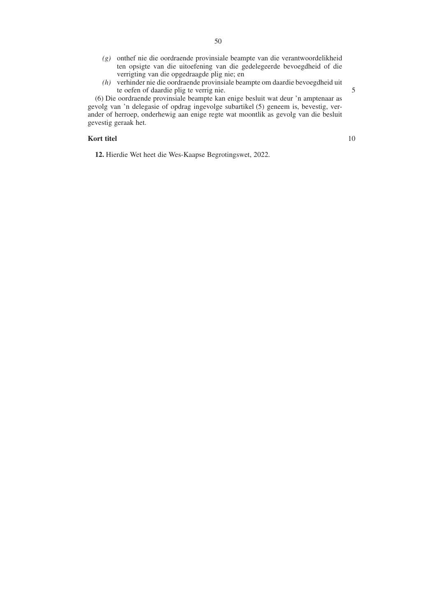- *(g)* onthef nie die oordraende provinsiale beampte van die verantwoordelikheid ten opsigte van die uitoefening van die gedelegeerde bevoegdheid of die verrigting van die opgedraagde plig nie; en
- *(h)* verhinder nie die oordraende provinsiale beampte om daardie bevoegdheid uit te oefen of daardie plig te verrig nie.

(6) Die oordraende provinsiale beampte kan enige besluit wat deur 'n amptenaar as gevolg van 'n delegasie of opdrag ingevolge subartikel (5) geneem is, bevestig, verander of herroep, onderhewig aan enige regte wat moontlik as gevolg van die besluit gevestig geraak het.

#### **Kort titel**

10

5

**12.** Hierdie Wet heet die Wes-Kaapse Begrotingswet, 2022.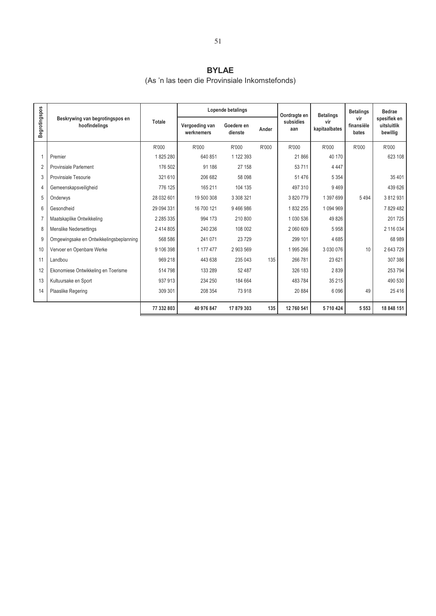## **BYLAE**

### (As 'n las teen die Provinsiale Inkomstefonds)

|               |                                                  |               |                              | Lopende betalings     |       | Oordragte en     | <b>Betalings</b>     | <b>Betalings</b>           | <b>Bedrae</b>                           |
|---------------|--------------------------------------------------|---------------|------------------------------|-----------------------|-------|------------------|----------------------|----------------------------|-----------------------------------------|
| Begrotingspos | Beskrywing van begrotingspos en<br>hoofindelings | Totale        | Vergoeding van<br>werknemers | Goedere en<br>dienste | Ander | subsidies<br>aan | vir<br>kapitaalbates | vir<br>finansiële<br>bates | spesifiek en<br>uitsluitlik<br>bewillig |
|               |                                                  | R'000         | R'000                        | R'000                 | R'000 | R'000            | R'000                | R'000                      | R'000                                   |
|               | Premier                                          | 1825280       | 640 851                      | 1 122 393             |       | 21866            | 40 170               |                            | 623 108                                 |
|               | <b>Provinsiale Parlement</b>                     | 176 502       | 91 186                       | 27 158                |       | 53711            | 4 4 4 7              |                            |                                         |
| 3             | Provinsiale Tesourie                             | 321 610       | 206 682                      | 58 098                |       | 51476            | 5 3 5 4              |                            | 35 4 0 1                                |
| 4             | Gemeenskapsveiligheid                            | 776 125       | 165 211                      | 104 135               |       | 497310           | 9469                 |                            | 439 626                                 |
| 5             | Onderwys                                         | 28 032 601    | 19 500 308                   | 3 308 321             |       | 3820779          | 1 397 699            | 5494                       | 3812931                                 |
| 6             | Gesondheid                                       | 29 094 331    | 16 700 121                   | 9466986               |       | 1832255          | 1 094 969            |                            | 7829482                                 |
|               | Maatskaplike Ontwikkeling                        | 2 2 8 5 3 3 5 | 994 173                      | 210 800               |       | 1 030 536        | 49 8 26              |                            | 201725                                  |
| 8             | <b>Menslike Nedersettings</b>                    | 2414805       | 240 236                      | 108 002               |       | 2 060 609        | 5958                 |                            | 2 116 034                               |
| 9             | Omgewingsake en Ontwikkelingsbeplanning          | 568 586       | 241 071                      | 23729                 |       | 299 101          | 4685                 |                            | 68 989                                  |
| 10            | Vervoer en Openbare Werke                        | 9 106 398     | 1 177 477                    | 2 903 569             |       | 1995 266         | 3 0 3 0 0 7 6        | 10 <sup>1</sup>            | 2643729                                 |
| 11            | Landbou                                          | 969 218       | 443 638                      | 235 043               | 135   | 266 781          | 23 6 21              |                            | 307 386                                 |
| 12            | Ekonomiese Ontwikkeling en Toerisme              | 514 798       | 133 289                      | 52 487                |       | 326 183          | 2839                 |                            | 253 794                                 |
| 13            | Kultuursake en Sport                             | 937913        | 234 250                      | 184 664               |       | 483784           | 35 215               |                            | 490 530                                 |
| 14            | Plaaslike Regering                               | 309 301       | 208 354                      | 73 918                |       | 20 884           | 6096                 | 49                         | 25 4 16                                 |
|               |                                                  |               |                              |                       |       |                  |                      |                            | 18 848 151                              |
|               |                                                  | 77 332 803    | 40 976 847                   | 17 879 303            | 135   | 12 760 541       | 5710424              | 5 5 5 3                    |                                         |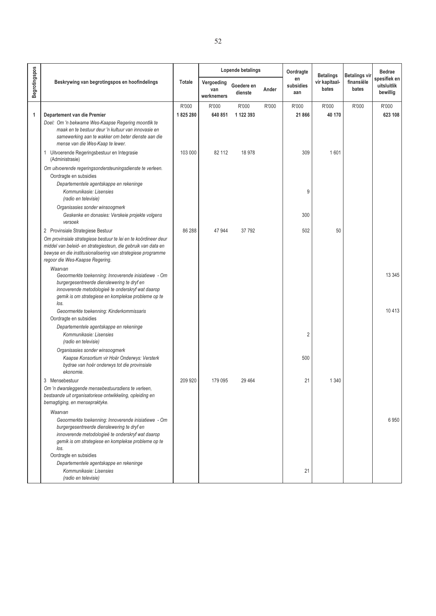|               |                                                                                                                                                                                                                                                                          |         |                                 | Lopende betalings     |       | Oordragte              | <b>Betalings</b>       | <b>Betalings vir</b> | <b>Bedrae</b>                           |
|---------------|--------------------------------------------------------------------------------------------------------------------------------------------------------------------------------------------------------------------------------------------------------------------------|---------|---------------------------------|-----------------------|-------|------------------------|------------------------|----------------------|-----------------------------------------|
| Begrotingspos | Beskrywing van begrotingspos en hoofindelings                                                                                                                                                                                                                            | Totale  | Vergoeding<br>van<br>werknemers | Goedere en<br>dienste | Ander | en<br>subsidies<br>aan | vir kapitaal-<br>bates | finansiële<br>bates  | spesifiek en<br>uitsluitlik<br>bewillig |
|               |                                                                                                                                                                                                                                                                          | R'000   | R'000                           | R'000                 | R'000 | R'000                  | R'000                  | R'000                | R'000                                   |
| $\mathbf{1}$  | Departement van die Premier                                                                                                                                                                                                                                              | 1825280 | 640 851                         | 1 122 393             |       | 21 866                 | 40 170                 |                      | 623 108                                 |
|               | Doel: Om 'n bekwame Wes-Kaapse Regering moontlik te<br>maak en te bestuur deur 'n kultuur van innovasie en<br>samewerking aan te wakker om beter dienste aan die<br>mense van die Wes-Kaap te lewer.                                                                     |         |                                 |                       |       |                        |                        |                      |                                         |
|               | 1 Uitvoerende Regeringsbestuur en Integrasie<br>(Administrasie)                                                                                                                                                                                                          | 103 000 | 82 112                          | 18978                 |       | 309                    | 1601                   |                      |                                         |
|               | Om uitvoerende regeringsondersteuningsdienste te verleen.                                                                                                                                                                                                                |         |                                 |                       |       |                        |                        |                      |                                         |
|               | Oordragte en subsidies                                                                                                                                                                                                                                                   |         |                                 |                       |       |                        |                        |                      |                                         |
|               | Departementele agentskappe en rekeninge<br>Kommunikasie: Lisensies<br>(radio en televisie)                                                                                                                                                                               |         |                                 |                       |       | 9                      |                        |                      |                                         |
|               | Organisasies sonder winsoogmerk<br>Geskenke en donasies: Verskeie projekte volgens<br>versoek                                                                                                                                                                            |         |                                 |                       |       | 300                    |                        |                      |                                         |
|               | 2 Provinsiale Strategiese Bestuur<br>Om provinsiale strategiese bestuur te lei en te koördineer deur<br>middel van beleid- en strategiesteun, die gebruik van data en<br>bewyse en die institusionalisering van strategiese programme<br>regoor die Wes-Kaapse Regering. | 86 288  | 47 944                          | 37792                 |       | 502                    | 50                     |                      |                                         |
|               | Waarvan<br>Geoormerkte toekenning: Innoverende inisiatiewe - Om<br>burgergesentreerde dienslewering te dryf en<br>innoverende metodologieë te onderskryf wat daarop<br>gemik is om strategiese en komplekse probleme op te<br>los.                                       |         |                                 |                       |       |                        |                        |                      | 13 345                                  |
|               | Geoormerkte toekenning: Kinderkommissaris                                                                                                                                                                                                                                |         |                                 |                       |       |                        |                        |                      | 10413                                   |
|               | Oordragte en subsidies                                                                                                                                                                                                                                                   |         |                                 |                       |       |                        |                        |                      |                                         |
|               | Departementele agentskappe en rekeninge<br>Kommunikasie: Lisensies<br>(radio en televisie)                                                                                                                                                                               |         |                                 |                       |       | $\overline{2}$         |                        |                      |                                         |
|               | Organisasies sonder winsoogmerk<br>Kaapse Konsortium vir Hoër Onderwys: Versterk<br>bydrae van hoër onderwys tot die provinsiale<br>ekonomie.                                                                                                                            |         |                                 |                       |       | 500                    |                        |                      |                                         |
|               | 3 Mensebestuur                                                                                                                                                                                                                                                           | 209 920 | 179 095                         | 29 4 64               |       | 21                     | 1 3 4 0                |                      |                                         |
|               | Om 'n dwarsleggende mensebestuursdiens te verleen,<br>bestaande uit organisatoriese ontwikkeling, opleiding en<br>bemagtiging, en mensepraktyke.                                                                                                                         |         |                                 |                       |       |                        |                        |                      |                                         |
|               | Waarvan                                                                                                                                                                                                                                                                  |         |                                 |                       |       |                        |                        |                      |                                         |
|               | Geoormerkte toekenning: Innoverende inisiatiewe - Om<br>burgergesentreerde dienslewering te dryf en<br>innoverende metodologieë te onderskryf wat daarop<br>gemik is om strategiese en komplekse probleme op te<br>los.                                                  |         |                                 |                       |       |                        |                        |                      | 6950                                    |
|               | Oordragte en subsidies<br>Departementele agentskappe en rekeninge<br>Kommunikasie: Lisensies<br>(radio en televisie)                                                                                                                                                     |         |                                 |                       |       | 21                     |                        |                      |                                         |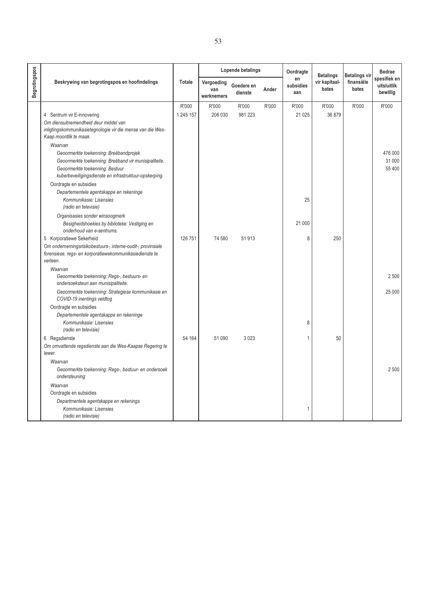|                      |                                                                                                                                    |               |                                 | Lopende betalings     |       | Oordragte              | <b>Betalings</b>       | <b>Betalings vir</b> | <b>Bedrae</b>                           |
|----------------------|------------------------------------------------------------------------------------------------------------------------------------|---------------|---------------------------------|-----------------------|-------|------------------------|------------------------|----------------------|-----------------------------------------|
| <b>Begrotingspos</b> | Beskrywing van begrotingspos en hoofindelings                                                                                      | <b>Totale</b> | Vergoeding<br>van<br>werknemers | Goedere en<br>dienste | Ander | en<br>subsidies<br>aan | vir kapitaal-<br>bates | finansiële<br>bates  | spesifiek en<br>uitsluitlik<br>bewillig |
|                      |                                                                                                                                    | R'000         | R'000                           | R'000                 | R'000 | R'000                  | R'000                  | R'000                | R'000                                   |
|                      | 4 Sentrum vir E-innovering                                                                                                         | 1 245 157     | 206 030                         | 981 223               |       | 21 0 25                | 36 879                 |                      |                                         |
|                      | Om diensuitnemendheid deur middel van<br>inligtingskommunikasietegnologie vir die mense van die Wes-<br>Kaap moontlik te maak.     |               |                                 |                       |       |                        |                        |                      |                                         |
|                      | Waarvan                                                                                                                            |               |                                 |                       |       |                        |                        |                      |                                         |
|                      | Geoormerkte toekenning: Breëbandprojek                                                                                             |               |                                 |                       |       |                        |                        |                      | 476 000                                 |
|                      | Geoormerkte toekenning: Breëband vir munisipaliteite.                                                                              |               |                                 |                       |       |                        |                        |                      | 31 000                                  |
|                      | Geoormerkte toekenning: Bestuur<br>kuberbeveiligingsdienste en infrastruktuur-opskerping.                                          |               |                                 |                       |       |                        |                        |                      | 55 400                                  |
|                      | Oordragte en subsidies                                                                                                             |               |                                 |                       |       |                        |                        |                      |                                         |
|                      | Departementele agentskappe en rekeninge<br>Kommunikasie: Lisensies<br>(radio en televisie)                                         |               |                                 |                       |       | 25                     |                        |                      |                                         |
|                      | Organisasies sonder winsoogmerk                                                                                                    |               |                                 |                       |       |                        |                        |                      |                                         |
|                      | Besigheidshoekies by biblioteke: Vestiging en<br>onderhoud van e-sentrums.                                                         |               |                                 |                       |       | 21 000                 |                        |                      |                                         |
|                      | 5 Korporatiewe Sekerheid                                                                                                           | 126 751       | 74 580                          | 51913                 |       | 8                      | 250                    |                      |                                         |
|                      | Om ondernemingsrisikobestuurs-, interne-oudit-, provinsiale<br>forensiese, regs- en korporatiewekommunikasiedienste te<br>verleen. |               |                                 |                       |       |                        |                        |                      |                                         |
|                      | Waarvan                                                                                                                            |               |                                 |                       |       |                        |                        |                      |                                         |
|                      | Geoormerkte toekenning: Regs-, bestuurs- en<br>ondersoeksteun aan munisipaliteite.                                                 |               |                                 |                       |       |                        |                        |                      | 2500                                    |
|                      | Geoormerkte toekenning: Strategiese kommunikasie en<br>COVID-19 inentings veldtog                                                  |               |                                 |                       |       |                        |                        |                      | 25 000                                  |
|                      | Oordragte en subsidies                                                                                                             |               |                                 |                       |       |                        |                        |                      |                                         |
|                      | Departementele agentskappe en rekeninge                                                                                            |               |                                 |                       |       |                        |                        |                      |                                         |
|                      | Kommunikasie: Lisensies<br>(radio en televisie)                                                                                    |               |                                 |                       |       | 8                      |                        |                      |                                         |
|                      | 6 Regsdienste                                                                                                                      | 54 164        | 51 090                          | 3023                  |       | 1                      | 50                     |                      |                                         |
|                      | Om omvattende regsdienste aan die Wes-Kaapse Regering te                                                                           |               |                                 |                       |       |                        |                        |                      |                                         |
|                      | lewer.                                                                                                                             |               |                                 |                       |       |                        |                        |                      |                                         |
|                      | Waarvan                                                                                                                            |               |                                 |                       |       |                        |                        |                      |                                         |
|                      | Geoormerkte toekenning: Regs-, bestuur- en ondersoek<br>ondersteuning                                                              |               |                                 |                       |       |                        |                        |                      | 2 500                                   |
|                      | Waarvan                                                                                                                            |               |                                 |                       |       |                        |                        |                      |                                         |
|                      | Oordragte en subsidies                                                                                                             |               |                                 |                       |       |                        |                        |                      |                                         |
|                      | Departmentele agentskappe en rekenings                                                                                             |               |                                 |                       |       |                        |                        |                      |                                         |
|                      | Kommunikasie: Lisensies<br>(radio en televisie)                                                                                    |               |                                 |                       |       | 1                      |                        |                      |                                         |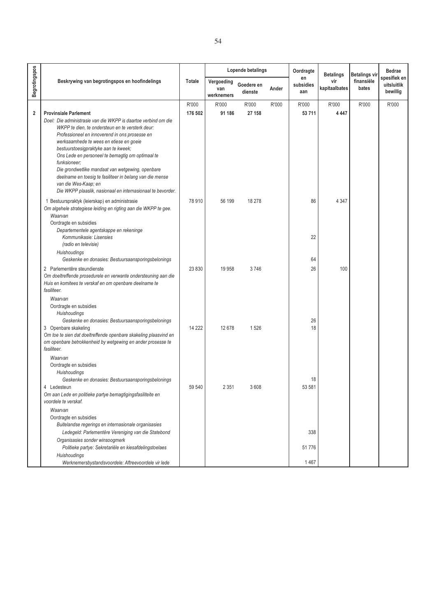|                      |                                                                                                                                 |               |                                 | Lopende betalings     |       | Oordragte              | <b>Betalings</b>     | <b>Betalings vir</b> | <b>Bedrae</b>                           |
|----------------------|---------------------------------------------------------------------------------------------------------------------------------|---------------|---------------------------------|-----------------------|-------|------------------------|----------------------|----------------------|-----------------------------------------|
| <b>Begrotingspos</b> | Beskrywing van begrotingspos en hoofindelings                                                                                   | <b>Totale</b> | Vergoeding<br>van<br>werknemers | Goedere en<br>dienste | Ander | en<br>subsidies<br>aan | vir<br>kapitaalbates | finansiële<br>bates  | spesifiek en<br>uitsluitlik<br>bewillig |
|                      |                                                                                                                                 | R'000         | R'000                           | R'000                 | R'000 | R'000                  | R'000                | R'000                | R'000                                   |
| 2                    | <b>Provinsiale Parlement</b>                                                                                                    | 176 502       | 91 186                          | 27 158                |       | 53711                  | 4 4 4 7              |                      |                                         |
|                      | Doel: Die administrasie van die WKPP is daartoe verbind om die                                                                  |               |                                 |                       |       |                        |                      |                      |                                         |
|                      | WKPP te dien, te ondersteun en te versterk deur:                                                                                |               |                                 |                       |       |                        |                      |                      |                                         |
|                      | Professioneel en innoverend in ons prosesse en                                                                                  |               |                                 |                       |       |                        |                      |                      |                                         |
|                      | werksaamhede te wees en etiese en goeie<br>bestuurstoesigpraktyke aan te kweek;                                                 |               |                                 |                       |       |                        |                      |                      |                                         |
|                      | Ons Lede en personeel te bemagtig om optimaal te                                                                                |               |                                 |                       |       |                        |                      |                      |                                         |
|                      | funksioneer;                                                                                                                    |               |                                 |                       |       |                        |                      |                      |                                         |
|                      | Die grondwetlike mandaat van wetgewing, openbare                                                                                |               |                                 |                       |       |                        |                      |                      |                                         |
|                      | deelname en toesig te fasiliteer in belang van die mense                                                                        |               |                                 |                       |       |                        |                      |                      |                                         |
|                      | van die Wes-Kaap; en<br>Die WKPP plaaslik, nasionaal en internasionaal te bevorder.                                             |               |                                 |                       |       |                        |                      |                      |                                         |
|                      |                                                                                                                                 |               |                                 |                       |       |                        |                      |                      |                                         |
|                      | 1 Bestuurspraktyk (leierskap) en administrasie                                                                                  | 78 910        | 56 199                          | 18 278                |       | 86                     | 4 3 4 7              |                      |                                         |
|                      | Om algehele strategiese leiding en rigting aan die WKPP te gee.<br>Waarvan                                                      |               |                                 |                       |       |                        |                      |                      |                                         |
|                      | Oordragte en subsidies                                                                                                          |               |                                 |                       |       |                        |                      |                      |                                         |
|                      | Departementele agentskappe en rekeninge                                                                                         |               |                                 |                       |       |                        |                      |                      |                                         |
|                      | Kommunikasie: Lisensies                                                                                                         |               |                                 |                       |       | 22                     |                      |                      |                                         |
|                      | (radio en televisie)                                                                                                            |               |                                 |                       |       |                        |                      |                      |                                         |
|                      | <b>Huishoudings</b>                                                                                                             |               |                                 |                       |       |                        |                      |                      |                                         |
|                      | Geskenke en donasies: Bestuursaansporingsbelonings                                                                              |               |                                 |                       |       | 64                     |                      |                      |                                         |
|                      | 2 Parlementêre steundienste                                                                                                     | 23 830        | 19 9 58                         | 3746                  |       | 26                     | 100                  |                      |                                         |
|                      | Om doeltreffende prosedurele en verwante ondersteuning aan die<br>Huis en komitees te verskaf en om openbare deelname te        |               |                                 |                       |       |                        |                      |                      |                                         |
|                      | fasiliteer.                                                                                                                     |               |                                 |                       |       |                        |                      |                      |                                         |
|                      | Waarvan                                                                                                                         |               |                                 |                       |       |                        |                      |                      |                                         |
|                      | Oordragte en subsidies                                                                                                          |               |                                 |                       |       |                        |                      |                      |                                         |
|                      | Huishoudings                                                                                                                    |               |                                 |                       |       |                        |                      |                      |                                         |
|                      | Geskenke en donasies: Bestuursaansporingsbelonings                                                                              |               |                                 |                       |       | 26                     |                      |                      |                                         |
|                      | 3 Openbare skakeling                                                                                                            | 14 222        | 12678                           | 1526                  |       | 18                     |                      |                      |                                         |
|                      | Om toe te sien dat doeltreffende openbare skakeling plaasvind en<br>om openbare betrokkenheid by wetgewing en ander prosesse te |               |                                 |                       |       |                        |                      |                      |                                         |
|                      | fasiliteer.                                                                                                                     |               |                                 |                       |       |                        |                      |                      |                                         |
|                      | Waarvan                                                                                                                         |               |                                 |                       |       |                        |                      |                      |                                         |
|                      | Oordragte en subsidies                                                                                                          |               |                                 |                       |       |                        |                      |                      |                                         |
|                      | Huishoudings                                                                                                                    |               |                                 |                       |       |                        |                      |                      |                                         |
|                      | Geskenke en donasies: Bestuursaansporingsbelonings                                                                              |               |                                 |                       |       | 18                     |                      |                      |                                         |
|                      | 4 Ledesteun                                                                                                                     | 59 540        | 2 3 5 1                         | 3608                  |       | 53 581                 |                      |                      |                                         |
|                      | Om aan Lede en politieke partye bemagtigingsfasiliteite en<br>voordele te verskaf.                                              |               |                                 |                       |       |                        |                      |                      |                                         |
|                      | Waarvan                                                                                                                         |               |                                 |                       |       |                        |                      |                      |                                         |
|                      | Oordragte en subsidies                                                                                                          |               |                                 |                       |       |                        |                      |                      |                                         |
|                      | Buitelandse regerings en internasionale organisasies                                                                            |               |                                 |                       |       |                        |                      |                      |                                         |
|                      | Ledegeld: Parlementêre Vereniging van die Statebond                                                                             |               |                                 |                       |       | 338                    |                      |                      |                                         |
|                      | Organisasies sonder winsoogmerk                                                                                                 |               |                                 |                       |       |                        |                      |                      |                                         |
|                      | Politieke partye: Sekretariële en kiesafdelingstoelaes                                                                          |               |                                 |                       |       | 51776                  |                      |                      |                                         |
|                      | Huishoudings                                                                                                                    |               |                                 |                       |       |                        |                      |                      |                                         |
|                      | Werknemersbystandsvoordele: Aftreevoordele vir lede                                                                             |               |                                 |                       |       | 1467                   |                      |                      |                                         |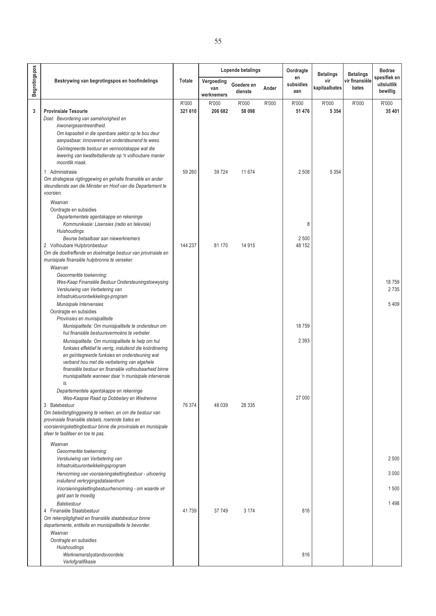|                      |                                                                                                                                                                                                                                                                                                                                             |         |                                 | <b>Lopende betalings</b> |       | Oordragte              | <b>Betalings</b>     | <b>Betalings</b>        | <b>Bedrae</b>                           |
|----------------------|---------------------------------------------------------------------------------------------------------------------------------------------------------------------------------------------------------------------------------------------------------------------------------------------------------------------------------------------|---------|---------------------------------|--------------------------|-------|------------------------|----------------------|-------------------------|-----------------------------------------|
| <b>Begrotingspos</b> | Beskrywing van begrotingspos en hoofindelings                                                                                                                                                                                                                                                                                               | Totale  | Vergoeding<br>van<br>werknemers | Goedere en<br>dienste    | Ander | en<br>subsidies<br>aan | vir<br>kapitaalbates | vir finansiële<br>bates | spesifiek en<br>uitsluitlik<br>bewillig |
|                      |                                                                                                                                                                                                                                                                                                                                             | R'000   | R'000                           | R'000                    | R'000 | R'000                  | R'000                | R'000                   | R'000                                   |
| 3                    | <b>Provinsiale Tesourie</b><br>Doel: Bevordering van samehorigheid en<br>inwonergesentreerdheid.                                                                                                                                                                                                                                            | 321 610 | 206 682                         | 58 098                   |       | 51 476                 | 5 3 5 4              |                         | 35 401                                  |
|                      | Om kapasiteit in die openbare sektor op te bou deur<br>aanpasbaar, innoverend en ondersteunend te wees.<br>Geïntegreerde bestuur en vennootskappe wat die<br>lewering van kwaliteitsdienste op 'n volhoubare manier<br>moontlik maak.                                                                                                       |         |                                 |                          |       |                        |                      |                         |                                         |
|                      | 1 Administrasie<br>Om strategiese rigtinggewing en gehalte finansiële en ander<br>steundienste aan die Minister en Hoof van die Departement te                                                                                                                                                                                              | 59 260  | 39724                           | 11 674                   |       | 2508                   | 5 3 5 4              |                         |                                         |
|                      | voorsien.<br>Waarvan<br>Oordragte en subsidies<br>Departementele agentskappe en rekeninge<br>Kommunikasie: Lisensies (radio en televisie)                                                                                                                                                                                                   |         |                                 |                          |       | 8                      |                      |                         |                                         |
|                      | Huishoudings<br>Beurse betaalbaar aan niewerknemers<br>2 Volhoubare Hulpbronbestuur                                                                                                                                                                                                                                                         | 144 237 | 81 170                          | 14 9 15                  |       | 2 500<br>48 152        |                      |                         |                                         |
|                      | Om die doeltreffende en doelmatige bestuur van provinsiale en<br>munisipale finansiële hulpbronne te verseker.<br>Waarvan                                                                                                                                                                                                                   |         |                                 |                          |       |                        |                      |                         |                                         |
|                      | Geoormerkte toekenning:<br>Wes-Kaap Finansiële Bestuur Ondersteuningstoewysing<br>Verskuiwing van Verbetering van<br>Infrastruktuurontwikkelings-program                                                                                                                                                                                    |         |                                 |                          |       |                        |                      |                         | 18759<br>2735                           |
|                      | Munisipale Intervensies<br>Oordragte en subsidies                                                                                                                                                                                                                                                                                           |         |                                 |                          |       |                        |                      |                         | 5409                                    |
|                      | Provinsies en munisipaliteite<br>Munisipaliteite: Om munisipaliteite te ondersteun om<br>hul finansiële bestuursvermoëns te verbeter.                                                                                                                                                                                                       |         |                                 |                          |       | 18759                  |                      |                         |                                         |
|                      | Munisipaliteite: Om munisipaliteite te help om hul<br>funksies effektief te verrig, insluitend die koördinering<br>en geïntegreerde funksies en ondersteuning wat<br>verband hou met die verbetering van algehele<br>finansiële bestuur en finansiële volhoubaarheid binne<br>munisipaliteite wanneer daar 'n munisipale intervensie<br>is. |         |                                 |                          |       | 2 3 9 3                |                      |                         |                                         |
|                      | Departementele agentskappe en rekeninge<br>Wes-Kaapse Raad op Dobbelary en Wedrenne<br>3 Batebestuur<br>Om beleidsrigtinggewing te verleen, en om die bestuur van<br>provinsiale finansiële stelsels, roerende bates en<br>voorsieningskettingbestuur binne die provinsiale en munisipale                                                   | 76 374  | 48 0 39                         | 28 3 35                  |       | 27 000                 |                      |                         |                                         |
|                      | sfeer te fasiliteer en toe te pas.<br>Waarvan                                                                                                                                                                                                                                                                                               |         |                                 |                          |       |                        |                      |                         |                                         |
|                      | Geoormerkte toekenning:<br>Verskuiwing van Verbetering van<br>Infrastruktuurontwikkelingsprogram                                                                                                                                                                                                                                            |         |                                 |                          |       |                        |                      |                         | 2 500                                   |
|                      | Hervorming van voorsieningskettingbestuur - uitvoering<br>insluitend verkrygingsdatasentrum                                                                                                                                                                                                                                                 |         |                                 |                          |       |                        |                      |                         | 3 0 0 0                                 |
|                      | Voorsieningskettingbestuurhervorming - om waarde vir<br>geld aan te moedig                                                                                                                                                                                                                                                                  |         |                                 |                          |       |                        |                      |                         | 1500                                    |
|                      | <b>Batebestuur</b>                                                                                                                                                                                                                                                                                                                          |         |                                 | 3 1 7 4                  |       | 816                    |                      |                         | 1498                                    |
|                      | 4 Finansiële Staatsbestuur<br>Om rekenpligtigheid en finansiële staatsbestuur binne<br>departemente, entiteite en munisipaliteite te bevorder.<br>Waarvan                                                                                                                                                                                   | 41739   | 37749                           |                          |       |                        |                      |                         |                                         |
|                      | Oordragte en subsidies<br>Huishoudings<br>Werknemersbystandsvoordele:<br>Verlofgratifikasie                                                                                                                                                                                                                                                 |         |                                 |                          |       | 816                    |                      |                         |                                         |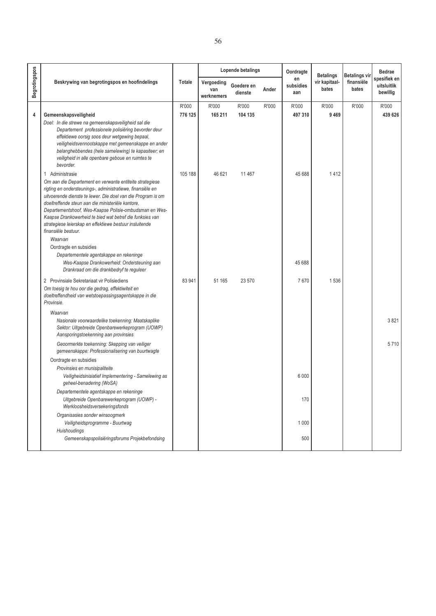|               |                                                                                                                                                                                                                                                                                                                                                                                                                                                     |               |                                 | Lopende betalings     |       | Oordragte              | <b>Betalings</b>       | Betalings vir       | <b>Bedrae</b>                           |
|---------------|-----------------------------------------------------------------------------------------------------------------------------------------------------------------------------------------------------------------------------------------------------------------------------------------------------------------------------------------------------------------------------------------------------------------------------------------------------|---------------|---------------------------------|-----------------------|-------|------------------------|------------------------|---------------------|-----------------------------------------|
| Begrotingspos | Beskrywing van begrotingspos en hoofindelings                                                                                                                                                                                                                                                                                                                                                                                                       | <b>Totale</b> | Vergoeding<br>van<br>werknemers | Goedere en<br>dienste | Ander | en<br>subsidies<br>aan | vir kapitaal-<br>bates | finansiële<br>bates | spesifiek en<br>uitsluitlik<br>bewillig |
|               |                                                                                                                                                                                                                                                                                                                                                                                                                                                     | R'000         | R'000                           | R'000                 | R'000 | R'000                  | R'000                  | R'000               | R'000                                   |
| 4             | Gemeenskapsveiligheid                                                                                                                                                                                                                                                                                                                                                                                                                               | 776 125       | 165 211                         | 104 135               |       | 497 310                | 9469                   |                     | 439 626                                 |
|               | Doel: In die strewe na gemeenskapsveiligheid sal die<br>Departement professionele polisiëring bevorder deur<br>effektiewe oorsig soos deur wetgewing bepaal.<br>veiligheidsvennootskappe met gemeenskappe en ander<br>belanghebbendes (hele samelewing) te kapasiteer; en<br>veiligheid in alle openbare geboue en ruimtes te<br>bevorder.                                                                                                          |               |                                 |                       |       |                        |                        |                     |                                         |
|               | 1 Administrasie                                                                                                                                                                                                                                                                                                                                                                                                                                     | 105 188       | 46 621                          | 11 467                |       | 45 688                 | 1412                   |                     |                                         |
|               | Om aan die Departement en verwante entiteite strategiese<br>rigting en ondersteunings-, administratiewe, finansiële en<br>uitvoerende dienste te lewer. Die doel van die Program is om<br>doeltreffende steun aan die ministeriële kantore,<br>Departementshoof, Wes-Kaapse Polisie-ombudsman en Wes-<br>Kaapse Drankowerheid te bied wat betref die funksies van<br>strategiese leierskap en effektiewe bestuur insluitende<br>finansiële bestuur. |               |                                 |                       |       |                        |                        |                     |                                         |
|               | Waarvan                                                                                                                                                                                                                                                                                                                                                                                                                                             |               |                                 |                       |       |                        |                        |                     |                                         |
|               | Oordragte en subsidies<br>Departementele agentskappe en rekeninge<br>Wes-Kaapse Drankowerheid: Ondersteuning aan<br>Drankraad om die drankbedryf te reguleer                                                                                                                                                                                                                                                                                        |               |                                 |                       |       | 45 688                 |                        |                     |                                         |
|               | 2 Provinsiale Sekretariaat vir Polisiediens<br>Om toesig te hou oor die gedrag, effektiwiteit en<br>doeltreffendheid van wetstoepassingsagentskappe in die<br>Provinsie.                                                                                                                                                                                                                                                                            | 83 941        | 51 165                          | 23 570                |       | 7670                   | 1536                   |                     |                                         |
|               | Waarvan<br>Nasionale voorwaardelike toekenning: Maatskaplike<br>Sektor: Uitgebreide Openbarewerkeprogram (UOWP)<br>Aansporingstoekenning aan provinsies                                                                                                                                                                                                                                                                                             |               |                                 |                       |       |                        |                        |                     | 3821                                    |
|               | Geoormerkte toekenning: Skepping van veiliger<br>gemeenskappe: Professionalisering van buurtwagte                                                                                                                                                                                                                                                                                                                                                   |               |                                 |                       |       |                        |                        |                     | 5710                                    |
|               | Oordragte en subsidies                                                                                                                                                                                                                                                                                                                                                                                                                              |               |                                 |                       |       |                        |                        |                     |                                         |
|               | Provinsies en munisipaliteite<br>Veiligheidsinisiatief Implementering - Samelewing as<br>geheel-benadering (WoSA)                                                                                                                                                                                                                                                                                                                                   |               |                                 |                       |       | 6 0 0 0                |                        |                     |                                         |
|               | Departementele agentskappe en rekeninge<br>Uitgebreide Openbarewerkeprogram (UOWP) -<br>Werkloosheidsversekeringsfonds                                                                                                                                                                                                                                                                                                                              |               |                                 |                       |       | 170                    |                        |                     |                                         |
|               | Organisasies sonder winsoogmerk<br>Veiligheidsprogramme - Buurtwag                                                                                                                                                                                                                                                                                                                                                                                  |               |                                 |                       |       | 1 0 0 0                |                        |                     |                                         |
|               | Huishoudings<br>Gemeenskapspolisiëringsforums Projekbefondsing                                                                                                                                                                                                                                                                                                                                                                                      |               |                                 |                       |       | 500                    |                        |                     |                                         |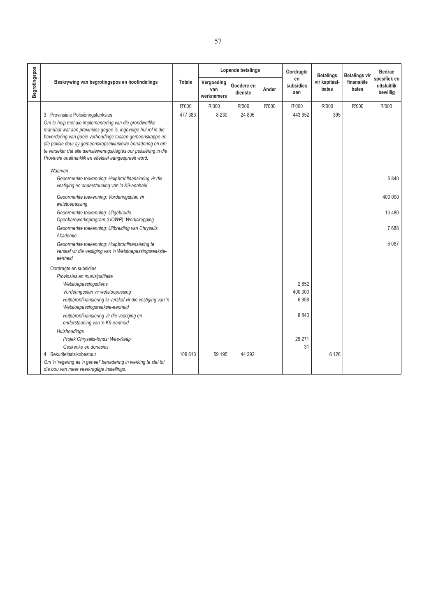| ×<br>v |  |
|--------|--|
|        |  |

|               |                                                                                                                           | Lopende betalings<br>Oordragte<br><b>Betalings</b> |                                 |                       | <b>Betalings vir</b> | <b>Bedrae</b>          |                        |                     |                                         |
|---------------|---------------------------------------------------------------------------------------------------------------------------|----------------------------------------------------|---------------------------------|-----------------------|----------------------|------------------------|------------------------|---------------------|-----------------------------------------|
| Begrotingspos | Beskrywing van begrotingspos en hoofindelings                                                                             | Totale                                             | Vergoeding<br>van<br>werknemers | Goedere en<br>dienste | Ander                | en<br>subsidies<br>aan | vir kapitaal-<br>bates | finansiële<br>bates | spesifiek en<br>uitsluitlik<br>bewillig |
|               |                                                                                                                           | R'000                                              | R'000                           | R'000                 | R'000                | R'000                  | R'000                  | R'000               | R'000                                   |
|               | 3 Provinsiale Polisiëringsfunksies                                                                                        | 477 383                                            | 8 2 3 0                         | 24 806                |                      | 443 952                | 395                    |                     |                                         |
|               | Om te help met die implementering van die grondwetlike                                                                    |                                                    |                                 |                       |                      |                        |                        |                     |                                         |
|               | mandaat wat aan provinsies gegee is, ingevolge hul rol in die<br>bevordering van goeie verhoudinge tussen gemeenskappe en |                                                    |                                 |                       |                      |                        |                        |                     |                                         |
|               | die polisie deur sy gemeenskapsinklusiewe benadering en om                                                                |                                                    |                                 |                       |                      |                        |                        |                     |                                         |
|               | te verseker dat alle diensleweringsklagtes oor polisiëring in die                                                         |                                                    |                                 |                       |                      |                        |                        |                     |                                         |
|               | Provinsie onafhanklik en effektief aangespreek word.                                                                      |                                                    |                                 |                       |                      |                        |                        |                     |                                         |
|               | Waarvan                                                                                                                   |                                                    |                                 |                       |                      |                        |                        |                     |                                         |
|               | Geoormerkte toekenning: Hulpbronfinansiering vir die                                                                      |                                                    |                                 |                       |                      |                        |                        |                     | 5840                                    |
|               | vestiging en ondersteuning van 'n K9-eenheid                                                                              |                                                    |                                 |                       |                      |                        |                        |                     |                                         |
|               | Geoormerkte toekenning: Vorderingsplan vir<br>wetstoepassing                                                              |                                                    |                                 |                       |                      |                        |                        |                     | 400 000                                 |
|               | Geoormerkte toekenning: Uitgebreide<br>Openbarewerkeprogram (UOWP): Werkskepping                                          |                                                    |                                 |                       |                      |                        |                        |                     | 10 480                                  |
|               | Geoormerkte toekenning: Uitbreiding van Chrysalis<br>Akademie                                                             |                                                    |                                 |                       |                      |                        |                        |                     | 7688                                    |
|               | Geoormerkte toekenning: Hulpbronfinansiering te                                                                           |                                                    |                                 |                       |                      |                        |                        |                     | 6 0 8 7                                 |
|               | verskaf vir die vestiging van 'n Wetstoepassingsreaksie-<br>eenheid                                                       |                                                    |                                 |                       |                      |                        |                        |                     |                                         |
|               | Oordragte en subsidies                                                                                                    |                                                    |                                 |                       |                      |                        |                        |                     |                                         |
|               | Provinsies en munisipaliteite                                                                                             |                                                    |                                 |                       |                      |                        |                        |                     |                                         |
|               | Wetstoepassingsdiens                                                                                                      |                                                    |                                 |                       |                      | 2852                   |                        |                     |                                         |
|               | Vorderingsplan vir wetstoepassing                                                                                         |                                                    |                                 |                       |                      | 400 000<br>6958        |                        |                     |                                         |
|               | Hulpbronfinansiering te verskaf vir die vestiging van 'n<br>Wetstoepassingsreaksie-eenheid                                |                                                    |                                 |                       |                      |                        |                        |                     |                                         |
|               | Hulpbronfinansiering vir die vestiging en<br>ondersteuning van 'n K9-eenheid                                              |                                                    |                                 |                       |                      | 8840                   |                        |                     |                                         |
|               | <b>Huishoudings</b>                                                                                                       |                                                    |                                 |                       |                      |                        |                        |                     |                                         |
|               | Projek Chrysalis-fonds: Wes-Kaap                                                                                          |                                                    |                                 |                       |                      | 25 271                 |                        |                     |                                         |
|               | Geskenke en donasies                                                                                                      |                                                    |                                 |                       |                      | 31                     |                        |                     |                                         |
|               | 4 Sekuriteitsrisikobestuur                                                                                                | 109 613                                            | 59 195                          | 44 292                |                      |                        | 6 1 2 6                |                     |                                         |
|               | Om 'n 'regering as 'n geheel' benadering in werking te stel tot<br>die bou van meer veerkragtige instellings.             |                                                    |                                 |                       |                      |                        |                        |                     |                                         |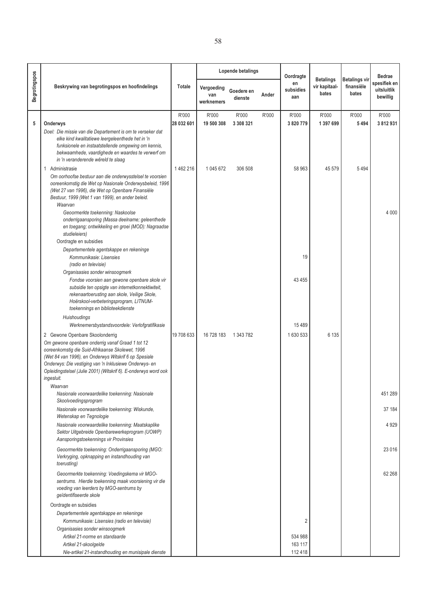|               |                                                                                                                                                                                                                                                                                                                                                        |                     |                                 | <b>Lopende betalings</b> |       | Oordragte                     |                                            |                                             | <b>Bedrae</b>                           |
|---------------|--------------------------------------------------------------------------------------------------------------------------------------------------------------------------------------------------------------------------------------------------------------------------------------------------------------------------------------------------------|---------------------|---------------------------------|--------------------------|-------|-------------------------------|--------------------------------------------|---------------------------------------------|-----------------------------------------|
| Begrotingspos | Beskrywing van begrotingspos en hoofindelings                                                                                                                                                                                                                                                                                                          | Totale              | Vergoeding<br>van<br>werknemers | Goedere en<br>dienste    | Ander | en<br>subsidies<br>aan        | <b>Betalings</b><br>vir kapitaal-<br>bates | <b>Betalings vir</b><br>finansiële<br>bates | spesifiek en<br>uitsluitlik<br>bewillig |
| 5             | Onderwys                                                                                                                                                                                                                                                                                                                                               | R'000<br>28 032 601 | R'000<br>19 500 308             | R'000<br>3 308 321       | R'000 | R'000<br>3 8 20 7 79          | R'000<br>1 397 699                         | R'000<br>5494                               | R'000<br>3 812 931                      |
|               | Doel: Die missie van die Departement is om te verseker dat<br>elke kind kwalitatiewe leergeleenthede het in 'n<br>funksionele en instaatstellende omgewing om kennis,<br>bekwaamhede, vaardighede en waardes te verwerf om<br>in 'n veranderende wêreld te slaag                                                                                       |                     |                                 |                          |       |                               |                                            |                                             |                                         |
|               | 1 Administrasie<br>Om oorhoofse bestuur aan die onderwysstelsel te voorsien<br>ooreenkomstig die Wet op Nasionale Onderwysbeleid, 1996<br>(Wet 27 van 1996), die Wet op Openbare Finansiële<br>Bestuur, 1999 (Wet 1 van 1999), en ander beleid.<br>Waarvan                                                                                             | 1462216             | 1 045 672                       | 306 508                  |       | 58 963                        | 45 579                                     | 5494                                        |                                         |
|               | Geoormerkte toekenning: Naskoolse<br>onderrigaansporing (Massa deelname; geleenthede<br>en toegang; ontwikkeling en groei (MOD): Nagraadse<br>studieleiers)<br>Oordragte en subsidies                                                                                                                                                                  |                     |                                 |                          |       |                               |                                            |                                             | 4 0 0 0                                 |
|               | Departementele agentskappe en rekeninge<br>Kommunikasie: Lisensies<br>(radio en televisie)                                                                                                                                                                                                                                                             |                     |                                 |                          |       | 19                            |                                            |                                             |                                         |
|               | Organisasies sonder winsoogmerk<br>Fondse voorsien aan gewone openbare skole vir<br>subsidie ten opsigte van internetkonnektiwiteit,<br>rekenaartoerusting aan skole, Veilige Skole,<br>Hoërskool-verbeteringsprogram, LITNUM-<br>toekennings en biblioteekdienste                                                                                     |                     |                                 |                          |       | 43 4 55                       |                                            |                                             |                                         |
|               | Huishoudings<br>Werknemersbystandsvoordele: Verlofgratifikasie                                                                                                                                                                                                                                                                                         |                     |                                 |                          |       | 15 4 8 9                      |                                            |                                             |                                         |
|               | 2 Gewone Openbare Skoolonderrig<br>Om gewone openbare onderrig vanaf Graad 1 tot 12<br>ooreenkomstig die Suid-Afrikaanse Skolewet, 1996<br>(Wet 84 van 1996), en Onderwys Witskrif 6 op Spesiale<br>Onderwys: Die vestiging van 'n Inklusiewe Onderwys- en<br>Opleidingstelsel (Julie 2001) (Witskrif 6). E-onderwys word ook<br>ingesluit.<br>Waarvan | 19 708 633          | 16 728 183                      | 1 343 782                |       | 1630533                       | 6 1 3 5                                    |                                             |                                         |
|               | Nasionale voorwaardelike toekenning: Nasionale<br>Skoolvoedingsprogram                                                                                                                                                                                                                                                                                 |                     |                                 |                          |       |                               |                                            |                                             | 451 289                                 |
|               | Nasionale voorwaardelike toekenning: Wiskunde,<br>Wetenskap en Tegnologie                                                                                                                                                                                                                                                                              |                     |                                 |                          |       |                               |                                            |                                             | 37 184                                  |
|               | Nasionale voorwaardelike toekenning: Maatskaplike<br>Sektor Uitgebreide Openbarewerkeprogram (UOWP)<br>Aansporingstoekennings vir Provinsies                                                                                                                                                                                                           |                     |                                 |                          |       |                               |                                            |                                             | 4929                                    |
|               | Geoormerkte toekenning: Onderrigaansporing (MGO:<br>Verkryging, opknapping en instandhouding van<br>toerusting)                                                                                                                                                                                                                                        |                     |                                 |                          |       |                               |                                            |                                             | 23 0 16                                 |
|               | Geoormerkte toekenning: Voedingskema vir MGO-<br>sentrums. Hierdie toekenning maak voorsiening vir die<br>voeding van leerders by MGO-sentrums by<br>geïdentifiseerde skole                                                                                                                                                                            |                     |                                 |                          |       |                               |                                            |                                             | 62 268                                  |
|               | Oordragte en subsidies<br>Departementele agentskappe en rekeninge<br>Kommunikasie: Lisensies (radio en televisie)<br>Organisasies sonder winsoogmerk                                                                                                                                                                                                   |                     |                                 |                          |       | $\overline{c}$                |                                            |                                             |                                         |
|               | Artikel 21-norme en standaarde<br>Artikel 21-skoolgelde<br>Nie-artikel 21-instandhouding en munisipale dienste                                                                                                                                                                                                                                         |                     |                                 |                          |       | 534 988<br>163 117<br>112 418 |                                            |                                             |                                         |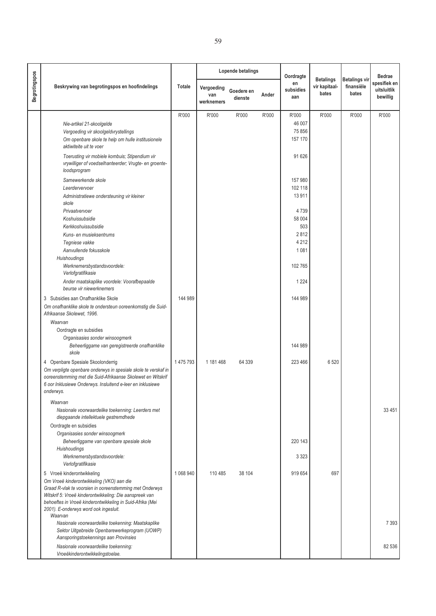|               |                                                                                                                         |         |                                 | Lopende betalings     |       | Oordragte              |                                            |                                             | <b>Bedrae</b><br>spesifiek en<br>uitsluitlik<br>bewillig |
|---------------|-------------------------------------------------------------------------------------------------------------------------|---------|---------------------------------|-----------------------|-------|------------------------|--------------------------------------------|---------------------------------------------|----------------------------------------------------------|
| Begrotingspos | Beskrywing van begrotingspos en hoofindelings                                                                           | Totale  | Vergoeding<br>van<br>werknemers | Goedere en<br>dienste | Ander | en<br>subsidies<br>aan | <b>Betalings</b><br>vir kapitaal-<br>bates | <b>Betalings vir</b><br>finansiële<br>bates |                                                          |
|               |                                                                                                                         | R'000   | R'000                           | R'000                 | R'000 | R'000                  | R'000                                      | R'000                                       | R'000                                                    |
|               | Nie-artikel 21-skoolgelde                                                                                               |         |                                 |                       |       | 46 007                 |                                            |                                             |                                                          |
|               | Vergoeding vir skoolgeldvrystellings                                                                                    |         |                                 |                       |       | 75 856                 |                                            |                                             |                                                          |
|               | Om openbare skole te help om hulle institusionele<br>aktiwiteite uit te voer                                            |         |                                 |                       |       | 157 170                |                                            |                                             |                                                          |
|               | Toerusting vir mobiele kombuis; Stipendium vir<br>vrywilliger of voedselhanteerder; Vrugte- en groente-<br>loodsprogram |         |                                 |                       |       | 91 626                 |                                            |                                             |                                                          |
|               | Samewerkende skole                                                                                                      |         |                                 |                       |       | 157 980                |                                            |                                             |                                                          |
|               | Leerdervervoer                                                                                                          |         |                                 |                       |       | 102 118                |                                            |                                             |                                                          |
|               | Administratiewe ondersteuning vir kleiner<br>skole                                                                      |         |                                 |                       |       | 13911                  |                                            |                                             |                                                          |
|               | Privaatvervoer                                                                                                          |         |                                 |                       |       | 4739                   |                                            |                                             |                                                          |
|               | Koshuissubsidie                                                                                                         |         |                                 |                       |       | 58 004                 |                                            |                                             |                                                          |
|               | Kerkkoshuissubsidie                                                                                                     |         |                                 |                       |       | 503                    |                                            |                                             |                                                          |
|               | Kuns- en musieksentrums<br>Tegniese vakke                                                                               |         |                                 |                       |       | 2812<br>4 2 1 2        |                                            |                                             |                                                          |
|               | Aanvullende fokusskole                                                                                                  |         |                                 |                       |       | 1 0 8 1                |                                            |                                             |                                                          |
|               | Huishoudings                                                                                                            |         |                                 |                       |       |                        |                                            |                                             |                                                          |
|               | Werknemersbystandsvoordele:<br>Verlofgratifikasie                                                                       |         |                                 |                       |       | 102 765                |                                            |                                             |                                                          |
|               | Ander maatskaplike voordele: Voorafbepaalde<br>beurse vir niewerknemers                                                 |         |                                 |                       |       | 1 2 2 4                |                                            |                                             |                                                          |
|               | 3 Subsidies aan Onafhanklike Skole                                                                                      | 144 989 |                                 |                       |       | 144 989                |                                            |                                             |                                                          |
|               | Om onafhanklike skole te ondersteun ooreenkomstig die Suid-                                                             |         |                                 |                       |       |                        |                                            |                                             |                                                          |
|               | Afrikaanse Skolewet, 1996.                                                                                              |         |                                 |                       |       |                        |                                            |                                             |                                                          |
|               | Waarvan                                                                                                                 |         |                                 |                       |       |                        |                                            |                                             |                                                          |
|               | Oordragte en subsidies                                                                                                  |         |                                 |                       |       |                        |                                            |                                             |                                                          |
|               | Organisasies sonder winsoogmerk<br>Beheerliggame van geregistreerde onafhanklike                                        |         |                                 |                       |       | 144 989                |                                            |                                             |                                                          |
|               | skole                                                                                                                   |         |                                 |                       |       |                        |                                            |                                             |                                                          |
|               | 4 Openbare Spesiale Skoolonderrig                                                                                       | 1475793 | 1 181 468                       | 64 339                |       | 223 466                | 6520                                       |                                             |                                                          |
|               | Om verpligte openbare onderwys in spesiale skole te verskaf in                                                          |         |                                 |                       |       |                        |                                            |                                             |                                                          |
|               | ooreenstemming met die Suid-Afrikaanse Skolewet en Witskrif                                                             |         |                                 |                       |       |                        |                                            |                                             |                                                          |
|               | 6 oor Inklusiewe Onderwys. Insluitend e-leer en inklusiewe<br>onderwys.                                                 |         |                                 |                       |       |                        |                                            |                                             |                                                          |
|               | Waarvan                                                                                                                 |         |                                 |                       |       |                        |                                            |                                             |                                                          |
|               | Nasionale voorwaardelike toekenning: Leerders met<br>diepgaande intellektuele gestremdhede                              |         |                                 |                       |       |                        |                                            |                                             | 33 4 51                                                  |
|               | Oordragte en subsidies                                                                                                  |         |                                 |                       |       |                        |                                            |                                             |                                                          |
|               | Organisasies sonder winsoogmerk                                                                                         |         |                                 |                       |       |                        |                                            |                                             |                                                          |
|               | Beheerliggame van openbare spesiale skole                                                                               |         |                                 |                       |       | 220 143                |                                            |                                             |                                                          |
|               | Huishoudings<br>Werknemersbystandsvoordele:                                                                             |         |                                 |                       |       | 3 3 2 3                |                                            |                                             |                                                          |
|               | Verlofgratifikasie                                                                                                      |         |                                 |                       |       |                        |                                            |                                             |                                                          |
|               | 5 Vroeë kinderontwikkeling                                                                                              | 1068940 | 110 485                         | 38 104                |       | 919 654                | 697                                        |                                             |                                                          |
|               | Om Vroeë kinderontwikkeling (VKO) aan die                                                                               |         |                                 |                       |       |                        |                                            |                                             |                                                          |
|               | Graad R-vlak te voorsien in ooreenstemming met Onderwys                                                                 |         |                                 |                       |       |                        |                                            |                                             |                                                          |
|               | Witskrif 5: Vroeë kinderontwikkeling: Die aanspreek van<br>behoeftes in Vroeë kinderontwikkeling in Suid-Afrika (Mei    |         |                                 |                       |       |                        |                                            |                                             |                                                          |
|               | 2001). E-onderwys word ook ingesluit.                                                                                   |         |                                 |                       |       |                        |                                            |                                             |                                                          |
|               | Waarvan                                                                                                                 |         |                                 |                       |       |                        |                                            |                                             |                                                          |
|               | Nasionale voorwaardelike toekenning: Maatskaplike                                                                       |         |                                 |                       |       |                        |                                            |                                             | 7 3 9 3                                                  |
|               | Sektor Uitgebreide Openbarewerkeprogram (UOWP)<br>Aansporingstoekennings aan Provinsies                                 |         |                                 |                       |       |                        |                                            |                                             |                                                          |
|               | Nasionale voorwaardelike toekenning:<br>Vroeëkinderontwikkelingstoelae.                                                 |         |                                 |                       |       |                        |                                            |                                             | 82 536                                                   |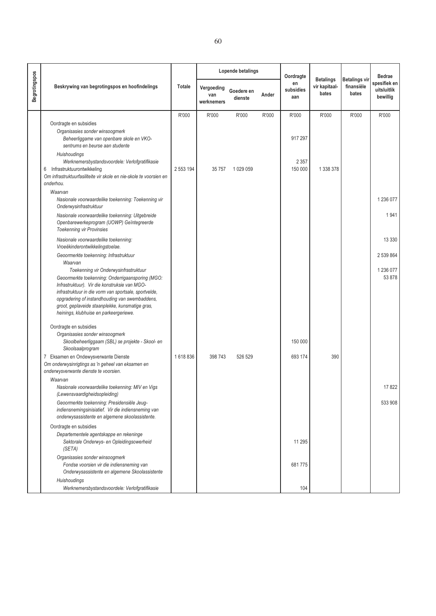|                      |                                                                                                                                                                                                                                                                                                                                                    |           |                                 | <b>Lopende betalings</b> |       | Oordragte              |                                            |                                             | <b>Bedrae</b>                           |
|----------------------|----------------------------------------------------------------------------------------------------------------------------------------------------------------------------------------------------------------------------------------------------------------------------------------------------------------------------------------------------|-----------|---------------------------------|--------------------------|-------|------------------------|--------------------------------------------|---------------------------------------------|-----------------------------------------|
| <b>Begrotingspos</b> | Beskrywing van begrotingspos en hoofindelings                                                                                                                                                                                                                                                                                                      | Totale    | Vergoeding<br>van<br>werknemers | Goedere en<br>dienste    | Ander | en<br>subsidies<br>aan | <b>Betalings</b><br>vir kapitaal-<br>bates | <b>Betalings vir</b><br>finansiële<br>bates | spesifiek en<br>uitsluitlik<br>bewillig |
|                      |                                                                                                                                                                                                                                                                                                                                                    | R'000     | R'000                           | R'000                    | R'000 | R'000                  | R'000                                      | R'000                                       | R'000                                   |
|                      | Oordragte en subsidies<br>Organisasies sonder winsoogmerk<br>Beheerliggame van openbare skole en VKO-<br>sentrums en beurse aan studente<br>Huishoudings                                                                                                                                                                                           |           |                                 |                          |       | 917 297                |                                            |                                             |                                         |
|                      | Werknemersbystandsvoordele: Verlofgratifikasie<br>Infrastruktuurontwikkeling<br>6<br>Om infrastruktuurfasiliteite vir skole en nie-skole te voorsien en<br>onderhou.                                                                                                                                                                               | 2 553 194 | 35757                           | 1 029 059                |       | 2 3 5 7<br>150 000     | 1 338 378                                  |                                             |                                         |
|                      | Waarvan<br>Nasionale voorwaardelike toekenning: Toekenning vir<br>Onderwysinfrastruktuur                                                                                                                                                                                                                                                           |           |                                 |                          |       |                        |                                            |                                             | 1 236 077                               |
|                      | Nasionale voorwaardelike toekenning: Uitgebreide<br>Openbarewerkeprogram (UOWP) Geïntegreerde<br><b>Toekenning vir Provinsies</b>                                                                                                                                                                                                                  |           |                                 |                          |       |                        |                                            |                                             | 1941                                    |
|                      | Nasionale voorwaardelike toekenning:<br>Vroeëkinderontwikkelingstoelae.                                                                                                                                                                                                                                                                            |           |                                 |                          |       |                        |                                            |                                             | 13 3 3 0                                |
|                      | Geoormerkte toekenning: Infrastruktuur<br>Waarvan                                                                                                                                                                                                                                                                                                  |           |                                 |                          |       |                        |                                            |                                             | 2 539 864                               |
|                      | Toekenning vir Onderwysinfrastruktuur<br>Geoormerkte toekenning: Onderrigaansporing (MGO:<br>Infrastruktuur). Vir die konstruksie van MGO-<br>infrastruktuur in die vorm van sportsale, sportvelde,<br>opgradering of instandhouding van swembaddens,<br>groot, geplaveide staanplekke, kunsmatige gras,<br>heinings, klubhuise en parkeergeriewe. |           |                                 |                          |       |                        |                                            |                                             | 1 236 077<br>53 878                     |
|                      | Oordragte en subsidies<br>Organisasies sonder winsoogmerk<br>Skoolbeheerliggaam (SBL) se projekte - Skool- en<br>Skoolsaalprogram                                                                                                                                                                                                                  |           |                                 |                          |       | 150 000                |                                            |                                             |                                         |
|                      | 7 Eksamen en Ondewysverwante Dienste<br>Om onderwysinrigtings as 'n geheel van eksamen en<br>onderwysverwante dienste te voorsien.                                                                                                                                                                                                                 | 1618836   | 398 743                         | 526 529                  |       | 693 174                | 390                                        |                                             |                                         |
|                      | Waarvan<br>Nasionale voorwaardelike toekenning: MIV en Vigs<br>(Lewensvaardigheidsopleiding)                                                                                                                                                                                                                                                       |           |                                 |                          |       |                        |                                            |                                             | 17822                                   |
|                      | Geoormerkte toekenning: Presidensiële Jeug-<br>indiensnemingsinisiatief. Vir die indiensneming van<br>onderwysassistente en algemene skoolassistente.                                                                                                                                                                                              |           |                                 |                          |       |                        |                                            |                                             | 533 908                                 |
|                      | Oordragte en subsidies<br>Departementele agentskappe en rekeninge<br>Sektorale Onderwys- en Opleidingsowerheid<br>(SETA)                                                                                                                                                                                                                           |           |                                 |                          |       | 11 295                 |                                            |                                             |                                         |
|                      | Organisasies sonder winsoogmerk<br>Fondse voorsien vir die indiensneming van<br>Onderwysassistente en algemene Skoolassistente                                                                                                                                                                                                                     |           |                                 |                          |       | 681775                 |                                            |                                             |                                         |
|                      | Huishoudings<br>Werknemersbystandsvoordele: Verlofgratifikasie                                                                                                                                                                                                                                                                                     |           |                                 |                          |       | 104                    |                                            |                                             |                                         |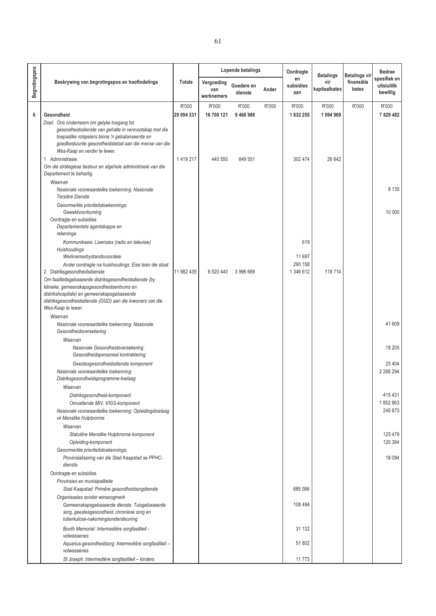|               |                                                                                                                                                                                                                                                |            |                                 | Lopende betalings     |       | Oordragte              | <b>Betalings</b>     | <b>Betalings vir</b> | <b>Bedrae</b>                           |
|---------------|------------------------------------------------------------------------------------------------------------------------------------------------------------------------------------------------------------------------------------------------|------------|---------------------------------|-----------------------|-------|------------------------|----------------------|----------------------|-----------------------------------------|
| Begrotingspos | Beskrywing van begrotingspos en hoofindelings                                                                                                                                                                                                  | Totale     | Vergoeding<br>van<br>werknemers | Goedere en<br>dienste | Ander | en<br>subsidies<br>aan | vir<br>kapitaalbates | finansiële<br>bates  | spesifiek en<br>uitsluitlik<br>bewillig |
|               |                                                                                                                                                                                                                                                | R'000      | R'000                           | R'000                 | R'000 | R'000                  | R'000                | R'000                | R'000                                   |
| 6             | Gesondheid                                                                                                                                                                                                                                     | 29 094 331 | 16 700 121                      | 9466986               |       | 1832255                | 1 094 969            |                      | 7829482                                 |
|               | Doel: Ons onderneem om gelyke toegang tot<br>gesondheidsdienste van gehalte in vennootskap met die<br>toepaslike rolspelers binne 'n gebalanseerde en<br>goedbestuurde gesondheidstelsel aan die mense van die<br>Wes-Kaap en verder te lewer. |            |                                 |                       |       |                        |                      |                      |                                         |
|               | 1 Administrasie<br>Om die strategiese bestuur en algehele administrasie van die<br>Departement te behartig.                                                                                                                                    | 1419217    | 440 550                         | 649 551               |       | 302 474                | 26 642               |                      |                                         |
|               | Waarvan<br>Nasionale voorwaardelike toekenning: Nasionale<br>Tersiêre Dienste                                                                                                                                                                  |            |                                 |                       |       |                        |                      |                      | 8 1 3 5                                 |
|               | Geoormerkte prioriteitstoekennings:<br>Geweldvoorkoming<br>Oordragte en subsidies<br>Departementele agentskappe en                                                                                                                             |            |                                 |                       |       |                        |                      |                      | 10 000                                  |
|               | rekeninge<br>Kommunikasie: Lisensies (radio en televisie)                                                                                                                                                                                      |            |                                 |                       |       | 619                    |                      |                      |                                         |
|               | Huishoudings<br>Werknemerbystandsvoordele                                                                                                                                                                                                      |            |                                 |                       |       | 11 697                 |                      |                      |                                         |
|               | Ander oordragte na huishoudings: Eise teen die staat<br>2 Distriksgesondheidsdienste                                                                                                                                                           | 11 982 435 | 6 520 440                       | 3 996 669             |       | 290 158<br>1 346 612   | 118714               |                      |                                         |
|               | Om fasiliteitsgebaseerde distriksgesondheidsdienste (by<br>klinieke, gemeenskapsgesondheidsentrums en<br>distrikshospitale) en gemeenskapsgebaseerde<br>distriksgesondheidsdienste (GGD) aan die inwoners van die                              |            |                                 |                       |       |                        |                      |                      |                                         |
|               | Wes-Kaap te lewer.                                                                                                                                                                                                                             |            |                                 |                       |       |                        |                      |                      |                                         |
|               | Waarvan<br>Nasionale voorwaardelike toekenning: Nasionale<br>Gesondheidsversekering                                                                                                                                                            |            |                                 |                       |       |                        |                      |                      | 41 609                                  |
|               | Waarvan                                                                                                                                                                                                                                        |            |                                 |                       |       |                        |                      |                      |                                         |
|               | Nasionale Gesondheidsversekering:<br>Gesondheidspersoneel kontraktering                                                                                                                                                                        |            |                                 |                       |       |                        |                      |                      | 18 20 5                                 |
|               | Geestesgesondheidsdienste komponent<br>Nasionale voorwaardelike toekenning:<br>Distriksgesondheidsprogramme-toelaag                                                                                                                            |            |                                 |                       |       |                        |                      |                      | 23 4 04<br>2 2 68 2 94                  |
|               | Waarvan<br>Distriksgesondheid-komponent<br>Omvattende MIV, VIGS-komponent<br>Nasionale voorwaardelike toekenning: Opleidingstoelaag<br>vir Menslike Hulpbronne                                                                                 |            |                                 |                       |       |                        |                      |                      | 415 431<br>1852863<br>245 873           |
|               | Waarvan<br>Statutêre Menslike Hulpbronne komponent<br>Opleiding-komponent                                                                                                                                                                      |            |                                 |                       |       |                        |                      |                      | 125 479<br>120 394                      |
|               | Geoormerkte prioriteitstoekennings:<br>Provinsialisering van die Stad Kaapstad se PPHC-                                                                                                                                                        |            |                                 |                       |       |                        |                      |                      | 18 0 94                                 |
|               | dienste<br>Oordragte en subsidies                                                                                                                                                                                                              |            |                                 |                       |       |                        |                      |                      |                                         |
|               | Provinsies en munisipaliteite                                                                                                                                                                                                                  |            |                                 |                       |       |                        |                      |                      |                                         |
|               | Stad Kaapstad: Primêre gesondheidsorgdienste                                                                                                                                                                                                   |            |                                 |                       |       | 685 086                |                      |                      |                                         |
|               | Organisasies sonder winsoogmerk                                                                                                                                                                                                                |            |                                 |                       |       |                        |                      |                      |                                         |
|               | Gemeenskapsgebaseerde dienste: Tuisgebaseerde<br>sorg, geestesgesondheid, chroniese sorg en<br>tuberkulose-nakomingsondersteuning                                                                                                              |            |                                 |                       |       | 108 494                |                      |                      |                                         |
|               | Booth Memorial: Intermediêre sorgfasiliteit -<br>volwassenes                                                                                                                                                                                   |            |                                 |                       |       | 31 132                 |                      |                      |                                         |
|               | Aquarius-gesondheidsorg: Intermediêre sorgfasiliteit -<br>volwassenes                                                                                                                                                                          |            |                                 |                       |       | 51 802                 |                      |                      |                                         |
|               | St Joseph: Intermediêre sorgfasiliteit - kinders                                                                                                                                                                                               |            |                                 |                       |       | 11773                  |                      |                      |                                         |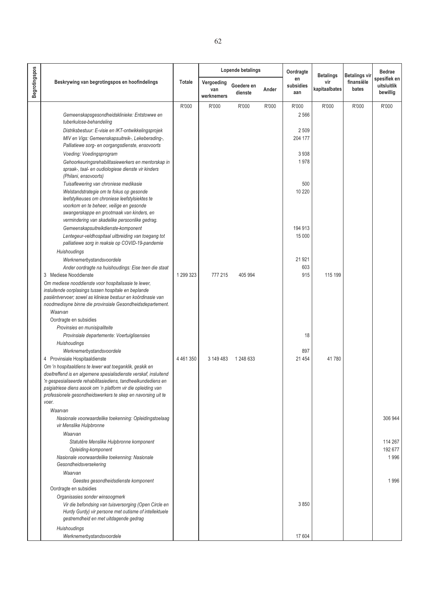|                      |                                                                                                                               |               |                                 | Lopende betalings     |       | Oordragte              | <b>Betalings</b>     | <b>Betalings vir</b> | <b>Bedrae</b>                           |
|----------------------|-------------------------------------------------------------------------------------------------------------------------------|---------------|---------------------------------|-----------------------|-------|------------------------|----------------------|----------------------|-----------------------------------------|
| <b>Begrotingspos</b> | Beskrywing van begrotingspos en hoofindelings                                                                                 | Totale        | Vergoeding<br>van<br>werknemers | Goedere en<br>dienste | Ander | en<br>subsidies<br>aan | vir<br>kapitaalbates | finansiële<br>bates  | spesifiek en<br>uitsluitlik<br>bewillig |
|                      |                                                                                                                               | R'000         | R'000                           | R'000                 | R'000 | R'000                  | R'000                | R'000                | R'000                                   |
|                      | Gemeenskapsgesondheidsklinieke: Entstowwe en                                                                                  |               |                                 |                       |       | 2 5 6 6                |                      |                      |                                         |
|                      | tuberkulose-behandeling                                                                                                       |               |                                 |                       |       |                        |                      |                      |                                         |
|                      | Distriksbestuur: E-visie en IKT-ontwikkelingsprojek                                                                           |               |                                 |                       |       | 2509                   |                      |                      |                                         |
|                      | MIV en Vigs: Gemeenskapsuitreik-, Lekeberading-,<br>Palliatiewe sorg- en oorgangsdienste, ensovoorts                          |               |                                 |                       |       | 204 177                |                      |                      |                                         |
|                      | Voeding: Voedingsprogram                                                                                                      |               |                                 |                       |       | 3938                   |                      |                      |                                         |
|                      | Gehoorkeuringsrehabilitasiewerkers en mentorskap in                                                                           |               |                                 |                       |       | 1978                   |                      |                      |                                         |
|                      | spraak-, taal- en oudiologiese dienste vir kinders                                                                            |               |                                 |                       |       |                        |                      |                      |                                         |
|                      | (Philani, ensovoorts)                                                                                                         |               |                                 |                       |       |                        |                      |                      |                                         |
|                      | Tuisaflewering van chroniese medikasie                                                                                        |               |                                 |                       |       | 500                    |                      |                      |                                         |
|                      | Welstandstrategie om te fokus op gesonde<br>leefstylkeuses om chroniese leefstylsiektes te                                    |               |                                 |                       |       | 10 220                 |                      |                      |                                         |
|                      | voorkom en te beheer, veilige en gesonde                                                                                      |               |                                 |                       |       |                        |                      |                      |                                         |
|                      | swangerskappe en grootmaak van kinders, en                                                                                    |               |                                 |                       |       |                        |                      |                      |                                         |
|                      | vermindering van skadelike persoonlike gedrag.                                                                                |               |                                 |                       |       |                        |                      |                      |                                         |
|                      | Gemeenskapsuitreikdienste-komponent                                                                                           |               |                                 |                       |       | 194 913                |                      |                      |                                         |
|                      | Lentegeur-veldhospitaal uitbreiding van toegang tot<br>palliatiewe sorg in reaksie op COVID-19-pandemie                       |               |                                 |                       |       | 15 000                 |                      |                      |                                         |
|                      | <b>Huishoudings</b>                                                                                                           |               |                                 |                       |       |                        |                      |                      |                                         |
|                      | Werknemerbystandsvoordele<br>Ander oordragte na huishoudings: Eise teen die staat                                             |               |                                 |                       |       | 21 921<br>603          |                      |                      |                                         |
|                      | 3 Mediese Nooddienste                                                                                                         | 1 299 323     | 777 215                         | 405 994               |       | 915                    | 115 199              |                      |                                         |
|                      | Om mediese nooddienste voor hospitalisasie te lewer,                                                                          |               |                                 |                       |       |                        |                      |                      |                                         |
|                      | insluitende oorplasings tussen hospitale en beplande                                                                          |               |                                 |                       |       |                        |                      |                      |                                         |
|                      | pasiëntvervoer; sowel as kliniese bestuur en koördinasie van                                                                  |               |                                 |                       |       |                        |                      |                      |                                         |
|                      | noodmedisyne binne die provinsiale Gesondheidsdepartement.<br>Waarvan                                                         |               |                                 |                       |       |                        |                      |                      |                                         |
|                      | Oordragte en subsidies                                                                                                        |               |                                 |                       |       |                        |                      |                      |                                         |
|                      | Provinsies en munisipaliteite                                                                                                 |               |                                 |                       |       |                        |                      |                      |                                         |
|                      | Provinsiale departemente: Voertuiglisensies                                                                                   |               |                                 |                       |       | 18                     |                      |                      |                                         |
|                      | <b>Huishoudings</b>                                                                                                           |               |                                 |                       |       |                        |                      |                      |                                         |
|                      | Werknemerbystandsvoordele                                                                                                     |               |                                 |                       |       | 897                    |                      |                      |                                         |
|                      | 4 Provinsiale Hospitaaldienste<br>Om 'n hospitaaldiens te lewer wat toeganklik, geskik en                                     | 4 4 6 1 3 5 0 | 3 149 483                       | 1 248 633             |       | 21 4 5 4               | 41780                |                      |                                         |
|                      | doeltreffend is en algemene spesialisdienste verskaf, insluitend                                                              |               |                                 |                       |       |                        |                      |                      |                                         |
|                      | 'n gespesialiseerde rehabilitasiediens, tandheelkundediens en                                                                 |               |                                 |                       |       |                        |                      |                      |                                         |
|                      | psigiatriese diens asook om 'n platform vir die opleiding van<br>professionele gesondheidswerkers te skep en navorsing uit te |               |                                 |                       |       |                        |                      |                      |                                         |
|                      | voer.                                                                                                                         |               |                                 |                       |       |                        |                      |                      |                                         |
|                      | Waarvan                                                                                                                       |               |                                 |                       |       |                        |                      |                      |                                         |
|                      | Nasionale voorwaardelike toekenning: Opleidingstoelaag                                                                        |               |                                 |                       |       |                        |                      |                      | 306 944                                 |
|                      | vir Menslike Hulpbronne                                                                                                       |               |                                 |                       |       |                        |                      |                      |                                         |
|                      | Waarvan                                                                                                                       |               |                                 |                       |       |                        |                      |                      |                                         |
|                      | Statutêre Menslike Hulpbronne komponent                                                                                       |               |                                 |                       |       |                        |                      |                      | 114 267<br>192 677                      |
|                      | Opleiding-komponent<br>Nasionale voorwaardelike toekenning: Nasionale                                                         |               |                                 |                       |       |                        |                      |                      | 1996                                    |
|                      | Gesondheidsversekering                                                                                                        |               |                                 |                       |       |                        |                      |                      |                                         |
|                      | Waarvan                                                                                                                       |               |                                 |                       |       |                        |                      |                      |                                         |
|                      | Geestes gesondheidsdienste komponent                                                                                          |               |                                 |                       |       |                        |                      |                      | 1996                                    |
|                      | Oordragte en subsidies                                                                                                        |               |                                 |                       |       |                        |                      |                      |                                         |
|                      | Organisasies sonder winsoogmerk                                                                                               |               |                                 |                       |       |                        |                      |                      |                                         |
|                      | Vir die befondsing van tuisversorging (Open Circle en<br>Hurdy Gurdy) vir persone met outisme of intellektuele                |               |                                 |                       |       | 3850                   |                      |                      |                                         |
|                      | gestremdheid en met uitdagende gedrag                                                                                         |               |                                 |                       |       |                        |                      |                      |                                         |
|                      | Huishoudings                                                                                                                  |               |                                 |                       |       |                        |                      |                      |                                         |
|                      | Werknemerbystandsvoordele                                                                                                     |               |                                 |                       |       | 17 604                 |                      |                      |                                         |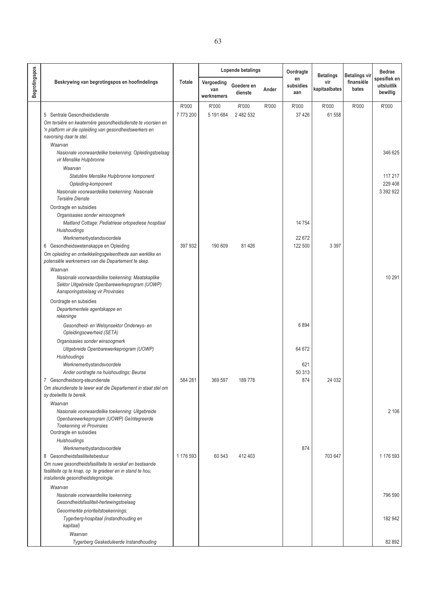|               |                                                                                                     |           |                                 | Lopende betalings     |       | Oordragte              | <b>Betalings</b>     | <b>Betalings vir</b> | Bedrae                                  |
|---------------|-----------------------------------------------------------------------------------------------------|-----------|---------------------------------|-----------------------|-------|------------------------|----------------------|----------------------|-----------------------------------------|
| Begrotingspos | Beskrywing van begrotingspos en hoofindelings                                                       | Totale    | Vergoeding<br>van<br>werknemers | Goedere en<br>dienste | Ander | en<br>subsidies<br>aan | vir<br>kapitaalbates | finansiële<br>bates  | spesifiek en<br>uitsluitlik<br>bewillig |
|               |                                                                                                     | R'000     | R'000                           | R'000                 | R'000 | R'000                  | R'000                | R'000                | R'000                                   |
|               | 5 Sentrale Gesondheidsdienste                                                                       | 7773200   | 5 191 684                       | 2 482 532             |       | 37 4 26                | 61 558               |                      |                                         |
|               | Om tersiêre en kwaternêre gesondheidsdienste te voorsien en                                         |           |                                 |                       |       |                        |                      |                      |                                         |
|               | 'n platform vir die opleiding van gesondheidswerkers en                                             |           |                                 |                       |       |                        |                      |                      |                                         |
|               | navorsing daar te stel.<br>Waarvan                                                                  |           |                                 |                       |       |                        |                      |                      |                                         |
|               | Nasionale voorwaardelike toekenning: Opleidingstoelaag                                              |           |                                 |                       |       |                        |                      |                      | 346 625                                 |
|               | vir Menslike Hulpbronne                                                                             |           |                                 |                       |       |                        |                      |                      |                                         |
|               | Waarvan                                                                                             |           |                                 |                       |       |                        |                      |                      |                                         |
|               | Statutêre Menslike Hulpbronne komponent                                                             |           |                                 |                       |       |                        |                      |                      | 117 217                                 |
|               | Opleiding-komponent                                                                                 |           |                                 |                       |       |                        |                      |                      | 229 408                                 |
|               | Nasionale voorwaardelike toekenning: Nasionale                                                      |           |                                 |                       |       |                        |                      |                      | 3 392 922                               |
|               | Tersiêre Dienste                                                                                    |           |                                 |                       |       |                        |                      |                      |                                         |
|               | Oordragte en subsidies                                                                              |           |                                 |                       |       |                        |                      |                      |                                         |
|               | Organisasies sonder winsoogmerk<br>Maitland Cottage: Pediatriese ortopediese hospitaal              |           |                                 |                       |       | 14754                  |                      |                      |                                         |
|               | Huishoudings                                                                                        |           |                                 |                       |       |                        |                      |                      |                                         |
|               | Werknemerbystandsvoordele                                                                           |           |                                 |                       |       | 22 672                 |                      |                      |                                         |
|               | 6 Gesondheidswetenskappe en Opleiding                                                               | 397 932   | 190 609                         | 81 4 26               |       | 122 500                | 3 3 9 7              |                      |                                         |
|               | Om opleiding en ontwikkelingsgeleenthede aan werklike en                                            |           |                                 |                       |       |                        |                      |                      |                                         |
|               | potensiële werknemers van die Departement te skep.                                                  |           |                                 |                       |       |                        |                      |                      |                                         |
|               | Waarvan                                                                                             |           |                                 |                       |       |                        |                      |                      |                                         |
|               | Nasionale voorwaardelike toekenning: Maatskaplike<br>Sektor Uitgebreide Openbarewerkeprogram (UOWP) |           |                                 |                       |       |                        |                      |                      | 10 291                                  |
|               | Aansporingstoelaag vir Provinsies                                                                   |           |                                 |                       |       |                        |                      |                      |                                         |
|               | Oordragte en subsidies                                                                              |           |                                 |                       |       |                        |                      |                      |                                         |
|               | Departementele agentskappe en                                                                       |           |                                 |                       |       |                        |                      |                      |                                         |
|               | rekeninge                                                                                           |           |                                 |                       |       |                        |                      |                      |                                         |
|               | Gesondheid- en Welsynsektor Onderwys- en                                                            |           |                                 |                       |       | 6894                   |                      |                      |                                         |
|               | Opleidingsowerheid (SETA)                                                                           |           |                                 |                       |       |                        |                      |                      |                                         |
|               | Organisasies sonder winsoogmerk                                                                     |           |                                 |                       |       |                        |                      |                      |                                         |
|               | Uitgebreide Openbarewerkeprogram (UOWP)                                                             |           |                                 |                       |       | 64 672                 |                      |                      |                                         |
|               | Huishoudings                                                                                        |           |                                 |                       |       |                        |                      |                      |                                         |
|               | Werknemerbystandsvoordele<br>Ander oordragte na huishoudings: Beurse                                |           |                                 |                       |       | 621<br>50 313          |                      |                      |                                         |
|               | 7 Gesondheidsorg-steundienste                                                                       | 584 281   | 369 597                         | 189778                |       | 874                    | 24 0 32              |                      |                                         |
|               | Om steundienste te lewer wat die Departement in staat stel om                                       |           |                                 |                       |       |                        |                      |                      |                                         |
|               | sy doelwitte te bereik.                                                                             |           |                                 |                       |       |                        |                      |                      |                                         |
|               | Waarvan                                                                                             |           |                                 |                       |       |                        |                      |                      |                                         |
|               | Nasionale voorwaardelike toekenning: Uitgebreide                                                    |           |                                 |                       |       |                        |                      |                      | 2 106                                   |
|               | Openbarewerkeprogram (UOWP) Geïntegreerde<br><b>Toekenning vir Provinsies</b>                       |           |                                 |                       |       |                        |                      |                      |                                         |
|               | Oordragte en subsidies                                                                              |           |                                 |                       |       |                        |                      |                      |                                         |
|               | Huishoudings                                                                                        |           |                                 |                       |       |                        |                      |                      |                                         |
|               | Werknemerbystandsvoordele                                                                           |           |                                 |                       |       | 874                    |                      |                      |                                         |
|               | 8 Gesondheidsfasiliteitebestuur                                                                     | 1 176 593 | 60 543                          | 412 403               |       |                        | 703 647              |                      | 1 176 593                               |
|               | Om nuwe gesondheidsfasiliteite te verskaf en bestaande                                              |           |                                 |                       |       |                        |                      |                      |                                         |
|               | fasiliteite op te knap, op te gradeer en in stand te hou,<br>insluitende gesondheidstegnologie.     |           |                                 |                       |       |                        |                      |                      |                                         |
|               | Waarvan                                                                                             |           |                                 |                       |       |                        |                      |                      |                                         |
|               | Nasionale voorwaardelike toekenning:                                                                |           |                                 |                       |       |                        |                      |                      | 796 590                                 |
|               | Gesondheidsfasiliteit-herlewingstoelaag                                                             |           |                                 |                       |       |                        |                      |                      |                                         |
|               | Geoormerkte prioriteitstoekennings:                                                                 |           |                                 |                       |       |                        |                      |                      |                                         |
|               | Tygerberg-hospitaal (instandhouding en                                                              |           |                                 |                       |       |                        |                      |                      | 182 942                                 |
|               | kapitaal)                                                                                           |           |                                 |                       |       |                        |                      |                      |                                         |
|               | Waarvan                                                                                             |           |                                 |                       |       |                        |                      |                      |                                         |
|               | Tygerberg Geskeduleerde Instandhouding                                                              |           |                                 |                       |       |                        |                      |                      | 82 892                                  |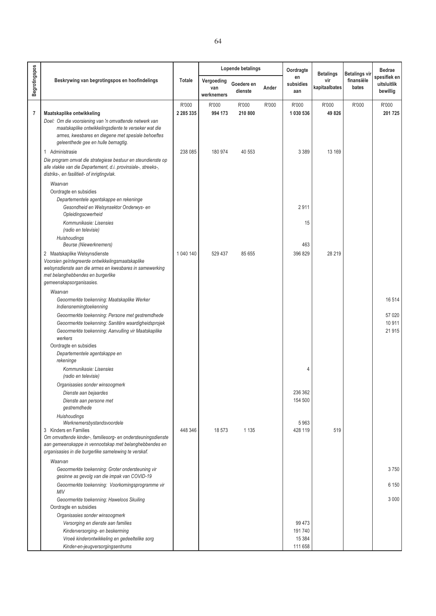|                |                                                                                                                                                                                                                |               |                                 | Lopende betalings     |       | Oordragte              | <b>Betalings</b>     | <b>Betalings vir</b> | <b>Bedrae</b>                           |
|----------------|----------------------------------------------------------------------------------------------------------------------------------------------------------------------------------------------------------------|---------------|---------------------------------|-----------------------|-------|------------------------|----------------------|----------------------|-----------------------------------------|
| Begrotingspos  | Beskrywing van begrotingspos en hoofindelings                                                                                                                                                                  | Totale        | Vergoeding<br>van<br>werknemers | Goedere en<br>dienste | Ander | en<br>subsidies<br>aan | vir<br>kapitaalbates | finansiële<br>bates  | spesifiek en<br>uitsluitlik<br>bewillig |
|                |                                                                                                                                                                                                                | R'000         | R'000                           | R'000                 | R'000 | R'000                  | R'000                | R'000                | R'000                                   |
| $\overline{7}$ | Maatskaplike ontwikkeling                                                                                                                                                                                      | 2 2 8 5 3 3 5 | 994 173                         | 210 800               |       | 1 030 536              | 49826                |                      | 201 725                                 |
|                | Doel: Om die voorsiening van 'n omvattende netwerk van<br>maatskaplike ontwikkelingsdiente te verseker wat die<br>armes, kwesbares en diegene met spesiale behoeftes<br>geleenthede gee en hulle bemagtig.     |               |                                 |                       |       |                        |                      |                      |                                         |
|                | 1 Administrasie<br>Die program omvat die strategiese bestuur en steundienste op<br>alle vlakke van die Departement, d.i. provinsiale-, streeks-,<br>distriks-, en fasilitieit- of inrigtingvlak.               | 238 085       | 180 974                         | 40 553                |       | 3 3 8 9                | 13 169               |                      |                                         |
|                | Waarvan                                                                                                                                                                                                        |               |                                 |                       |       |                        |                      |                      |                                         |
|                | Oordragte en subsidies                                                                                                                                                                                         |               |                                 |                       |       |                        |                      |                      |                                         |
|                | Departementele agentskappe en rekeninge<br>Gesondheid en Welsynsektor Onderwys- en                                                                                                                             |               |                                 |                       |       | 2911                   |                      |                      |                                         |
|                | Opleidingsowerheid<br>Kommunikasie: Lisensies<br>(radio en televisie)                                                                                                                                          |               |                                 |                       |       | 15                     |                      |                      |                                         |
|                | Huishoudings<br><b>Beurse (Niewerknemers)</b>                                                                                                                                                                  |               |                                 |                       |       | 463                    |                      |                      |                                         |
|                | 2 Maatskaplike Welsynsdienste<br>Voorsien geïntegreerde ontwikkelingsmaatskaplike<br>welsynsdienste aan die armes en kwesbares in samewerking<br>met belanghebbendes en burgerlike<br>gemeenskapsorganisasies. | 1 040 140     | 529 437                         | 85 655                |       | 396 829                | 28 219               |                      |                                         |
|                | Waarvan                                                                                                                                                                                                        |               |                                 |                       |       |                        |                      |                      |                                         |
|                | Geoormerkte toekenning: Maatskaplike Werker<br>Indiensnemingtoekenning                                                                                                                                         |               |                                 |                       |       |                        |                      |                      | 16514                                   |
|                | Geoormerkte toekenning: Persone met gestremdhede<br>Geoormerkte toekenning: Sanitêre waardigheidsprojek<br>Geoormerkte toekenning: Aanvulling vir Maatskaplike<br>werkers                                      |               |                                 |                       |       |                        |                      |                      | 57 0 20<br>10 911<br>21 915             |
|                | Oordragte en subsidies                                                                                                                                                                                         |               |                                 |                       |       |                        |                      |                      |                                         |
|                | Departementele agentskappe en<br>rekeninge                                                                                                                                                                     |               |                                 |                       |       |                        |                      |                      |                                         |
|                | Kommunikasie: Lisensies<br>(radio en televisie)                                                                                                                                                                |               |                                 |                       |       | 4                      |                      |                      |                                         |
|                | Organisasies sonder winsoogmerk                                                                                                                                                                                |               |                                 |                       |       |                        |                      |                      |                                         |
|                | Dienste aan bejaardes<br>Dienste aan persone met<br>gestremdhede                                                                                                                                               |               |                                 |                       |       | 236 362<br>154 500     |                      |                      |                                         |
|                | Huishoudings<br>Werknemersbystandsvoordele                                                                                                                                                                     |               |                                 |                       |       | 5963                   |                      |                      |                                         |
|                | 3 Kinders en Families<br>Om omvattende kinder-, familiesorg- en ondersteuningsdienste<br>aan gemeenskappe in vennootskap met belanghebbendes en<br>organisasies in die burgerlike samelewing te verskaf.       | 448 346       | 18573                           | 1 1 3 5               |       | 428 119                | 519                  |                      |                                         |
|                | Waarvan                                                                                                                                                                                                        |               |                                 |                       |       |                        |                      |                      |                                         |
|                | Geoormerkte toekenning: Groter ondersteuning vir<br>gesinne as gevolg van die impak van COVID-19                                                                                                               |               |                                 |                       |       |                        |                      |                      | 3750                                    |
|                | Geoormerkte toekenning: Voorkomingsprogramme vir<br>ΜIV                                                                                                                                                        |               |                                 |                       |       |                        |                      |                      | 6 150                                   |
|                | Geoormerkte toekenning: Haweloos Skuiling                                                                                                                                                                      |               |                                 |                       |       |                        |                      |                      | 3 0 0 0                                 |
|                | Oordragte en subsidies                                                                                                                                                                                         |               |                                 |                       |       |                        |                      |                      |                                         |
|                | Organisasies sonder winsoogmerk                                                                                                                                                                                |               |                                 |                       |       |                        |                      |                      |                                         |
|                | Versorging en dienste aan families                                                                                                                                                                             |               |                                 |                       |       | 99 4 73                |                      |                      |                                         |
|                | Kinderversorging- en beskerming                                                                                                                                                                                |               |                                 |                       |       | 191740                 |                      |                      |                                         |

*Vroeë kinderontwikkeling en gedeeltelike sorg Kinder-en-jeugversorgingsentrums*

 15 384 111 658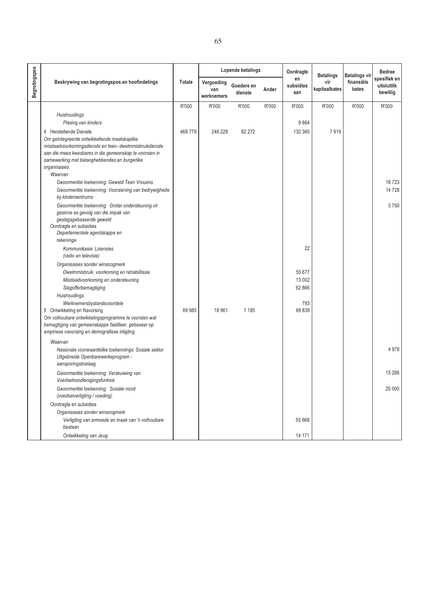|                      |                                                                                                                                                                                                                                                                           |               |                                 | Lopende betalings     |       | Oordragte                  | <b>Betalings</b>     | <b>Betalings vir</b> | <b>Bedrae</b>                           |
|----------------------|---------------------------------------------------------------------------------------------------------------------------------------------------------------------------------------------------------------------------------------------------------------------------|---------------|---------------------------------|-----------------------|-------|----------------------------|----------------------|----------------------|-----------------------------------------|
| <b>Begrotingspos</b> | Beskrywing van begrotingspos en hoofindelings                                                                                                                                                                                                                             | <b>Totale</b> | Vergoeding<br>van<br>werknemers | Goedere en<br>dienste | Ander | en<br>subsidies<br>aan     | vir<br>kapitaalbates | finansiële<br>bates  | spesifiek en<br>uitsluitlik<br>bewillig |
|                      |                                                                                                                                                                                                                                                                           | R'000         | R'000                           | R'000                 | R'000 | R'000                      | R'000                | R'000                | R'000                                   |
|                      | Huishoudings                                                                                                                                                                                                                                                              |               |                                 |                       |       |                            |                      |                      |                                         |
|                      | Plasing van kinders                                                                                                                                                                                                                                                       |               |                                 |                       |       | 9864                       |                      |                      |                                         |
|                      | 4 Herstellende Dienste<br>Om geïntegreerde ontwikkellende maatskaplike<br>misdaadvoorkomingsdienste en teen- dwelmmisbruikdienste<br>aan die mees kwesbares in die gemeenskap te voorsien in<br>samewerking met belanghebbendes en burgerlike<br>organisasies.<br>Waarvan | 468 779       | 246 228                         | 82 272                |       | 132 360                    | 7919                 |                      |                                         |
|                      | Geoormerkte toekenning: Geweld Teen Vrouens                                                                                                                                                                                                                               |               |                                 |                       |       |                            |                      |                      | 18723                                   |
|                      | Geoormerkte toekenning: Voorsiening van bedrywighede<br>by kindersentrums                                                                                                                                                                                                 |               |                                 |                       |       |                            |                      |                      | 14728                                   |
|                      | Geoormerkte toekenning: Groter ondersteuning vir<br>gesinne as gevolg van die impak van<br>geslagsgebaseerde geweld<br>Oordragte en subsidies<br>Departementele agentskappe en<br>rekeninge                                                                               |               |                                 |                       |       |                            |                      |                      | 3750                                    |
|                      | Kommunikasie: Lisensies<br>(radio en televisie)                                                                                                                                                                                                                           |               |                                 |                       |       | 22                         |                      |                      |                                         |
|                      | Organisasies sonder winsoogmerk<br>Dwelmmisbruik, voorkoming en rehabilitasie<br>Misdaadvoorkoming en ondersteuning<br>Slagofferbemagtiging<br>Huishoudings                                                                                                               |               |                                 |                       |       | 55 677<br>13 002<br>62 866 |                      |                      |                                         |
|                      | Werknemersbystandsvoordele<br>5 Ontwikkeling en Navorsing<br>Om volhoubare ontwikkelingsprogramme te voorsien wat<br>bemagtiging van gemeenskappe fasiliteer, gebaseer op<br>empiriese navorsing en demografiese inligting.                                               | 89 985        | 18 961                          | 1 1 8 5               |       | 793<br>69839               |                      |                      |                                         |
|                      |                                                                                                                                                                                                                                                                           |               |                                 |                       |       |                            |                      |                      |                                         |
|                      | Waarvan<br>Nasionale voorwaardelike toekennings: Sosiale sektor<br>Uitgebreide Openbarewerkeprogram -<br>aansporingstoelaag                                                                                                                                               |               |                                 |                       |       |                            |                      |                      | 4978                                    |
|                      | Geoormerkte toekenning: Verskuiwing van<br>Voedselnoodlenigingsfunksie                                                                                                                                                                                                    |               |                                 |                       |       |                            |                      |                      | 15 28 6                                 |
|                      | Geoormerkte toekenning: Sosiale nood<br>(voedselverligting / voeding)                                                                                                                                                                                                     |               |                                 |                       |       |                            |                      |                      | 25 000                                  |
|                      | Oordragte en subsidies                                                                                                                                                                                                                                                    |               |                                 |                       |       |                            |                      |                      |                                         |
|                      | Organisasies sonder winsoogmerk                                                                                                                                                                                                                                           |               |                                 |                       |       |                            |                      |                      |                                         |
|                      | Verligting van armoede en maak van 'n volhoubare<br>bestaan                                                                                                                                                                                                               |               |                                 |                       |       | 55 668                     |                      |                      |                                         |
|                      | Ontwikkeling van Jeug                                                                                                                                                                                                                                                     |               |                                 |                       |       | 14 171                     |                      |                      |                                         |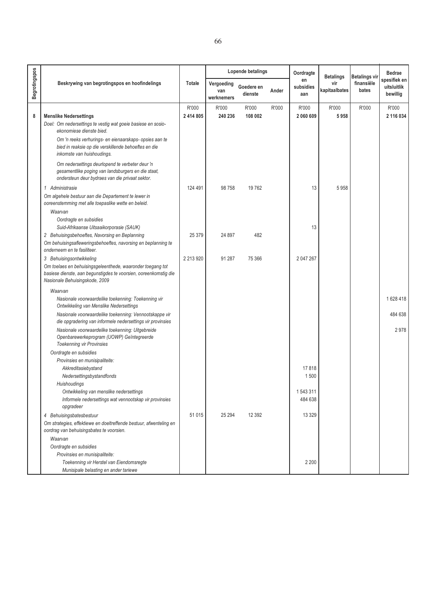|                      |                                                                                                                                                                  |                    |                                 | Lopende betalings     |       | Oordragte              | <b>Betalings</b>     | <b>Betalings vir</b> | <b>Bedrae</b>                           |
|----------------------|------------------------------------------------------------------------------------------------------------------------------------------------------------------|--------------------|---------------------------------|-----------------------|-------|------------------------|----------------------|----------------------|-----------------------------------------|
| <b>Begrotingspos</b> | Beskrywing van begrotingspos en hoofindelings                                                                                                                    | <b>Totale</b>      | Vergoeding<br>van<br>werknemers | Goedere en<br>dienste | Ander | en<br>subsidies<br>aan | vir<br>kapitaalbates | finansiële<br>bates  | spesifiek en<br>uitsluitlik<br>bewillig |
| 8                    | <b>Menslike Nedersettings</b><br>Doel: Om nedersettings te vestig wat goeie basiese en sosio-<br>ekonomiese dienste bied.                                        | R'000<br>2 414 805 | R'000<br>240 236                | R'000<br>108 002      | R'000 | R'000<br>2 060 609     | R'000<br>5958        | R'000                | R'000<br>2 116 034                      |
|                      | Om 'n reeks verhurings- en eienaarskaps- opsies aan te<br>bied in reaksie op die verskillende behoeftes en die<br>inkomste van huishoudings.                     |                    |                                 |                       |       |                        |                      |                      |                                         |
|                      | Om nedersettings deurlopend te verbeter deur 'n<br>gesamentlike poging van landsburgers en die staat,<br>ondersteun deur bydraes van die privaat sektor.         |                    |                                 |                       |       |                        |                      |                      |                                         |
|                      | 1 Administrasie<br>Om algehele bestuur aan die Departement te lewer in<br>ooreenstemming met alle toepaslike wette en beleid.                                    | 124 491            | 98758                           | 19762                 |       | 13                     | 5958                 |                      |                                         |
|                      | Waarvan<br>Oordragte en subsidies<br>Suid-Afrikaanse Uitsaaikorporasie (SAUK)                                                                                    |                    |                                 |                       |       | 13                     |                      |                      |                                         |
|                      | 2 Behuisingsbehoeftes, Navorsing en Beplanning<br>Om behuisingsafleweringsbehoeftes, navorsing en beplanning te<br>onderneem en te fasiliteer.                   | 25 379             | 24 897                          | 482                   |       |                        |                      |                      |                                         |
|                      | 3 Behuisingsontwikkeling                                                                                                                                         | 2 2 1 3 9 2 0      | 91 287                          | 75 366                |       | 2 047 267              |                      |                      |                                         |
|                      | Om toelaes en behuisingsgeleenthede, waaronder toegang tot<br>basiese dienste, aan begunstigdes te voorsien, ooreenkomstig die<br>Nasionale Behuisingskode, 2009 |                    |                                 |                       |       |                        |                      |                      |                                         |
|                      | Waarvan                                                                                                                                                          |                    |                                 |                       |       |                        |                      |                      |                                         |
|                      | Nasionale voorwaardelike toekenning: Toekenning vir<br>Ontwikkeling van Menslike Nedersettings                                                                   |                    |                                 |                       |       |                        |                      |                      | 1628418                                 |
|                      | Nasionale voorwaardelike toekenning: Vennootskappe vir<br>die opgradering van informele nedersettings vir provinsies                                             |                    |                                 |                       |       |                        |                      |                      | 484 638                                 |
|                      | Nasionale voorwaardelike toekenning: Uitgebreide<br>Openbarewerkeprogram (UOWP) Geïntegreerde<br><b>Toekenning vir Provinsies</b>                                |                    |                                 |                       |       |                        |                      |                      | 2978                                    |
|                      | Oordragte en subsidies                                                                                                                                           |                    |                                 |                       |       |                        |                      |                      |                                         |
|                      | Provinsies en munisipaliteite:                                                                                                                                   |                    |                                 |                       |       |                        |                      |                      |                                         |
|                      | Akkreditasiebystand                                                                                                                                              |                    |                                 |                       |       | 17818                  |                      |                      |                                         |
|                      | Nedersettingsbystandfonds<br>Huishoudings                                                                                                                        |                    |                                 |                       |       | 1500                   |                      |                      |                                         |
|                      | Ontwikkeling van menslike nedersettings                                                                                                                          |                    |                                 |                       |       | 1543311                |                      |                      |                                         |
|                      | Informele nedersettings wat vennootskap vir provinsies<br>opgradeer                                                                                              |                    |                                 |                       |       | 484 638                |                      |                      |                                         |
|                      | 4 Behuisingsbatesbestuur                                                                                                                                         | 51 015             | 25 294                          | 12 3 9 2              |       | 13 3 29                |                      |                      |                                         |
|                      | Om strategies, effektiewe en doeltreffende bestuur, afwenteling en<br>oordrag van behuisingsbates te voorsien.                                                   |                    |                                 |                       |       |                        |                      |                      |                                         |
|                      | Waarvan                                                                                                                                                          |                    |                                 |                       |       |                        |                      |                      |                                         |
|                      | Oordragte en subsidies                                                                                                                                           |                    |                                 |                       |       |                        |                      |                      |                                         |
|                      | Provinsies en munisipaliteite:                                                                                                                                   |                    |                                 |                       |       |                        |                      |                      |                                         |
|                      | Toekenning vir Herstel van Eiendomsregte<br>Munisipale belasting en ander tariewe                                                                                |                    |                                 |                       |       | 2 2 0 0                |                      |                      |                                         |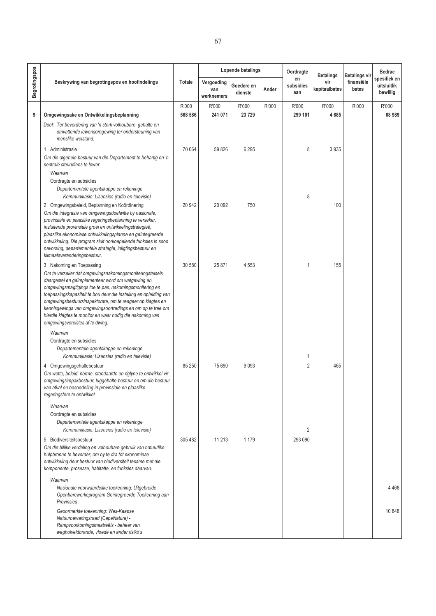|               |                                                                                                                                                                                                                                                                                                                                                                                                                                                                                                     |         |                                 | Lopende betalings     |       | Oordragte              | <b>Betalings</b>     | <b>Betalings vir</b> | <b>Bedrae</b><br>spesifiek en |
|---------------|-----------------------------------------------------------------------------------------------------------------------------------------------------------------------------------------------------------------------------------------------------------------------------------------------------------------------------------------------------------------------------------------------------------------------------------------------------------------------------------------------------|---------|---------------------------------|-----------------------|-------|------------------------|----------------------|----------------------|-------------------------------|
| Begrotingspos | Beskrywing van begrotingspos en hoofindelings                                                                                                                                                                                                                                                                                                                                                                                                                                                       | Totale  | Vergoeding<br>van<br>werknemers | Goedere en<br>dienste | Ander | en<br>subsidies<br>aan | vir<br>kapitaalbates | finansiële<br>bates  | uitsluitlik<br>bewillig       |
|               |                                                                                                                                                                                                                                                                                                                                                                                                                                                                                                     | R'000   | R'000                           | R'000                 | R'000 | R'000                  | R'000                | R'000                | R'000                         |
| 9             | Omgewingsake en Ontwikkelingsbeplanning                                                                                                                                                                                                                                                                                                                                                                                                                                                             | 568 586 | 241 071                         | 23729                 |       | 299 101                | 4685                 |                      | 68 989                        |
|               | Doel: Ter bevordering van 'n sterk volhoubare, gehalte en<br>omvattende lewensomgewing ter ondersteuning van<br>menslike welstand.                                                                                                                                                                                                                                                                                                                                                                  |         |                                 |                       |       |                        |                      |                      |                               |
|               | 1 Administrasie<br>Om die algehele bestuur van die Departement te behartig en 'n<br>sentrale steundiens te lewer.                                                                                                                                                                                                                                                                                                                                                                                   | 70 064  | 59 826                          | 6 2 9 5               |       | 8                      | 3935                 |                      |                               |
|               | Waarvan                                                                                                                                                                                                                                                                                                                                                                                                                                                                                             |         |                                 |                       |       |                        |                      |                      |                               |
|               | Oordragte en subsidies<br>Departementele agentskappe en rekeninge                                                                                                                                                                                                                                                                                                                                                                                                                                   |         |                                 |                       |       |                        |                      |                      |                               |
|               | Kommunikasie: Lisensies (radio en televisie)                                                                                                                                                                                                                                                                                                                                                                                                                                                        |         |                                 |                       |       | 8                      |                      |                      |                               |
|               | 2 Omgewingsbeleid, Beplanning en Koördinering                                                                                                                                                                                                                                                                                                                                                                                                                                                       | 20 942  | 20 092                          | 750                   |       |                        | 100                  |                      |                               |
|               | Om die integrasie van omgewingsdoelwitte by nasionale,<br>provinsiale en plaaslike regeringsbeplanning te verseker,<br>insluitende provinsiale groei en ontwikkelingstrategieë,<br>plaaslike ekonomiese ontwikkelingsplanne en geïntegreerde<br>ontwikkeling. Die program sluit oorkoepelende funksies in soos<br>navorsing, departementele strategie, inligtingsbestuur en<br>klimaatsveranderingsbestuur.                                                                                         |         |                                 |                       |       |                        |                      |                      |                               |
|               | 3 Nakoming en Toepassing<br>Om te verseker dat omgewingsnakomingsmoniteringstelsels<br>daargestel en geïmplementeer word om wetgewing en<br>omgewingsmagtigings toe te pas, nakomingsmonitering en<br>toepassingskapasiteit te bou deur die instelling en opleiding van<br>omgewingsbestuursinspektorate, om te reageer op klagtes en<br>kennisgewings van omgewingsoortredings en om op te tree om<br>hierdie klagtes te monitor en waar nodig die nakoming van<br>omgewingsvereistes af te dwing. | 30 580  | 25 871                          | 4553                  |       |                        | 155                  |                      |                               |
|               | Waarvan                                                                                                                                                                                                                                                                                                                                                                                                                                                                                             |         |                                 |                       |       |                        |                      |                      |                               |
|               | Oordragte en subsidies                                                                                                                                                                                                                                                                                                                                                                                                                                                                              |         |                                 |                       |       |                        |                      |                      |                               |
|               | Departementele agentskappe en rekeninge<br>Kommunikasie: Lisensies (radio en televisie)                                                                                                                                                                                                                                                                                                                                                                                                             |         |                                 |                       |       | 1                      |                      |                      |                               |
|               | 4 Omgewingsgehaltebestuur<br>Om wette, beleid, norme, standaarde en riglyne te ontwikkel vir<br>omgewingsimpakbestuur, luggehalte-bestuur en om die bestuur<br>van afval en besoedeling in provinsiale en plaaslike<br>regeringsfere te ontwikkel.                                                                                                                                                                                                                                                  | 85 250  | 75 690                          | 9093                  |       | $\overline{2}$         | 465                  |                      |                               |
|               | Waarvan<br>Oordragte en subsidies<br>Departementele agentskappe en rekeninge<br>Kommunikasie: Lisensies (radio en televisie)                                                                                                                                                                                                                                                                                                                                                                        |         |                                 |                       |       | $\overline{2}$         |                      |                      |                               |
|               | 5 Biodiversiteitsbestuur                                                                                                                                                                                                                                                                                                                                                                                                                                                                            | 305 482 | 11 213                          | 1 1 7 9               |       | 293 090                |                      |                      |                               |
|               | Om die billike verdeling en volhoubare gebruik van natuurlike<br>hulpbronne te bevorder, om by te dra tot ekonomiese<br>ontwikkeling deur bestuur van biodiversiteit tesame met die<br>komponente, prosesse, habitatte, en funksies daarvan.                                                                                                                                                                                                                                                        |         |                                 |                       |       |                        |                      |                      |                               |
|               | Waarvan                                                                                                                                                                                                                                                                                                                                                                                                                                                                                             |         |                                 |                       |       |                        |                      |                      |                               |
|               | Nasionale voorwaardelike toekenning: Uitgebreide<br>Openbarewerkeprogram Geïntegreerde Toekenning aan<br>Provinsies                                                                                                                                                                                                                                                                                                                                                                                 |         |                                 |                       |       |                        |                      |                      | 4468                          |
|               | Geoormerkte toekenning: Wes-Kaapse<br>Natuurbewaringsraad (CapeNature) -<br>Rampvoorkomingsmaatreëls - beheer van<br>wegholveldbrande, vloede en ander risiko's                                                                                                                                                                                                                                                                                                                                     |         |                                 |                       |       |                        |                      |                      | 10 848                        |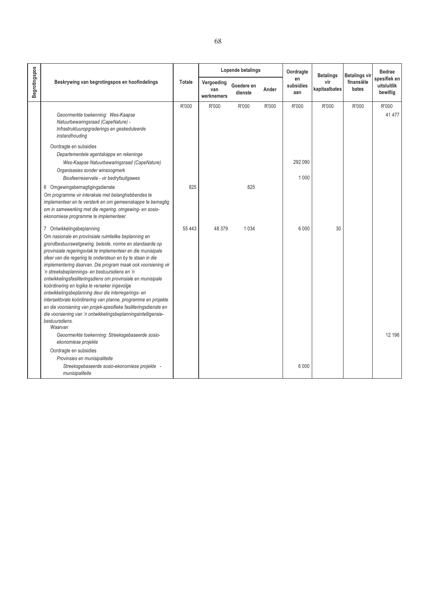|                      |                                                                                                                                                                                                                                                                                                                                                                                                                                                                                                                                                                                                                                                                                                                                                                                                      |               |                                 | Lopende betalings     |       | Oordragte<br>en<br>subsidies<br>aan | <b>Betalings</b><br>vir<br>kapitaalbates | <b>Betalings vir</b><br>finansiële<br>bates | <b>Bedrae</b><br>spesifiek en<br>uitsluitlik<br>bewillig |
|----------------------|------------------------------------------------------------------------------------------------------------------------------------------------------------------------------------------------------------------------------------------------------------------------------------------------------------------------------------------------------------------------------------------------------------------------------------------------------------------------------------------------------------------------------------------------------------------------------------------------------------------------------------------------------------------------------------------------------------------------------------------------------------------------------------------------------|---------------|---------------------------------|-----------------------|-------|-------------------------------------|------------------------------------------|---------------------------------------------|----------------------------------------------------------|
| <b>Begrotingspos</b> | Beskrywing van begrotingspos en hoofindelings                                                                                                                                                                                                                                                                                                                                                                                                                                                                                                                                                                                                                                                                                                                                                        | <b>Totale</b> | Vergoeding<br>van<br>werknemers | Goedere en<br>dienste | Ander |                                     |                                          |                                             |                                                          |
|                      | Geoormerkte toekenning: Wes-Kaapse<br>Natuurbewaringsraad (CapeNature) -<br>Infrastruktuuropgraderings en geskeduleerde<br>instandhouding<br>Oordragte en subsidies<br>Departementele agentskappe en rekeninge<br>Wes-Kaapse Natuurbewaringsraad (CapeNature)<br>Organisasies sonder winsoogmerk<br>Biosfeerreservate - vir bedryfsuitgawes                                                                                                                                                                                                                                                                                                                                                                                                                                                          | R'000         | R'000                           | R'000                 | R'000 | R'000<br>292 090<br>1 0 0 0         | R'000                                    | R'000                                       | R'000<br>41 477                                          |
|                      | 6 Omgewingsbemagtigingsdienste<br>Om programme vir interaksie met belanghebbendes te<br>implementeer en te versterk en om gemeenskappe te bemagtig<br>om in samewerking met die regering, omgewing- en sosio-<br>ekonomiese programme te implementeer.                                                                                                                                                                                                                                                                                                                                                                                                                                                                                                                                               | 825           |                                 | 825                   |       |                                     |                                          |                                             |                                                          |
|                      | 7 Ontwikkelingsbeplanning<br>Om nasionale en provinsiale ruimtelike beplanning en<br>grondbestuurswetgewing, beleide, norme en standaarde op<br>provinsiale regeringsvlak te implementeer en die munisipale<br>sfeer van die regering te ondersteun en by te staan in die<br>implementering daarvan. Die program maak ook voorsiening vir<br>'n streeksbeplannings- en bestuursdiens en 'n<br>ontwikkelingsfasiliteringsdiens om provinsiale en munisipale<br>koördinering en logika te verseker ingevolge<br>ontwikkelingsbeplanning deur die interregerings- en<br>intersektorale koördinering van planne, programme en projekte<br>en die voorsiening van projek-spesifieke fasiliteringsdienste en<br>die voorsiening van 'n ontwikkelingsbeplanningsintelligensie-<br>bestuursdiens.<br>Waarvan | 55 443        | 48 379                          | 1034                  |       | 6 0 0 0                             | 30                                       |                                             |                                                          |
|                      | Geoormerkte toekenning: Streeksgebaseerde sosio-<br>ekonomiese projekte<br>Oordragte en subsidies<br>Provinsies en munisipaliteite<br>Streeksgebaseerde sosio-ekonomiese projekte -<br>munisipaliteite                                                                                                                                                                                                                                                                                                                                                                                                                                                                                                                                                                                               |               |                                 |                       |       | 6 0 0 0                             |                                          |                                             | 12 196                                                   |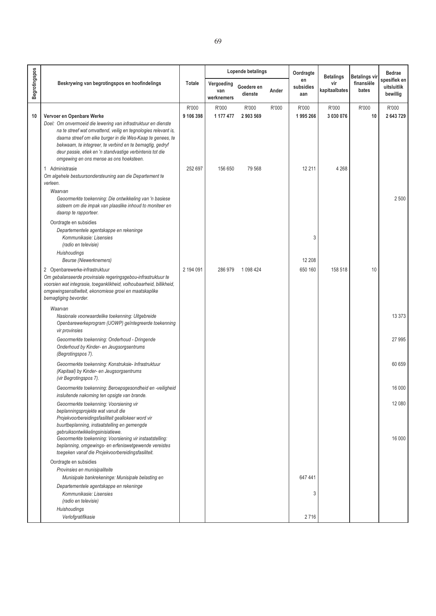|                      | Beskrywing van begrotingspos en hoofindelings                                                                                                                                                                                                               |                    | Lopende betalings<br>Oordragte  |                       | <b>Betalings</b> | Betalings vir          | <b>Bedrae</b>        |                     |                                         |
|----------------------|-------------------------------------------------------------------------------------------------------------------------------------------------------------------------------------------------------------------------------------------------------------|--------------------|---------------------------------|-----------------------|------------------|------------------------|----------------------|---------------------|-----------------------------------------|
| <b>Begrotingspos</b> |                                                                                                                                                                                                                                                             | Totale             | Vergoeding<br>van<br>werknemers | Goedere en<br>dienste | Ander            | en<br>subsidies<br>aan | vir<br>kapitaalbates | finansiële<br>bates | spesifiek en<br>uitsluitlik<br>bewillig |
| 10                   | Vervoer en Openbare Werke<br>Doel: Om onvermoeid die lewering van infrastruktuur en dienste<br>na te streef wat omvattend, veilig en tegnologies relevant is,<br>daarna streef om elke burger in die Wes-Kaap te genees, te                                 | R'000<br>9 106 398 | R'000<br>1 177 477              | R'000<br>2 903 569    | R'000            | R'000<br>1995266       | R'000<br>3 030 076   | R'000<br>10         | R'000<br>2 643 729                      |
|                      | bekwaam, te integreer, te verbind en te bemagtig, gedryf<br>deur passie, etiek en 'n standvastige verbintenis tot die<br>omgewing en ons mense as ons hoeksteen.                                                                                            |                    |                                 |                       |                  |                        |                      |                     |                                         |
|                      | 1 Administrasie<br>Om algehele bestuursondersteuning aan die Departement te<br>verleen.<br>Waarvan                                                                                                                                                          | 252 697            | 156 650                         | 79 568                |                  | 12 2 11                | 4 2 6 8              |                     |                                         |
|                      | Geoormerkte toekenning: Die ontwikkeling van 'n basiese<br>sisteem om die impak van plaaslike inhoud to moniteer en<br>daarop te rapporteer.                                                                                                                |                    |                                 |                       |                  |                        |                      |                     | 2 5 0 0                                 |
|                      | Oordragte en subsidies<br>Departementele agentskappe en rekeninge<br>Kommunikasie: Lisensies<br>(radio en televisie)                                                                                                                                        |                    |                                 |                       |                  | 3                      |                      |                     |                                         |
|                      | Huishoudings<br><b>Beurse (Niewerknemers)</b>                                                                                                                                                                                                               |                    |                                 |                       |                  | 12 208                 |                      |                     |                                         |
|                      | 2 Openbarewerke-infrastruktuur<br>Om gebalanseerde provinsiale regeringsgebou-infrastruktuur te<br>voorsien wat integrasie, toeganklikheid, volhoubaarheid, billikheid,<br>omgewingsensitiwiteit, ekonomiese groei en maatskaplike<br>bemagtiging bevorder. | 2 194 091          | 286 979                         | 1 098 424             |                  | 650 160                | 158 518              | 10                  |                                         |
|                      | Waarvan<br>Nasionale voorwaardelike toekenning: Uitgebreide<br>Openbarewerkeprogram (UOWP) geïntegreerde toekenning<br>vir provinsies                                                                                                                       |                    |                                 |                       |                  |                        |                      |                     | 13 3 73                                 |
|                      | Geoormerkte toekenning: Onderhoud - Dringende<br>Onderhoud by Kinder- en Jeugsorgsentrums<br>(Begrotingspos 7).                                                                                                                                             |                    |                                 |                       |                  |                        |                      |                     | 27 995                                  |
|                      | Geoormerkte toekenning: Konstruksie- Infrastruktuur<br>(Kapitaal) by Kinder- en Jeugsorgsentrums<br>(vir Begrotingspos 7).                                                                                                                                  |                    |                                 |                       |                  |                        |                      |                     | 60 659                                  |
|                      | Geoormerkte toekenning: Beroepsgesondheid en -veiligheid<br>insluitende nakoming ten opsigte van brande.                                                                                                                                                    |                    |                                 |                       |                  |                        |                      |                     | 16 000                                  |
|                      | Geoormerkte toekenning: Voorsiening vir<br>beplanningsprojekte wat vanuit die<br>Projekvoorbereidingsfasiliteit geallokeer word vir<br>buurtbeplanning, instaatstelling en gemengde                                                                         |                    |                                 |                       |                  |                        |                      |                     | 12 080                                  |
|                      | gebruiksontwikkelingsinisiatiewe.<br>Geoormerkte toekenning: Voorsiening vir instaatstelling:<br>beplanning, omgewings- en erfeniswetgewende vereistes<br>toegeken vanaf die Projekvoorbereidingsfasiliteit.                                                |                    |                                 |                       |                  |                        |                      |                     | 16 000                                  |
|                      | Oordragte en subsidies<br>Provinsies en munisipaliteite                                                                                                                                                                                                     |                    |                                 |                       |                  |                        |                      |                     |                                         |
|                      | Munisipale bankrekeninge: Munisipale belasting en                                                                                                                                                                                                           |                    |                                 |                       |                  | 647 441                |                      |                     |                                         |
|                      | Departementele agentskappe en rekeninge<br>Kommunikasie: Lisensies                                                                                                                                                                                          |                    |                                 |                       |                  | 3                      |                      |                     |                                         |
|                      | (radio en televisie)                                                                                                                                                                                                                                        |                    |                                 |                       |                  |                        |                      |                     |                                         |
|                      | Huishoudings<br>Verlofgratifikasie                                                                                                                                                                                                                          |                    |                                 |                       |                  | 2716                   |                      |                     |                                         |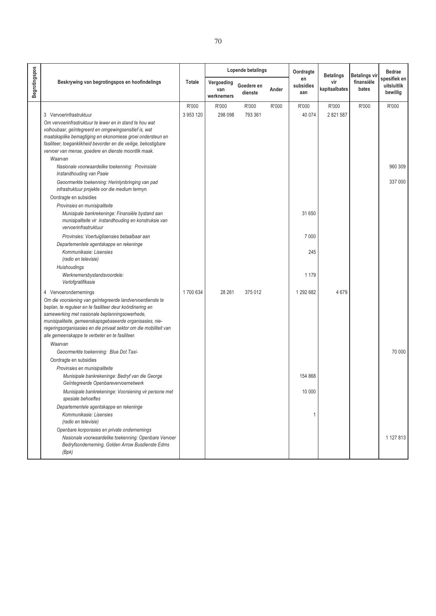|                      | Lopende betalings<br>Beskrywing van begrotingspos en hoofindelings<br><b>Totale</b><br>Vergoeding<br>Goedere en<br>van<br>dienste<br>werknemers |           |         | Oordragte | <b>Betalings</b> | <b>Betalings vir</b>   | <b>Bedrae</b>        |                     |                                         |
|----------------------|-------------------------------------------------------------------------------------------------------------------------------------------------|-----------|---------|-----------|------------------|------------------------|----------------------|---------------------|-----------------------------------------|
| <b>Begrotingspos</b> |                                                                                                                                                 |           |         |           | Ander            | en<br>subsidies<br>aan | vir<br>kapitaalbates | finansiële<br>bates | spesifiek en<br>uitsluitlik<br>bewillig |
|                      |                                                                                                                                                 | R'000     | R'000   | R'000     | R'000            | R'000                  | R'000                | R'000               | R'000                                   |
|                      | 3 Vervoerinfrastruktuur                                                                                                                         | 3 953 120 | 298 098 | 793 361   |                  | 40 0 74                | 2 821 587            |                     |                                         |
|                      | Om vervoerinfrastruktuur te lewer en in stand te hou wat                                                                                        |           |         |           |                  |                        |                      |                     |                                         |
|                      | volhoubaar, geïntegreerd en omgewingsensitief is, wat                                                                                           |           |         |           |                  |                        |                      |                     |                                         |
|                      | maatskaplike bemagtiging en ekonomiese groei ondersteun en<br>fasiliteer, toeganklikheid bevorder en die veilige, bekostigbare                  |           |         |           |                  |                        |                      |                     |                                         |
|                      | vervoer van mense, goedere en dienste moontlik maak.                                                                                            |           |         |           |                  |                        |                      |                     |                                         |
|                      | Waarvan                                                                                                                                         |           |         |           |                  |                        |                      |                     |                                         |
|                      | Nasionale voorwaardelike toekenning: Provinsiale<br>Instandhouding van Paaie                                                                    |           |         |           |                  |                        |                      |                     | 960 309                                 |
|                      | Geoormerkte toekenning: Herinlynbringing van pad<br>infrastruktuur projekte oor die medium termyn.                                              |           |         |           |                  |                        |                      |                     | 337 000                                 |
|                      | Oordragte en subsidies                                                                                                                          |           |         |           |                  |                        |                      |                     |                                         |
|                      | Provinsies en munisipaliteite                                                                                                                   |           |         |           |                  |                        |                      |                     |                                         |
|                      | Munisipale bankrekeninge: Finansiële bystand aan<br>munisipaliteite vir instandhouding en konstruksie van<br>vervoerinfrastruktuur              |           |         |           |                  | 31 650                 |                      |                     |                                         |
|                      | Provinsies: Voertuiglisensies betaalbaar aan                                                                                                    |           |         |           |                  | 7000                   |                      |                     |                                         |
|                      | Departementele agentskappe en rekeninge                                                                                                         |           |         |           |                  |                        |                      |                     |                                         |
|                      | Kommunikasie: Lisensies<br>(radio en televisie)                                                                                                 |           |         |           |                  | 245                    |                      |                     |                                         |
|                      | Huishoudings                                                                                                                                    |           |         |           |                  |                        |                      |                     |                                         |
|                      | Werknemersbystandsvoordele:<br>Verlofgratifikasie                                                                                               |           |         |           |                  | 1 1 7 9                |                      |                     |                                         |
|                      | 4 Vervoerondernemings                                                                                                                           | 1700 634  | 28 261  | 375012    |                  | 1 292 682              | 4679                 |                     |                                         |
|                      | Om die voorsiening van geïntegreerde landvervoerdienste te                                                                                      |           |         |           |                  |                        |                      |                     |                                         |
|                      | beplan, te reguleer en te fasiliteer deur koördinering en<br>samewerking met nasionale beplanningsowerhede,                                     |           |         |           |                  |                        |                      |                     |                                         |
|                      | munisipaliteite, gemeenskapsgebaseerde organisasies, nie-                                                                                       |           |         |           |                  |                        |                      |                     |                                         |
|                      | regeringsorganisasies en die privaat sektor om die mobiliteit van<br>alle gemeenskappe te verbeter en te fasiliteer.                            |           |         |           |                  |                        |                      |                     |                                         |
|                      | Waarvan                                                                                                                                         |           |         |           |                  |                        |                      |                     |                                         |
|                      | Geoormerkte toekenning: Blue Dot Taxi-                                                                                                          |           |         |           |                  |                        |                      |                     | 70 000                                  |
|                      | Oordragte en subsidies                                                                                                                          |           |         |           |                  |                        |                      |                     |                                         |
|                      | Provinsies en munisipaliteite                                                                                                                   |           |         |           |                  |                        |                      |                     |                                         |
|                      | Munisipale bankrekeninge: Bedryf van die George<br>Geïntegreerde Openbarevervoernetwerk                                                         |           |         |           |                  | 154 868                |                      |                     |                                         |
|                      | Munisipale bankrekeninge: Voorsiening vir persone met<br>spesiale behoeftes                                                                     |           |         |           |                  | 10 000                 |                      |                     |                                         |
|                      | Departementele agentskappe en rekeninge                                                                                                         |           |         |           |                  |                        |                      |                     |                                         |
|                      | Kommunikasie: Lisensies<br>(radio en televisie)                                                                                                 |           |         |           |                  | 1                      |                      |                     |                                         |
|                      | Openbare korporasies en private ondernemings                                                                                                    |           |         |           |                  |                        |                      |                     |                                         |
|                      | Nasionale voorwaardelike toekenning: Openbare Vervoer<br>Bedryfsonderneming, Golden Arrow Busdienste Edms<br>(Bpk)                              |           |         |           |                  |                        |                      |                     | 1 127 813                               |
|                      |                                                                                                                                                 |           |         |           |                  |                        |                      |                     |                                         |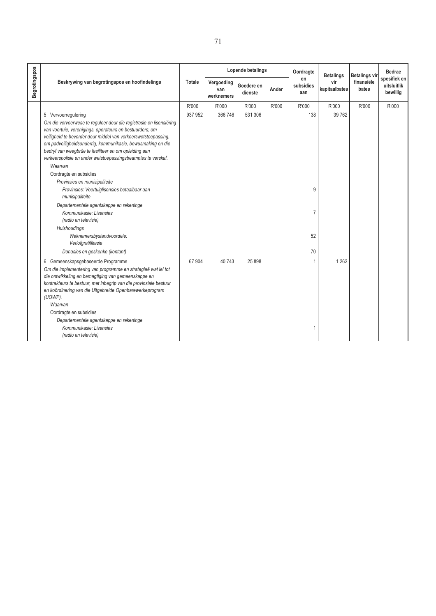|               |                                                                                                                                                                                                                                                                                                                                                                                                                                                                                                                                                                                                                                                                                                                                                                                                                                                                                                                                                                                                                                                                                                                                                                                  | Lopende betalings<br>Beskrywing van begrotingspos en hoofindelings<br><b>Totale</b><br>Vergoeding<br>Goedere en<br>Ander<br>van<br>dienste<br>werknemers | Oordragte                 | <b>Betalings</b>            | <b>Betalings vir</b> | <b>Bedrae</b>                           |                             |                     |                                         |
|---------------|----------------------------------------------------------------------------------------------------------------------------------------------------------------------------------------------------------------------------------------------------------------------------------------------------------------------------------------------------------------------------------------------------------------------------------------------------------------------------------------------------------------------------------------------------------------------------------------------------------------------------------------------------------------------------------------------------------------------------------------------------------------------------------------------------------------------------------------------------------------------------------------------------------------------------------------------------------------------------------------------------------------------------------------------------------------------------------------------------------------------------------------------------------------------------------|----------------------------------------------------------------------------------------------------------------------------------------------------------|---------------------------|-----------------------------|----------------------|-----------------------------------------|-----------------------------|---------------------|-----------------------------------------|
| Begrotingspos |                                                                                                                                                                                                                                                                                                                                                                                                                                                                                                                                                                                                                                                                                                                                                                                                                                                                                                                                                                                                                                                                                                                                                                                  |                                                                                                                                                          |                           |                             |                      | en<br>subsidies<br>aan                  | vir<br>kapitaalbates        | finansiële<br>bates | spesifiek en<br>uitsluitlik<br>bewillig |
|               | 5 Vervoerregulering<br>Om die vervoerwese te reguleer deur die registrasie en lisensiëring<br>van voertuie, verenigings, operateurs en bestuurders; om<br>veiligheid te bevorder deur middel van verkeerswetstoepassing,<br>om padveiligheidsonderrig, kommunikasie, bewusmaking en die<br>bedryf van weegbrûe te fasiliteer en om opleiding aan<br>verkeerspolisie en ander wetstoepassingsbeamptes te verskaf.<br>Waarvan<br>Oordragte en subsidies<br>Provinsies en munisipaliteite<br>Provinsies: Voertuiglisensies betaalbaar aan<br>munisipaliteite<br>Departementele agentskappe en rekeninge<br>Kommunikasie: Lisensies<br>(radio en televisie)<br>Huishoudings<br>Weknemersbystandvoordele:<br>Verlofgratifikasie<br>Donasies en geskenke (kontant)<br>6 Gemeenskapsgebaseerde Programme<br>Om die implementering van programme en strategieë wat lei tot<br>die ontwikkeling en bemagtiging van gemeenskappe en<br>kontrakteurs te bestuur, met inbegrip van die provinsiale bestuur<br>en koördinering van die Uitgebreide Openbarewerkeprogram<br>(UOWP).<br>Waarvan<br>Oordragte en subsidies<br>Departementele agentskappe en rekeninge<br>Kommunikasie: Lisensies | R'000<br>937 952<br>67 904                                                                                                                               | R'000<br>366 746<br>40743 | R'000<br>531 306<br>25 8 98 | R'000                | R'000<br>138<br>9<br>7<br>52<br>70<br>1 | R'000<br>39 7 62<br>1 2 6 2 | R'000               | R'000                                   |
|               | (radio en televisie)                                                                                                                                                                                                                                                                                                                                                                                                                                                                                                                                                                                                                                                                                                                                                                                                                                                                                                                                                                                                                                                                                                                                                             |                                                                                                                                                          |                           |                             |                      |                                         |                             |                     |                                         |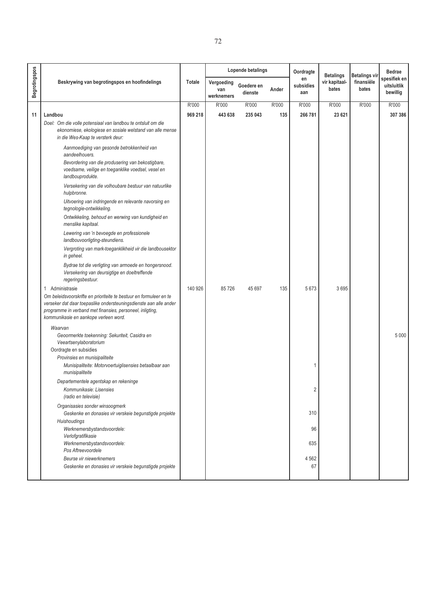|                      |                                                                                                                                                                                                                                               |               |                                 | Lopende betalings     |       | Oordragte              | <b>Betalings</b>       | Betalings vir       | <b>Bedrae</b>                           |
|----------------------|-----------------------------------------------------------------------------------------------------------------------------------------------------------------------------------------------------------------------------------------------|---------------|---------------------------------|-----------------------|-------|------------------------|------------------------|---------------------|-----------------------------------------|
| <b>Begrotingspos</b> | Beskrywing van begrotingspos en hoofindelings                                                                                                                                                                                                 | <b>Totale</b> | Vergoeding<br>van<br>werknemers | Goedere en<br>dienste | Ander | en<br>subsidies<br>aan | vir kapitaal-<br>bates | finansiële<br>bates | spesifiek en<br>uitsluitlik<br>bewillig |
|                      |                                                                                                                                                                                                                                               | R'000         | R'000                           | R'000                 | R'000 | R'000                  | R'000                  | R'000               | R'000                                   |
| 11                   | Landbou                                                                                                                                                                                                                                       | 969 218       | 443 638                         | 235 043               | 135   | 266 781                | 23 621                 |                     | 307 386                                 |
|                      | Doel: Om die volle potensiaal van landbou te ontsluit om die<br>ekonomiese, ekologiese en sosiale welstand van alle mense<br>in die Wes-Kaap te versterk deur:                                                                                |               |                                 |                       |       |                        |                        |                     |                                         |
|                      | Aanmoediging van gesonde betrokkenheid van<br>aandeelhouers.                                                                                                                                                                                  |               |                                 |                       |       |                        |                        |                     |                                         |
|                      | Bevordering van die produsering van bekostigbare,<br>voedsame, veilige en toeganklike voedsel, vesel en<br>landbouprodukte.                                                                                                                   |               |                                 |                       |       |                        |                        |                     |                                         |
|                      | Versekering van die volhoubare bestuur van natuurlike<br>hulpbronne.                                                                                                                                                                          |               |                                 |                       |       |                        |                        |                     |                                         |
|                      | Uitvoering van indringende en relevante navorsing en<br>tegnologie-ontwikkeling.                                                                                                                                                              |               |                                 |                       |       |                        |                        |                     |                                         |
|                      | Ontwikkeling, behoud en werwing van kundigheid en<br>menslike kapitaal.                                                                                                                                                                       |               |                                 |                       |       |                        |                        |                     |                                         |
|                      | Lewering van 'n bevoegde en professionele<br>landbouvoorligting-steundiens.                                                                                                                                                                   |               |                                 |                       |       |                        |                        |                     |                                         |
|                      | Vergroting van mark-toeganklikheid vir die landbousektor<br>in geheel.                                                                                                                                                                        |               |                                 |                       |       |                        |                        |                     |                                         |
|                      | Bydrae tot die verligting van armoede en hongersnood.<br>Versekering van deursigtige en doeltreffende<br>regeringsbestuur.                                                                                                                    |               |                                 |                       |       |                        |                        |                     |                                         |
|                      | Administrasie<br>1                                                                                                                                                                                                                            | 140 926       | 85 726                          | 45 697                | 135   | 5 6 7 3                | 3695                   |                     |                                         |
|                      | Om beleidsvoorskrifte en prioriteite te bestuur en formuleer en te<br>verseker dat daar toepaslike ondersteuningsdienste aan alle ander<br>programme in verband met finansies, personeel, inligting,<br>kommunikasie en aankope verleen word. |               |                                 |                       |       |                        |                        |                     |                                         |
|                      | Waarvan<br>Geoormerkte toekenning: Sekuriteit, Casidra en<br>Veeartsenylaboratorium<br>Oordragte en subsidies<br>Provinsies en munisipaliteite                                                                                                |               |                                 |                       |       |                        |                        |                     | 5 0 0 0                                 |
|                      | Munisipaliteite: Motorvoertuiglisensies betaalbaar aan<br>munisipaliteite                                                                                                                                                                     |               |                                 |                       |       | 1                      |                        |                     |                                         |
|                      | Departementele agentskap en rekeninge                                                                                                                                                                                                         |               |                                 |                       |       |                        |                        |                     |                                         |
|                      | Kommunikasie: Lisensies<br>(radio en televisie)                                                                                                                                                                                               |               |                                 |                       |       |                        |                        |                     |                                         |
|                      | Organisasies sonder winsoogmerk<br>Geskenke en donasies vir verskeie begunstigde projekte                                                                                                                                                     |               |                                 |                       |       | 310                    |                        |                     |                                         |
|                      | Huishoudings<br>Werknemersbystandsvoordele:                                                                                                                                                                                                   |               |                                 |                       |       | 96                     |                        |                     |                                         |
|                      | Verlofgratifikasie<br>Werknemersbystandsvoordele:<br>Pos Aftreevoordele                                                                                                                                                                       |               |                                 |                       |       | 635                    |                        |                     |                                         |
|                      | Beurse vir niewerknemers                                                                                                                                                                                                                      |               |                                 |                       |       | 4 5 6 2                |                        |                     |                                         |
|                      | Geskenke en donasies vir verskeie begunstigde projekte                                                                                                                                                                                        |               |                                 |                       |       | 67                     |                        |                     |                                         |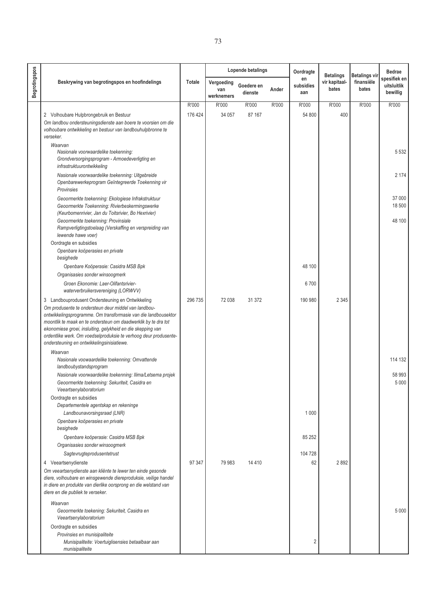|               |                                                                                                                                                                                                                                                                                                                                                                                                                               |               |                                 | Lopende betalings     |       | Oordragte              | <b>Betalings</b>       | Betalings vir       | <b>Bedrae</b>                           |
|---------------|-------------------------------------------------------------------------------------------------------------------------------------------------------------------------------------------------------------------------------------------------------------------------------------------------------------------------------------------------------------------------------------------------------------------------------|---------------|---------------------------------|-----------------------|-------|------------------------|------------------------|---------------------|-----------------------------------------|
| Begrotingspos | Beskrywing van begrotingspos en hoofindelings                                                                                                                                                                                                                                                                                                                                                                                 | <b>Totale</b> | Vergoeding<br>van<br>werknemers | Goedere en<br>dienste | Ander | en<br>subsidies<br>aan | vir kapitaal-<br>bates | finansiële<br>bates | spesifiek en<br>uitsluitlik<br>bewillig |
|               |                                                                                                                                                                                                                                                                                                                                                                                                                               | R'000         | R'000                           | R'000                 | R'000 | R'000                  | R'000                  | R'000               | R'000                                   |
|               | 2 Volhoubare Hulpbrongebruik en Bestuur                                                                                                                                                                                                                                                                                                                                                                                       | 176 424       | 34 057                          | 87 167                |       | 54 800                 | 400                    |                     |                                         |
|               | Om landbou ondersteuningsdienste aan boere te voorsien om die<br>volhoubare ontwikkeling en bestuur van landbouhulpbronne te<br>verseker.                                                                                                                                                                                                                                                                                     |               |                                 |                       |       |                        |                        |                     |                                         |
|               | Waarvan<br>Nasionale voorwaardelike toekenning:<br>Grondversorgingsprogram - Armoedeverligting en<br>infrastruktuurontwikkeling                                                                                                                                                                                                                                                                                               |               |                                 |                       |       |                        |                        |                     | 5 5 3 2                                 |
|               | Nasionale voorwaardelike toekenning: Uitgebreide<br>Openbarewerkeprogram Geïntegreerde Toekenning vir<br>Provinsies                                                                                                                                                                                                                                                                                                           |               |                                 |                       |       |                        |                        |                     | 2 174                                   |
|               | Geoormerkte toekenning: Ekologiese Infrakstruktuur<br>Geoormerkte Toekenning: Rivierbeskermingswerke<br>(Keurbomenrivier, Jan du Toitsrivier, Bo Hexrivier)                                                                                                                                                                                                                                                                   |               |                                 |                       |       |                        |                        |                     | 37 000<br>18500                         |
|               | Geoormerkte toekenning: Provinsiale<br>Rampverligtingstoelaag (Verskaffing en verspreiding van<br>lewende hawe voer)                                                                                                                                                                                                                                                                                                          |               |                                 |                       |       |                        |                        |                     | 48 100                                  |
|               | Oordragte en subsidies<br>Openbare koöperasies en private<br>besighede                                                                                                                                                                                                                                                                                                                                                        |               |                                 |                       |       |                        |                        |                     |                                         |
|               | Openbare Koöperasie: Casidra MSB Bpk                                                                                                                                                                                                                                                                                                                                                                                          |               |                                 |                       |       | 48 100                 |                        |                     |                                         |
|               | Organisasies sonder winsoogmerk                                                                                                                                                                                                                                                                                                                                                                                               |               |                                 |                       |       |                        |                        |                     |                                         |
|               | Groen Ekonomie: Laer-Olifantsrivier-<br>waterverbruikersvereniging (LORWVV)                                                                                                                                                                                                                                                                                                                                                   |               |                                 |                       |       | 6700                   |                        |                     |                                         |
|               | 3 Landbouprodusent Ondersteuning en Ontwikkeling<br>Om produsente te ondersteun deur middel van landbou-<br>ontwikkelingsprogramme. Om transformasie van die landbousektor<br>moontlik te maak en te ondersteun om daadwerklik by te dra tot<br>ekonomiese groei, insluiting, gelykheid en die skepping van<br>ordentlike werk. Om voedselproduksie te verhoog deur produsente-<br>ondersteuning en ontwikkelingsinisiatiewe. | 296 735       | 72 038                          | 31 372                |       | 190 980                | 2 3 4 5                |                     |                                         |
|               | Waarvan                                                                                                                                                                                                                                                                                                                                                                                                                       |               |                                 |                       |       |                        |                        |                     |                                         |
|               | Nasionale voowaardelike toekenning: Omvattende<br>landboubystandsprogram                                                                                                                                                                                                                                                                                                                                                      |               |                                 |                       |       |                        |                        |                     | 114 132                                 |
|               | Nasionale voorwaardelike toekenning: Ilima/Letsema projek<br>Geoormerkte toekenning: Sekuriteit, Casidra en<br>Veeartsenylaboratorium                                                                                                                                                                                                                                                                                         |               |                                 |                       |       |                        |                        |                     | 58 993<br>5 0 0 0                       |
|               | Oordragte en subsidies<br>Departementele agentskap en rekeninge<br>Landbounavorsingsraad (LNR)                                                                                                                                                                                                                                                                                                                                |               |                                 |                       |       | 1 0 0 0                |                        |                     |                                         |
|               | Openbare koöperasies en private<br>besighede                                                                                                                                                                                                                                                                                                                                                                                  |               |                                 |                       |       |                        |                        |                     |                                         |
|               | Openbare koöperasie: Casidra MSB Bpk<br>Organisasies sonder winsoogmerk                                                                                                                                                                                                                                                                                                                                                       |               |                                 |                       |       | 85 25 2                |                        |                     |                                         |
|               | Sagtevrugteprodusentetrust                                                                                                                                                                                                                                                                                                                                                                                                    |               |                                 |                       |       | 104 728                |                        |                     |                                         |
|               | 4 Veeartsenydienste<br>Om veeartsenydienste aan kliënte te lewer ten einde gesonde<br>diere, volhoubare en winsgewende diereproduksie, veilige handel<br>in diere en produkte van dierlike oorsprong en die welstand van<br>diere en die publiek te verseker.                                                                                                                                                                 | 97 347        | 79 983                          | 14 4 10               |       | 62                     | 2892                   |                     |                                         |
|               | Waarvan<br>Geoormerkte toekening: Sekuriteit, Casidra en<br>Veeartsenylaboratorium                                                                                                                                                                                                                                                                                                                                            |               |                                 |                       |       |                        |                        |                     | 5 0 0 0                                 |
|               | Oordragte en subsidies<br>Provinsies en munisipaliteite<br>Munisipaliteite: Voertuiglisensies betaalbaar aan<br>munisipaliteite                                                                                                                                                                                                                                                                                               |               |                                 |                       |       | 2                      |                        |                     |                                         |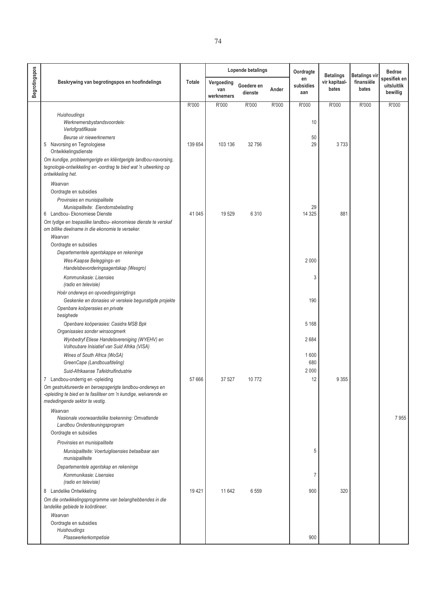|                      |                                                                                                                                                                                                    |               |                                 | Lopende betalings     |       | Oordragte              | <b>Betalings</b>       | <b>Betalings vir</b> | <b>Bedrae</b>                           |
|----------------------|----------------------------------------------------------------------------------------------------------------------------------------------------------------------------------------------------|---------------|---------------------------------|-----------------------|-------|------------------------|------------------------|----------------------|-----------------------------------------|
| <b>Begrotingspos</b> | Beskrywing van begrotingspos en hoofindelings                                                                                                                                                      | <b>Totale</b> | Vergoeding<br>van<br>werknemers | Goedere en<br>dienste | Ander | en<br>subsidies<br>aan | vir kapitaal-<br>bates | finansiële<br>bates  | spesifiek en<br>uitsluitlik<br>bewillig |
|                      |                                                                                                                                                                                                    | R'000         | R'000                           | R'000                 | R'000 | R'000                  | R'000                  | R'000                | R'000                                   |
|                      | Huishoudings<br>Werknemersbystandsvoordele:<br>Verlofgratifikasie                                                                                                                                  |               |                                 |                       |       | 10                     |                        |                      |                                         |
|                      | Beurse vir niewerknemers<br>Navorsing en Tegnologiese<br>5<br>Ontwikkelingsdienste                                                                                                                 | 139 654       | 103 136                         | 32756                 |       | 50<br>29               | 3733                   |                      |                                         |
|                      | Om kundige, probleemgerigte en kliëntgerigte landbou-navorsing,<br>tegnologie-ontwikkeling en -oordrag te bied wat 'n uitwerking op<br>ontwikkeling het.                                           |               |                                 |                       |       |                        |                        |                      |                                         |
|                      | Waarvan<br>Oordragte en subsidies                                                                                                                                                                  |               |                                 |                       |       |                        |                        |                      |                                         |
|                      | Provinsies en munisipaliteite                                                                                                                                                                      |               |                                 |                       |       |                        |                        |                      |                                         |
|                      | Munisipaliteite: Eiendomsbelasting<br>6 Landbou- Ekonomiese Dienste                                                                                                                                | 41 045        | 19 529                          | 6 3 1 0               |       | 29<br>14 3 25          | 881                    |                      |                                         |
|                      | Om tydige en toepaslike landbou- ekonomiese dienste te verskaf<br>om billike deelname in die ekonomie te verseker.                                                                                 |               |                                 |                       |       |                        |                        |                      |                                         |
|                      | Waarvan<br>Oordragte en subsidies                                                                                                                                                                  |               |                                 |                       |       |                        |                        |                      |                                         |
|                      | Departementele agentskappe en rekeninge<br>Wes-Kaapse Beleggings- en<br>Handelsbevorderingsagentskap (Wesgro)                                                                                      |               |                                 |                       |       | 2 0 0 0                |                        |                      |                                         |
|                      | Kommunikasie: Lisensies                                                                                                                                                                            |               |                                 |                       |       | 3                      |                        |                      |                                         |
|                      | (radio en televisie)<br>Hoër onderwys en opvoedingsinrigtings                                                                                                                                      |               |                                 |                       |       |                        |                        |                      |                                         |
|                      | Geskenke en donasies vir verskeie begunstigde projekte<br>Openbare koöperasies en private<br>besighede                                                                                             |               |                                 |                       |       | 190                    |                        |                      |                                         |
|                      | Openbare koöperasies: Casidra MSB Bpk                                                                                                                                                              |               |                                 |                       |       | 5 1 6 8                |                        |                      |                                         |
|                      | Organisasies sonder winsoogmerk<br>Wynbedryf Etiese Handelsvereniging (WYEHV) en<br>Volhoubare Inisiatief van Suid Afrika (VISA)                                                                   |               |                                 |                       |       | 2684                   |                        |                      |                                         |
|                      | Wines of South Africa (WoSA)<br>GreenCape (Landbouafdeling)                                                                                                                                        |               |                                 |                       |       | 1600<br>680            |                        |                      |                                         |
|                      | Suid-Afrikaanse Tafeldruifindustrie                                                                                                                                                                |               |                                 |                       |       | 2 0 0 0                |                        |                      |                                         |
|                      | 7 Landbou-onderrig en -opleiding<br>Om gestruktureerde en beroepsgerigte landbou-onderwys en<br>-opleiding te bied en te fasiliteer om 'n kundige, welvarende en<br>mededingende sektor te vestig. | 57 666        | 37 527                          | 10772                 |       | 12                     | 9 3 5 5                |                      |                                         |
|                      | Waarvan<br>Nasionale voorwaardelike toekenning: Omvattende<br>Landbou Ondersteuningsprogram                                                                                                        |               |                                 |                       |       |                        |                        |                      | 7955                                    |
|                      | Oordragte en subsidies                                                                                                                                                                             |               |                                 |                       |       |                        |                        |                      |                                         |
|                      | Provinsies en munisipaliteite<br>Munisipaliteite: Voertuiglisensies betaalbaar aan                                                                                                                 |               |                                 |                       |       | 5                      |                        |                      |                                         |
|                      | munisipaliteite                                                                                                                                                                                    |               |                                 |                       |       |                        |                        |                      |                                         |
|                      | Departementele agentskap en rekeninge<br>Kommunikasie: Lisensies<br>(radio en televisie)                                                                                                           |               |                                 |                       |       | 7                      |                        |                      |                                         |
|                      | 8 Landelike Ontwikkeling<br>Om die ontwikkelingsprogramme van belanghebbendes in die<br>landelike gebiede te koördineer.                                                                           | 19421         | 11 642                          | 6 5 5 9               |       | 900                    | 320                    |                      |                                         |
|                      | Waarvan<br>Oordragte en subsidies<br>Huishoudings                                                                                                                                                  |               |                                 |                       |       |                        |                        |                      |                                         |
|                      | Plaaswerkerkompetisie                                                                                                                                                                              |               |                                 |                       |       | 900                    |                        |                      |                                         |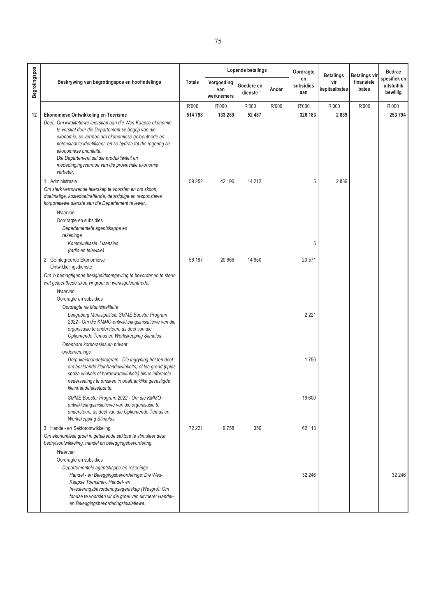|               |                                                                                                                                                                                                                                                                                                                                                                                                                     |                  |                                 | Lopende betalings     |       | Oordragte              | <b>Betalings</b>     | <b>Betalings vir</b> | <b>Bedrae</b>                           |
|---------------|---------------------------------------------------------------------------------------------------------------------------------------------------------------------------------------------------------------------------------------------------------------------------------------------------------------------------------------------------------------------------------------------------------------------|------------------|---------------------------------|-----------------------|-------|------------------------|----------------------|----------------------|-----------------------------------------|
| Begrotingspos | Beskrywing van begrotingspos en hoofindelings                                                                                                                                                                                                                                                                                                                                                                       | Totale           | Vergoeding<br>van<br>werknemers | Goedere en<br>dienste | Ander | en<br>subsidies<br>aan | vir<br>kapitaalbates | finansiële<br>bates  | spesifiek en<br>uitsluitlik<br>bewillig |
| 12            | Ekonomiese Ontwikkeling en Toerisme<br>Doel: Om kwalitatiewe leierskap aan die Wes-Kaapse ekonomie<br>te verskaf deur die Departement se begrip van die<br>ekonomie, se vermoë om ekonomiese geleenthede en<br>potensiaal te identifiseer, en se bydrae tot die regering se<br>ekonomiese prioriteite.<br>Die Departement sal die produktiwiteit en<br>mededingingsvermoë van die provinsiale ekonomie<br>verbeter. | R'000<br>514 798 | R'000<br>133 289                | R'000<br>52 487       | R'000 | R'000<br>326 183       | R'000<br>2839        | R'000                | R'000<br>253 794                        |
|               | Administrasie<br>$\mathbf{1}$<br>Om sterk vernuwende leierskap te voorsien en om skoon,<br>doelmatige, kostedoeltreffende, deursigtige en responsiewe<br>korporatiewe dienste aan die Departement te lewer.<br>Waarvan<br>Oordragte en subsidies<br>Departementele agentskappe en<br>rekeninge<br>Kommunikasie: Lisensies                                                                                           | 59 252           | 42 196                          | 14 212                |       | 5<br>5                 | 2839                 |                      |                                         |
|               | (radio en televisie)<br>2 Geïntegreerde Ekonomiese<br>Ontwikkelingsdienste<br>Om 'n bemagtigende besigheidsomgewing te bevorder en te steun<br>wat geleenthede skep vir groei en werksgeleenthede.<br>Waarvan                                                                                                                                                                                                       | 56 187           | 20 666                          | 14 950                |       | 20 571                 |                      |                      |                                         |
|               | Oordragte en subsidies<br>Oordragte na Munisipaliteite<br>Langeberg Munisipaliteit: SMME Booster Program<br>2022 - Om die KMMO-ontwikkelingsinisiatiewe van die<br>organisasie te ondersteun, as deel van die<br>Opkomende Temas en Werkskepping Stimulus.<br>Openbare korporasies en privaat                                                                                                                       |                  |                                 |                       |       | 2 2 2 1                |                      |                      |                                         |
|               | ondernemings<br>Dorp-kleinhandelprogram - Die ingryping het ten doel<br>om bestaande kleinhandelwinkel(s) of leë grond (tipies<br>spaza-winkels of hardewarewinkels) binne informele<br>nedersettings te omskep in onafhanklike gevestigde<br>kleinhandelafsetpunte.                                                                                                                                                |                  |                                 |                       |       | 1750                   |                      |                      |                                         |
|               | SMME Booster Program 2022 - Om die KMMO-<br>ontwikkelingsinisiatiewe van die organisasie te<br>ondersteun, as deel van die Opkomende Temas en<br>Werkskepping Stimulus.                                                                                                                                                                                                                                             |                  |                                 |                       |       | 16 600                 |                      |                      |                                         |
|               | 3 Handel- en Sektorontwikkeling<br>Om ekonomiese groei in geteikende sektore te stimuleer deur<br>bedryfsontwikkeling, handel en beleggingsbevordering.<br>Waarvan<br>Oordragte en subsidies                                                                                                                                                                                                                        | 72 221           | 9758                            | 350                   |       | 62 113                 |                      |                      |                                         |
|               | Departementele agentskappe en rekeninge<br>Handel - en Beleggingsbevorderings: Die Wes-<br>Kaapse Toerisme-, Handel- en<br>Investeringsbevorderingsagentskap (Wesgro): Om<br>fondse te voorsien vir die groei van uitvoere: Handel-<br>en Beleggingsbevorderingsinisiatiewe.                                                                                                                                        |                  |                                 |                       |       | 32 246                 |                      |                      | 32 246                                  |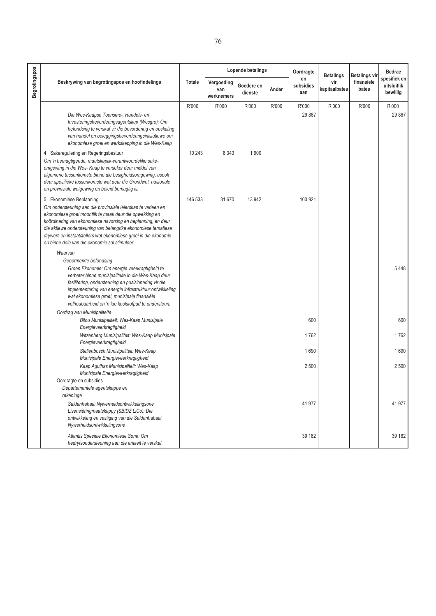|                      |                                                                                                                                                                                                                                                                                                                                                                                                         |         |                                 | Lopende betalings     |       | Oordragte              | <b>Betalings</b>     | <b>Betalings vir</b> | <b>Bedrae</b>                           |
|----------------------|---------------------------------------------------------------------------------------------------------------------------------------------------------------------------------------------------------------------------------------------------------------------------------------------------------------------------------------------------------------------------------------------------------|---------|---------------------------------|-----------------------|-------|------------------------|----------------------|----------------------|-----------------------------------------|
| <b>Begrotingspos</b> | Beskrywing van begrotingspos en hoofindelings                                                                                                                                                                                                                                                                                                                                                           | Totale  | Vergoeding<br>van<br>werknemers | Goedere en<br>dienste | Ander | en<br>subsidies<br>aan | vir<br>kapitaalbates | finansiële<br>bates  | spesifiek en<br>uitsluitlik<br>bewillig |
|                      |                                                                                                                                                                                                                                                                                                                                                                                                         | R'000   | R'000                           | R'000                 | R'000 | R'000                  | R'000                | R'000                | R'000                                   |
|                      | Die Wes-Kaapse Toerisme-, Handels- en<br>Investeringsbevorderingsagentskap (Wesgro): Om<br>befondsing te verskaf vir die bevordering en opskaling<br>van handel en beleggingsbevorderingsinisiatiewe om<br>ekonomiese groei en werkskepping in die Wes-Kaap                                                                                                                                             |         |                                 |                       |       | 29 867                 |                      |                      | 29 867                                  |
|                      | 4 Sakeregulering en Regeringsbestuur<br>Om 'n bemagtigende, maatskaplik-verantwoordelike sake-<br>omgewing in die Wes- Kaap te verseker deur middel van<br>algemene tussenkomste binne die besigheidsomgewing, asook<br>deur spesifieke tussenkomste wat deur die Grondwet, nasionale<br>en provinsiale wetgewing en beleid bemagtig is.                                                                | 10 243  | 8 3 4 3                         | 1900                  |       |                        |                      |                      |                                         |
|                      | 5 Ekonomiese Beplanning<br>Om ondersteuning aan die provinsiale leierskap te verleen en<br>ekonomiese groei moontlik te maak deur die opwekking en<br>koördinering van ekonomiese navorsing en beplanning, en deur<br>die aktiewe ondersteuning van belangrike ekonomiese tematiese<br>drywers en instaatstellers wat ekonomiese groei in die ekonomie<br>en binne dele van die ekonomie sal stimuleer. | 146 533 | 31 670                          | 13 942                |       | 100 921                |                      |                      |                                         |
|                      | Waarvan                                                                                                                                                                                                                                                                                                                                                                                                 |         |                                 |                       |       |                        |                      |                      |                                         |
|                      | Geoormerkte befondsing<br>Groen Ekonomie: Om energie veerkragtigheid te<br>verbeter binne munisipaliteite in die Wes-Kaap deur<br>fasilitering, ondersteuning en posisionering vir die<br>implementering van energie infrastruktuur ontwikkeling<br>wat ekonomiese groei, munisipale finansiële<br>volhoubaarheid en 'n lae koolstofpad te ondersteun.                                                  |         |                                 |                       |       |                        |                      |                      | 5448                                    |
|                      | Oordrag aan Munisipaliteite                                                                                                                                                                                                                                                                                                                                                                             |         |                                 |                       |       |                        |                      |                      |                                         |
|                      | Bitou Munisipaliteit: Wes-Kaap Munisipale<br>Energieveerkragtigheid                                                                                                                                                                                                                                                                                                                                     |         |                                 |                       |       | 600                    |                      |                      | 600                                     |
|                      | Witzenberg Munisipaliteit: Wes-Kaap Munisipale<br>Energieveerkragtigheid                                                                                                                                                                                                                                                                                                                                |         |                                 |                       |       | 1762                   |                      |                      | 1762                                    |
|                      | Stellenbosch Munisipaliteit: Wes-Kaap<br>Munisipale Energieveerkragtigheid                                                                                                                                                                                                                                                                                                                              |         |                                 |                       |       | 1690                   |                      |                      | 1690                                    |
|                      | Kaap Agulhas Munisipaliteit: Wes-Kaap<br>Munisipale Energieveerkragtigheid                                                                                                                                                                                                                                                                                                                              |         |                                 |                       |       | 2500                   |                      |                      | 2 500                                   |
|                      | Oordragte en subsidies<br>Departementele agentskappe en<br>rekeninge                                                                                                                                                                                                                                                                                                                                    |         |                                 |                       |       |                        |                      |                      |                                         |
|                      | Saldanhabaai Nywerheidsontwikkelingsone<br>Lisensiëringmaatskappy (SBIDZ LiCo): Die<br>ontwikkeling en vestiging van die Saldanhabaai<br>Nywerheidsontwikkelingsone                                                                                                                                                                                                                                     |         |                                 |                       |       | 41 977                 |                      |                      | 41 977                                  |
|                      | Atlantis Spesiale Ekonomiese Sone: Om<br>bedryfsondersteuning aan die entiteit te verskaf.                                                                                                                                                                                                                                                                                                              |         |                                 |                       |       | 39 182                 |                      |                      | 39 182                                  |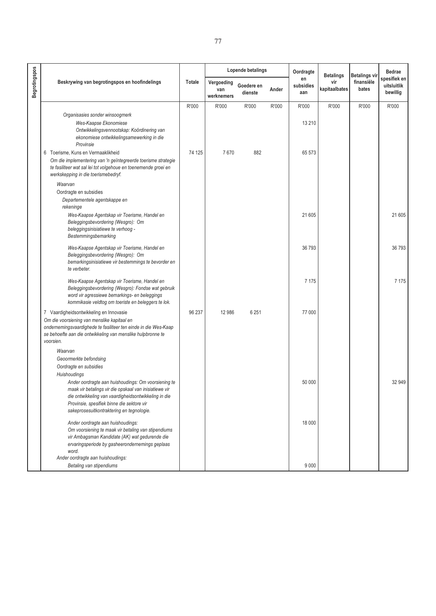|                      |                                                                                                                                                                                                                                                                                         |        | Lopende betalings               |                       |       | Oordragte              | <b>Betalings</b>     | Betalings vir       | <b>Bedrae</b>                           |
|----------------------|-----------------------------------------------------------------------------------------------------------------------------------------------------------------------------------------------------------------------------------------------------------------------------------------|--------|---------------------------------|-----------------------|-------|------------------------|----------------------|---------------------|-----------------------------------------|
| <b>Begrotingspos</b> | Beskrywing van begrotingspos en hoofindelings                                                                                                                                                                                                                                           | Totale | Vergoeding<br>van<br>werknemers | Goedere en<br>dienste | Ander | en<br>subsidies<br>aan | vir<br>kapitaalbates | finansiële<br>bates | spesifiek en<br>uitsluitlik<br>bewillig |
|                      |                                                                                                                                                                                                                                                                                         | R'000  | R'000                           | R'000                 | R'000 | R'000                  | R'000                | R'000               | R'000                                   |
|                      | Organisasies sonder winsoogmerk<br>Wes-Kaapse Ekonomiese<br>Ontwikkelingsvennootskap: Koördinering van<br>ekonomiese ontwikkelingsamewerking in die<br>Provinsie                                                                                                                        |        |                                 |                       |       | 13 2 10                |                      |                     |                                         |
|                      | 6 Toerisme, Kuns en Vermaaklikheid                                                                                                                                                                                                                                                      | 74 125 | 7670                            | 882                   |       | 65 573                 |                      |                     |                                         |
|                      | Om die implementering van 'n geïntegreerde toerisme strategie<br>te fasiliteer wat sal lei tot volgehoue en toenemende groei en<br>werkskepping in die toerismebedryf.                                                                                                                  |        |                                 |                       |       |                        |                      |                     |                                         |
|                      | Waarvan<br>Oordragte en subsidies<br>Departementele agentskappe en<br>rekeninge                                                                                                                                                                                                         |        |                                 |                       |       |                        |                      |                     |                                         |
|                      | Wes-Kaapse Agentskap vir Toerisme, Handel en<br>Beleggingsbevordering (Wesgro): Om<br>beleggingsinisiatiewe te verhoog -<br>Bestemmingsbemarking                                                                                                                                        |        |                                 |                       |       | 21 605                 |                      |                     | 21 605                                  |
|                      | Wes-Kaapse Agentskap vir Toerisme, Handel en<br>Beleggingsbevordering (Wesgro): Om<br>bemarkingsinisiatiewe vir bestemmings te bevorder en<br>te verbeter.                                                                                                                              |        |                                 |                       |       | 36 793                 |                      |                     | 36 793                                  |
|                      | Wes-Kaapse Agentskap vir Toerisme, Handel en<br>Beleggingsbevordering (Wesgro): Fondse wat gebruik<br>word vir agressiewe bemarkings- en beleggings<br>kommikasie veldtog om toeriste en beleggers te lok.                                                                              |        |                                 |                       |       | 7 1 7 5                |                      |                     | 7 1 7 5                                 |
|                      | 7 Vaardigheidsontwikkeling en Innovasie<br>Om die voorsiening van menslike kapitaal en<br>ondernemingsvaardighede te fasiliteer ten einde in die Wes-Kaap<br>se behoefte aan die ontwikkeling van menslike hulpbronne te<br>voorsien.                                                   | 96 237 | 12 986                          | 6 2 5 1               |       | 77 000                 |                      |                     |                                         |
|                      | Waarvan<br>Geoormerkte befondsing<br>Oordragte en subsidies                                                                                                                                                                                                                             |        |                                 |                       |       |                        |                      |                     |                                         |
|                      | <b>Huishoudings</b><br>Ander oordragte aan huishoudings: Om voorsiening te<br>maak vir betalings vir die opskaal van inisiatiewe vir<br>die ontwikkeling van vaardigheidsontwikkeling in die<br>Provinsie, spesifiek binne die sektore vir<br>sakeprosesuitkontraktering en tegnologie. |        |                                 |                       |       | 50 000                 |                      |                     | 32 949                                  |
|                      | Ander oordragte aan huishoudings:<br>Om voorsiening te maak vir betaling van stipendiums<br>vir Ambagsman Kandidate (AK) wat gedurende die<br>ervaringsperiode by gasheerondernemings geplaas<br>word.<br>Ander oordragte aan huishoudings:                                             |        |                                 |                       |       | 18 000                 |                      |                     |                                         |
|                      | Betaling van stipendiums                                                                                                                                                                                                                                                                |        |                                 |                       |       | 9 0 0 0                |                      |                     |                                         |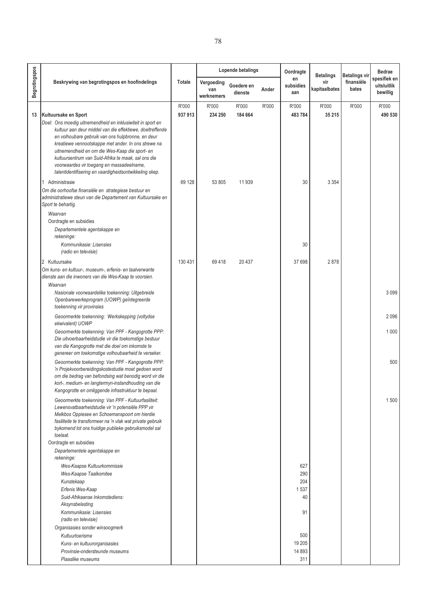|                      |                                                                                                                                                                                                                                                                                                                                                                                                                    |                 |                                 | Lopende betalings     |       | Oordragte                             | <b>Betalings</b>     | Betalings vir       | <b>Bedrae</b>                           |
|----------------------|--------------------------------------------------------------------------------------------------------------------------------------------------------------------------------------------------------------------------------------------------------------------------------------------------------------------------------------------------------------------------------------------------------------------|-----------------|---------------------------------|-----------------------|-------|---------------------------------------|----------------------|---------------------|-----------------------------------------|
| <b>Begrotingspos</b> | Beskrywing van begrotingspos en hoofindelings                                                                                                                                                                                                                                                                                                                                                                      | Totale          | Vergoeding<br>van<br>werknemers | Goedere en<br>dienste | Ander | en<br>subsidies<br>aan                | vir<br>kapitaalbates | finansiële<br>bates | spesifiek en<br>uitsluitlik<br>bewillig |
| 13                   | Kultuursake en Sport<br>Doel: Ons moedig uitnemendheid en inklusiwiteit in sport en<br>kultuur aan deur middel van die effektiewe, doeltreffende<br>en volhoubare gebruik van ons hulpbronne, en deur<br>kreatiewe vennootskappe met ander. In ons strewe na<br>uitnemendheid en om die Wes-Kaap die sport- en<br>kultuursentrum van Suid-Afrika te maak, sal ons die<br>voorwaardes vir toegang en massadeelname, | R'000<br>937913 | R'000<br>234 250                | R'000<br>184 664      | R'000 | R'000<br>483784                       | R'000<br>35 215      | R'000               | R'000<br>490 530                        |
|                      | talentidentifisering en vaardigheidsontwikkeling skep.<br>1 Administrasie<br>Om die oorhoofse finansiële en strategiese bestuur en<br>administratiewe steun van die Departement van Kultuursake en<br>Sport te behartig.<br>Waarvan<br>Oordragte en subsidies<br>Departementele agentskappe en                                                                                                                     | 69 128          | 53 805                          | 11939                 |       | 30                                    | 3 3 5 4              |                     |                                         |
|                      | rekeninge:<br>Kommunikasie: Lisensies<br>(radio en televisie)                                                                                                                                                                                                                                                                                                                                                      |                 |                                 |                       |       | 30                                    |                      |                     |                                         |
|                      | 2 Kultuursake<br>Om kuns- en kultuur-, museum-, erfenis- en taalverwante<br>dienste aan die inwoners van die Wes-Kaap te voorsien.<br>Waarvan<br>Nasionale voorwaardelike toekenning: Uitgebreide<br>Openbarewerkeprogram (UOWP) geïntegreerde                                                                                                                                                                     | 130 431         | 69418                           | 20 437                |       | 37 698                                | 2878                 |                     | 3 0 9 9                                 |
|                      | toekenning vir provinsies<br>Geoormerkte toekenning: Werkskepping (voltydse                                                                                                                                                                                                                                                                                                                                        |                 |                                 |                       |       |                                       |                      |                     | 2096                                    |
|                      | ekwivalent) UOWP<br>Geoormerkte toekenning: Van PPF - Kangogrotte PPP:<br>Die uitvoerbaarheidstudie vir die toekomstige bestuur<br>van die Kangogrotte met die doel om inkomste te<br>genereer om toekomstige volhoubaarheid te verseker.                                                                                                                                                                          |                 |                                 |                       |       |                                       |                      |                     | 1 0 0 0                                 |
|                      | Geoormerkte toekenning: Van PPF - Kangogrotte PPP:<br>'n Projekvoorbereidingskostestudie moet gedoen word<br>om die bedrag van befondsing wat benodig word vir die<br>kort-, medium- en langtermyn-instandhouding van die<br>Kangogrotte en omliggende infrastruktuur te bepaal.                                                                                                                                   |                 |                                 |                       |       |                                       |                      |                     | 500                                     |
|                      | Geoormerkte toekenning: Van PPF - Kultuurfasiliteit:<br>Lewensvatbaarheidstudie vir 'n potensiële PPP vir<br>Melkbos Oppiesee en Schoemanspoort om hierdie<br>fasiliteite te transformeer na 'n vlak wat private gebruik<br>bykomend tot ons huidige publieke gebruiksmodel sal<br>toelaat.                                                                                                                        |                 |                                 |                       |       |                                       |                      |                     | 1500                                    |
|                      | Oordragte en subsidies<br>Departementele agentskappe en<br>rekeninge:<br>Wes-Kaapse Kultuurkommissie<br>Wes-Kaapse Taalkomitee<br>Kunstekaap<br>Erfenis Wes-Kaap<br>Suid-Afrikaanse Inkomstediens:<br>Aksynsbelasting<br>Kommunikasie: Lisensies<br>(radio en televisie)<br>Organisasies sonder winsoogmerk                                                                                                        |                 |                                 |                       |       | 627<br>290<br>204<br>1537<br>40<br>91 |                      |                     |                                         |

**500**  $19\ 205$ 

 $\sim$  311

*Provinsie-ondersteunde museums*

*Kuns- en kultuurorganisasies*

*Plaaslike museums*

*Kultuurtoerisme*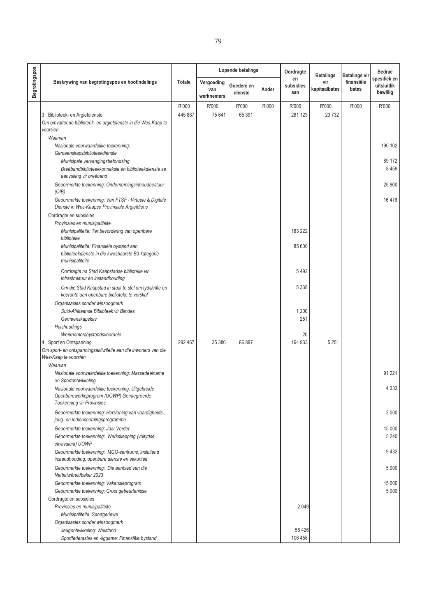|                      |                                                                                                                                                                 |                  |                                 | <b>Lopende betalings</b> |       | Oordragte              | <b>Betalings</b>     | <b>Betalings vir</b> | <b>Bedrae</b>                           |
|----------------------|-----------------------------------------------------------------------------------------------------------------------------------------------------------------|------------------|---------------------------------|--------------------------|-------|------------------------|----------------------|----------------------|-----------------------------------------|
| <b>Begrotingspos</b> | Beskrywing van begrotingspos en hoofindelings                                                                                                                   | Totale           | Vergoeding<br>van<br>werknemers | Goedere en<br>dienste    | Ander | en<br>subsidies<br>aan | vir<br>kapitaalbates | finansiële<br>bates  | spesifiek en<br>uitsluitlik<br>bewillig |
|                      | 3 Biblioteek- en Argiefdienste<br>Om omvattende biblioteek- en argiefdienste in die Wes-Kaap te<br>voorsien.<br>Waarvan<br>Nasionale voorwaardelike toekenning: | R'000<br>445 887 | R'000<br>75 641                 | R'000<br>65 391          | R'000 | R'000<br>281 123       | R'000<br>23732       | R'000                | R'000<br>190 102                        |
|                      | Gemeenskapsbiblioteekdienste<br>Munisipale vervangingsbefondsing<br>Breëbandbiblioteekkonneksie en biblioteekdienste se                                         |                  |                                 |                          |       |                        |                      |                      | 89 172<br>8 4 5 9                       |
|                      | aanvulling vir breëband<br>Geoormerkte toekenning: Ondernemingsinhoudbestuur<br>(OIB)                                                                           |                  |                                 |                          |       |                        |                      |                      | 25 900                                  |
|                      | Geoormerkte toekenning: Van FTSF - Virtuele & Digitale<br>Dienste in Wes-Kaapse Provinsiale Argiefdiens<br>Oordragte en subsidies                               |                  |                                 |                          |       |                        |                      |                      | 16 476                                  |
|                      | Provinsies en munisipaliteite<br>Munisipaliteite: Ter bevordering van openbare<br>biblioteke                                                                    |                  |                                 |                          |       | 183 222                |                      |                      |                                         |
|                      | Munisipaliteite: Finansiële bystand aan<br>biblioteekdienste in die kwesbaarste B3-kategorie<br>munisipaliteite                                                 |                  |                                 |                          |       | 85 600                 |                      |                      |                                         |
|                      | Oordragte na Stad Kaapstadse biblioteke vir<br>infrastruktuur en instandhouding                                                                                 |                  |                                 |                          |       | 5492                   |                      |                      |                                         |
|                      | Om die Stad Kaapstad in staat te stel om tydskrifte en<br>koerante aan openbare biblioteke te verskaf                                                           |                  |                                 |                          |       | 5 3 3 8                |                      |                      |                                         |
|                      | Organisasies sonder winsoogmerk<br>Suid-Afrikaanse Biblioteek vir Blindes<br>Gemeenskapskas                                                                     |                  |                                 |                          |       | 1 2 0 0<br>251         |                      |                      |                                         |
|                      | Huishoudings<br>Werknemersbystandsvoordele<br>4 Sport en Ontspanning<br>Om sport- en ontspanningsaktiwiteite aan die inwoners van die                           | 292 467          | 35 386                          | 86 897                   |       | 20<br>164 933          | 5 2 5 1              |                      |                                         |
|                      | Wes-Kaap te voorsien.<br>Waarvan                                                                                                                                |                  |                                 |                          |       |                        |                      |                      |                                         |
|                      | Nasionale voorwaardelike toekenning: Massadeelname<br>en Sportontwikkeling                                                                                      |                  |                                 |                          |       |                        |                      |                      | 91 221                                  |
|                      | Nasionale voorwaardelike toekenning: Uitgebreide<br>Openbarewerkeprogram (UOWP) Geïntegreerde<br><b>Toekenning vir Provinsies</b>                               |                  |                                 |                          |       |                        |                      |                      | 4 3 3 3                                 |
|                      | Geoormerkte toekenning: Hersiening van vaardigheids-,<br>jeug- en indiensnemingsprogramme                                                                       |                  |                                 |                          |       |                        |                      |                      | 2 0 0 0                                 |
|                      | Geoormerkte toekenning: Jaar Verder<br>Geoormerkte toekenning: Werkskepping (voltydse<br>ekwivalent) UOWP                                                       |                  |                                 |                          |       |                        |                      |                      | 15 000<br>5 2 4 0                       |
|                      | Geoormerkte toekenning: MGO-sentrums, insluitend<br>instandhouding, openbare dienste en sekuriteit                                                              |                  |                                 |                          |       |                        |                      |                      | 9432                                    |
|                      | Geoormerkte toekenning: Die aanbied van die<br>Netbalwêreldbeker 2023                                                                                           |                  |                                 |                          |       |                        |                      |                      | 5 0 0 0                                 |
|                      | Geoormerkte toekenning: Vakansieprogram                                                                                                                         |                  |                                 |                          |       |                        |                      |                      | 15 000<br>5 0 0 0                       |
|                      | Geoormerkte toekenning: Groot gebeurtenisse<br>Oordragte en subsidies                                                                                           |                  |                                 |                          |       |                        |                      |                      |                                         |
|                      | Provinsies en munisipaliteite                                                                                                                                   |                  |                                 |                          |       | 2 0 4 9                |                      |                      |                                         |
|                      | Munisipaliteite: Sportgeriewe                                                                                                                                   |                  |                                 |                          |       |                        |                      |                      |                                         |
|                      | Organisasies sonder winsoogmerk                                                                                                                                 |                  |                                 |                          |       |                        |                      |                      |                                         |
|                      | Jeugontwikkeling: Welstand<br>Sportfederasies en -liggame: Finansiële bystand                                                                                   |                  |                                 |                          |       | 56 4 26<br>106 458     |                      |                      |                                         |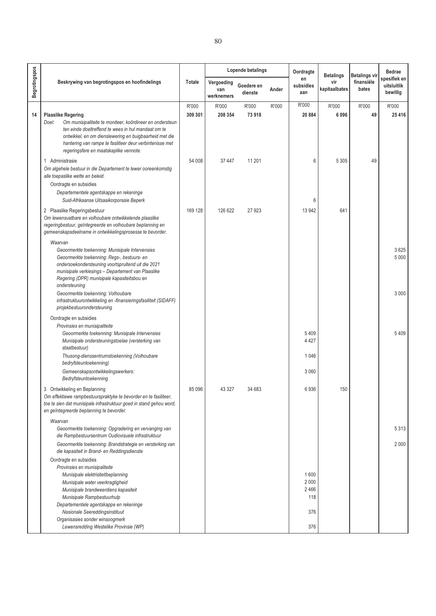|                      |                                                                                                                                                                                                                                                                                                                       |                  |                                 | Lopende betalings     |       | Oordragte                      | <b>Betalings</b>     | <b>Betalings vir</b> | <b>Bedrae</b>                           |
|----------------------|-----------------------------------------------------------------------------------------------------------------------------------------------------------------------------------------------------------------------------------------------------------------------------------------------------------------------|------------------|---------------------------------|-----------------------|-------|--------------------------------|----------------------|----------------------|-----------------------------------------|
| <b>Begrotingspos</b> | Beskrywing van begrotingspos en hoofindelings                                                                                                                                                                                                                                                                         | Totale           | Vergoeding<br>van<br>werknemers | Goedere en<br>dienste | Ander | en<br>subsidies<br>aan         | vir<br>kapitaalbates | finansiële<br>bates  | spesifiek en<br>uitsluitlik<br>bewillig |
| 14                   | <b>Plaaslike Regering</b><br>Doel:<br>Om munisipaliteite te moniteer, koördineer en ondersteun<br>ten einde doeltreffend te wees in hul mandaat om te<br>ontwikkel, en om dienslewering en buigbaarheid met die<br>hantering van rampe te fasiliteer deur verbintenisse met<br>regeringsfere en maatskaplike vennote. | R'000<br>309 301 | R'000<br>208 354                | R'000<br>73918        | R'000 | R'000<br>20884                 | R'000<br>6096        | R'000<br>49          | R'000<br>25 4 16                        |
|                      | Administrasie<br>$\mathbf{1}$<br>Om algehele bestuur in die Departement te lewer ooreenkomstig<br>alle toepaslike wette en beleid.                                                                                                                                                                                    | 54 008           | 37 447                          | 11 201                |       | 6                              | 5 3 0 5              | 49                   |                                         |
|                      | Oordragte en subsidies<br>Departementele agentskappe en rekeninge<br>Suid-Afrikaanse Uitsaaikorporasie Beperk                                                                                                                                                                                                         |                  |                                 |                       |       | 6                              |                      |                      |                                         |
|                      | 2 Plaaslike Regeringsbestuur<br>Om lewensvatbare en volhoubare ontwikkelende plaaslike<br>regeringbestuur, geïntegreerde en volhoubare beplanning en<br>gemeenskapsdeelname in ontwikkelingsprosesse te bevorder.<br>Waarvan                                                                                          | 169 128          | 126 622                         | 27923                 |       | 13 942                         | 641                  |                      |                                         |
|                      | Geoormerkte toekenning: Munisipale Intervensies<br>Geoormerkte toekenning: Regs-, bestuurs- en<br>ondersoekondersteuning voortspruitend uit die 2021<br>munisipale verkiesings - Departement van Plaaslike<br>Regering (DPR) munisipale kapasiteitsbou en                                                             |                  |                                 |                       |       |                                |                      |                      | 3625<br>5 0 0 0                         |
|                      | ondersteuning<br>Geoormerkte toekenning: Volhoubare<br>infrastruktuurontwikkeling en -finansieringsfasiliteit (SIDAFF)<br>projekbestuurondersteuning                                                                                                                                                                  |                  |                                 |                       |       |                                |                      |                      | 3 0 0 0                                 |
|                      | Oordragte en subsidies<br>Provinsies en munisipaliteite<br>Geoormerkte toekenning: Munisipale Intervensies<br>Munisipale ondersteuningstoelae (versterking van<br>staatbestuur)<br>Thusong-dienssentrumstoekenning (Volhoubare<br>bedryfsteuntoekenning)                                                              |                  |                                 |                       |       | 5 4 0 9<br>4 4 2 7<br>1 0 4 6  |                      |                      | 5409                                    |
|                      | Gemeenskapsontwikkelingswerkers:<br>Bedryfsteuntoekenning                                                                                                                                                                                                                                                             |                  |                                 |                       |       | 3 0 6 0                        |                      |                      |                                         |
|                      | 3<br>Ontwikkeling en Beplanning<br>Om effektiewe rampbestuurspraktyke te bevorder en te fasiliteer,<br>toe te sien dat munisipale infrastruktuur goed in stand gehou word,<br>en geïntegreerde beplanning te bevorder.                                                                                                | 85 096           | 43 3 27                         | 34 683                |       | 6936                           | 150                  |                      |                                         |
|                      | Waarvan<br>Geoormerkte toekenning: Opgradering en vervanging van<br>die Rampbestuursentrum Oudiovisuele infrastruktuur                                                                                                                                                                                                |                  |                                 |                       |       |                                |                      |                      | 5 3 1 3                                 |
|                      | Geoormerkte toekenning: Brandstrategie en versterking van<br>die kapasiteit in Brand- en Reddingsdienste                                                                                                                                                                                                              |                  |                                 |                       |       |                                |                      |                      | 2 0 0 0                                 |
|                      | Oordragte en subsidies<br>Provinsies en munisipaliteite<br>Munisipale elektrisiteitbeplanning<br>Munisipale water veerkragtigheid<br>Munisipale brandweerdiens kapasiteit<br>Munisipale Rampbestuurhulp<br>Departementele agentskappe en rekeninge                                                                    |                  |                                 |                       |       | 1600<br>2 0 0 0<br>2466<br>118 |                      |                      |                                         |

376

*Lewensredding Westelike Provinsie (WP)* 376

*Nasionale Seereddingsinstituut Organisasies sonder winsoogmerk*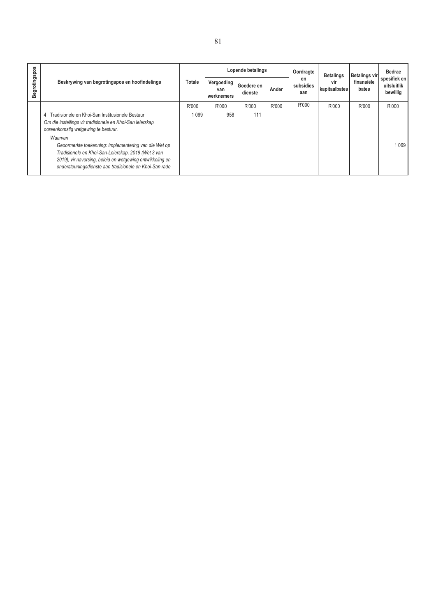|               |                                                                                                                                                                                                                                      |               |                                 | Lopende betalings     |       | Oordragte              | <b>Betalings</b>     | Betalings vir       | <b>Bedrae</b>                           |  |
|---------------|--------------------------------------------------------------------------------------------------------------------------------------------------------------------------------------------------------------------------------------|---------------|---------------------------------|-----------------------|-------|------------------------|----------------------|---------------------|-----------------------------------------|--|
| Begrotingspos | Beskrywing van begrotingspos en hoofindelings                                                                                                                                                                                        | <b>Totale</b> | Vergoeding<br>van<br>werknemers | Goedere en<br>dienste | Ander | en<br>subsidies<br>aan | vir<br>kapitaalbates | finansiële<br>bates | spesifiek en<br>uitsluitlik<br>bewillig |  |
|               |                                                                                                                                                                                                                                      | R'000         | R'000                           | R'000                 | R'000 | R'000                  | R'000                | R'000               | R'000                                   |  |
|               | Tradisionele en Khoi-San Institusionele Bestuur<br>4                                                                                                                                                                                 | 1 069         | 958                             | 111                   |       |                        |                      |                     |                                         |  |
|               | Om die instellings vir tradisionele en Khoi-San leierskap<br>ooreenkomstig wetgewing te bestuur.                                                                                                                                     |               |                                 |                       |       |                        |                      |                     |                                         |  |
|               | Waarvan                                                                                                                                                                                                                              |               |                                 |                       |       |                        |                      |                     |                                         |  |
|               | Geoormerkte toekenning: Implementering van die Wet op<br>Tradisionele en Khoi-San-Leierskap, 2019 (Wet 3 van<br>2019), vir navorsing, beleid en wetgewing ontwikkeling en<br>ondersteuningsdienste aan tradisionele en Khoi-San rade |               |                                 |                       |       |                        |                      |                     | 1069                                    |  |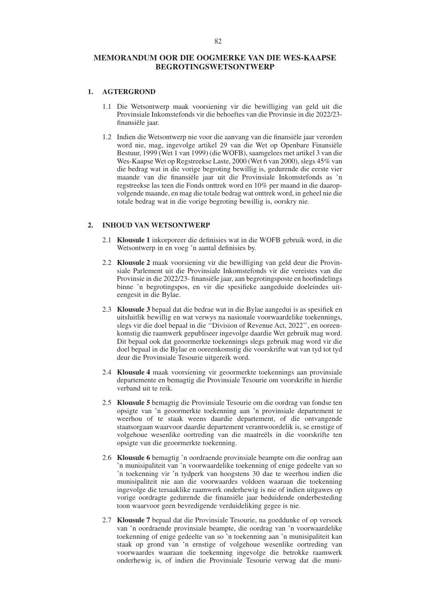#### **MEMORANDUM OOR DIE OOGMERKE VAN DIE WES-KAAPSE BEGROTINGSWETSONTWERP**

#### **1. AGTERGROND**

- 1.1 Die Wetsontwerp maak voorsiening vir die bewilliging van geld uit die Provinsiale Inkomstefonds vir die behoeftes van die Provinsie in die 2022/23 finansiële jaar.
- 1.2 Indien die Wetsontwerp nie voor die aanvang van die finansiële jaar verorden word nie, mag, ingevolge artikel 29 van die Wet op Openbare Finansiële Bestuur, 1999 (Wet 1 van 1999) (die WOFB), saamgelees met artikel 3 van die Wes-Kaapse Wet op Regstreekse Laste, 2000 (Wet 6 van 2000), slegs 45% van die bedrag wat in die vorige begroting bewillig is, gedurende die eerste vier maande van die finansiële jaar uit die Provinsiale Inkomstefonds as 'n regstreekse las teen die Fonds onttrek word en 10% per maand in die daaropvolgende maande, en mag die totale bedrag wat onttrek word, in geheel nie die totale bedrag wat in die vorige begroting bewillig is, oorskry nie.

#### **2. INHOUD VAN WETSONTWERP**

- 2.1 **Klousule 1** inkorporeer die definisies wat in die WOFB gebruik word, in die Wetsontwerp in en voeg 'n aantal definisies by.
- 2.2 **Klousule 2** maak voorsiening vir die bewilliging van geld deur die Provinsiale Parlement uit die Provinsiale Inkomstefonds vir die vereistes van die Provinsie in die 2022/23- finansiële jaar, aan begrotingsposte en hoofindelings binne 'n begrotingspos, en vir die spesifieke aangeduide doeleindes uiteengesit in die Bylae.
- 2.3 **Klousule 3** bepaal dat die bedrae wat in die Bylae aangedui is as spesifiek en uitsluitlik bewillig en wat verwys na nasionale voorwaardelike toekennings, slegs vir die doel bepaal in die ''Division of Revenue Act, 2022'', en ooreenkomstig die raamwerk gepubliseer ingevolge daardie Wet gebruik mag word. Dit bepaal ook dat geoormerkte toekennings slegs gebruik mag word vir die doel bepaal in die Bylae en ooreenkomstig die voorskrifte wat van tyd tot tyd deur die Provinsiale Tesourie uitgereik word.
- 2.4 **Klousule 4** maak voorsiening vir geoormerkte toekennings aan provinsiale departemente en bemagtig die Provinsiale Tesourie om voorskrifte in hierdie verband uit te reik.
- 2.5 **Klousule 5** bemagtig die Provinsiale Tesourie om die oordrag van fondse ten opsigte van 'n geoormerkte toekenning aan 'n provinsiale departement te weerhou of te staak weens daardie departement, of die ontvangende staatsorgaan waarvoor daardie departement verantwoordelik is, se ernstige of volgehoue wesenlike oortreding van die maatreëls in die voorskrifte ten opsigte van die geoormerkte toekenning.
- 2.6 **Klousule 6** bemagtig 'n oordraende provinsiale beampte om die oordrag aan 'n munisipaliteit van 'n voorwaardelike toekenning of enige gedeelte van so 'n toekenning vir 'n tydperk van hoogstens 30 dae te weerhou indien die munisipaliteit nie aan die voorwaardes voldoen waaraan die toekenning ingevolge die tersaaklike raamwerk onderhewig is nie of indien uitgawes op vorige oordragte gedurende die finansiële jaar beduidende onderbesteding toon waarvoor geen bevredigende verduideliking gegee is nie.
- 2.7 **Klousule 7** bepaal dat die Provinsiale Tesourie, na goeddunke of op versoek van 'n oordraende provinsiale beampte, die oordrag van 'n voorwaardelike toekenning of enige gedeelte van so 'n toekenning aan 'n munisipaliteit kan staak op grond van 'n ernstige of volgehoue wesenlike oortreding van voorwaardes waaraan die toekenning ingevolge die betrokke raamwerk onderhewig is, of indien die Provinsiale Tesourie verwag dat die muni-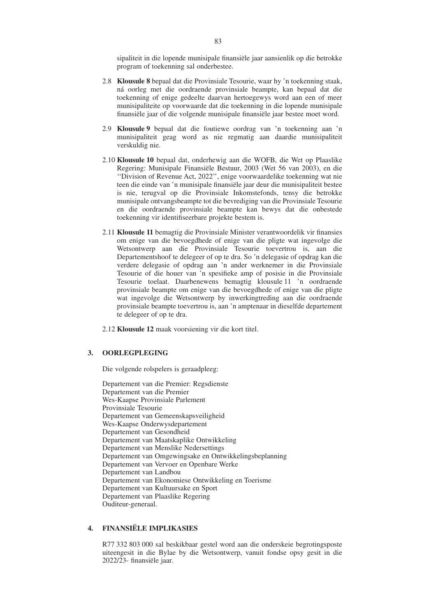sipaliteit in die lopende munisipale finansiële jaar aansienlik op die betrokke program of toekenning sal onderbestee.

- 2.8 **Klousule 8** bepaal dat die Provinsiale Tesourie, waar hy 'n toekenning staak, ná oorleg met die oordraende provinsiale beampte, kan bepaal dat die toekenning of enige gedeelte daarvan hertoegewys word aan een of meer munisipaliteite op voorwaarde dat die toekenning in die lopende munisipale finansiële jaar of die volgende munisipale finansiële jaar bestee moet word.
- 2.9 **Klousule 9** bepaal dat die foutiewe oordrag van 'n toekenning aan 'n munisipaliteit geag word as nie regmatig aan daardie munisipaliteit verskuldig nie.
- 2.10 **Klousule 10** bepaal dat, onderhewig aan die WOFB, die Wet op Plaaslike Regering: Munisipale Finansiële Bestuur, 2003 (Wet 56 van 2003), en die ''Division of Revenue Act, 2022'', enige voorwaardelike toekenning wat nie teen die einde van 'n munisipale finansiële jaar deur die munisipaliteit bestee is nie, terugval op die Provinsiale Inkomstefonds, tensy die betrokke munisipale ontvangsbeampte tot die bevrediging van die Provinsiale Tesourie en die oordraende provinsiale beampte kan bewys dat die onbestede toekenning vir identifiseerbare projekte bestem is.
- 2.11 **Klousule 11** bemagtig die Provinsiale Minister verantwoordelik vir finansies om enige van die bevoegdhede of enige van die pligte wat ingevolge die Wetsontwerp aan die Provinsiale Tesourie toevertrou is, aan die Departementshoof te delegeer of op te dra. So 'n delegasie of opdrag kan die verdere delegasie of opdrag aan 'n ander werknemer in die Provinsiale Tesourie of die houer van 'n spesifieke amp of posisie in die Provinsiale Tesourie toelaat. Daarbenewens bemagtig klousule 11 'n oordraende provinsiale beampte om enige van die bevoegdhede of enige van die pligte wat ingevolge die Wetsontwerp by inwerkingtreding aan die oordraende provinsiale beampte toevertrou is, aan 'n amptenaar in dieselfde departement te delegeer of op te dra.

2.12 **Klousule 12** maak voorsiening vir die kort titel.

#### **3. OORLEGPLEGING**

Die volgende rolspelers is geraadpleeg:

Departement van die Premier: Regsdienste Departement van die Premier Wes-Kaapse Provinsiale Parlement Provinsiale Tesourie Departement van Gemeenskapsveiligheid Wes-Kaapse Onderwysdepartement Departement van Gesondheid Departement van Maatskaplike Ontwikkeling Departement van Menslike Nedersettings Departement van Omgewingsake en Ontwikkelingsbeplanning Departement van Vervoer en Openbare Werke Departement van Landbou Departement van Ekonomiese Ontwikkeling en Toerisme Departement van Kultuursake en Sport Departement van Plaaslike Regering Ouditeur-generaal.

#### **4. FINANSIËLE IMPLIKASIES**

R77 332 803 000 sal beskikbaar gestel word aan die onderskeie begrotingsposte uiteengesit in die Bylae by die Wetsontwerp, vanuit fondse opsy gesit in die 2022/23- finansiële jaar.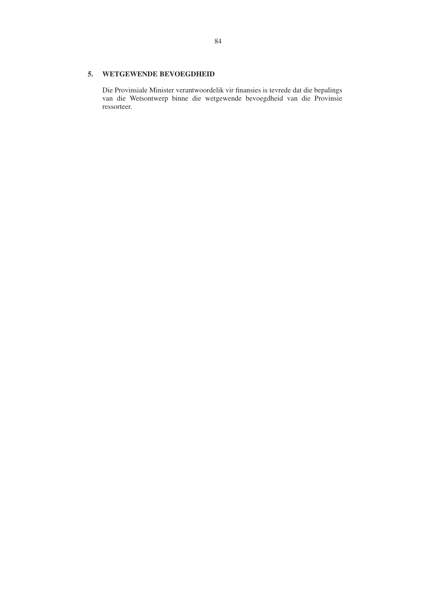#### **5. WETGEWENDE BEVOEGDHEID**

Die Provinsiale Minister verantwoordelik vir finansies is tevrede dat die bepalings van die Wetsontwerp binne die wetgewende bevoegdheid van die Provinsie ressorteer.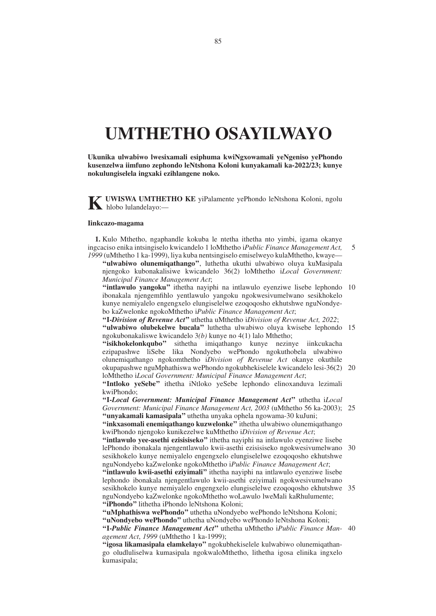# **UMTHETHO OSAYILWAYO**

**Ukunika ulwabiwo lwesixamali esiphuma kwiNgxowamali yeNgeniso yePhondo kusenzelwa iimfuno zephondo leNtshona Koloni kunyakamali ka-2022/23; kunye nokulungiselela ingxaki ezihlangene noko.**

**KUWISWA UMTHETHO KE** viPalamente yePhondo leNtshona Koloni, ngolu hlobo lulandelayo:-

#### **Iinkcazo-magama**

**1.** Kulo Mthetho, ngaphandle kokuba le ntetha ithetha nto yimbi, igama okanye ingcaciso enika intsingiselo kwicandelo 1 loMthetho i*Public Finance Management Act, 1999* (uMthetho 1 ka-1999), liya kuba nentsingiselo emiselweyo kulaMthetho, kwaye—

5

**''ulwabiwo olunemiqathango''**, luthetha ukuthi ulwabiwo oluya kuMasipala njengoko kubonakalisiwe kwicandelo 36(2) loMthetho i*Local Government: Municipal Finance Management Act*;

"intlawulo yangoku" ithetha nayiphi na intlawulo eyenziwe lisebe lephondo 10 ibonakala njengemfihlo yentlawulo yangoku ngokwesivumelwano sesikhokelo kunye nemiyalelo engengxelo elungiselelwe ezoqoqosho ekhutshwe nguNondyebo kaZwelonke ngokoMthetho i*Public Finance Management Act*;

**''I-***Division of Revenue Act***''** uthetha uMthetho i*Division of Revenue Act, 2022*; "ulwabiwo olubekelwe bucala" luthetha ulwabiwo oluya kwisebe lephondo 15 ngokubonakaliswe kwicandelo 3*(b)* kunye no 4(1) lalo Mthetho;

**''isikhokelonkqubo''** sithetha imiqathango kunye nezinye iinkcukacha ezipapashwe liSebe lika Nondyebo wePhondo ngokuthobela ulwabiwo olunemiqathango ngokomthetho i*Division of Revenue Act* okanye okuthile okupapashwe nguMphathiswa wePhondo ngokubhekiselele kwicandelo lesi-36(2) 20

loMthetho i*Local Government: Municipal Finance Management Act*; **''Intloko yeSebe''** ithetha iNtloko yeSebe lephondo elinoxanduva lezimali

kwiPhondo;

**''I-***Local Government: Municipal Finance Management Act***''** uthetha i*Local Government: Municipal Finance Management Act, 2003* (uMthetho 56 ka-2003); 25 **''unyakamali kamasipala''** uthetha unyaka ophela ngowama-30 kuJuni;

**''inkxasomali enemiqathango kuzwelonke''** ithetha ulwabiwo olunemiqathango kwiPhondo njengoko kunikezelwe kuMthetho i*Division of Revenue Act*;

**''intlawulo yee-asethi ezisisiseko''** ithetha nayiphi na intlawulo eyenziwe lisebe lePhondo ibonakala njengentlawulo kwii-asethi ezisisiseko ngokwesivumelwano 30 sesikhokelo kunye nemiyalelo engengxelo elungiselelwe ezoqoqosho ekhutshwe nguNondyebo kaZwelonke ngokoMthetho i*Public Finance Management Act*; **''intlawulo kwii-asethi eziyimali''** ithetha nayiphi na intlawulo eyenziwe lisebe

lephondo ibonakala njengentlawulo kwii-asethi eziyimali ngokwesivumelwano sesikhokelo kunye nemiyalelo engengxelo elungiselelwe ezoqoqosho ekhutshwe 35 nguNondyebo kaZwelonke ngokoMthetho woLawulo lweMali kaRhulumente; **''iPhondo''** lithetha iPhondo leNtshona Koloni;

**''uMphathiswa wePhondo''** uthetha uNondyebo wePhondo leNtshona Koloni;

**''uNondyebo wePhondo''** uthetha uNondyebo wePhondo leNtshona Koloni; **''I-***Public Finance Management Act***''** uthetha uMthetho i*Public Finance Man-*40*agement Act*, *1999* (uMthetho 1 ka-1999);

**''igosa likamasipala elamkelayo''** ngokubhekiselele kulwabiwo olunemiqathango oludluliselwa kumasipala ngokwaloMthetho, lithetha igosa elinika ingxelo kumasipala;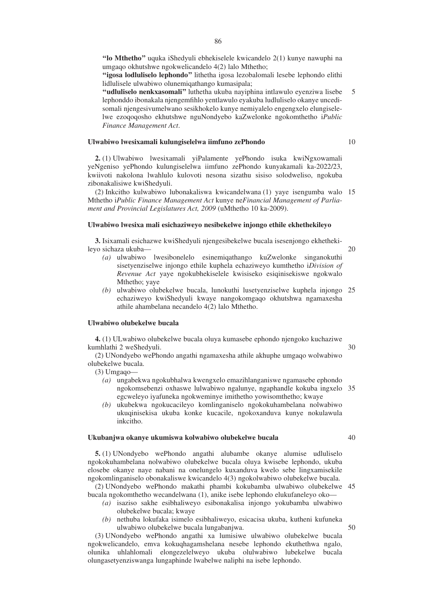**''lo Mthetho''** uquka iShedyuli ebhekiselele kwicandelo 2(1) kunye nawuphi na umgaqo okhutshwe ngokwelicandelo 4(2) lalo Mthetho;

**''igosa lodluliselo lephondo''** lithetha igosa lezobalomali lesebe lephondo elithi lidlulisele ulwabiwo olunemiqathango kumasipala;

**''udluliselo nenkxasomali''** luthetha ukuba nayiphina intlawulo eyenziwa lisebe lephonddo ibonakala njengemfihlo yentlawulo eyakuba ludluliselo okanye uncedisomali njengesivumelwano sesikhokelo kunye nemiyalelo engengxelo elungiselelwe ezoqoqosho ekhutshwe nguNondyebo kaZwelonke ngokomthetho i*Public Finance Management Act*. 5

#### **Ulwabiwo lwesixamali kulungiselelwa iimfuno zePhondo**

**2.** (1) Ulwabiwo lwesixamali yiPalamente yePhondo isuka kwiNgxowamali yeNgeniso yePhondo kulungiselelwa iimfuno zePhondo kunyakamali ka-2022/23, kwiivoti nakolona lwahlulo kulovoti nesona sizathu sisiso solodweliso, ngokuba zibonakalisiwe kwiShedyuli.

(2) Inkcitho kulwabiwo lubonakaliswa kwicandelwana (1) yaye isengumba walo 15 Mthetho i*Public Finance Management Act* kunye ne*Financial Management of Parliament and Provincial Legislatures Act, 2009* (uMthetho 10 ka-2009).

#### **Ulwabiwo lwesixa mali esichaziweyo nesibekelwe injongo ethile ekhethekileyo**

**3.** Isixamali esichazwe kwiShedyuli njengesibekelwe bucala isesenjongo ekhethekileyo sichaza ukuba—

- *(a)* ulwabiwo lwesibonelelo esinemiqathango kuZwelonke singanokuthi sisetyenziselwe injongo ethile kuphela echaziweyo kumthetho i*Division of Revenue Act* yaye ngokubhekiselele kwisiseko esiqinisekiswe ngokwalo Mthetho; yaye
- *(b)* ulwabiwo olubekelwe bucala, lunokuthi lusetyenziselwe kuphela injongo 25 echaziweyo kwiShedyuli kwaye nangokomgaqo okhutshwa ngamaxesha athile ahambelana necandelo 4(2) lalo Mthetho.

#### **Ulwabiwo olubekelwe bucala**

**4.** (1) ULwabiwo olubekelwe bucala oluya kumasebe ephondo njengoko kuchaziwe kumhlathi 2 weShedyuli.

(2) UNondyebo wePhondo angathi ngamaxesha athile akhuphe umgaqo wolwabiwo olubekelwe bucala.

(3) Umgaqo—

- *(a)* ungabekwa ngokubhalwa kwengxelo emazihlanganiswe ngamasebe ephondo ngokomsebenzi oxhaswe lulwabiwo ngalunye, ngaphandle kokuba ingxelo 35 egcweleyo iyafuneka ngokweminye imithetho yowisomthetho; kwaye
- *(b)* ukubekwa ngokucacileyo komlinganiselo ngokokuhambelana nolwabiwo ukuqinisekisa ukuba konke kucacile, ngokoxanduva kunye nokulawula inkcitho.

#### **Ukubanjwa okanye ukumiswa kolwabiwo olubekelwe bucala**

**5.** (1) UNondyebo wePhondo angathi alubambe okanye alumise udluliselo ngokokuhambelana nolwabiwo olubekelwe bucala oluya kwisebe lephondo, ukuba elosebe okanye naye nabani na onelungelo kuxanduva kwelo sebe lingxamisekile ngokomlinganiselo obonakaliswe kwicandelo 4(3) ngokolwabiwo olubekelwe bucala.

(2) UNondyebo wePhondo makathi phambi kokubamba ulwabiwo olubekelwe 45 bucala ngokomthetho wecandelwana (1), anike isebe lephondo elukufaneleyo oko—

- *(a)* isaziso sakhe esibhaliweyo esibonakalisa injongo yokubamba ulwabiwo olubekelwe bucala; kwaye
- *(b)* nethuba lokufaka isimelo esibhaliweyo, esicacisa ukuba, kutheni kufuneka ulwabiwo olubekelwe bucala lungabanjwa.

(3) UNondyebo wePhondo angathi xa lumisiwe ulwabiwo olubekelwe bucala ngokwelicandelo, emva kokuqhagamshelana nesebe lephondo ekuthethwa ngalo, olunika uhlahlomali elongezelelweyo ukuba olulwabiwo lubekelwe bucala olungasetyenziswanga lungaphinde lwabelwe naliphi na isebe lephondo.

10

20

30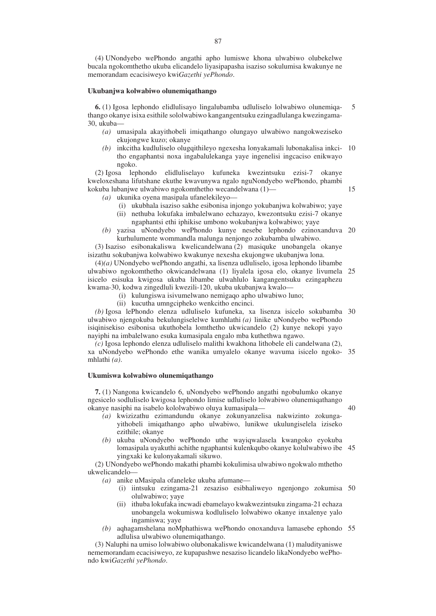(4) UNondyebo wePhondo angathi apho lumiswe khona ulwabiwo olubekelwe bucala ngokomthetho ukuba elicandelo liyasipapasha isaziso sokulumisa kwakunye ne memorandam ecacisiweyo kwi*Gazethi yePhondo*.

#### **Ukubanjwa kolwabiwo olunemiqathango**

**6.** (1) Igosa lephondo elidlulisayo lingalubamba udluliselo lolwabiwo olunemiqathango okanye isixa esithile sololwabiwo kangangentsuku ezingadlulanga kwezingama-30, ukuba— 5

- *(a)* umasipala akayithobeli imiqathango olungayo ulwabiwo nangokweziseko ekujongwe kuzo; okanye
- *(b)* inkcitha kudluliselo olugqithileyo ngexesha lonyakamali lubonakalisa inkci-10 tho engaphantsi noxa ingabalulekanga yaye ingenelisi ingcaciso enikwayo ngoko.

(2) Igosa lephondo elidluliselayo kufuneka kwezintsuku ezisi-7 okanye kweloxeshana lifutshane ekuthe kwavunywa ngalo nguNondyebo wePhondo, phambi kokuba lubanjwe ulwabiwo ngokomthetho wecandelwana (1)—

15

*(a)* ukunika oyena masipala ufanelekileyo—

- (i) ukubhala isaziso sakhe esibonisa injongo yokubanjwa kolwabiwo; yaye
- (ii) nethuba lokufaka imbalelwano echazayo, kwezontsuku ezisi-7 okanye ngaphantsi ethi iphikise umbono wokubanjwa kolwabiwo; yaye
- *(b)* yazisa uNondyebo wePhondo kunye nesebe lephondo ezinoxanduva 20 kurhulumente wommandla malunga nenjongo zokubamba ulwabiwo.

(3) Isaziso esibonakaliswa kwelicandelwana (2) masiquke unobangela okanye isizathu sokubanjwa kolwabiwo kwakunye nexesha ekujongwe ukubanjwa lona.

(4)*(a)* UNondyebo wePhondo angathi, xa lisenza udluliselo, igosa lephondo libambe ulwabiwo ngokomthetho okwicandelwana (1) liyalela igosa elo, okanye livumela 25 isicelo esisuka kwigosa ukuba libambe ulwahlulo kangangentsuku ezingaphezu kwama-30, kodwa zingedluli kwezili-120, ukuba ukubanjwa kwalo—

- (i) kulungiswa isivumelwano nemigaqo apho ulwabiwo luno;
- (ii) kucutha umngcipheko wenkcitho encinci.

*(b)* Igosa lePhondo elenza udluliselo kufuneka, xa lisenza isicelo sokubamba 30 ulwabiwo njengokuba bekulungiselelwe kumhlathi *(a)* linike uNondyebo wePhondo isiqinisekiso esibonisa ukuthobela lomthetho ukwicandelo (2) kunye nekopi yayo nayiphi na imbalelwano esuka kumasipala engalo mba kuthethwa ngawo.

*(c)* Igosa lephondo elenza udluliselo malithi kwakhona lithobele eli candelwana (2), xa uNondyebo wePhondo ethe wanika umyalelo okanye wavuma isicelo ngoko-35 mhlathi *(a)*.

#### **Ukumiswa kolwabiwo olunemiqathango**

**7.** (1) Nangona kwicandelo 6, uNondyebo wePhondo angathi ngobulumko okanye ngesicelo sodluliselo kwigosa lephondo limise udluliselo lolwabiwo olunemiqathango okanye nasiphi na isabelo kololwabiwo oluya kumasipala—

- 40
- *(a)* kwizizathu ezimandundu okanye zokunyanzelisa nakwizinto zokungayithobeli imiqathango apho ulwabiwo, lunikwe ukulungiselela iziseko ezithile; okanye
- *(b)* ukuba uNondyebo wePhondo uthe wayiqwalasela kwangoko eyokuba lomasipala uyakuthi achithe ngaphantsi kulenkqubo okanye kolulwabiwo ibe 45 yingxaki ke kulonyakamali sikuwo.

(2) UNondyebo wePhondo makathi phambi kokulimisa ulwabiwo ngokwalo mthetho ukwelicandelo—

*(a)* anike uMasipala ofaneleke ukuba afumane—

- (i) iintsuku ezingama-21 zesaziso esibhaliweyo ngenjongo zokumisa 50 olulwabiwo; yaye
- (ii) ithuba lokufaka incwadi ebamelayo kwakwezintsuku zingama-21 echaza unobangela wokumiswa kodluliselo lolwabiwo okanye inxalenye yalo ingamiswa; yaye
- *(b)* aqhagamshelana noMphathiswa wePhondo onoxanduva lamasebe ephondo 55adlulisa ulwabiwo olunemiqathango.

(3) Naluphi na umiso lolwabiwo olubonakaliswe kwicandelwana (1) maludityaniswe nememorandam ecacisiweyo, ze kupapashwe nesaziso licandelo likaNondyebo wePhondo kwi*Gazethi yePhondo*.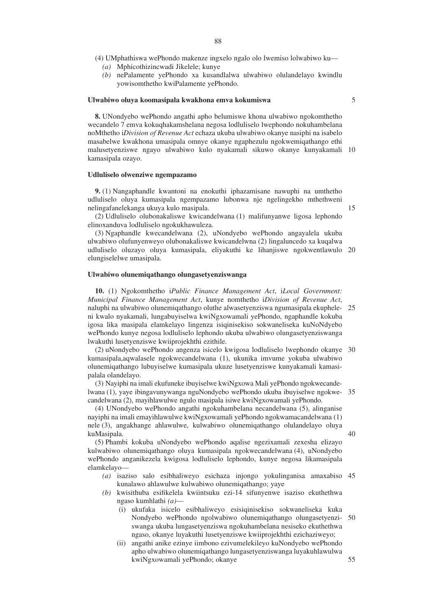(4) UMphathiswa wePhondo makenze ingxelo ngalo olo lwemiso lolwabiwo ku—

- *(a)* Mphicothizincwadi Jikelele; kunye
- *(b)* nePalamente yePhondo xa kusandlalwa ulwabiwo olulandelayo kwindlu yowisomthetho kwiPalamente yePhondo.

#### **Ulwabiwo oluya koomasipala kwakhona emva kokumiswa**

**8.** UNondyebo wePhondo angathi apho belumiswe khona ulwabiwo ngokomthetho wecandelo 7 emva kokuqhakamshelana negosa lodluliselo lwephondo nokuhambelana noMthetho i*Division of Revenue Act* echaza ukuba ulwabiwo okanye nasiphi na isabelo masabelwe kwakhona umasipala omnye okanye ngaphezulu ngokwemiqathango ethi malusetyenziswe ngayo ulwabiwo kulo nyakamali sikuwo okanye kunyakamali 10 kamasipala ozayo.

#### **Udluliselo olwenziwe ngempazamo**

**9.** (1) Nangaphandle kwantoni na enokuthi iphazamisane nawuphi na umthetho udluliselo oluya kumasipala ngempazamo lubonwa nje ngelingekho mthethweni nelingafanelekanga ukuya kulo masipala.

(2) Udluliselo olubonakaliswe kwicandelwana (1) malifunyanwe ligosa lephondo elinoxanduva lodluliselo ngokukhawuleza.

(3) Ngaphandle kwecandelwana (2), uNondyebo wePhondo angayalela ukuba ulwabiwo olufunyenweyo olubonakaliswe kwicandelwna (2) lingaluncedo xa kuqalwa udluliselo oluzayo oluya kumasipala, eliyakuthi ke lihanjiswe ngokwentlawulo 20 elungiselelwe umasipala.

#### **Ulwabiwo olunemiqathango olungasetyenziswanga**

**10.** (1) Ngokomthetho i*Public Finance Management Act*, i*Local Government: Municipal Finance Management Act*, kunye nomthetho i*Division of Revenue Act*, naluphi na ulwabiwo olunemiqathango oluthe alwasetyenziswa ngumasipala ekuphele-25 ni kwalo nyakamali, lungabuyiselwa kwiNgxowamali yePhondo, ngaphandle kokuba igosa lika masipala elamkelayo lingenza isiqinisekiso sokwaneliseka kuNoNdyebo wePhondo kunye negosa lodluliselo lephondo ukuba ulwabiwo olungasetyenziswanga lwakuthi lusetyenziswe kwiiprojekhthi ezithile.

(2) uNondyebo wePhondo angenza isicelo kwigosa lodluliselo lwephondo okanye 30 kumasipala,aqwalasele ngokwecandelwana (1), ukunika imvume yokuba ulwabiwo olunemiqathango lubuyiselwe kumasipala ukuze lusetyenziswe kunyakamali kamasipalala olandelayo.

(3) Nayiphi na imali ekufuneke ibuyiselwe kwiNgxowa Mali yePhondo ngokwecandelwana (1), yaye ibingavunywanga nguNondyebo wePhondo ukuba ibuyiselwe ngokwecandelwana (2), mayihlawulwe ngulo masipala isiwe kwiNgxowamali yePhondo. 35

(4) UNondyebo wePhondo angathi ngokuhambelana necandelwana (5), alinganise nayiphi na imali emayihlawulwe kwiNgxowamali yePhondo ngokwamacandelwana (1) nele (3), angakhange ahlawulwe, kulwabiwo olunemiqathango olulandelayo oluya kuMasipala.

40

55

(5) Phambi kokuba uNondyebo wePhondo aqalise ngezixamali zexesha elizayo kulwabiwo olunemiqathango oluya kumasipala ngokwecandelwana (4), uNondyebo wePhondo anganikezela kwigosa lodluliselo lephondo, kunye negosa likamasipala elamkelayo—

- *(a)* isaziso salo esibhaliweyo esichaza injongo yokulinganisa amaxabiso 45 kunalawo ahlawulwe kulwabiwo olunemiqathango; yaye
- *(b)* kwisithuba esifikelela kwiintsuku ezi-14 sifunyenwe isaziso ekuthethwa ngaso kumhlathi *(a)*—
	- (i) ukufaka isicelo esibhaliweyo esisiqinisekiso sokwaneliseka kuka Nondyebo wePhondo ngolwabiwo olunemiqathango olungasetyenziswanga ukuba lungasetyenziswa ngokuhambelana nesiseko ekuthethwa ngaso, okanye luyakuthi lusetyenziswe kwiiprojekhthi ezichaziweyo; 50
	- (ii) angathi anike ezinye iimbono ezivumelekileyo kuNondyebo wePhondo apho ulwabiwo olunemiqathango lungasetyenziswanga luyakuhlawulwa kwiNgxowamali yePhondo; okanye

5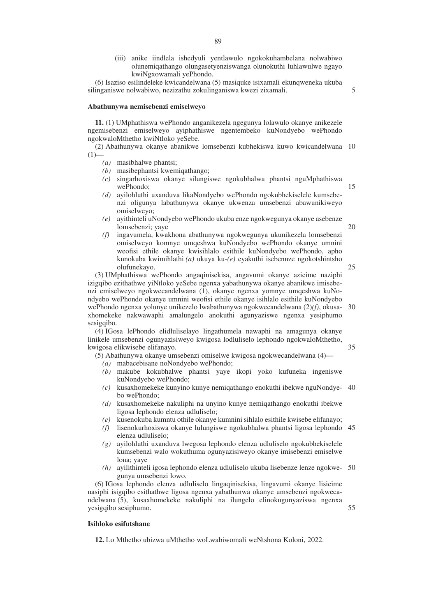(iii) anike iindlela ishedyuli yentlawulo ngokokuhambelana nolwabiwo olunemiqathango olungasetyenziswanga olunokuthi luhlawulwe ngayo kwiNgxowamali yePhondo.

(6) Isaziso esilindeleke kwicandelwana (5) masiquke isixamali ekunqweneka ukuba silinganiswe nolwabiwo, nezizathu zokulinganiswa kwezi zixamali.

5

15

35

55

#### **Abathunywa nemisebenzi emiselweyo**

**11.** (1) UMphathiswa wePhondo anganikezela ngegunya lolawulo okanye anikezele ngemisebenzi emiselweyo ayiphathiswe ngentembeko kuNondyebo wePhondo ngokwaloMthetho kwiNtloko yeSebe.

(2) Abathunywa okanye abanikwe lomsebenzi kubhekiswa kuwo kwicandelwana 10  $(1)$ 

- *(a)* masibhalwe phantsi;
- *(b)* masibephantsi kwemiqathango;
- *(c)* singarhoxiswa okanye silungiswe ngokubhalwa phantsi nguMphathiswa wePhondo;
- *(d)* ayilohluthi uxanduva likaNondyebo wePhondo ngokubhekiselele kumsebenzi oligunya labathunywa okanye ukwenza umsebenzi abawunikiweyo omiselweyo;
- *(e)* ayithinteli uNondyebo wePhondo ukuba enze ngokwegunya okanye asebenze lomsebenzi; yaye 20
- *(f)* ingavumela, kwakhona abathunywa ngokwegunya ukunikezela lomsebenzi omiselweyo komnye umqeshwa kuNondyebo wePhondo okanye umnini weofisi ethile okanye kwisihlalo esithile kuNondyebo wePhondo, apho kunokuba kwimihlathi *(a)* ukuya ku-*(e)* eyakuthi isebennze ngokotshintsho olufunekayo. 25

(3) UMphathiswa wePhondo angaqinisekisa, angavumi okanye azicime naziphi izigqibo ezithathwe yiNtloko yeSebe ngenxa yabathunywa okanye abanikwe imisebenzi emiselweyo ngokwecandelwana (1), okanye ngenxa yomnye umqeshwa kuNondyebo wePhondo okanye umnini weofisi ethile okanye isihlalo esithile kuNondyebo wePhondo ngenxa yolunye unikezelo lwabathunywa ngokwecandelwana (2)*(f)*, okusa-30 xhomekeke nakwawaphi amalungelo anokuthi agunyaziswe ngenxa yesiphumo sesigqibo.

(4) IGosa lePhondo elidluliselayo lingathumela nawaphi na amagunya okanye linikele umsebenzi ogunyazisiweyo kwigosa lodluliselo lephondo ngokwaloMthetho, kwigosa elikwisebe elifanayo.

- (5) Abathunywa okanye umsebenzi omiselwe kwigosa ngokwecandelwana (4)—
	- *(a)* mabacebisane noNondyebo wePhondo;
	- *(b)* makube kokubhalwe phantsi yaye ikopi yoko kufuneka ingeniswe kuNondyebo wePhondo;
	- *(c)* kusaxhomekeke kunyino kunye nemiqathango enokuthi ibekwe nguNondye-40 bo wePhondo;
	- *(d)* kusaxhomekeke nakuliphi na unyino kunye nemiqathango enokuthi ibekwe ligosa lephondo elenza udluliselo;
	- *(e)* kusenokuba kumntu othile okanye kumnini sihlalo esithile kwisebe elifanayo;
	- *(f)* lisenokurhoxiswa okanye lulungiswe ngokubhalwa phantsi ligosa lephondo 45 elenza udluliselo;
	- *(g)* ayilohluthi uxanduva lwegosa lephondo elenza udluliselo ngokubhekiselele kumsebenzi walo wokuthuma ogunyazisiweyo okanye imisebenzi emiselwe lona; yaye
	- *(h)* ayilithinteli igosa lephondo elenza udluliselo ukuba lisebenze lenze ngokwe-50 gunya umsebenzi lowo.

(6) IGosa lephondo elenza udluliselo lingaqinisekisa, lingavumi okanye lisicime nasiphi isigqibo esithathwe ligosa ngenxa yabathunwa okanye umsebenzi ngokwecandelwana (5), kusaxhomekeke nakuliphi na ilungelo elinokugunyaziswa ngenxa yesigqibo sesiphumo.

#### **Isihloko esifutshane**

**12.** Lo Mthetho ubizwa uMthetho woLwabiwomali weNtshona Koloni, 2022.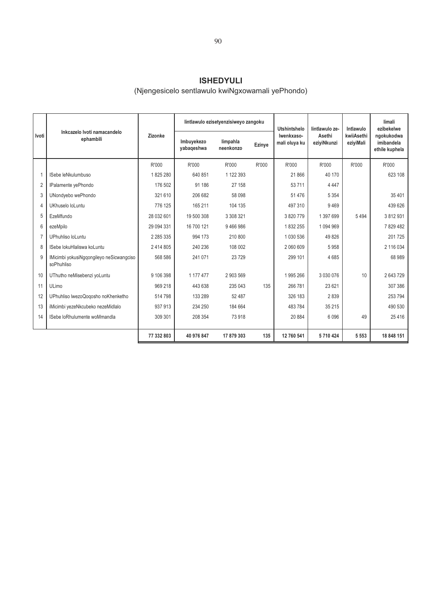### **ISHEDYULI**

## (Njengesicelo sentlawulo kwiNgxowamali yePhondo)

|                |                                                        |            |                          | lintlawulo ezisetyenzisiweyo zangoku |               | Utshintshelo                | lintlawulo ze-        | Intlawulo               | limali<br>ezibekelwe                       |
|----------------|--------------------------------------------------------|------------|--------------------------|--------------------------------------|---------------|-----------------------------|-----------------------|-------------------------|--------------------------------------------|
| Ivoti          | Inkcazelo Ivoti namacandelo<br>ephambili               | Zizonke    | Imbuyekezo<br>yabaqeshwa | limpahla<br>neenkonzo                | <b>Ezinye</b> | Iwenkxaso-<br>mali oluya ku | Asethi<br>eziyiNkunzi | kwiiAsethi<br>eziyiMali | ngokukodwa<br>imibandela<br>ethile kuphela |
|                |                                                        | R'000      | R'000                    | R'000                                | R'000         | R'000                       | R'000                 | R'000                   | R'000                                      |
| $\mathbf{1}$   | ISebe leNkulumbuso                                     | 1825280    | 640 851                  | 1 122 393                            |               | 21 866                      | 40 170                |                         | 623 108                                    |
| $\overline{2}$ | IPalamente yePhondo                                    | 176 502    | 91 186                   | 27 158                               |               | 53 711                      | 4 4 4 7               |                         |                                            |
| 3              | UNondyebo wePhondo                                     | 321 610    | 206 682                  | 58 098                               |               | 51 476                      | 5 3 5 4               |                         | 35 401                                     |
| $\overline{4}$ | UKhuselo loLuntu                                       | 776 125    | 165 211                  | 104 135                              |               | 497 310                     | 9469                  |                         | 439 626                                    |
| 5              | EzeMfundo                                              | 28 032 601 | 19 500 308               | 3 308 321                            |               | 3820779                     | 1 397 699             | 5494                    | 3812931                                    |
| 6              | ezeMpilo                                               | 29 094 331 | 16 700 121               | 9466986                              |               | 1832255                     | 1 094 969             |                         | 7829482                                    |
| $\overline{7}$ | UPhuhliso loLuntu                                      | 2 285 335  | 994 173                  | 210 800                              |               | 1 0 3 0 5 3 6               | 49 8 26               |                         | 201725                                     |
| 8              | ISebe lokuHlaliswa koLuntu                             | 2 414 805  | 240 236                  | 108 002                              |               | 2 060 609                   | 5958                  |                         | 2 116 034                                  |
| 9              | IMicimbi yokusiNgqongileyo neSicwangciso<br>soPhuhliso | 568 586    | 241 071                  | 23729                                |               | 299 101                     | 4685                  |                         | 68 989                                     |
| 10             | UThutho neMisebenzi yoLuntu                            | 9 106 398  | 1 177 477                | 2 903 569                            |               | 1995 266                    | 3 030 076             | 10                      | 2643729                                    |
| 11             | ULimo                                                  | 969 218    | 443 638                  | 235 043                              | 135           | 266 781                     | 23 6 21               |                         | 307 386                                    |
| 12             | UPhuhliso lwezoQogosho noKhenketho                     | 514798     | 133 289                  | 52 487                               |               | 326 183                     | 2839                  |                         | 253 794                                    |
| 13             | iMicimbi yezeNkcubeko nezeMidlalo                      | 937913     | 234 250                  | 184 664                              |               | 483784                      | 35 215                |                         | 490 530                                    |
| 14             | ISebe loRhulumente woMmandla                           | 309 301    | 208 354                  | 73 918                               |               | 20 884                      | 6 0 9 6               | 49                      | 25 4 16                                    |
|                |                                                        | 77 332 803 | 40 976 847               | 17879303                             | 135           | 12 760 541                  | 5710424               | 5 5 5 3                 | 18 848 151                                 |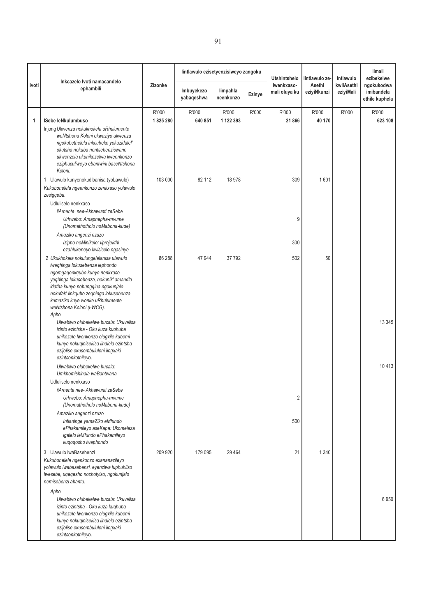|       |                                                                                                                                                                                                                                                                                                                                                                                                                    |                  | lintlawulo ezisetyenzisiweyo zangoku |                       |        | <b>Utshintshelo</b>         | lintlawulo ze-        | Intlawulo               | limali<br>ezibekelwe                       |
|-------|--------------------------------------------------------------------------------------------------------------------------------------------------------------------------------------------------------------------------------------------------------------------------------------------------------------------------------------------------------------------------------------------------------------------|------------------|--------------------------------------|-----------------------|--------|-----------------------------|-----------------------|-------------------------|--------------------------------------------|
| Ivoti | Inkcazelo Ivoti namacandelo<br>ephambili                                                                                                                                                                                                                                                                                                                                                                           | Zizonke          | Imbuyekezo<br>yabaqeshwa             | limpahla<br>neenkonzo | Ezinye | Iwenkxaso-<br>mali oluya ku | Asethi<br>eziyiNkunzi | kwiiAsethi<br>eziyiMali | ngokukodwa<br>imibandela<br>ethile kuphela |
| 1     | ISebe leNkulumbuso<br>Injong Ukwenza nokukhokela uRhulumente<br>weNtshona Koloni okwaziyo ukwenza<br>ngokubethelela inkcubeko yokuzidalel'<br>okutsha nokuba nentsebenziswano<br>ukwenzela ukunikezelwa kweenkonzo<br>eziphuculiweyo ebantwini baseNtshona<br>Koloni.                                                                                                                                              | R'000<br>1825280 | R'000<br>640 851                     | R'000<br>1 122 393    | R'000  | R'000<br>21 866             | R'000<br>40 170       | R'000                   | R'000<br>623 108                           |
|       | 1 Ulawulo kunyenokudibanisa (yoLawulo)<br>Kukubonelela ngeenkonzo zenkxaso yolawulo<br>zesigqeba.<br>Udluliselo nenkxaso<br>iiArhente nee-Akhawunti zeSebe<br>Urhwebo: Amaphepha-mvume<br>(Unomathotholo noMabona-kude)<br>Amaziko angenzi nzuzo<br>Izipho neMinikelo: liprojekthi<br>ezahlukeneyo kwisicelo ngasinye                                                                                              | 103 000          | 82 112                               | 18 978                |        | 309<br>9<br>300             | 1601                  |                         |                                            |
|       | 2 Ukukhokela nokulungelelanisa ulawulo<br>Iweqhinga lokusebenza lephondo<br>ngomgaqonkqubo kunye nenkxaso<br>yeqhinga lokusebenza, nokunik' amandla<br>idatha kunye nobungqina ngokunjalo<br>nokufak' iinkqubo zeqhinga lokusebenza<br>kumaziko kuye wonke uRhulumente<br>weNtshona Koloni (i-WCG).<br>Apho<br>Ulwabiwo olubekelwe bucala: Ukuvelisa                                                               | 86 288           | 47 944                               | 37792                 |        | 502                         | 50                    |                         | 13 345                                     |
|       | izinto ezintsha - Oku kuza kuqhuba<br>unikezelo lwenkonzo olugxile kubemi<br>kunye nokuqinisekisa iindlela ezintsha<br>ezijolise ekusombululeni iingxaki<br>ezintsonkothileyo.<br>Ulwabiwo olubekelwe bucala:<br>Umkhomishinala waBantwana<br>Udluliselo nenkxaso                                                                                                                                                  |                  |                                      |                       |        |                             |                       |                         | 10413                                      |
|       | iiArhente nee- Akhawunti zeSebe<br>Urhwebo: Amaphepha-mvume<br>(Unomathotholo noMabona-kude)<br>Amaziko angenzi nzuzo<br>Intlaninge yamaZiko eMfundo<br>ePhakamileyo aseKapa: Ukomeleza<br>igalelo leMfundo ePhakamileyo<br>kuqoqosho lwephondo                                                                                                                                                                    |                  |                                      |                       |        | $\overline{c}$<br>500       |                       |                         |                                            |
|       | 3 Ulawulo lwaBasebenzi<br>Kukubonelela ngenkonzo exananazileyo<br>yolawulo lwabasebenzi, eyenziwa luphuhliso<br>lwesebe, uqeqesho noxhotyiso, ngokunjalo<br>nemisebenzi abantu.<br>Apho<br>Ulwabiwo olubekelwe bucala: Ukuvelisa<br>izinto ezintsha - Oku kuza kuqhuba<br>unikezelo lwenkonzo olugxile kubemi<br>kunye nokuqinisekisa iindlela ezintsha<br>ezijolise ekusombululeni iingxaki<br>ezintsonkothileyo. | 209 920          | 179 095                              | 29 4 64               |        | 21                          | 1 3 4 0               |                         | 6950                                       |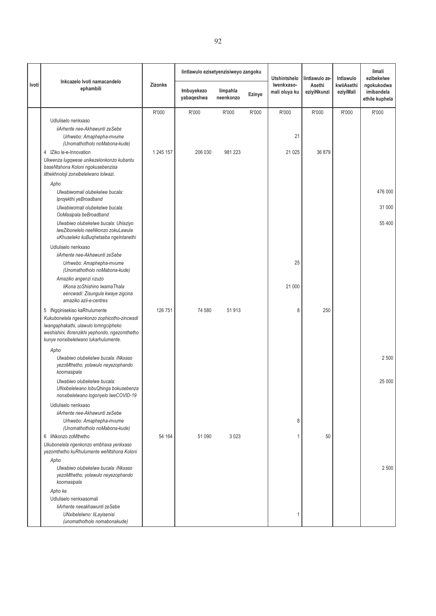|       |                                                                                                                                                                                                               |           | lintlawulo ezisetyenzisiweyo zangoku |                       |        | <b>Utshintshelo</b>         | lintlawulo ze-        | Intlawulo               | limali<br>ezibekelwe                       |
|-------|---------------------------------------------------------------------------------------------------------------------------------------------------------------------------------------------------------------|-----------|--------------------------------------|-----------------------|--------|-----------------------------|-----------------------|-------------------------|--------------------------------------------|
| Ivoti | Inkcazelo Ivoti namacandelo<br>ephambili                                                                                                                                                                      | Zizonke   | Imbuyekezo<br>yabaqeshwa             | limpahla<br>neenkonzo | Ezinye | Iwenkxaso-<br>mali oluya ku | Asethi<br>eziyiNkunzi | kwiiAsethi<br>eziyiMali | ngokukodwa<br>imibandela<br>ethile kuphela |
|       |                                                                                                                                                                                                               | R'000     | R'000                                | R'000                 | R'000  | R'000                       | R'000                 | R'000                   | R'000                                      |
|       | Udluliselo nenkxaso                                                                                                                                                                                           |           |                                      |                       |        |                             |                       |                         |                                            |
|       | iiArhente nee-Akhawunti zeSebe<br>Urhwebo: Amaphepha-mvume<br>(Unomathotholo noMabona-kude)                                                                                                                   |           |                                      |                       |        | 21                          |                       |                         |                                            |
|       | 4 IZiko le-e-Innovation<br>Ukwenza lugqwese unikezelonkonzo kubantu<br>baseNtshona Koloni ngokusebenzisa<br>iithekhnoloji zonxibelelwano lolwazi.                                                             | 1 245 157 | 206 030                              | 981 223               |        | 21 0 25                     | 36 879                |                         |                                            |
|       | Apho                                                                                                                                                                                                          |           |                                      |                       |        |                             |                       |                         |                                            |
|       | Ulwabiwomali olubekelwe bucala:<br>Iprojekthi yeBroadband                                                                                                                                                     |           |                                      |                       |        |                             |                       |                         | 476 000                                    |
|       | Ulwabiwomali olubekelwe bucala:<br>OoMasipala beBroadband                                                                                                                                                     |           |                                      |                       |        |                             |                       |                         | 31 000                                     |
|       | Ulwabiwo olubekelwe bucala: Uhlaziyo<br>IweZibonelelo neeNkonzo zokuLawula<br>uKhuseleko kuBuqhetseba ngeIntanethi                                                                                            |           |                                      |                       |        |                             |                       |                         | 55 400                                     |
|       | Udluliselo nenkxaso                                                                                                                                                                                           |           |                                      |                       |        |                             |                       |                         |                                            |
|       | iiArhente nee-Akhawunti zeSebe<br>Urhwebo: Amaphepha-mvume                                                                                                                                                    |           |                                      |                       |        | 25                          |                       |                         |                                            |
|       | (Unomathotholo noMabona-kude)                                                                                                                                                                                 |           |                                      |                       |        |                             |                       |                         |                                            |
|       | Amaziko angenzi nzuzo<br>liKona zoShishino lwamaThala<br>eencwadi: Zisungula kwaye zigcina<br>amaziko azii-e-centres                                                                                          |           |                                      |                       |        | 21 000                      |                       |                         |                                            |
|       | 5 INgqinisekiso kaRhulumente<br>Kukubonelela ngeenkonzo zophicotho-zincwadi<br>Iwangaphakathi, ulawulo lomngcipheko<br>weshishini, iforenzikhi yephondo, ngezomthetho<br>kunye nonxibelelwano lukarhulumente. | 126 751   | 74 580                               | 51 913                |        | 8                           | 250                   |                         |                                            |
|       | Apho                                                                                                                                                                                                          |           |                                      |                       |        |                             |                       |                         |                                            |
|       | Ulwabiwo olubekelwe bucala: INkxaso<br>yezoMthetho, yolawulo neyezophando<br>koomasipala                                                                                                                      |           |                                      |                       |        |                             |                       |                         | 2 500                                      |
|       | Ulwabiwo olubekelwe bucala:<br>UNxibelelwano lobuQhinga bokusebenza<br>nonxibelelwano logonyelo lweCOVID-19                                                                                                   |           |                                      |                       |        |                             |                       |                         | 25 000                                     |
|       | Udluliselo nenkxaso                                                                                                                                                                                           |           |                                      |                       |        |                             |                       |                         |                                            |
|       | iiArhente nee-Akhawunti zeSebe<br>Urhwebo: Amaphepha-mvume<br>(Unomathotholo noMabona-kude)                                                                                                                   |           |                                      |                       |        | 8                           |                       |                         |                                            |
|       | 6 liNkonzo zoMthetho<br>Ukubonelela ngenkonzo embhaxa yenkxaso<br>yezomthetho kuRhulumente weNtshona Koloni                                                                                                   | 54 164    | 51 090                               | 3 0 2 3               |        |                             | 50                    |                         |                                            |
|       | Apho<br>Ulwabiwo olubekelwe bucala: INkxaso<br>yezoMthetho, yolawulo neyezophando<br>koomasipala                                                                                                              |           |                                      |                       |        |                             |                       |                         | 2 500                                      |
|       | Apho ke                                                                                                                                                                                                       |           |                                      |                       |        |                             |                       |                         |                                            |
|       | Udluliselo nenkxasomali<br>liArhente neeakhawunti zeSebe                                                                                                                                                      |           |                                      |                       |        |                             |                       |                         |                                            |
|       | UNxibelelwno: liLayisenisi<br>(unomathotholo nomabonakude)                                                                                                                                                    |           |                                      |                       |        |                             |                       |                         |                                            |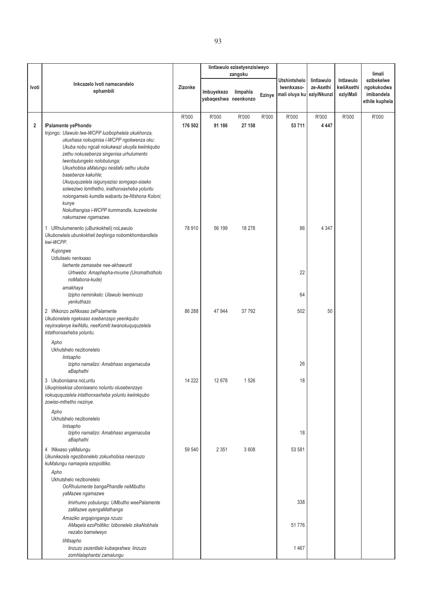|                         |                                                                                                                                                                                                                                                                                                                                                                                                                                                                                                  |         | lintlawulo ezisetyenzisiweyo       |          |        |                                             |                                        |                                      |                                                          |
|-------------------------|--------------------------------------------------------------------------------------------------------------------------------------------------------------------------------------------------------------------------------------------------------------------------------------------------------------------------------------------------------------------------------------------------------------------------------------------------------------------------------------------------|---------|------------------------------------|----------|--------|---------------------------------------------|----------------------------------------|--------------------------------------|----------------------------------------------------------|
|                         |                                                                                                                                                                                                                                                                                                                                                                                                                                                                                                  |         |                                    | zangoku  |        |                                             |                                        |                                      | limali                                                   |
| Ivoti                   | Inkcazelo Ivoti namacandelo<br>ephambili                                                                                                                                                                                                                                                                                                                                                                                                                                                         | Zizonke | Imbuyekezo<br>yabaqeshwa neenkonzo | limpahla | Ezinye | Utshintshelo<br>Iwenkxaso-<br>mali oluya ku | lintlawulo<br>ze-Asethi<br>eziyiNkunzi | Intlawulo<br>kwiiAsethi<br>eziyiMali | ezibekelwe<br>ngokukodwa<br>imibandela<br>ethile kuphela |
|                         |                                                                                                                                                                                                                                                                                                                                                                                                                                                                                                  | R'000   | R'000                              | R'000    | R'000  | R'000                                       | R'000                                  | R'000                                | R'000                                                    |
| $\overline{\mathbf{2}}$ | IPalamente yePhondo                                                                                                                                                                                                                                                                                                                                                                                                                                                                              | 176 502 | 91 186                             | 27 158   |        | 53 711                                      | 4 4 4 7                                |                                      |                                                          |
|                         | Injongo: Ulawulo lwe-WCPP luzibophelela ukukhonza,<br>ukuxhasa nokuqinisa i-WCPP ngokwenza oku:<br>Ukuba nobu ngcali nokukwazi ukuyila kwiinkqubo<br>zethu nokusebenza singenisa urhulumento<br>lwentsulungeko nolobulunga;<br>Ukuxhobisa aMalungu nesitafu sethu ukuba<br>basebenze kakuhle:<br>Ukuququzelela isigunyaziso somgaqo-siseko<br>solweziwo lomthetho, inathonxaxheba yoluntu<br>nolongamelo kumdla wabantu be-Ntshona Koloni;<br>kunye<br>Nokuthengisa i-WCPP kummandla, kuzwelonke |         |                                    |          |        |                                             |                                        |                                      |                                                          |
|                         | nakumazwe ngamazwe.                                                                                                                                                                                                                                                                                                                                                                                                                                                                              |         |                                    |          |        |                                             |                                        |                                      |                                                          |
|                         | 1 URhulumenento (uBunkokheli) noLawulo<br>Ukubonelela ubunkokheli beghinga nobomkhombandlela<br>kwi-WCPP.<br>Kujongwe                                                                                                                                                                                                                                                                                                                                                                            | 78 910  | 56 199                             | 18 278   |        | 86                                          | 4 3 4 7                                |                                      |                                                          |
|                         | Udluliselo nenkxaso<br>liarhente zamasebe nee-akhawunti<br>Urhwebo: Amaphepha-mvume (Unomathotholo<br>noMabona-kude)                                                                                                                                                                                                                                                                                                                                                                             |         |                                    |          |        | 22                                          |                                        |                                      |                                                          |
|                         | amakhaya                                                                                                                                                                                                                                                                                                                                                                                                                                                                                         |         |                                    |          |        |                                             |                                        |                                      |                                                          |
|                         | Izipho neminikelo: Ulawulo Iwemivuzo<br>yenkuthazo                                                                                                                                                                                                                                                                                                                                                                                                                                               |         |                                    |          |        | 64                                          |                                        |                                      |                                                          |
|                         | 2 liNkonzo zeNkxaso zePalamente<br>Ukubonelele ngekxaso esebenzayo yeenkqubo<br>neyinxalenye kwiNdlu, neeKomiti kwanokuququzelela<br>intathonxaxheba yoluntu.                                                                                                                                                                                                                                                                                                                                    | 86 288  | 47 944                             | 37 792   |        | 502                                         | 50                                     |                                      |                                                          |
|                         | Apho<br>Ukhutshelo nezibonelelo<br>lintsapho<br>Izipho namalizo: Amabhaso angamacuba<br>aBaphathi                                                                                                                                                                                                                                                                                                                                                                                                |         |                                    |          |        | 26                                          |                                        |                                      |                                                          |
|                         | 3 Ukubonisana noLuntu<br>Ukuginisekisa uboniswano noluntu olusebenzayo<br>nokuququzelela intathonxaxheba yoluntu kwiinkqubo<br>zowiso-mthetho nezinye.                                                                                                                                                                                                                                                                                                                                           | 14 222  | 12 678                             | 1526     |        | 18                                          |                                        |                                      |                                                          |
|                         | Apho<br>Ukhutshelo nezibonelelo<br>lintsapho                                                                                                                                                                                                                                                                                                                                                                                                                                                     |         |                                    |          |        |                                             |                                        |                                      |                                                          |
|                         | Izipho namalizo: Amabhaso angamacuba<br>aBaphathi                                                                                                                                                                                                                                                                                                                                                                                                                                                |         |                                    |          |        | 18                                          |                                        |                                      |                                                          |
|                         | 4 INkxaso yaMalungu<br>Ukunikezela ngezibonelelo zokuxhobisa neenzuzo<br>kuMalungu namaqela ezopolitiko.                                                                                                                                                                                                                                                                                                                                                                                         | 59 540  | 2 3 5 1                            | 3608     |        | 53 581                                      |                                        |                                      |                                                          |
|                         | Apho<br>Ukhutshelo nezibonelelo<br>OoRhulumente bangaPhandle neMibutho<br>yaMazwe ngamazwe                                                                                                                                                                                                                                                                                                                                                                                                       |         |                                    |          |        |                                             |                                        |                                      |                                                          |
|                         | Imirhumo yobulungu: UMbutho weePalamente<br>zaMazwe ayengaMathanga                                                                                                                                                                                                                                                                                                                                                                                                                               |         |                                    |          |        | 338                                         |                                        |                                      |                                                          |
|                         | Amaziko angajonganga nzuzo<br>AMaqela ezoPolitiko: Izibonelelo zikaNobhala<br>nezabo bamelweyo                                                                                                                                                                                                                                                                                                                                                                                                   |         |                                    |          |        | 51776                                       |                                        |                                      |                                                          |
|                         | liNtsapho<br>linzuzo zezentlalo kubaqeshwa: linzuzo<br>zomhlalaphantsi zamalungu                                                                                                                                                                                                                                                                                                                                                                                                                 |         |                                    |          |        | 1467                                        |                                        |                                      |                                                          |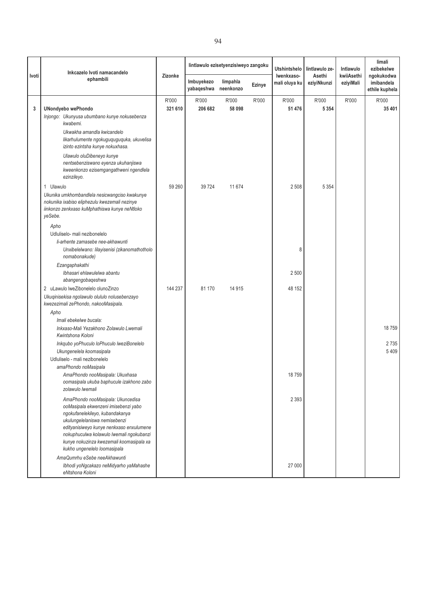|       | Inkcazelo Ivoti namacandelo                                                                                                                                                                                                                                                                                       |                  |                          | lintlawulo ezisetyenzisiweyo zangoku |        | <b>Utshintshelo</b>         | lintlawulo ze-        | Intlawulo               | limali<br>ezibekelwe                       |
|-------|-------------------------------------------------------------------------------------------------------------------------------------------------------------------------------------------------------------------------------------------------------------------------------------------------------------------|------------------|--------------------------|--------------------------------------|--------|-----------------------------|-----------------------|-------------------------|--------------------------------------------|
| Ivoti | ephambili                                                                                                                                                                                                                                                                                                         | Zizonke          | Imbuyekezo<br>yabaqeshwa | limpahla<br>neenkonzo                | Ezinye | Iwenkxaso-<br>mali oluya ku | Asethi<br>eziyiNkunzi | kwiiAsethi<br>eziyiMali | ngokukodwa<br>imibandela<br>ethile kuphela |
| 3     | <b>UNondyebo wePhondo</b><br>Injongo: Ukunyusa ubumbano kunye nokusebenza                                                                                                                                                                                                                                         | R'000<br>321 610 | R'000<br>206 682         | R'000<br>58 098                      | R'000  | R'000<br>51 476             | R'000<br>5 3 5 4      | R'000                   | R'000<br>35 401                            |
|       | kwabemi.<br>Ukwakha amandla kwicandelo<br>likarhulumente ngokuguquguquka, ukuvelisa<br>izinto ezintsha kunye nokuxhasa.                                                                                                                                                                                           |                  |                          |                                      |        |                             |                       |                         |                                            |
|       | Ulawulo oluDibeneyo kunye<br>nentsebenziswano eyenza ukuhanjiswa<br>kweenkonzo ezisemgangathweni ngendlela<br>ezinzileyo.                                                                                                                                                                                         |                  |                          |                                      |        |                             |                       |                         |                                            |
|       | 1 Ulawulo<br>Ukunika umkhombandlela nesicwangciso kwakunye<br>nokunika ixabiso eliphezulu kwezemali nezinye<br>iinkonzo zenkxaso kuMphathiswa kunye neNtloko<br>yeSebe.                                                                                                                                           | 59 260           | 39 7 24                  | 11 674                               |        | 2508                        | 5 3 5 4               |                         |                                            |
|       | Apho<br>Udluliselo- mali nezibonelelo<br>li-arhente zamasebe nee-akhawunti                                                                                                                                                                                                                                        |                  |                          |                                      |        |                             |                       |                         |                                            |
|       | Unxibelelwano: lilayisenisi (zikanomathotholo<br>nomabonakude)                                                                                                                                                                                                                                                    |                  |                          |                                      |        | 8                           |                       |                         |                                            |
|       | Ezangaphakathi<br>Ibhasari ehlawulelwa abantu<br>abangengobaqeshwa                                                                                                                                                                                                                                                |                  |                          |                                      |        | 2500                        |                       |                         |                                            |
|       | 2 uLawulo lweZibonelelo olunoZinzo<br>Ukuqinisekisa ngolawulo olululo nolusebenzayo<br>kwezezimali zePhondo, nakooMasipala.                                                                                                                                                                                       | 144 237          | 81 170                   | 14 9 15                              |        | 48 152                      |                       |                         |                                            |
|       | Apho                                                                                                                                                                                                                                                                                                              |                  |                          |                                      |        |                             |                       |                         |                                            |
|       | Imali ebekelwe bucala:<br>Inkxaso-Mali Yezakhono Zolawulo Lwemali<br>Kwintshona Koloni                                                                                                                                                                                                                            |                  |                          |                                      |        |                             |                       |                         | 18759                                      |
|       | Inkqubo yoPhuculo loPhuculo IweziBonelelo<br>Ukungenelela koomasipala                                                                                                                                                                                                                                             |                  |                          |                                      |        |                             |                       |                         | 2735<br>5 4 0 9                            |
|       | Udluliselo - mali nezibonelelo<br>amaPhondo noMasipala                                                                                                                                                                                                                                                            |                  |                          |                                      |        |                             |                       |                         |                                            |
|       | AmaPhondo nooMasipala: Ukuxhasa<br>oomasipala ukuba baphucule izakhono zabo<br>zolawulo lwemali                                                                                                                                                                                                                   |                  |                          |                                      |        | 18759                       |                       |                         |                                            |
|       | AmaPhondo nooMasipala: Ukuncedisa<br>ooMasipala ekwenzeni imisebenzi yabo<br>ngokufanelekileyo, kubandakanya<br>ukulungelelaniswa nemisebenzi<br>edityanisiweyo kunye nenkxaso enxulumene<br>nokuphuculwa kolawulo lwemali ngokubanzi<br>kunye nokuzinza kwezemali koomasipala xa<br>kukho ungenelelo loomasipala |                  |                          |                                      |        | 2 3 9 3                     |                       |                         |                                            |
|       | AmaQumrhu eSebe neeAkhawunti<br>Ibhodi yoNgcakazo neMidyarho yaMahashe<br>eNtshona Koloni                                                                                                                                                                                                                         |                  |                          |                                      |        | 27 000                      |                       |                         |                                            |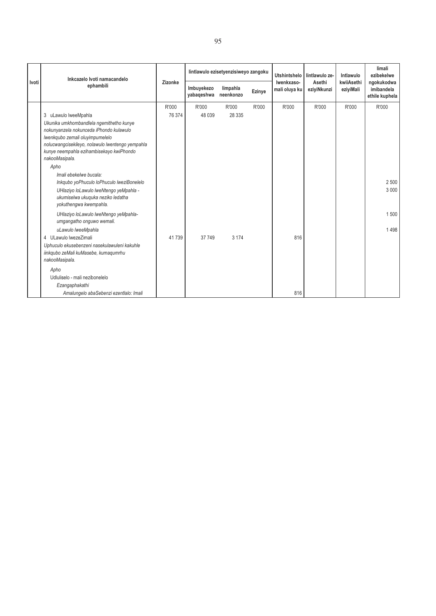|              | Inkcazelo Ivoti namacandelo                                                                                                                                                                                                                                                                        |         | lintlawulo ezisetyenzisiweyo zangoku |                       |        | <b>Utshintshelo</b>         | lintlawulo ze-        | Intlawulo               | limali<br>ezibekelwe                       |
|--------------|----------------------------------------------------------------------------------------------------------------------------------------------------------------------------------------------------------------------------------------------------------------------------------------------------|---------|--------------------------------------|-----------------------|--------|-----------------------------|-----------------------|-------------------------|--------------------------------------------|
| <b>Ivoti</b> | ephambili                                                                                                                                                                                                                                                                                          | Zizonke | Imbuyekezo<br>yabaqeshwa             | limpahla<br>neenkonzo | Ezinye | Iwenkxaso-<br>mali oluya ku | Asethi<br>eziyiNkunzi | kwiiAsethi<br>eziyiMali | ngokukodwa<br>imibandela<br>ethile kuphela |
|              |                                                                                                                                                                                                                                                                                                    | R'000   | R'000                                | R'000                 | R'000  | R'000                       | R'000                 | R'000                   | R'000                                      |
|              | 3 uLawulo lweeMpahla<br>Ukunika umkhombandlela ngemithetho kunye<br>nokunyanzela nokunceda iPhondo kulawulo<br>Iwenkqubo zemali oluyimpumelelo<br>nolucwangcisekileyo, nolawulo lwentengo yempahla<br>kunye neempahla ezihambisekayo kwiPhondo<br>nakooMasipala.<br>Apho<br>Imali ebekelwe bucala: | 76 374  | 48 039                               | 28 335                |        |                             |                       |                         |                                            |
|              | Inkqubo yoPhuculo loPhuculo IweziBonelelo<br>UHlaziyo loLawulo lweNtengo yeMpahla -<br>ukumiselwa ukuquka neziko ledatha<br>yokuthengwa kwempahla.                                                                                                                                                 |         |                                      |                       |        |                             |                       |                         | 2 500<br>3 0 0 0                           |
|              | UHlaziyo loLawulo lweNtengo yeMpahla-<br>umgangatho onguwo wemali.                                                                                                                                                                                                                                 |         |                                      |                       |        |                             |                       |                         | 1500                                       |
|              | uLawulo lweeMpahla<br>4 ULawulo lwezeZimali<br>Uphuculo ekusebenzeni nasekulawuleni kakuhle<br>iinkqubo zeMali kuMasebe, kumaqumrhu<br>nakooMasipala.                                                                                                                                              | 41739   | 37 749                               | 3 1 7 4               |        | 816                         |                       |                         | 1498                                       |
|              | Apho<br>Udluliselo - mali nezibonelelo<br>Ezangaphakathi<br>Amalungelo abaSebenzi ezentlalo: Imali                                                                                                                                                                                                 |         |                                      |                       |        | 816                         |                       |                         |                                            |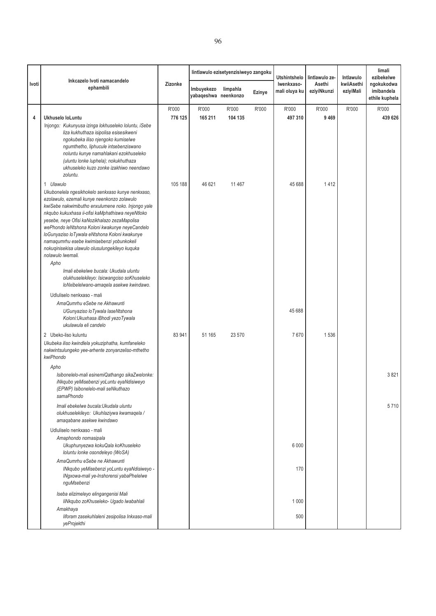|                | Inkcazelo Ivoti namacandelo                                                                                                                                                                                                                                                                                                                                                                                                                                                                                                                       |                  |                                    | lintlawulo ezisetyenzisiweyo zangoku |               | Utshintshelo                | lintlawulo ze-        | Intlawulo               | limali<br>ezibekelwe                       |
|----------------|---------------------------------------------------------------------------------------------------------------------------------------------------------------------------------------------------------------------------------------------------------------------------------------------------------------------------------------------------------------------------------------------------------------------------------------------------------------------------------------------------------------------------------------------------|------------------|------------------------------------|--------------------------------------|---------------|-----------------------------|-----------------------|-------------------------|--------------------------------------------|
| Ivoti          | ephambili                                                                                                                                                                                                                                                                                                                                                                                                                                                                                                                                         | Zizonke          | Imbuyekezo<br>yabaqeshwa neenkonzo | limpahla                             | <b>Ezinye</b> | Iwenkxaso-<br>mali oluya ku | Asethi<br>eziyiNkunzi | kwiiAsethi<br>eziyiMali | ngokukodwa<br>imibandela<br>ethile kuphela |
| $\overline{4}$ | Ukhuselo loLuntu<br>Injongo: Kukunyusa izinga lokhuseleko loluntu, iSebe<br>liza kukhuthaza isipolisa esisesikweni<br>ngokubeka iliso njengoko kumiselwe<br>ngumthetho, liphucule intsebenziswano<br>noluntu kunye namahlakani ezokhuseleko<br>(uluntu lonke luphela); nokukhuthaza<br>ukhuseleko kuzo zonke izakhiwo neendawo<br>zoluntu.                                                                                                                                                                                                        | R'000<br>776 125 | R'000<br>165 211                   | R'000<br>104 135                     | R'000         | R'000<br>497 310            | R'000<br>9 4 6 9      | R'000                   | R'000<br>439 626                           |
|                | 1 Ulawulo<br>Ukubonelela ngesikhokelo senkxaso kunye nenkxaso,<br>ezolawulo, ezemali kunye neenkonzo zolawulo<br>kwiSebe nakwimibutho enxulumene noko. Injongo yale<br>nkqubo kukuxhasa ii-ofisi kaMphathiswa neyeNtloko<br>yesebe, neye Ofisi kaNozikhalazo zezaMapolisa<br>wePhondo leNtshona Koloni kwakunye neyeCandelo<br>loGunyaziso loTywala eNtshona Koloni kwakunye<br>namaqumrhu esebe kwimisebenzi yobunkokeli<br>nokuqinisekisa ulawulo olusulungekileyo kuquka<br>nolawulo lwemali.<br>Apho<br>Imali ebekelwe bucala: Ukudala uluntu | 105 188          | 46 621                             | 11 467                               |               | 45 688                      | 1412                  |                         |                                            |
|                | olukhuselekileyo: Isicwangciso soKhuseleko<br>loNxibelelwano-amaqela asekwe kwindawo.<br>Udluliselo nenkxaso - mali<br>AmaQumrhu eSebe ne Akhawunti<br>UGunyaziso loTywala laseNtshona<br>Koloni: Ukuxhasa iBhodi yezoTywala                                                                                                                                                                                                                                                                                                                      |                  |                                    |                                      |               | 45 688                      |                       |                         |                                            |
|                | ukulawula eli candelo<br>2 Ubeko-liso kuluntu<br>Ukubeka iliso kwindlela yokuziphatha, kumfaneleko<br>nakwintsulungeko yee-arhente zonyanzeliso-mthetho<br>kwiPhondo                                                                                                                                                                                                                                                                                                                                                                              | 83 941           | 51 165                             | 23 570                               |               | 7670                        | 1536                  |                         |                                            |
|                | Apho<br>Isibonelelo-mali esinemiQathango sikaZwelonke:<br>iNkqubo yeMisebenzi yoLuntu eyaNdisiweyo<br>(EPWP) Isibonelelo-mali seNkuthazo<br>samaPhondo                                                                                                                                                                                                                                                                                                                                                                                            |                  |                                    |                                      |               |                             |                       |                         | 3821                                       |
|                | Imali ebekelwe bucala: Ukudala uluntu<br>olukhuselekileyo: Ukuhlaziywa kwamaqela /<br>amaqabane asekwe kwindawo                                                                                                                                                                                                                                                                                                                                                                                                                                   |                  |                                    |                                      |               |                             |                       |                         | 5710                                       |
|                | Udluliselo nenkxaso - mali<br>Amaphondo nomasipala<br>Ukuphunyezwa kokuQala koKhuseleko<br>Ioluntu Ionke osondeleyo (WoSA)<br>AmaQumrhu eSebe ne Akhawunti<br>INkqubo yeMisebenzi yoLuntu eyaNdisiweyo -<br>INgxowa-mali ye-Inshorensi yabaPhelelwe<br>nguMsebenzi                                                                                                                                                                                                                                                                                |                  |                                    |                                      |               | 6 0 0 0<br>170              |                       |                         |                                            |
|                | Iseba elizimeleyo elingangenisi Mali<br>liNkqubo zoKhuseleko- Ugado lwabahlali<br>Amakhaya<br>liforam zasekuhlaleni zesipolisa Inkxaso-mali<br>yeProjekthi                                                                                                                                                                                                                                                                                                                                                                                        |                  |                                    |                                      |               | 1 0 0 0<br>500              |                       |                         |                                            |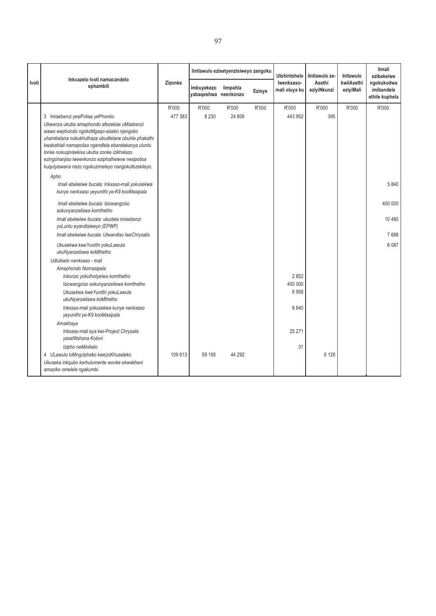|       | Inkcazelo Ivoti namacandelo                                                                             |         |                                    | lintlawulo ezisetyenzisiweyo zangoku |        | <b>Utshintshelo</b>         | lintlawulo ze-        | Intlawulo               | limali<br>ezibekelwe                       |
|-------|---------------------------------------------------------------------------------------------------------|---------|------------------------------------|--------------------------------------|--------|-----------------------------|-----------------------|-------------------------|--------------------------------------------|
| Ivoti | ephambili                                                                                               | Zizonke | Imbuyekezo<br>yabaqeshwa neenkonzo | limpahla                             | Ezinye | Iwenkxaso-<br>mali oluya ku | Asethi<br>eziyiNkunzi | kwiiAsethi<br>eziyiMali | ngokukodwa<br>imibandela<br>ethile kuphela |
|       |                                                                                                         | R'000   | R'000                              | R'000                                | R'000  | R'000                       | R'000                 | R'000                   | R'000                                      |
|       | 3 Imisebenzi yesiPolisa yePhondo                                                                        | 477 383 | 8 2 3 0                            | 24 806                               |        | 443 952                     | 395                   |                         |                                            |
|       | Ukwenza ukuba amaphondo afezekise uMsebenzi                                                             |         |                                    |                                      |        |                             |                       |                         |                                            |
|       | wawo wephondo ngokoMgaqo-siseko njengoko<br>uhambelana nokukhuthaza ubudlelane obuhle phakathi          |         |                                    |                                      |        |                             |                       |                         |                                            |
|       | kwabahlali namapolisa ngendlela ebandakanya uluntu                                                      |         |                                    |                                      |        |                             |                       |                         |                                            |
|       | lonke nokuginisekisa ukuba zonke izikhalazo                                                             |         |                                    |                                      |        |                             |                       |                         |                                            |
|       | ezingohanjiso lweenkonzo eziphathelene nesipolisa<br>kugutyiswana nazo ngokuzimeleyo nangokufezekileyo. |         |                                    |                                      |        |                             |                       |                         |                                            |
|       |                                                                                                         |         |                                    |                                      |        |                             |                       |                         |                                            |
|       | Apho<br>Imali ebekelwe bucala: Inkxaso-mali yokusekwa                                                   |         |                                    |                                      |        |                             |                       |                         | 5840                                       |
|       | kunye nenkxaso yeyunithi ye-K9 kooMasipala                                                              |         |                                    |                                      |        |                             |                       |                         |                                            |
|       | Imali ebekelwe bucala: Isicwangciso                                                                     |         |                                    |                                      |        |                             |                       |                         | 400 000                                    |
|       | sokunyanzeliswa komthetho                                                                               |         |                                    |                                      |        |                             |                       |                         |                                            |
|       | Imali ebekelwe bucala: ukudala imisebenzi<br>yoLuntu eyandisiweyo (EPWP)                                |         |                                    |                                      |        |                             |                       |                         | 10 480                                     |
|       | Imali ebekelwe bucala: Ulwandiso lweChrysalis                                                           |         |                                    |                                      |        |                             |                       |                         | 7688                                       |
|       | Ukusekwa kwe Yunithi yokuLawula<br>ukuNyanzeliswa koMthetho                                             |         |                                    |                                      |        |                             |                       |                         | 6 0 8 7                                    |
|       | Udluliselo nenkxaso - mali                                                                              |         |                                    |                                      |        |                             |                       |                         |                                            |
|       | Amaphondo Nomasipala                                                                                    |         |                                    |                                      |        |                             |                       |                         |                                            |
|       | Inkonzo yokuthotyelwa komthetho                                                                         |         |                                    |                                      |        | 2852                        |                       |                         |                                            |
|       | Isicwangciso sokunyanzeliswa komthetho<br>Ukusekwa kweYunithi yokuLawula                                |         |                                    |                                      |        | 400 000<br>6958             |                       |                         |                                            |
|       | ukuNyanzeliswa koMthetho                                                                                |         |                                    |                                      |        |                             |                       |                         |                                            |
|       | Inkxaso-mali yokusekwa kunye nenkxaso<br>yeyunithi ye-K9 kooMasipala                                    |         |                                    |                                      |        | 8840                        |                       |                         |                                            |
|       | Amakhaya                                                                                                |         |                                    |                                      |        |                             |                       |                         |                                            |
|       | Inkxaso-mali eya kwi-Project Chrysalis<br>yaseNtshona Koloni                                            |         |                                    |                                      |        | 25 271                      |                       |                         |                                            |
|       | Izipho neMinikelo                                                                                       |         |                                    |                                      |        | 31                          |                       |                         |                                            |
|       | 4 ULawulo loMngcipheko kwezoKhuseleko                                                                   | 109613  | 59 195                             | 44 292                               |        |                             | 6 1 2 6               |                         |                                            |
|       | Ukuseka inkqubo karhulumente wonke ekwakheni<br>amaziko omelele ngakumbi.                               |         |                                    |                                      |        |                             |                       |                         |                                            |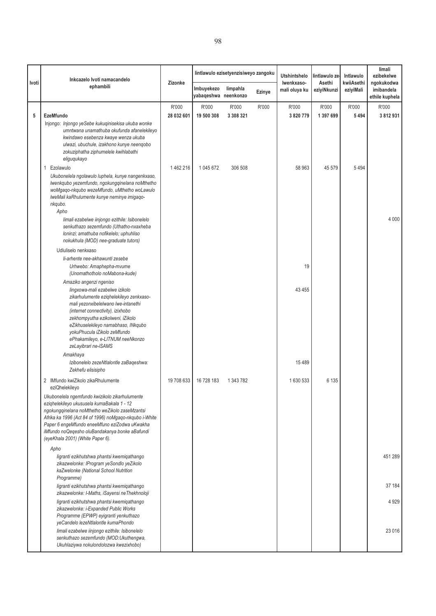| Ivoti | Inkcazelo Ivoti namacandelo<br>ephambili                                                                                                                                                                                                                                                                                                                | Zizonke    | Imbuyekezo           | lintlawulo ezisetyenzisiweyo zangoku<br>limpahla |        | <b>Utshintshelo</b><br>Iwenkxaso-<br>mali oluya ku | lintlawulo ze-<br>Asethi<br>eziyiNkunzi | Intlawulo<br>kwiiAsethi<br>eziyiMali | limali<br>ezibekelwe<br>ngokukodwa<br>imibandela |
|-------|---------------------------------------------------------------------------------------------------------------------------------------------------------------------------------------------------------------------------------------------------------------------------------------------------------------------------------------------------------|------------|----------------------|--------------------------------------------------|--------|----------------------------------------------------|-----------------------------------------|--------------------------------------|--------------------------------------------------|
|       |                                                                                                                                                                                                                                                                                                                                                         |            | yabaqeshwa neenkonzo |                                                  | Ezinye |                                                    |                                         |                                      | ethile kuphela                                   |
|       |                                                                                                                                                                                                                                                                                                                                                         | R'000      | R'000                | R'000                                            | R'000  | R'000                                              | R'000                                   | R'000                                | R'000                                            |
| 5     | <b>EzeMfundo</b><br>Injongo: Injongo yeSebe kukuqinisekisa ukuba wonke<br>umntwana unamathuba okufunda afanelekileyo<br>kwindawo esebenza kwaye wenza ukuba<br>ulwazi, ubuchule, izakhono kunye neenqobo<br>zokuziphatha ziphumelele kwihlabathi<br>eliguqukayo                                                                                         | 28 032 601 | 19 500 308           | 3 308 321                                        |        | 3 820 779                                          | 1 397 699                               | 5 4 9 4                              | 3812931                                          |
|       | Ezolawulo<br>1<br>Ukubonelela ngolawulo luphela, kunye nangenkxaso,<br>Iwenkqubo yezemfundo, ngokungqinelana noMthetho<br>woMgaqo-nkqubo wezeMfundo, uMthetho woLawulo<br>IweMali kaRhulumente kunye neminye imigaqo-<br>nkqubo.<br>Apho<br>limali ezabelwe iinjongo ezithile: Isibonelelo                                                              | 1462216    | 1 045 672            | 306 508                                          |        | 58 963                                             | 45 579                                  | 5 4 9 4                              | 4 0 0 0                                          |
|       | senkuthazo sezemfundo (Uthatho-nxaxheba<br>loninzi; amathuba nofikelelo; uphuhliso<br>nokukhula (MOD) nee-graduate tutors)                                                                                                                                                                                                                              |            |                      |                                                  |        |                                                    |                                         |                                      |                                                  |
|       | Udluliselo nenkxaso                                                                                                                                                                                                                                                                                                                                     |            |                      |                                                  |        |                                                    |                                         |                                      |                                                  |
|       | li-arhente nee-akhawunti zesebe<br>Urhwebo: Amaphepha-mvume<br>(Unomathotholo noMabona-kude)                                                                                                                                                                                                                                                            |            |                      |                                                  |        | 19                                                 |                                         |                                      |                                                  |
|       | Amaziko angenzi ngeniso<br>lingxowa-mali ezabelwe izikolo<br>zikarhulumente eziqhelekileyo zenkxaso-<br>mali yezonxibelelwano lwe-intanethi<br>(internet connectivity), izixhobo<br>zekhompyutha ezikolweni, iZikolo<br>eZikhuselekileyo namabhaso, INkqubo<br>yokuPhucula iZikolo zeMfundo<br>ePhakamileyo, e-LITNUM neeNkonzo<br>zeLayibrari ne-iSAMS |            |                      |                                                  |        | 43 455                                             |                                         |                                      |                                                  |
|       | Amakhaya<br>Izibonelelo zezeNtlalontle zaBaqeshwa:<br>Zekhefu elisisipho                                                                                                                                                                                                                                                                                |            |                      |                                                  |        | 15 4 8 9                                           |                                         |                                      |                                                  |
|       | 2 IMfundo kwiZikolo zikaRhulumente<br>eziQhelekileyo                                                                                                                                                                                                                                                                                                    | 19 708 633 | 16 728 183           | 1 343 782                                        |        | 1630533                                            | 6 135                                   |                                      |                                                  |
|       | Ukubonelela ngemfundo kwizikolo zikarhulumente<br>eziqhelekileyo ukususela kumaBakala 1 - 12<br>ngokungqinelana noMthetho weZikolo zaseMzantsi<br>Afrika ka 1996 (Act 84 of 1996) noMgaqo-nkqubo i-White<br>Paper 6 engeMfundo eneeMfuno eziZodwa uKwakha<br>iMfundo noQeqesho oluBandakanya bonke aBafundi<br>(eyeKhala 2001) (White Paper 6).         |            |                      |                                                  |        |                                                    |                                         |                                      |                                                  |
|       | Apho<br>ligranti ezikhutshwa phantsi kwemiqathango                                                                                                                                                                                                                                                                                                      |            |                      |                                                  |        |                                                    |                                         |                                      | 451 289                                          |
|       | zikazwelonke: IProgram yeSondlo yeZikolo<br>kaZwelonke (National School Nutrition<br>Programme)                                                                                                                                                                                                                                                         |            |                      |                                                  |        |                                                    |                                         |                                      |                                                  |
|       | ligranti ezikhutshwa phantsi kwemiqathango<br>zikazwelonke: I-Maths, iSayensi neThekhnoloji                                                                                                                                                                                                                                                             |            |                      |                                                  |        |                                                    |                                         |                                      | 37 184                                           |
|       | ligranti ezikhutshwa phantsi kwemiqathango<br>zikazwelonke: i-Expanded Public Works<br>Programme (EPWP) eyigranti yenkuthazo<br>yeCandelo lezeNtlalontle kumaPhondo                                                                                                                                                                                     |            |                      |                                                  |        |                                                    |                                         |                                      | 4 9 2 9                                          |
|       | limali ezabelwe iinjongo ezithile: Isibonelelo<br>senkuthazo sezemfundo (MOD:Ukuthengwa,<br>Ukuhlaziywa nokulondolozwa kwezixhobo)                                                                                                                                                                                                                      |            |                      |                                                  |        |                                                    |                                         |                                      | 23 0 16                                          |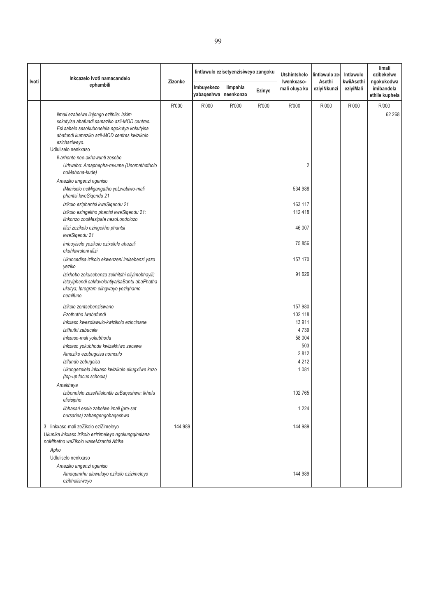| Inkcazelo Ivoti namacandelo<br>Ivoti                                                                                                   |         |                                    | lintlawulo ezisetyenzisiweyo zangoku |        | <b>Utshintshelo</b><br>Iwenkxaso-<br>Asethi | lintlawulo ze | Intlawulo               | limali<br>ezibekelwe                       |
|----------------------------------------------------------------------------------------------------------------------------------------|---------|------------------------------------|--------------------------------------|--------|---------------------------------------------|---------------|-------------------------|--------------------------------------------|
| ephambili                                                                                                                              | Zizonke | Imbuyekezo<br>yabaqeshwa neenkonzo | limpahla                             | Ezinye | mali oluya ku                               | eziyiNkunzi   | kwiiAsethi<br>eziyiMali | ngokukodwa<br>imibandela<br>ethile kuphela |
|                                                                                                                                        | R'000   | R'000                              | R'000                                | R'000  | R'000                                       | R'000         | R'000                   | R'000                                      |
| limali ezabelwe iinjongo ezithile: Iskim                                                                                               |         |                                    |                                      |        |                                             |               |                         | 62 268                                     |
| sokutyisa abafundi samaziko azii-MOD centres.                                                                                          |         |                                    |                                      |        |                                             |               |                         |                                            |
| Esi sabelo sesokubonelela ngokutya kokutyisa                                                                                           |         |                                    |                                      |        |                                             |               |                         |                                            |
| abafundi kumaziko azii-MOD centres kwizikolo<br>ezichaziweyo.                                                                          |         |                                    |                                      |        |                                             |               |                         |                                            |
| Udluliselo nenkxaso                                                                                                                    |         |                                    |                                      |        |                                             |               |                         |                                            |
| li-arhente nee-akhawunti zesebe                                                                                                        |         |                                    |                                      |        |                                             |               |                         |                                            |
| Urhwebo: Amaphepha-mvume (Unomathotholo<br>noMabona-kude)                                                                              |         |                                    |                                      |        | 2                                           |               |                         |                                            |
| Amaziko angenzi ngeniso                                                                                                                |         |                                    |                                      |        |                                             |               |                         |                                            |
| IMimiselo neMigangatho yoLwabiwo-mali<br>phantsi kweSiqendu 21                                                                         |         |                                    |                                      |        | 534 988                                     |               |                         |                                            |
| Izikolo eziphantsi kweSigendu 21                                                                                                       |         |                                    |                                      |        | 163 117                                     |               |                         |                                            |
| Izikolo ezingekho phantsi kweSigendu 21:<br>linkonzo zooMasipala nezoLondolozo                                                         |         |                                    |                                      |        | 112 418                                     |               |                         |                                            |
| lifizi zezikolo ezingekho phantsi<br>kweSiqendu 21                                                                                     |         |                                    |                                      |        | 46 007                                      |               |                         |                                            |
| Imbuyiselo yezikolo ezixolele abazali<br>ekuhlawuleni iifizi                                                                           |         |                                    |                                      |        | 75 856                                      |               |                         |                                            |
| Ukuncedisa izikolo ekwenzeni imisebenzi yazo<br>yeziko                                                                                 |         |                                    |                                      |        | 157 170                                     |               |                         |                                            |
| Izixhobo zokusebenza zekhitshi eliyimobhayili;<br>Istayiphendi saMavolontiya/saBantu abaPhatha<br>ukutya; Iprogram elingwayo yeziqhamo |         |                                    |                                      |        | 91 626                                      |               |                         |                                            |
| nemifuno                                                                                                                               |         |                                    |                                      |        |                                             |               |                         |                                            |
| Izikolo zentsebenziswano                                                                                                               |         |                                    |                                      |        | 157 980                                     |               |                         |                                            |
| Ezothutho Iwabafundi                                                                                                                   |         |                                    |                                      |        | 102 118<br>13 911                           |               |                         |                                            |
| Inkxaso kwezolawulo-kwizikolo ezincinane<br>Izithuthi zabucala                                                                         |         |                                    |                                      |        | 4739                                        |               |                         |                                            |
| Inkxaso-mali yokubhoda                                                                                                                 |         |                                    |                                      |        | 58 004                                      |               |                         |                                            |
| Inkxaso yokubhoda kwizakhiwo zecawa                                                                                                    |         |                                    |                                      |        | 503                                         |               |                         |                                            |
| Amaziko ezobugcisa nomculo                                                                                                             |         |                                    |                                      |        | 2812                                        |               |                         |                                            |
| Izifundo zobugcisa                                                                                                                     |         |                                    |                                      |        | 4 2 1 2                                     |               |                         |                                            |
| Ukongezelela inkxaso kwizikolo ekugxilwe kuzo<br>(top-up focus schools)                                                                |         |                                    |                                      |        | 1 0 8 1                                     |               |                         |                                            |
| Amakhaya                                                                                                                               |         |                                    |                                      |        |                                             |               |                         |                                            |
| Izibonelelo zezeNtlalontle zaBaqeshwa: Ikhefu<br>elisisipho                                                                            |         |                                    |                                      |        | 102 765                                     |               |                         |                                            |
| libhasari esele zabelwe imali (pre-set<br>bursaries) zabangengobageshwa                                                                |         |                                    |                                      |        | 1 2 2 4                                     |               |                         |                                            |
| 3 linkxaso-mali zeZikolo eziZimeleyo<br>Ukunika inkxaso izikolo ezizimeleyo ngokungqinelana<br>noMthetho weZikolo waseMzantsi Afrika.  | 144 989 |                                    |                                      |        | 144 989                                     |               |                         |                                            |
| Apho                                                                                                                                   |         |                                    |                                      |        |                                             |               |                         |                                            |
| Udluliselo nenkxaso                                                                                                                    |         |                                    |                                      |        |                                             |               |                         |                                            |
| Amaziko angenzi ngeniso                                                                                                                |         |                                    |                                      |        |                                             |               |                         |                                            |
| Amaqumrhu alawulayo ezikolo ezizimeleyo<br>ezibhalisiweyo                                                                              |         |                                    |                                      |        | 144 989                                     |               |                         |                                            |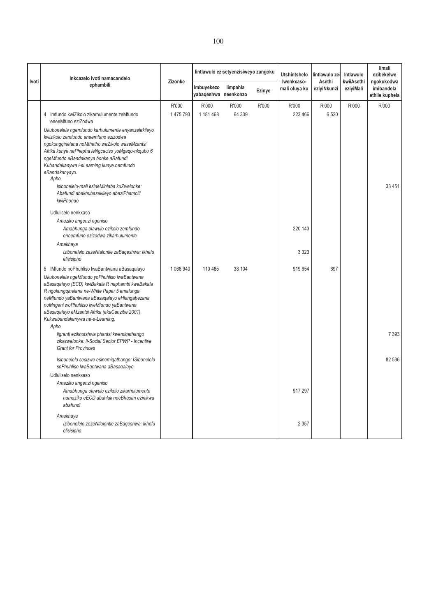|       | Inkcazelo Ivoti namacandelo                                                                                                                                                                                                                                                                                                                                                                                                                                                                                                                                                         |                  |                                    | lintlawulo ezisetyenzisiweyo zangoku |        | <b>Utshintshelo</b>         | lintlawulo ze         | Intlawulo               | limali<br>ezibekelwe                       |
|-------|-------------------------------------------------------------------------------------------------------------------------------------------------------------------------------------------------------------------------------------------------------------------------------------------------------------------------------------------------------------------------------------------------------------------------------------------------------------------------------------------------------------------------------------------------------------------------------------|------------------|------------------------------------|--------------------------------------|--------|-----------------------------|-----------------------|-------------------------|--------------------------------------------|
| Ivoti | ephambili                                                                                                                                                                                                                                                                                                                                                                                                                                                                                                                                                                           | Zizonke          | Imbuyekezo<br>yabaqeshwa neenkonzo | limpahla                             | Ezinye | Iwenkxaso-<br>mali oluya ku | Asethi<br>eziyiNkunzi | kwiiAsethi<br>eziyiMali | ngokukodwa<br>imibandela<br>ethile kuphela |
|       | 4 Imfundo kwiZikolo zikarhulumente zeMfundo<br>eneeMfuno eziZodwa<br>Ukubonelela ngemfundo karhulumente enyanzelekileyo<br>kwizikolo zemfundo eneemfuno ezizodwa<br>ngokungqinelana noMthetho weZikolo waseMzantsi<br>Afrika kunye nePhepha leNgcaciso yoMgaqo-nkqubo 6<br>ngeMfundo eBandakanya bonke aBafundi.<br>Kubandakanywa i-eLearning kunye nemfundo<br>eBandakanyayo.<br>Apho<br>Isibonelelo-mali esineMihlaba kuZwelonke:<br>Abafundi abakhubazekileyo abaziPhambili<br>kwiPhondo<br>Udluliselo nenkxaso<br>Amaziko angenzi ngeniso<br>Amabhunga olawulo ezikolo zemfundo | R'000<br>1475793 | R'000<br>1 181 468                 | R'000<br>64 339                      | R'000  | R'000<br>223 466<br>220 143 | R'000<br>6 5 20       | R'000                   | R'000<br>33 451                            |
|       | eneemfuno ezizodwa zikarhulumente<br>Amakhaya<br>Izibonelelo zezeNtalontle zaBaqeshwa: Ikhefu<br>elisisipho<br>5 IMfundo noPhuhliso lwaBantwana aBasaqalayo<br>Ukubonelela ngeMfundo yoPhuhliso lwaBantwana<br>aBasagalayo (ECD) kwiBakala R naphambi kweBakala<br>R ngokungqinelana ne-White Paper 5 emalunga<br>neMfundo yaBantwana aBasagalayo eHlangabezana<br>noMngeni woPhuhliso lweMfundo yaBantwana<br>aBasagalayo eMzantsi Afrika (ekaCanzibe 2001).                                                                                                                       | 1 068 940        | 110 485                            | 38 104                               |        | 3 3 2 3<br>919 654          | 697                   |                         |                                            |
|       | Kukwabandakanywa ne-e-Learning.<br>Apho<br>ligranti ezikhutshwa phantsi kwemiqathango<br>zikazwelonke: Ii-Social Sector EPWP - Incentive<br><b>Grant for Provinces</b>                                                                                                                                                                                                                                                                                                                                                                                                              |                  |                                    |                                      |        |                             |                       |                         | 7 3 9 3                                    |
|       | Isibonelelo sesizwe esinemigathango: ISibonelelo<br>soPhuhliso lwaBantwana aBasaqalayo.<br>Udluliselo nenkxaso<br>Amaziko angenzi ngeniso<br>Amabhunga olawulo ezikolo zikarhulumente<br>namaziko eECD abahlali neeBhasari ezinikwa<br>abafundi<br>Amakhaya                                                                                                                                                                                                                                                                                                                         |                  |                                    |                                      |        | 917 297                     |                       |                         | 82 536                                     |
|       | Izibonelelo zezeNtlalontle zaBaqeshwa: Ikhefu<br>elisisipho                                                                                                                                                                                                                                                                                                                                                                                                                                                                                                                         |                  |                                    |                                      |        | 2 3 5 7                     |                       |                         |                                            |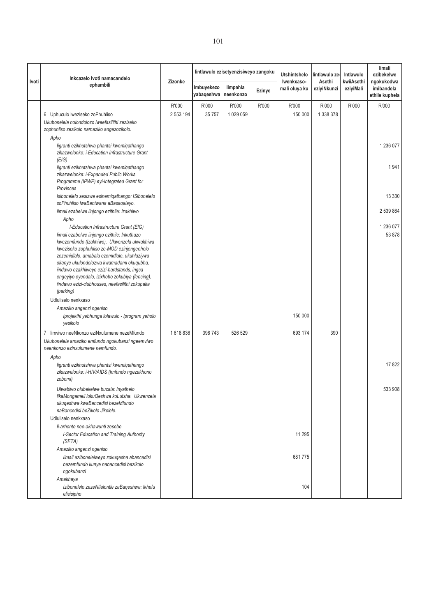|       | Inkcazelo Ivoti namacandelo                                                                                                                                                                                                                                                                                                                                                                            |                    |                                    | lintlawulo ezisetyenzisiweyo zangoku |        | <b>Utshintshelo</b>         | lintlawulo ze-        | Intlawulo               | limali<br>ezibekelwe                       |
|-------|--------------------------------------------------------------------------------------------------------------------------------------------------------------------------------------------------------------------------------------------------------------------------------------------------------------------------------------------------------------------------------------------------------|--------------------|------------------------------------|--------------------------------------|--------|-----------------------------|-----------------------|-------------------------|--------------------------------------------|
| Ivoti | ephambili                                                                                                                                                                                                                                                                                                                                                                                              | Zizonke            | Imbuyekezo<br>yabaqeshwa neenkonzo | limpahla                             | Ezinye | Iwenkxaso-<br>mali oluya ku | Asethi<br>eziyiNkunzi | kwiiAsethi<br>eziyiMali | ngokukodwa<br>imibandela<br>ethile kuphela |
|       | 6 Uphuculo lweziseko zoPhuhliso<br>Ukubonelela nolondolozo lweefasilithi zeziseko<br>zophuhliso zezikolo namaziko angezozikolo.                                                                                                                                                                                                                                                                        | R'000<br>2 553 194 | R'000<br>35757                     | R'000<br>1 029 059                   | R'000  | R'000<br>150 000            | R'000<br>1 338 378    | R'000                   | R'000                                      |
|       | Apho<br>ligranti ezikhutshwa phantsi kwemiqathango<br>zikazwelonke: i-Education Infrastructure Grant<br>(EIG)                                                                                                                                                                                                                                                                                          |                    |                                    |                                      |        |                             |                       |                         | 1 236 077                                  |
|       | ligranti ezikhutshwa phantsi kwemiqathango<br>zikazwelonke: i-Expanded Public Works<br>Programme (IPWP) eyi-Integrated Grant for<br>Provinces                                                                                                                                                                                                                                                          |                    |                                    |                                      |        |                             |                       |                         | 1941                                       |
|       | Isibonelelo sesizwe esinemiqathango: ISibonelelo<br>soPhuhliso lwaBantwana aBasaqalayo.                                                                                                                                                                                                                                                                                                                |                    |                                    |                                      |        |                             |                       |                         | 13 3 3 0                                   |
|       | limali ezabelwe iinjongo ezithile: Izakhiwo<br>Apho<br>I-Education Infrastructure Grant (EIG)                                                                                                                                                                                                                                                                                                          |                    |                                    |                                      |        |                             |                       |                         | 2 539 864<br>1 236 077                     |
|       | limali ezabelwe iinjongo ezithile: Inkuthazo<br>kwezemfundo (Izakhiwo). Ukwenzela ukwakhiwa<br>kweziseko zophuhliso ze-MOD ezinjengeeholo<br>zezemidlalo, amabala ezemidlalo, ukuhlaziywa<br>okanye ukulondolozwa kwamadami okuqubha,<br>iindawo ezakhiweyo ezizi-hardstands, ingca<br>engeyiyo eyendalo, izixhobo zokubiya (fencing),<br>iindawo ezizi-clubhouses, neefasilithi zokupaka<br>(parking) |                    |                                    |                                      |        |                             |                       |                         | 53 878                                     |
|       | Udluliselo nenkxaso<br>Amaziko angenzi ngeniso<br>Iprojekthi yebhunga lolawulo - Iprogram yeholo<br>yesikolo                                                                                                                                                                                                                                                                                           |                    |                                    |                                      |        | 150 000                     |                       |                         |                                            |
|       | limviwo neeNkonzo eziNxulumene nezeMfundo<br>$\overline{7}$                                                                                                                                                                                                                                                                                                                                            | 1618836            | 398743                             | 526 529                              |        | 693 174                     | 390                   |                         |                                            |
|       | Ukubonelela amaziko emfundo ngokubanzi ngeemviwo<br>neenkonzo ezinxulumene nemfundo.                                                                                                                                                                                                                                                                                                                   |                    |                                    |                                      |        |                             |                       |                         |                                            |
|       | Apho<br>ligranti ezikhutshwa phantsi kwemiqathango<br>zikazwelonke: i-HIV/AIDS (Imfundo ngezakhono<br>zobomi)                                                                                                                                                                                                                                                                                          |                    |                                    |                                      |        |                             |                       |                         | 17822                                      |
|       | Ulwabiwo olubekelwe bucala: Inyathelo<br>likaMongameli lokuQeshwa koLutsha. Ukwenzela<br>ukuqeshwa kwaBancedisi bezeMfundo<br>naBancedisi beZikolo Jikelele.                                                                                                                                                                                                                                           |                    |                                    |                                      |        |                             |                       |                         | 533 908                                    |
|       | Udluliselo nenkxaso                                                                                                                                                                                                                                                                                                                                                                                    |                    |                                    |                                      |        |                             |                       |                         |                                            |
|       | li-arhente nee-akhawunti zesebe<br>I-Sector Education and Training Authority<br>(SETA)                                                                                                                                                                                                                                                                                                                 |                    |                                    |                                      |        | 11 295                      |                       |                         |                                            |
|       | Amaziko angenzi ngeniso<br>limali ezibonelelweyo zokuqesha abancedisi<br>bezemfundo kunye nabancedisi bezikolo<br>ngokubanzi                                                                                                                                                                                                                                                                           |                    |                                    |                                      |        | 681775                      |                       |                         |                                            |
|       | Amakhaya<br>Izibonelelo zezeNtlalontle zaBaqeshwa: Ikhefu<br>elisisipho                                                                                                                                                                                                                                                                                                                                |                    |                                    |                                      |        | 104                         |                       |                         |                                            |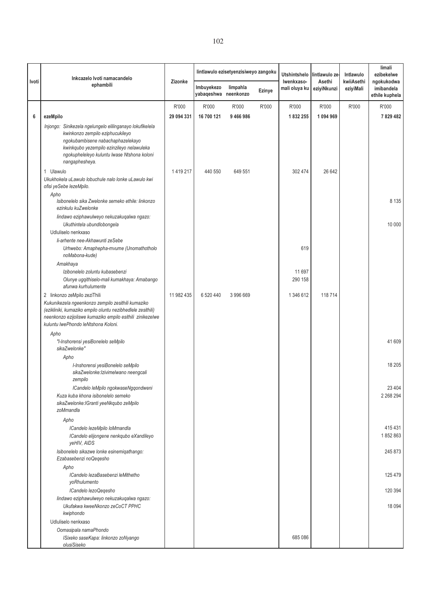| Ivoti | Inkcazelo Ivoti namacandelo                                                                      | Zizonke    |                                    | lintlawulo ezisetyenzisiweyo zangoku |        | Utshintshelo<br>Iwenkxaso- | lintlawulo ze-<br>Asethi | Intlawulo<br>kwiiAsethi | limali<br>ezibekelwe<br>ngokukodwa |
|-------|--------------------------------------------------------------------------------------------------|------------|------------------------------------|--------------------------------------|--------|----------------------------|--------------------------|-------------------------|------------------------------------|
|       | ephambili                                                                                        |            | Imbuyekezo<br>yabaqeshwa neenkonzo | limpahla                             | Ezinye | mali oluya ku              | eziyiNkunzi              | eziyiMali               | imibandela<br>ethile kuphela       |
|       |                                                                                                  | R'000      | R'000                              | R'000                                | R'000  | R'000                      | R'000                    | R'000                   | R'000                              |
| 6     | ezeMpilo                                                                                         | 29 094 331 | 16 700 121                         | 9466986                              |        | 1832255                    | 1094969                  |                         | 7829482                            |
|       | Injongo: Sinikezela ngelungelo elilinganayo lokufikelela                                         |            |                                    |                                      |        |                            |                          |                         |                                    |
|       | kwinkonzo zempilo eziphucukileyo                                                                 |            |                                    |                                      |        |                            |                          |                         |                                    |
|       | ngokubambisene nabachaphazelekayo<br>kwinkqubo yezempilo ezinzileyo nelawuleka                   |            |                                    |                                      |        |                            |                          |                         |                                    |
|       | ngokupheleleyo kuluntu lwase Ntshona koloni                                                      |            |                                    |                                      |        |                            |                          |                         |                                    |
|       | nangaphesheya.                                                                                   |            |                                    |                                      |        |                            |                          |                         |                                    |
|       | 1 Ulawulo                                                                                        | 1419217    | 440 550                            | 649 551                              |        | 302 474                    | 26 642                   |                         |                                    |
|       | Ukukhokela uLawulo lobuchule nalo lonke uLawulo kwi                                              |            |                                    |                                      |        |                            |                          |                         |                                    |
|       | ofisi yeSebe lezeMpilo.                                                                          |            |                                    |                                      |        |                            |                          |                         |                                    |
|       | Apho<br>Isibonelelo sika Zwelonke semeko ethile: linkonzo                                        |            |                                    |                                      |        |                            |                          |                         | 8 1 3 5                            |
|       | ezinkulu kuZwelonke                                                                              |            |                                    |                                      |        |                            |                          |                         |                                    |
|       | lindawo eziphawulweyo nekuzakuqalwa ngazo:                                                       |            |                                    |                                      |        |                            |                          |                         |                                    |
|       | Ukuthintela ubundlobongela                                                                       |            |                                    |                                      |        |                            |                          |                         | 10 000                             |
|       | Udluliselo nenkxaso<br>li-arhente nee-Akhawunti zeSebe                                           |            |                                    |                                      |        |                            |                          |                         |                                    |
|       | Urhwebo: Amaphepha-mvume (Unomathotholo                                                          |            |                                    |                                      |        | 619                        |                          |                         |                                    |
|       | noMabona-kude)                                                                                   |            |                                    |                                      |        |                            |                          |                         |                                    |
|       | Amakhaya                                                                                         |            |                                    |                                      |        |                            |                          |                         |                                    |
|       | Izibonelelo zoluntu kubasebenzi                                                                  |            |                                    |                                      |        | 11 697                     |                          |                         |                                    |
|       | Olunye ugqithiselo-mali kumakhaya: Amabango<br>afunwa kurhulumente                               |            |                                    |                                      |        | 290 158                    |                          |                         |                                    |
|       | 2 linkonzo zeMpilo zeziThili                                                                     | 11 982 435 | 6 520 440                          | 3 996 669                            |        | 1 346 612                  | 118 714                  |                         |                                    |
|       | Kukunikezela ngeenkonzo zempilo zesithili kumaziko                                               |            |                                    |                                      |        |                            |                          |                         |                                    |
|       | (ezikliniki, kumaziko empilo oluntu nezibhedlele zesithili)                                      |            |                                    |                                      |        |                            |                          |                         |                                    |
|       | neenkonzo ezijoliswe kumaziko empilo esithili zinikezelwe<br>kuluntu lwePhondo leNtshona Koloni. |            |                                    |                                      |        |                            |                          |                         |                                    |
|       | Apho                                                                                             |            |                                    |                                      |        |                            |                          |                         |                                    |
|       | "I-Inshorensi yesiBonelelo seMpilo                                                               |            |                                    |                                      |        |                            |                          |                         | 41 609                             |
|       | sikaZwelonke"                                                                                    |            |                                    |                                      |        |                            |                          |                         |                                    |
|       | Apho                                                                                             |            |                                    |                                      |        |                            |                          |                         |                                    |
|       | I-Inshorensi yesiBonelelo seMpilo<br>sikaZwelonke:Izivimelwano neengcali                         |            |                                    |                                      |        |                            |                          |                         | 18 205                             |
|       | zempilo                                                                                          |            |                                    |                                      |        |                            |                          |                         |                                    |
|       | ICandelo leMpilo ngokwaseNggondweni                                                              |            |                                    |                                      |        |                            |                          |                         | 23 404                             |
|       | Kuza kuba khona isibonelelo semeko                                                               |            |                                    |                                      |        |                            |                          |                         | 2 2 68 2 94                        |
|       | sikaZwelonke: IGranti yeeNkqubo zeMpilo<br>zoMmandla                                             |            |                                    |                                      |        |                            |                          |                         |                                    |
|       |                                                                                                  |            |                                    |                                      |        |                            |                          |                         |                                    |
|       | Apho<br>ICandelo lezeMpilo loMmandla                                                             |            |                                    |                                      |        |                            |                          |                         | 415 431                            |
|       | ICandelo elijongene nenkqubo eXandileyo                                                          |            |                                    |                                      |        |                            |                          |                         | 1852863                            |
|       | veHIV, AIDS                                                                                      |            |                                    |                                      |        |                            |                          |                         |                                    |
|       | Isibonelelo sikazwe lonke esinemiqathango:                                                       |            |                                    |                                      |        |                            |                          |                         | 245 873                            |
|       | Ezabasebenzi noQeqesho                                                                           |            |                                    |                                      |        |                            |                          |                         |                                    |
|       | Apho<br>ICandelo lezaBasebenzi leMithetho                                                        |            |                                    |                                      |        |                            |                          |                         | 125 479                            |
|       | yoRhulumento                                                                                     |            |                                    |                                      |        |                            |                          |                         |                                    |
|       | ICandelo lezoQeqesho                                                                             |            |                                    |                                      |        |                            |                          |                         | 120 394                            |
|       | lindawo eziphawulweyo nekuzakuqalwa ngazo:                                                       |            |                                    |                                      |        |                            |                          |                         |                                    |
|       | Ukufakwa kweeNkonzo zeCoCT PPHC<br>kwiphondo                                                     |            |                                    |                                      |        |                            |                          |                         | 18 0 94                            |
|       | Udluliselo nenkxaso                                                                              |            |                                    |                                      |        |                            |                          |                         |                                    |
|       | Oomasipala namaPhondo                                                                            |            |                                    |                                      |        |                            |                          |                         |                                    |
|       | ISixeko saseKapa: linkonzo zoNyango                                                              |            |                                    |                                      |        | 685 086                    |                          |                         |                                    |
|       | olusiSiseko                                                                                      |            |                                    |                                      |        |                            |                          |                         |                                    |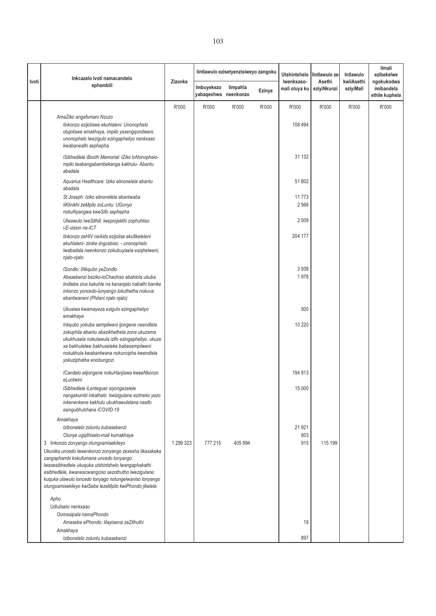|       | Inkcazelo Ivoti namacandelo                                                                                                                                                                                                                                                                                                                                                   |           |                                    | lintlawulo ezisetyenzisiweyo zangoku |        | Utshintshelo                | lintlawulo ze-        | Intlawulo               | limali<br>ezibekelwe                       |
|-------|-------------------------------------------------------------------------------------------------------------------------------------------------------------------------------------------------------------------------------------------------------------------------------------------------------------------------------------------------------------------------------|-----------|------------------------------------|--------------------------------------|--------|-----------------------------|-----------------------|-------------------------|--------------------------------------------|
| Ivoti | ephambili                                                                                                                                                                                                                                                                                                                                                                     | Zizonke   | Imbuyekezo<br>yabaqeshwa neenkonzo | limpahla                             | Ezinye | Iwenkxaso-<br>mali oluya ku | Asethi<br>eziyiNkunzi | kwiiAsethi<br>eziyiMali | ngokukodwa<br>imibandela<br>ethile kuphela |
|       |                                                                                                                                                                                                                                                                                                                                                                               | R'000     | R'000                              | R'000                                | R'000  | R'000                       | R'000                 | R'000                   | R'000                                      |
|       | AmaZiko angafumani Nzuzo<br>linkonzo ezijoliswe ekuhlaleni: Unonophelo<br>olujoliswe emakhaya, impilo yasengqondweni,<br>unonophelo lwezigulo ezingapheliyo nenkxaso<br>kwabanesifo sephepha                                                                                                                                                                                  |           |                                    |                                      |        | 108 494                     |                       |                         |                                            |
|       | ISibhedlele iBooth Memorial: IZiko loNonophelo-<br>mpilo lwabangabambekanga kakhulu- Abantu<br>abadala                                                                                                                                                                                                                                                                        |           |                                    |                                      |        | 31 132                      |                       |                         |                                            |
|       | Aquarius Healthcare: Iziko elinonelela abantu<br>abadala                                                                                                                                                                                                                                                                                                                      |           |                                    |                                      |        | 51 802                      |                       |                         |                                            |
|       | St Joseph: Iziko elinonelela abantwaba<br>liKlinikhi zeMpilo zoLuntu: UGonyo<br>nokuNyangwa kweSifo sephepha                                                                                                                                                                                                                                                                  |           |                                    |                                      |        | 11773<br>2566               |                       |                         |                                            |
|       | Ulwawulo lweSithili: lweprojekthi zophuhliso<br>i-E-vision ne-ICT                                                                                                                                                                                                                                                                                                             |           |                                    |                                      |        | 2 5 0 9                     |                       |                         |                                            |
|       | linkonzo zeHIV neAids ezijolise ekufikeleleni<br>ekuhlaleni- zinike iingcebiso, - unonophelo<br>lwabadala neenkonzo zokubuyisela esighelweni,<br>njalo-njalo                                                                                                                                                                                                                  |           |                                    |                                      |        | 204 177                     |                       |                         |                                            |
|       | ISondlo: INkqubo yeZondlo<br>Abasebenzi beziko-loChachiso abahlola ukuba<br>iindlebe ziva kakuhle na kananjalo nabathi banike<br>inkonzo yoncedo-lunyango lokuthetha nokuva<br>ebantwaneni (Philani njalo njalo)                                                                                                                                                              |           |                                    |                                      |        | 3938<br>1978                |                       |                         |                                            |
|       | Ukusiwa kwamayeza ezigulo ezingapheliyo<br>emakhaya                                                                                                                                                                                                                                                                                                                           |           |                                    |                                      |        | 500                         |                       |                         |                                            |
|       | Inkqubo yokuba sempilweni ijongene neendlela<br>zokuphila abantu abazikhethela zona ukuzama<br>ukukhusela nokulawula izifo ezingapheliyo, ukuze<br>xa bekhulelwe bakhuseleke babesempilweni<br>nokukhula kwabantwana nokuncipha kwendlela<br>yokuziphatha enobungozi                                                                                                          |           |                                    |                                      |        | 10 220                      |                       |                         |                                            |
|       | ICandelo elijongene nokuHanjiswa kweeNkonzo<br>eLuntwini                                                                                                                                                                                                                                                                                                                      |           |                                    |                                      |        | 194 913                     |                       |                         |                                            |
|       | ISibhedlele iLenteguer siyongezelele<br>nangakumbi inkathalo kwizigulane ezimeko yazo<br>inkenenkene kakhulu ukukhawulelana nesifo<br>esingubhubhane iCOVID-19                                                                                                                                                                                                                |           |                                    |                                      |        | 15 000                      |                       |                         |                                            |
|       | Amakhaya<br>Izibonelelo zoluntu kubasebenzi<br>Olunye ugqithiselo-mali kumakhaya                                                                                                                                                                                                                                                                                              |           |                                    |                                      |        | 21 921<br>603               |                       |                         |                                            |
|       | 3 linkonzo zonyango olungxamisekileyo<br>Ukunika uncedo lweenkonzo zonyango zexesha likaxakeka<br>zangaphambi kokufumana uncedo lonyango<br>lwasesibhedlele ukuquka utshintshelo lwangaphakathi<br>esibhedlele, kwanesicwangciso sezothutho lwezigulane;<br>kuquka ulawulo loncedo lonyago nolungelwaniso lonyango<br>olungxamisekileyo kwiSebe lezeMpilo kwiPhondo jikelele. | 1 299 323 | 777 215                            | 405 994                              |        | 915                         | 115 199               |                         |                                            |
|       | Apho                                                                                                                                                                                                                                                                                                                                                                          |           |                                    |                                      |        |                             |                       |                         |                                            |
|       | Udluliselo nenkxaso<br>Oomasipala namaPhondo<br>Amasebe ePhondo: lilayisensi zeZithuthi<br>Amakhaya<br>Izibonelelo zoluntu kubasebenzi                                                                                                                                                                                                                                        |           |                                    |                                      |        | 18<br>897                   |                       |                         |                                            |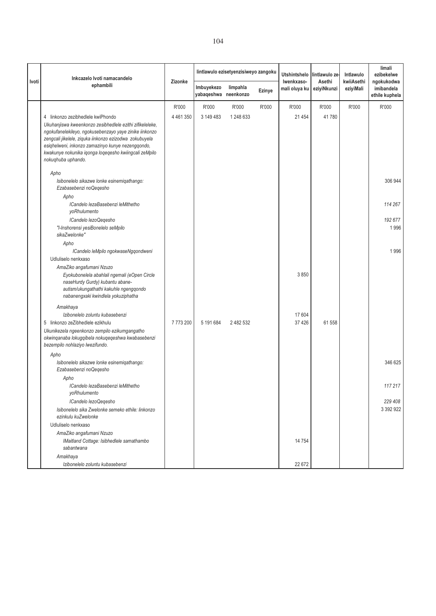|       | Inkcazelo Ivoti namacandelo                                                                                                                                                                                                                                                                                      |           |                                    | lintlawulo ezisetyenzisiweyo zangoku |        | <b>Utshintshelo</b>         | lintlawulo ze-        | Intlawulo               | limali<br>ezibekelwe                       |
|-------|------------------------------------------------------------------------------------------------------------------------------------------------------------------------------------------------------------------------------------------------------------------------------------------------------------------|-----------|------------------------------------|--------------------------------------|--------|-----------------------------|-----------------------|-------------------------|--------------------------------------------|
| Ivoti | ephambili                                                                                                                                                                                                                                                                                                        | Zizonke   | Imbuyekezo<br>yabaqeshwa neenkonzo | limpahla                             | Ezinye | Iwenkxaso-<br>mali oluya ku | Asethi<br>eziyiNkunzi | kwiiAsethi<br>eziyiMali | ngokukodwa<br>imibandela<br>ethile kuphela |
|       |                                                                                                                                                                                                                                                                                                                  | R'000     | R'000                              | R'000                                | R'000  | R'000                       | R'000                 | R'000                   | R'000                                      |
|       | 4 linkonzo zezibhedlele kwiPhondo                                                                                                                                                                                                                                                                                | 4 461 350 | 3 149 483                          | 1 248 633                            |        | 21 454                      | 41780                 |                         |                                            |
|       | Ukuhanjiswa kweenkonzo zesibhedlele ezithi zifikeleleke,<br>ngokufanelekileyo, ngokusebenzayo yaye zinike iinkonzo<br>zengcali jikelele, ziquka iinkonzo ezizodwa zokubuyela<br>esighelweni, inkonzo zamazinyo kunye nezengqondo,<br>kwakunye nokunika iqonga loqeqesho kwiingcali zeMpilo<br>nokuqhuba uphando. |           |                                    |                                      |        |                             |                       |                         |                                            |
|       | Apho                                                                                                                                                                                                                                                                                                             |           |                                    |                                      |        |                             |                       |                         |                                            |
|       | Isibonelelo sikazwe lonke esinemiqathango:<br>Ezabasebenzi noQeqesho                                                                                                                                                                                                                                             |           |                                    |                                      |        |                             |                       |                         | 306 944                                    |
|       | Apho                                                                                                                                                                                                                                                                                                             |           |                                    |                                      |        |                             |                       |                         |                                            |
|       | ICandelo lezaBasebenzi leMithetho<br>yoRhulumento                                                                                                                                                                                                                                                                |           |                                    |                                      |        |                             |                       |                         | 114 267                                    |
|       | ICandelo lezoQegesho                                                                                                                                                                                                                                                                                             |           |                                    |                                      |        |                             |                       |                         | 192 677                                    |
|       | "I-Inshorensi yesiBonelelo seMpilo                                                                                                                                                                                                                                                                               |           |                                    |                                      |        |                             |                       |                         | 1996                                       |
|       | sikaZwelonke"                                                                                                                                                                                                                                                                                                    |           |                                    |                                      |        |                             |                       |                         |                                            |
|       | Apho                                                                                                                                                                                                                                                                                                             |           |                                    |                                      |        |                             |                       |                         |                                            |
|       | ICandelo leMpilo ngokwaseNgqondweni                                                                                                                                                                                                                                                                              |           |                                    |                                      |        |                             |                       |                         | 1996                                       |
|       | Udluliselo nenkxaso                                                                                                                                                                                                                                                                                              |           |                                    |                                      |        |                             |                       |                         |                                            |
|       | AmaZiko angafumani Nzuzo                                                                                                                                                                                                                                                                                         |           |                                    |                                      |        |                             |                       |                         |                                            |
|       | Eyokubonelela abahlali ngemali (eOpen Circle<br>naseHurdy Gurdy) kubantu abane-<br>autism/ukungathathi kakuhle ngengqondo<br>nabanengxaki kwindlela yokuziphatha                                                                                                                                                 |           |                                    |                                      |        | 3850                        |                       |                         |                                            |
|       | Amakhaya                                                                                                                                                                                                                                                                                                         |           |                                    |                                      |        |                             |                       |                         |                                            |
|       | Izibonelelo zoluntu kubasebenzi                                                                                                                                                                                                                                                                                  |           |                                    |                                      |        | 17 604                      |                       |                         |                                            |
|       | 5 linkonzo zeZibhedlele ezikhulu                                                                                                                                                                                                                                                                                 | 7773200   | 5 191 684                          | 2 482 532                            |        | 37 4 26                     | 61 558                |                         |                                            |
|       | Ukunikezela ngeenkonzo zempilo ezikumgangatho<br>okwinqanaba lokugqibela nokuqeqeshwa kwabasebenzi<br>bezempilo nohlaziyo lwezifundo.                                                                                                                                                                            |           |                                    |                                      |        |                             |                       |                         |                                            |
|       | Apho                                                                                                                                                                                                                                                                                                             |           |                                    |                                      |        |                             |                       |                         |                                            |
|       | Isibonelelo sikazwe lonke esinemiqathango:<br>Ezabasebenzi noQeqesho                                                                                                                                                                                                                                             |           |                                    |                                      |        |                             |                       |                         | 346 625                                    |
|       | Apho                                                                                                                                                                                                                                                                                                             |           |                                    |                                      |        |                             |                       |                         |                                            |
|       | ICandelo lezaBasebenzi leMithetho<br>yoRhulumento                                                                                                                                                                                                                                                                |           |                                    |                                      |        |                             |                       |                         | 117 217                                    |
|       | ICandelo lezoQeqesho                                                                                                                                                                                                                                                                                             |           |                                    |                                      |        |                             |                       |                         | 229 408                                    |
|       | Isibonelelo sika Zwelonke semeko ethile: linkonzo<br>ezinkulu kuZwelonke                                                                                                                                                                                                                                         |           |                                    |                                      |        |                             |                       |                         | 3 3 9 2 9 2 2                              |
|       | Udluliselo nenkxaso                                                                                                                                                                                                                                                                                              |           |                                    |                                      |        |                             |                       |                         |                                            |
|       | AmaZiko angafumani Nzuzo                                                                                                                                                                                                                                                                                         |           |                                    |                                      |        |                             |                       |                         |                                            |
|       | IMaitland Cottage: Isibhedlele samathambo<br>sabantwana                                                                                                                                                                                                                                                          |           |                                    |                                      |        | 14 754                      |                       |                         |                                            |
|       | Amakhaya<br>Izibonelelo zoluntu kubasebenzi                                                                                                                                                                                                                                                                      |           |                                    |                                      |        | 22 672                      |                       |                         |                                            |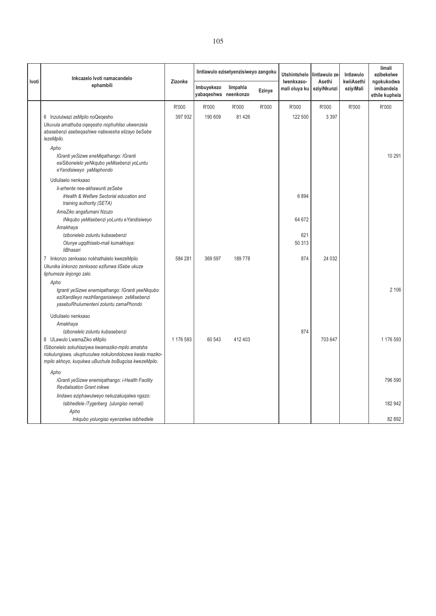| Ivoti | Inkcazelo Ivoti namacandelo<br>ephambili                                                                                                                                                         | Zizonke   | lintlawulo ezisetyenzisiweyo zangoku |          |        | <b>Utshintshelo</b>         | lintlawulo ze-        | Intlawulo               | limali<br>ezibekelwe                       |
|-------|--------------------------------------------------------------------------------------------------------------------------------------------------------------------------------------------------|-----------|--------------------------------------|----------|--------|-----------------------------|-----------------------|-------------------------|--------------------------------------------|
|       |                                                                                                                                                                                                  |           | Imbuyekezo<br>yabaqeshwa neenkonzo   | limpahla | Ezinye | Iwenkxaso-<br>mali oluya ku | Asethi<br>eziyiNkunzi | kwiiAsethi<br>eziyiMali | ngokukodwa<br>imibandela<br>ethile kuphela |
|       |                                                                                                                                                                                                  | R'000     | R'000                                | R'000    | R'000  | R'000                       | R'000                 | R'000                   | R'000                                      |
|       | 6 Inzululwazi zeMpilo noQeqesho<br>Ukuvula amathuba oqeqesho nophuhliso ukwenzela<br>abasebenzi asebeqashiwe nabexesha elizayo beSebe<br>lezeMpilo.                                              | 397 932   | 190 609                              | 81 4 26  |        | 122 500                     | 3 3 9 7               |                         |                                            |
|       | Apho<br>IGranti yeSizwe eneMiqathango: IGranti<br>esiSibonelelo yeNkqubo yeMisebenzi yoLuntu<br>e Yandisiweyo yaMaphondo                                                                         |           |                                      |          |        |                             |                       |                         | 10 291                                     |
|       | Udluliselo nenkxaso<br>li-arhente nee-akhawunti zeSebe<br>iHealth & Welfare Sectorial education and<br>training authority (SETA)                                                                 |           |                                      |          |        | 6894                        |                       |                         |                                            |
|       | AmaZiko angafumani Nzuzo<br>INkqubo yeMisebenzi yoLuntu eYandisiweyo<br>Amakhaya                                                                                                                 |           |                                      |          |        | 64 672                      |                       |                         |                                            |
|       | Izibonelelo zoluntu kubasebenzi<br>Olunye ugqithiselo-mali kumakhaya:<br>liBhasari                                                                                                               |           |                                      |          |        | 621<br>50 313               |                       |                         |                                            |
|       | 7 linkonzo zenkxaso nokhathalelo kwezeMpilo<br>Ukunika iinkonzo zenkxaso ezifunwa liSebe ukuze<br>liphumeze iinjongo zalo.                                                                       | 584 281   | 369 597                              | 189778   |        | 874                         | 24 032                |                         |                                            |
|       | Apho                                                                                                                                                                                             |           |                                      |          |        |                             |                       |                         |                                            |
|       | Igranti yeSizwe enemigathango: IGranti yeeNkqubo<br>eziXandileyo neziHlanganisiweyo zeMisebenzi<br>yasebuRhulumenteni zoluntu zamaPhondo                                                         |           |                                      |          |        |                             |                       |                         | 2 106                                      |
|       | Udluliselo nenkxaso                                                                                                                                                                              |           |                                      |          |        |                             |                       |                         |                                            |
|       | Amakhaya                                                                                                                                                                                         |           |                                      |          |        |                             |                       |                         |                                            |
|       | Izibonelelo zoluntu kubasebenzi                                                                                                                                                                  |           |                                      |          |        | 874                         |                       |                         |                                            |
|       | 8 ULawulo LwamaZiko eMpilo<br>ISibonelelo sokuhlaziywa kwamaziko-mpilo amatsha<br>nokulungiswa, ukuphuculwa nokulondolozwa kwala maziko-<br>mpilo akhoyo, kuqukwa uBuchule boBugcisa kwezeMpilo. | 1 176 593 | 60 543                               | 412 403  |        |                             | 703 647               |                         | 1 176 593                                  |
|       | Apho                                                                                                                                                                                             |           |                                      |          |        |                             |                       |                         |                                            |
|       | iGranti yeSizwe enemigathango: i-Health Facility<br><b>Revitalisation Grant inikwe</b>                                                                                                           |           |                                      |          |        |                             |                       |                         | 796 590                                    |
|       | lindawo eziphawulweyo nekuzakuqalwa ngazo:                                                                                                                                                       |           |                                      |          |        |                             |                       |                         |                                            |
|       | Isibhedlele iTygerberg (ulungiso nemali)                                                                                                                                                         |           |                                      |          |        |                             |                       |                         | 182 942                                    |
|       | Apho<br>Inkqubo yolungiso eyenzelwe isibhedlele                                                                                                                                                  |           |                                      |          |        |                             |                       |                         | 82 892                                     |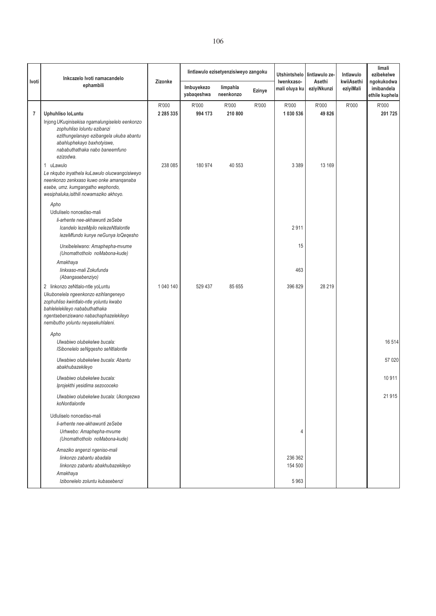|                | Inkcazelo Ivoti namacandelo                                                                                                                                                                                                           |                        |                          | lintlawulo ezisetyenzisiweyo zangoku |        | Utshintshelo<br>Iwenkxaso-<br>mali oluya ku | lintlawulo ze-<br>Asethi<br>eziyiNkunzi | Intlawulo<br>kwiiAsethi<br>eziyiMali | limali<br>ezibekelwe<br>ngokukodwa<br>imibandela<br>ethile kuphela |
|----------------|---------------------------------------------------------------------------------------------------------------------------------------------------------------------------------------------------------------------------------------|------------------------|--------------------------|--------------------------------------|--------|---------------------------------------------|-----------------------------------------|--------------------------------------|--------------------------------------------------------------------|
| Ivoti          | ephambili                                                                                                                                                                                                                             | Zizonke                | Imbuyekezo<br>yabaqeshwa | limpahla<br>neenkonzo                | Ezinye |                                             |                                         |                                      |                                                                    |
| $\overline{7}$ | Uphuhliso loLuntu<br>Injong UKuqinisekisa ngamalungiselelo eenkonzo<br>zophuhliso loluntu ezibanzi<br>ezithungelanayo ezibangela ukuba abantu<br>abahluphekayo baxhotyiswe,<br>nababuthathaka nabo baneemfuno<br>ezizodwa.            | R'000<br>2 2 8 5 3 3 5 | R'000<br>994 173         | R'000<br>210 800                     | R'000  | R'000<br>1 030 536                          | R'000<br>49 8 26                        | R'000                                | R'000<br>201725                                                    |
|                | 1 uLawulo<br>Le nkqubo inyathela kuLawulo olucwangcisiweyo<br>neenkonzo zenkxaso kuwo onke amanganaba<br>esebe, umz. kumgangatho wephondo,<br>wesiphaluka, isithili nowamaziko akhoyo.<br>Apho<br>Udluliselo noncediso-mali           | 238 085                | 180 974                  | 40 553                               |        | 3 3 8 9                                     | 13 169                                  |                                      |                                                                    |
|                | li-arhente nee-akhawunti zeSebe<br>Icandelo lezeMpilo nelezeNtlalontle<br>lezeMfundo kunye neGunya loQeqesho                                                                                                                          |                        |                          |                                      |        | 2911                                        |                                         |                                      |                                                                    |
|                | Unxibelelwano: Amaphepha-mvume<br>(Unomathotholo noMabona-kude)                                                                                                                                                                       |                        |                          |                                      |        | 15                                          |                                         |                                      |                                                                    |
|                | Amakhaya<br>linkxaso-mali Zokufunda<br>(Abangasebenziyo)                                                                                                                                                                              |                        |                          |                                      |        | 463                                         |                                         |                                      |                                                                    |
|                | 2 linkonzo zeNtlalo-ntle yoLuntu<br>Ukubonelela ngeenkonzo ezihlangeneyo<br>zophuhliso kwintlalo-ntle yoluntu kwabo<br>bahlelelekileyo nababuthathaka<br>ngentsebenziswano nabachaphazelekileyo<br>nemibutho yoluntu neyasekuhlaleni. | 1 040 140              | 529 437                  | 85 655                               |        | 396 829                                     | 28 219                                  |                                      |                                                                    |
|                | Apho<br>Ulwabiwo olubekelwe bucala:<br>ISibonelelo seNgqesho seNtlalontle                                                                                                                                                             |                        |                          |                                      |        |                                             |                                         |                                      | 16514                                                              |
|                | Ulwabiwo olubekelwe bucala: Abantu<br>abakhubazekileyo                                                                                                                                                                                |                        |                          |                                      |        |                                             |                                         |                                      | 57 0 20                                                            |
|                | Ulwabiwo olubekelwe bucala:<br>Iprojekthi yesidima sezococeko                                                                                                                                                                         |                        |                          |                                      |        |                                             |                                         |                                      | 10911                                                              |
|                | Ulwabiwo olubekelwe bucala: Ukongezwa<br>koNontlalontle                                                                                                                                                                               |                        |                          |                                      |        |                                             |                                         |                                      | 21915                                                              |
|                | Udluliselo noncediso-mali<br>li-arhente nee-akhawunti zeSebe<br>Urhwebo: Amaphepha-mvume<br>(Unomathotholo noMabona-kude)                                                                                                             |                        |                          |                                      |        | 4                                           |                                         |                                      |                                                                    |
|                | Amaziko angenzi ngeniso-mali<br>linkonzo zabantu abadala<br>linkonzo zabantu abakhubazekileyo<br>Amakhaya<br>Izibonelelo zoluntu kubasebenzi                                                                                          |                        |                          |                                      |        | 236 362<br>154 500<br>5963                  |                                         |                                      |                                                                    |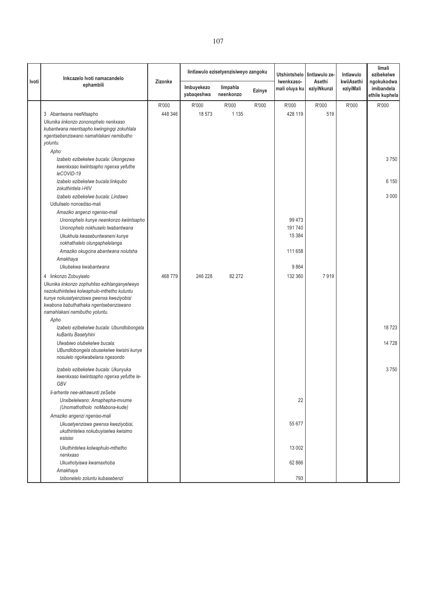|       | Inkcazelo Ivoti namacandelo                                                            | Zizonke | lintlawulo ezisetyenzisiweyo zangoku |                       |               | <b>Utshintshelo</b>         | lintlawulo ze-        | Intlawulo               | limali<br>ezibekelwe                       |
|-------|----------------------------------------------------------------------------------------|---------|--------------------------------------|-----------------------|---------------|-----------------------------|-----------------------|-------------------------|--------------------------------------------|
| Ivoti | ephambili                                                                              |         | Imbuyekezo<br>yabaqeshwa             | limpahla<br>neenkonzo | <b>Ezinye</b> | Iwenkxaso-<br>mali oluya ku | Asethi<br>eziyiNkunzi | kwiiAsethi<br>eziyiMali | ngokukodwa<br>imibandela<br>ethile kuphela |
|       |                                                                                        | R'000   | R'000                                | R'000                 | R'000         | R'000                       | R'000                 | R'000                   | R'000                                      |
|       | 3 Abantwana neeNtsapho                                                                 | 448 346 | 18 573                               | 1 1 3 5               |               | 428 119                     | 519                   |                         |                                            |
|       | Ukunika iinkonzo zononophelo nenkxaso                                                  |         |                                      |                       |               |                             |                       |                         |                                            |
|       | kubantwana neentsapho kwiingingqi zokuhlala                                            |         |                                      |                       |               |                             |                       |                         |                                            |
|       | ngentsebenziswano namahlakani nemibutho                                                |         |                                      |                       |               |                             |                       |                         |                                            |
|       | yoluntu.                                                                               |         |                                      |                       |               |                             |                       |                         |                                            |
|       | Apho<br>Izabelo ezibekelwe bucala: Ukongezwa                                           |         |                                      |                       |               |                             |                       |                         | 3750                                       |
|       | kwenkxaso kwiintsapho ngenxa yefuthe<br>leCOVID-19                                     |         |                                      |                       |               |                             |                       |                         |                                            |
|       | Izabelo ezibekelwe bucala:linkqubo<br>zokuthintela i-HIV                               |         |                                      |                       |               |                             |                       |                         | 6 150                                      |
|       | Izabelo ezibekelwe bucala: Lindawo                                                     |         |                                      |                       |               |                             |                       |                         | 3 0 0 0                                    |
|       | Udluliselo noncediso-mali                                                              |         |                                      |                       |               |                             |                       |                         |                                            |
|       | Amaziko angenzi ngeniso-mali                                                           |         |                                      |                       |               |                             |                       |                         |                                            |
|       | Unonophelo kunye neenkonzo kwiintsapho<br>Unonophelo nokhuselo lwabantwana             |         |                                      |                       |               | 99 4 73<br>191740           |                       |                         |                                            |
|       | Ukukhula kwasebuntwaneni kunye                                                         |         |                                      |                       |               | 15 3 8 4                    |                       |                         |                                            |
|       | nokhathalelo olungaphelelanga                                                          |         |                                      |                       |               |                             |                       |                         |                                            |
|       | Amaziko okugcina abantwana nolutsha                                                    |         |                                      |                       |               | 111 658                     |                       |                         |                                            |
|       | Amakhaya                                                                               |         |                                      |                       |               |                             |                       |                         |                                            |
|       | Ukubekwa kwabantwana                                                                   |         |                                      |                       |               | 9864                        |                       |                         |                                            |
|       | 4 linkonzo Zobuyiselo                                                                  | 468779  | 246 228                              | 82 27 2               |               | 132 360                     | 7919                  |                         |                                            |
|       | Ukunika iinkonzo zophuhliso ezihlanganyelweyo                                          |         |                                      |                       |               |                             |                       |                         |                                            |
|       | nezokuthintelwa kolwaphulo-mthetho kuluntu                                             |         |                                      |                       |               |                             |                       |                         |                                            |
|       | kunye nokusetyenziswa gwenxa kweziyobisi<br>kwabona babuthathaka ngentsebenziswano     |         |                                      |                       |               |                             |                       |                         |                                            |
|       | namahlakani nemibutho yoluntu.                                                         |         |                                      |                       |               |                             |                       |                         |                                            |
|       | Apho                                                                                   |         |                                      |                       |               |                             |                       |                         |                                            |
|       | Izabelo ezibekelwe bucala: Ubundlobongela<br>kuBantu Basetyhini                        |         |                                      |                       |               |                             |                       |                         | 18723                                      |
|       | Ulwabiwo olubekelwe bucala:                                                            |         |                                      |                       |               |                             |                       |                         | 14728                                      |
|       | UBundlobongela obusekelwe kwisini kunye<br>nosulelo ngokwabelana ngesondo              |         |                                      |                       |               |                             |                       |                         |                                            |
|       | Izabelo ezibekelwe bucala: Ukunyuka<br>kwenkxaso kwiintsapho ngenxa yefuthe le-<br>GBV |         |                                      |                       |               |                             |                       |                         | 3750                                       |
|       | li-arhente nee-akhawunti zeSebe                                                        |         |                                      |                       |               |                             |                       |                         |                                            |
|       | Unxibelelwano: Amaphepha-mvume<br>(Unomathotholo noMabona-kude)                        |         |                                      |                       |               | 22                          |                       |                         |                                            |
|       | Amaziko angenzi ngeniso-mali                                                           |         |                                      |                       |               |                             |                       |                         |                                            |
|       | Ukusetyenziswa gwenxa kweziyobisi,<br>ukuthintelwa nokubuyiselwa kwisimo<br>esisiso    |         |                                      |                       |               | 55 677                      |                       |                         |                                            |
|       | Ukuthintelwa kolwaphulo-mthetho<br>nenkxaso                                            |         |                                      |                       |               | 13 002                      |                       |                         |                                            |
|       | Ukuxhotyiswa kwamaxhoba                                                                |         |                                      |                       |               | 62 866                      |                       |                         |                                            |
|       | Amakhaya                                                                               |         |                                      |                       |               |                             |                       |                         |                                            |
|       | Izibonelelo zoluntu kubasebenzi                                                        |         |                                      |                       |               | 793                         |                       |                         |                                            |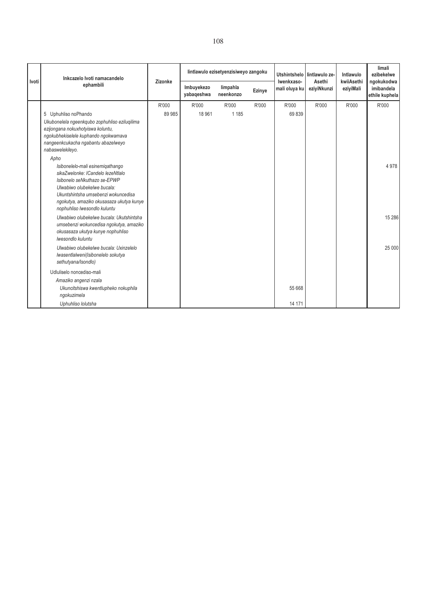| Ivoti | Inkcazelo Ivoti namacandelo<br>ephambili                                                                                                                                                                                                                                                                                       | Zizonke         |                          | lintlawulo ezisetyenzisiweyo zangoku |        | <b>Utshintshelo</b><br>Iwenkxaso-<br>mali oluya ku | lintlawulo ze-<br>Asethi<br>eziyiNkunzi | Intlawulo<br>kwiiAsethi<br>eziyiMali | limali<br>ezibekelwe                       |
|-------|--------------------------------------------------------------------------------------------------------------------------------------------------------------------------------------------------------------------------------------------------------------------------------------------------------------------------------|-----------------|--------------------------|--------------------------------------|--------|----------------------------------------------------|-----------------------------------------|--------------------------------------|--------------------------------------------|
|       |                                                                                                                                                                                                                                                                                                                                |                 | Imbuyekezo<br>yabaqeshwa | limpahla<br>neenkonzo                | Ezinye |                                                    |                                         |                                      | ngokukodwa<br>imibandela<br>ethile kuphela |
|       | 5 Uphuhliso noPhando<br>Ukubonelela ngeenkqubo zophuhliso eziluqilima<br>ezijongana nokuxhotyiswa koluntu,<br>ngokubhekiselele kuphando ngokwamava<br>nangeenkcukacha ngabantu abazelweyo<br>nabaswelekileyo.<br>Apho<br>Isibonelelo-mali esinemigathango<br>sikaZwelonke: ICandelo lezeNtlalo<br>Isibonelo seNkuthazo se-EPWP | R'000<br>89 985 | R'000<br>18 961          | R'000<br>1 1 8 5                     | R'000  | R'000<br>69839                                     | R'000                                   | R'000                                | R'000<br>4 9 7 8                           |
|       | Ulwabiwo olubekelwe bucala:<br>Ukuntshintsha umsebenzi wokuncedisa<br>ngokutya, amaziko okusasaza ukutya kunye<br>nophuhliso lwesondlo kuluntu<br>Ulwabiwo olubekelwe bucala: Ukutshintsha                                                                                                                                     |                 |                          |                                      |        |                                                    |                                         |                                      | 15 2 86                                    |
|       | umsebenzi wokuncedisa ngokutya, amaziko<br>okusasaza ukutya kunye nophuhliso<br>Iwesondlo kuluntu                                                                                                                                                                                                                              |                 |                          |                                      |        |                                                    |                                         |                                      |                                            |
|       | Ulwabiwo olubekelwe bucala: Uxinzelelo<br>Iwasentlalweni(Isibonelelo sokutya<br>sethutyana/Isondlo)                                                                                                                                                                                                                            |                 |                          |                                      |        |                                                    |                                         |                                      | 25 000                                     |
|       | Udluliselo noncediso-mali                                                                                                                                                                                                                                                                                                      |                 |                          |                                      |        |                                                    |                                         |                                      |                                            |
|       | Amaziko angenzi nzala<br>Ukuncitshiswa kwentlupheko nokuphila<br>ngokuzimela                                                                                                                                                                                                                                                   |                 |                          |                                      |        | 55 668                                             |                                         |                                      |                                            |
|       | Uphuhliso lolutsha                                                                                                                                                                                                                                                                                                             |                 |                          |                                      |        | 14 171                                             |                                         |                                      |                                            |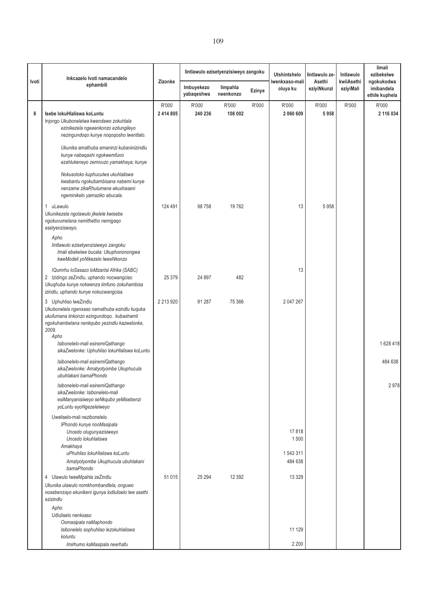|       | Inkcazelo Ivoti namacandelo                                                                                                                                                                                                                                                                                                                                                                    |                    |                          | lintlawulo ezisetyenzisiweyo zangoku |        | <b>Utshintshelo</b>                   | lintlawulo ze-        | Intlawulo               | limali<br>ezibekelwe                       |
|-------|------------------------------------------------------------------------------------------------------------------------------------------------------------------------------------------------------------------------------------------------------------------------------------------------------------------------------------------------------------------------------------------------|--------------------|--------------------------|--------------------------------------|--------|---------------------------------------|-----------------------|-------------------------|--------------------------------------------|
| Ivoti | ephambili                                                                                                                                                                                                                                                                                                                                                                                      | Zizonke            | Imbuyekezo<br>yabaqeshwa | limpahla<br>neenkonzo                | Ezinye | Iwenkxaso-mali<br>oluya ku            | Asethi<br>eziyiNkunzi | kwiiAsethi<br>eziyiMali | ngokukodwa<br>imibandela<br>ethile kuphela |
| 8     | Isebe lokuHlaliswa koLuntu<br>Injongo Ukubonelelwa kwendawo zokuhlala<br>ezinikezela ngeeenkonzo ezilungileyo<br>nezingundogo kunye noqoqosho lwentlalo.<br>Ukunika amathuba amaninzi kubaninizindlu<br>kunye nabaqashi ngokwemfuno<br>ezahlukeneyo zemivuzo yamakhaya; kunye<br>Nokusoloko kuphuculwa ukuhlaliswa<br>kwabantu ngokubambisana nabemi kunye<br>nenzame zikaRhulumene ekuxhaseni | R'000<br>2 414 805 | R'000<br>240 236         | R'000<br>108 002                     | R'000  | R'000<br>2 060 609                    | R'000<br>5958         | R'000                   | R'000<br>2 116 034                         |
|       | ngeminikelo yamaziko abucala.<br>1 uLawulo<br>Ukunikezela ngolawulo jikelele kwisebe<br>ngokuvumelana nemithetho nemigaqo<br>esetyenziswayo.<br>Apho<br>lintlawulo ezisetyenzisiweyo zangoku<br>Imali ebekelwe bucala: Ukuphononongwa<br>kweModeli yoNikezelo lweeNkonzo                                                                                                                       | 124 491            | 98758                    | 19762                                |        | 13                                    | 5958                  |                         |                                            |
|       | IQumrhu loSasazo loMzantsi Afrika (SABC)<br>2 Izidingo zeZindlu, uphando nocwangciso<br>Ukuqhuba kunye nokwenza iimfuno zokuhambisa<br>izindlu, uphando kunye nokucwangcisa.                                                                                                                                                                                                                   | 25 379             | 24 897                   | 482                                  |        | 13                                    |                       |                         |                                            |
|       | 3 Uphuhliso lweZindlu<br>Ukubonelela ngenxaso namathuba ezindlu kuquka<br>ukufumana iinkonzo ezingundoqo, kubaxhamli<br>ngokuhambelana nenkqubo yezindlu kazwelonke,<br>2009.<br>Apho<br>Isibonelelo-mali esinemiQathango<br>sikaZwelonke: Uphuhliso lokuHlaliswa koLuntu                                                                                                                      | 2 2 1 3 9 2 0      | 91 287                   | 75 366                               |        | 2 047 267                             |                       |                         | 1628418                                    |
|       | Isibonelelo-mali esinemiQathango<br>sikaZwelonke: Amatyotyombe Ukuphucula<br>ubuhlakani bamaPhondo                                                                                                                                                                                                                                                                                             |                    |                          |                                      |        |                                       |                       |                         | 484 638                                    |
|       | Isibonelelo-mali esinemiQathango<br>sikaZwelonke: Isibonelelo-mali<br>esiManyanisiweyo seNkqubo yeMisebenzi<br>yoLuntu eyoNgezelelweyo                                                                                                                                                                                                                                                         |                    |                          |                                      |        |                                       |                       |                         | 2978                                       |
|       | Uweliselo-mali nezibonelelo<br>IPhondo kunye nooMasipala<br>Uncedo olugunyazisiweyo<br>Uncedo lokuhlaliswa<br>Amakhaya<br>uPhuhliso lokuHlaliswa koLuntu<br>Amatyotyombe Ukuphucula ubuhlakani<br>bamaPhondo                                                                                                                                                                                   |                    |                          |                                      |        | 17818<br>1500<br>1 543 311<br>484 638 |                       |                         |                                            |
|       | 4 Ulawulo lweeMpahla zeZindlu<br>Ukunika ulawulo nomkhombandlela, onguwo<br>nosebenzayo ekunikeni igunya lodluliselo lwe asethi<br>ezizindlu<br>Apho<br>Udluliselo nenkxaso<br>Oomasipala naMaphondo<br>Isibonelelo sophuhliso lezokuhlaliswa<br>koluntu                                                                                                                                       | 51 015             | 25 294                   | 12 3 9 2                             |        | 13 3 29<br>11 129                     |                       |                         |                                            |
|       | Imirhumo kaMasipala neerhafu                                                                                                                                                                                                                                                                                                                                                                   |                    |                          |                                      |        | 2 2 0 0                               |                       |                         |                                            |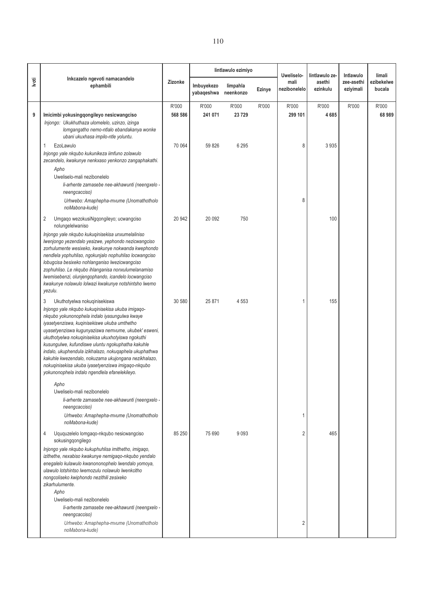|       |                                                                                                                                                                                                                                                                                                                                                                                                                                                                                                                                                                                            |                  |                          | lintlawulo ezimiyo    |        | Uweliselo-           | lintlawulo ze-     | Intlawulo               | limali               |
|-------|--------------------------------------------------------------------------------------------------------------------------------------------------------------------------------------------------------------------------------------------------------------------------------------------------------------------------------------------------------------------------------------------------------------------------------------------------------------------------------------------------------------------------------------------------------------------------------------------|------------------|--------------------------|-----------------------|--------|----------------------|--------------------|-------------------------|----------------------|
| İvoti | Inkcazelo ngevoti namacandelo<br>ephambili                                                                                                                                                                                                                                                                                                                                                                                                                                                                                                                                                 | Zizonke          | Imbuyekezo<br>yabaqeshwa | limpahla<br>neenkonzo | Ezinye | mali<br>nezibonelelo | asethi<br>ezinkulu | zee-asethi<br>eziyimali | ezibekelwe<br>bucala |
| 9     | Imicimbi yokusingqongileyo nesicwangciso                                                                                                                                                                                                                                                                                                                                                                                                                                                                                                                                                   | R'000<br>568 586 | R'000<br>241 071         | R'000<br>23729        | R'000  | R'000<br>299 101     | R'000<br>4685      | R'000                   | R'000<br>68989       |
|       | Injongo: Ukukhuthaza ulomelelo, uzinzo, izinga<br>lomgangatho nemo-ntlalo ebandakanya wonke<br>ubani ukuxhasa impilo-ntle yoluntu.<br>EzoLawulo<br>1<br>Injongo yale nkqubo kukunikeza iimfuno zolawulo<br>zecandelo, kwakunye nenkxaso yenkonzo zangaphakathi.                                                                                                                                                                                                                                                                                                                            | 70 064           | 59 826                   | 6 2 9 5               |        | 8                    | 3935               |                         |                      |
|       | Apho<br>Uweliselo-mali nezibonelelo<br>li-arhente zamasebe nee-akhawunti (neengxelo -<br>neengcacciso)<br>Urhwebo: Amaphepha-mvume (Unomathotholo                                                                                                                                                                                                                                                                                                                                                                                                                                          |                  |                          |                       |        | 8                    |                    |                         |                      |
|       | noMabona-kude)<br>$\overline{2}$<br>Umgaqo wezokusiNgqongileyo; ucwangciso<br>nolungelelwaniso                                                                                                                                                                                                                                                                                                                                                                                                                                                                                             | 20 942           | 20 092                   | 750                   |        |                      | 100                |                         |                      |
|       | Injongo yale nkqubo kukuqinisekisa unxumelaliniso<br>Iwenjongo yezendalo yesizwe, yephondo nezicwangciso<br>zorhulumente wesixeko, kwakunye nokwanda kwephondo<br>nendlela yophuhliso, ngokunjalo nophuhliso locwangciso<br>lobugcisa besixeko nohlanganiso lwezicwangciso<br>zophuhliso. Le nkqubo ihlanganisa nonxulumelanamiso<br>Iwemisebenzi, olunjengophando, icandelo locwangciso<br>kwakunye nolawulo lolwazi kwakunye notshintsho lwemo<br>yezulu.                                                                                                                                |                  |                          |                       |        |                      |                    |                         |                      |
|       | 3<br>Ukuthotyelwa nokuqinisekiswa<br>Injongo yale nkqubo kukuqinisekisa ukuba imigaqo-<br>nkqubo yokunonophela indalo iyasungulwa kwaye<br>iyasetyenziswa, kuqinisekiswe ukuba umthetho<br>uyasetyenziswa kugunyaziswa nemvume, ukubek' esweni,<br>ukuthotyelwa nokuqinisekisa ukuxhotyiswa ngokuthi<br>kusungulwe, kufundiswe uluntu ngokuphatha kakuhle<br>indalo, ukuphendula izikhalazo, nokuqaphela ukuphathwa<br>kakuhle kwezendalo, nokuzama ukujongana nezikhalazo,<br>nokuqinisekisa ukuba iyasetyenziswa imigaqo-nkqubo<br>yokunonophela indalo ngendlela efanelekileyo.<br>Apho | 30 580           | 25 871                   | 4553                  |        | 1                    | 155                |                         |                      |
|       | Uweliselo-mali nezibonelelo<br>li-arhente zamasebe nee-akhawunti (neengxelo -<br>neengcacciso)                                                                                                                                                                                                                                                                                                                                                                                                                                                                                             |                  |                          |                       |        |                      |                    |                         |                      |
|       | Urhwebo: Amaphepha-mvume (Unomathotholo<br>noMabona-kude)                                                                                                                                                                                                                                                                                                                                                                                                                                                                                                                                  |                  |                          |                       |        | 1                    |                    |                         |                      |
|       | $\overline{4}$<br>Uququzelelo lomgaqo-nkqubo nesicwangciso<br>sokusingqongilego                                                                                                                                                                                                                                                                                                                                                                                                                                                                                                            | 85 250           | 75 690                   | 9093                  |        | $\overline{2}$       | 465                |                         |                      |
|       | Injongo yale nkqubo kukuphuhlisa imithetho, imigaqo,<br>izithethe, nexabiso kwakunye nemigago-nkqubo yendalo<br>enegalelo kulawulo kwanononophelo lwendalo yomoya,<br>ulawulo lotshintso lwemozulu nolawulo lwenkcitho<br>nongcoliseko kwiphondo nezithili zesixeko<br>zikarhulumente.<br>Apho<br>Uweliselo-mali nezibonelelo                                                                                                                                                                                                                                                              |                  |                          |                       |        |                      |                    |                         |                      |
|       | li-arhente zamasebe nee-akhawunti (neengxelo -<br>neengcacciso)                                                                                                                                                                                                                                                                                                                                                                                                                                                                                                                            |                  |                          |                       |        |                      |                    |                         |                      |
|       | Urhwebo: Amaphepha-mvume (Unomathotholo<br>noMabona-kude)                                                                                                                                                                                                                                                                                                                                                                                                                                                                                                                                  |                  |                          |                       |        | 2                    |                    |                         |                      |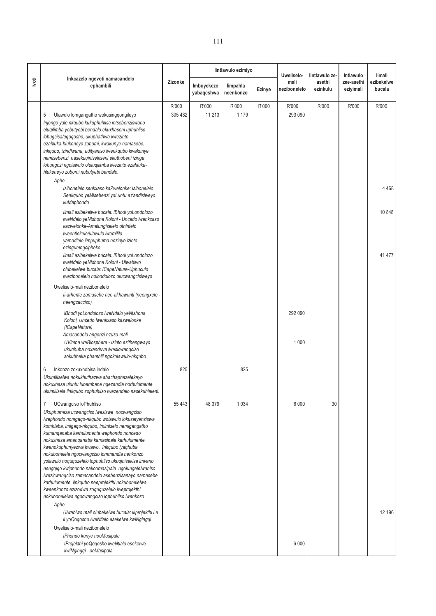|       |                                                                                                                                                                                                                                                                                                                                                                                                                                                                                                                                                                                                                                                                                                         |                  |                          | lintlawulo ezimiyo    |        | Uweliselo-           | lintlawulo ze-     | Intlawulo               | limali               |
|-------|---------------------------------------------------------------------------------------------------------------------------------------------------------------------------------------------------------------------------------------------------------------------------------------------------------------------------------------------------------------------------------------------------------------------------------------------------------------------------------------------------------------------------------------------------------------------------------------------------------------------------------------------------------------------------------------------------------|------------------|--------------------------|-----------------------|--------|----------------------|--------------------|-------------------------|----------------------|
| lvoti | Inkcazelo ngevoti namacandelo<br>ephambili                                                                                                                                                                                                                                                                                                                                                                                                                                                                                                                                                                                                                                                              | Zizonke          | Imbuyekezo<br>yabaqeshwa | limpahla<br>neenkonzo | Ezinye | mali<br>nezibonelelo | asethi<br>ezinkulu | zee-asethi<br>eziyimali | ezibekelwe<br>bucala |
|       | Ulawulo lomgangatho wokusingqongileyo<br>5<br>Injongo yale nkqubo kukuphuhlisa intsebenziswano<br>elugilimba yobutyebi bendalo ekuxhaseni uphuhliso<br>lobugcisa/uqoqosho, ukuphathwa kwezinto<br>ezahluka-hlukeneyo zobomi, kwakunye namasebe,<br>inkqubo, izindlwana, udityaniso lwenkqubo kwakunye<br>nemisebenzi nasekuginisekiseni ekuthobeni izinga                                                                                                                                                                                                                                                                                                                                               | R'000<br>305 482 | R'000<br>11 213          | R'000<br>1 1 7 9      | R'000  | R'000<br>293 090     | R'000              | R'000                   | R'000                |
|       | lobungozi ngolawulo oluluqilimba lwezinto ezahluka-<br>hlukeneyo zobomi nobutyebi bendalo.<br>Apho<br>Isibonelelo senkxaso kaZwelonke: Isibonelelo<br>Senkqubo yeMisebenzi yoLuntu eYandisiweyo                                                                                                                                                                                                                                                                                                                                                                                                                                                                                                         |                  |                          |                       |        |                      |                    |                         | 4468                 |
|       | kuMaphondo<br>limali ezibekelwe bucala: iBhodi yoLondolozo<br>IweNdalo yeNtshona Koloni - Uncedo Iwenkxaso<br>kazwelonke-Amalungiselelo othintelo<br>Iweentlekele/ulawulo Iwemililo<br>yamadlelo, iimpuphuma nezinye izinto                                                                                                                                                                                                                                                                                                                                                                                                                                                                             |                  |                          |                       |        |                      |                    |                         | 10848                |
|       | ezingumngcipheko<br>limali ezibekelwe bucala: iBhodi yoLondolozo<br>IweNdalo yeNtshona Koloni - Ulwabiwo<br>olubekelwe bucala: ICapeNature-Uphuculo<br>Iwezibonelelo nolondolozo olucwangcisiweyo                                                                                                                                                                                                                                                                                                                                                                                                                                                                                                       |                  |                          |                       |        |                      |                    |                         | 41 477               |
|       | Uweliselo-mali nezibonelelo<br>li-arhente zamasebe nee-akhawunti (neengxelo -<br>neengcacciso)                                                                                                                                                                                                                                                                                                                                                                                                                                                                                                                                                                                                          |                  |                          |                       |        |                      |                    |                         |                      |
|       | iBhodi yoLondolozo lweNdalo yeNtshona<br>Koloni, Uncedo lwenkxaso kazwelonke<br>(ICapeNature)<br>Amacandelo angenzi nzuzo-mali<br>UVimba weBiosphere - Izinto ezithengwayo                                                                                                                                                                                                                                                                                                                                                                                                                                                                                                                              |                  |                          |                       |        | 292 090<br>1 0 0 0   |                    |                         |                      |
|       | ukuqhuba noxanduva lwesicwangciso<br>sokubheka phambili ngokolawulo-nkqubo                                                                                                                                                                                                                                                                                                                                                                                                                                                                                                                                                                                                                              |                  |                          |                       |        |                      |                    |                         |                      |
|       | 6<br>Inkonzo zokuxhobisa indalo<br>Ukumiliselwa nokukhuthazwa abachaphazelekayo<br>nokuxhasa uluntu lubambane ngezandla norhulumente<br>ukumilisela iinkqubo zophuhliso lwezendalo nasekuhlaleni.                                                                                                                                                                                                                                                                                                                                                                                                                                                                                                       | 825              |                          | 825                   |        |                      |                    |                         |                      |
|       | UCwangciso loPhuhliso<br>7<br>Ukuphumeza ucwangciso lwesizwe nocwangciso<br>lwephondo nomgaqo-nkqubo wolawulo lokusetyenziswa<br>komhlaba, imigago-nkqubo, imimiselo nemigangatho<br>kumanqanaba karhulumente wephondo noncedo<br>nokuxhasa amanqanaba kamasipala karhulumente<br>kwanokuphunyezwa kwawo. Inkqubo iyaqhuba<br>nokubonelela ngocwangciso lommandla nenkonzo<br>yolawulo noququzelelo lophuhliso ukuqinisekisa imvano<br>nengqiqo kwiphondo nakoomasipala ngolungelelwaniso<br>Iwezicwangciso zamacandelo asebenzisanayo namasebe<br>karhulumente, iinkqubo neeprojekthi nokubonelelwa<br>kweenkonzo ezizodwa zoququzelelo lweprojekthi<br>nokubonelelwa ngocwangciso lophuhliso lwenkozo | 55 4 43          | 48 379                   | 1034                  |        | 6 0 0 0              | 30                 |                         |                      |
|       | Apho<br>Ulwabiwo mali olubekelwe bucala: lilprojekthi i.e<br>ii yoQoqosho lweNtlalo esekelwe kwiNgingqi<br>Uweliselo-mali nezibonelelo<br>IPhondo kunye nooMasipala<br>IProjekthi yoQoqosho lweNtlalo esekelwe<br>kwiNgingqi - ooMasipala                                                                                                                                                                                                                                                                                                                                                                                                                                                               |                  |                          |                       |        | 6 0 0 0              |                    |                         | 12 196               |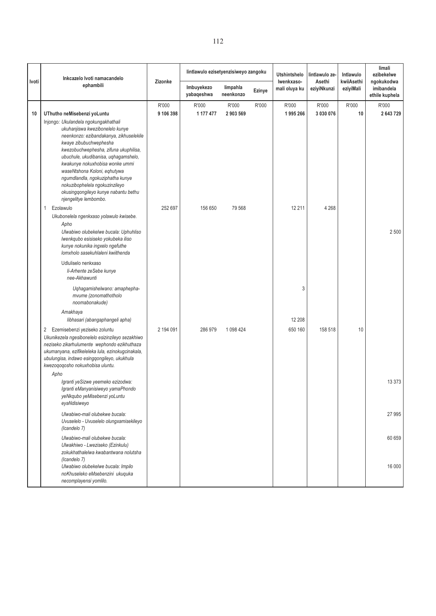|       | Inkcazelo Ivoti namacandelo                                                                                                                                                                                                                                                                                                                                                                     |                    | lintlawulo ezisetyenzisiweyo zangoku |                       |        | <b>Utshintshelo</b>         | lintlawulo ze-        | Intlawulo               | limali<br>ezibekelwe                       |
|-------|-------------------------------------------------------------------------------------------------------------------------------------------------------------------------------------------------------------------------------------------------------------------------------------------------------------------------------------------------------------------------------------------------|--------------------|--------------------------------------|-----------------------|--------|-----------------------------|-----------------------|-------------------------|--------------------------------------------|
| Ivoti | ephambili                                                                                                                                                                                                                                                                                                                                                                                       | Zizonke            | Imbuyekezo<br>yabaqeshwa             | limpahla<br>neenkonzo | Ezinye | Iwenkxaso-<br>mali oluya ku | Asethi<br>eziyiNkunzi | kwiiAsethi<br>eziyiMali | ngokukodwa<br>imibandela<br>ethile kuphela |
| 10    | UThutho neMisebenzi yoLuntu<br>Injongo: Ukulandela ngokungakhathali                                                                                                                                                                                                                                                                                                                             | R'000<br>9 106 398 | R'000<br>1 177 477                   | R'000<br>2903569      | R'000  | R'000<br>1995266            | R'000<br>3 030 076    | R'000<br>10             | R'000<br>2643729                           |
|       | ukuhanjiswa kwezibonelelo kunye<br>neenkonzo: ezibandakanya, zikhuselekile<br>kwaye zibubuchwephesha<br>kwezobuchwephesha, zifuna ukuphilisa,<br>ubuchule, ukudibanisa, uqhagamshelo,<br>kwakunye nokuxhobisa wonke ummi<br>waseNtshona Koloni, eqhutywa<br>ngumdlandla, ngokuziphatha kunye<br>nokuzibophelela ngokuzinzileyo<br>okusingqongileyo kunye nabantu bethu<br>njengelitye lembombo. |                    |                                      |                       |        |                             |                       |                         |                                            |
|       | Ezolawulo<br>Ukubonelela ngenkxaso yolawulo kwisebe.                                                                                                                                                                                                                                                                                                                                            | 252 697            | 156 650                              | 79 568                |        | 12 211                      | 4 2 6 8               |                         |                                            |
|       | Apho<br>Ulwabiwo olubekelwe bucala: Uphuhliso<br>lwenkqubo esisiseko yokubeka iliso<br>kunye nokunika ingxelo ngefuthe<br>lomxholo sasekuhlaleni kwiithenda                                                                                                                                                                                                                                     |                    |                                      |                       |        |                             |                       |                         | 2 500                                      |
|       | Udluliselo nenkxaso<br>li-Arhente zeSebe kunye<br>nee-Akhawunti                                                                                                                                                                                                                                                                                                                                 |                    |                                      |                       |        |                             |                       |                         |                                            |
|       | Uqhagamishelwano: amaphepha-<br>mvume (zonomathotholo<br>noomabonakude)                                                                                                                                                                                                                                                                                                                         |                    |                                      |                       |        | 3                           |                       |                         |                                            |
|       | Amakhaya<br>libhasari (abangaphangeli apha)                                                                                                                                                                                                                                                                                                                                                     |                    |                                      |                       |        | 12 208                      |                       |                         |                                            |
|       | 2 Ezemisebenzi yeziseko zoluntu<br>Ukunikezela ngesibonelelo esizinzileyo sezakhiwo<br>neziseko zikarhulumente wephondo ezikhuthaza<br>ukumanyana, ezifikeleleka lula, ezinokugcinakala,<br>ubulungisa, indawo esingqongileyo, ukukhula<br>kwezoqoqosho nokuxhobisa uluntu.                                                                                                                     | 2 194 091          | 286 979                              | 1 0 98 4 24           |        | 650 160                     | 158 518               | 10                      |                                            |
|       | Apho<br>Igranti yeSizwe yeemeko ezizodwa:<br>Igranti eManyanisiweyo yamaPhondo<br>yeNkqubo yeMisebenzi yoLuntu<br>eyaNdisiweyo                                                                                                                                                                                                                                                                  |                    |                                      |                       |        |                             |                       |                         | 13 373                                     |
|       | Ulwabiwo-mali olubekwe bucala:<br>Uvuselelo - Uvuselelo olungxamisekileyo<br>(Icandelo 7)                                                                                                                                                                                                                                                                                                       |                    |                                      |                       |        |                             |                       |                         | 27 995                                     |
|       | Ulwabiwo-mali olubekwe bucala:<br>Ulwakhiwo - Lweziseko (Ezinkulu)<br>zokukhathalelwa kwabantwana nolutsha                                                                                                                                                                                                                                                                                      |                    |                                      |                       |        |                             |                       |                         | 60 659                                     |
|       | (Icandelo 7)<br>Ulwabiwo olubekelwe bucala: Impilo<br>noKhuseleko eMsebenzini ukuquka<br>necomplayensi yomlilo.                                                                                                                                                                                                                                                                                 |                    |                                      |                       |        |                             |                       |                         | 16 000                                     |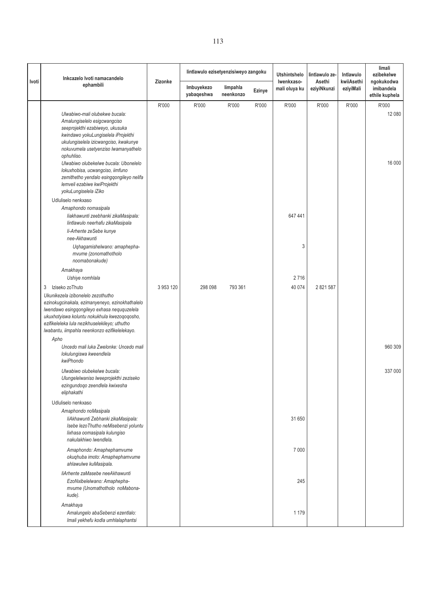| Ivoti | Inkcazelo Ivoti namacandelo                                                                                                                                                                                                                                                                                            | Zizonke   | lintlawulo ezisetyenzisiweyo zangoku |                       |        | <b>Utshintshelo</b><br>Iwenkxaso- | lintlawulo ze-<br>Asethi | Intlawulo<br>kwiiAsethi | limali<br>ezibekelwe<br>ngokukodwa |
|-------|------------------------------------------------------------------------------------------------------------------------------------------------------------------------------------------------------------------------------------------------------------------------------------------------------------------------|-----------|--------------------------------------|-----------------------|--------|-----------------------------------|--------------------------|-------------------------|------------------------------------|
|       | ephambili                                                                                                                                                                                                                                                                                                              |           | Imbuyekezo<br>yabaqeshwa             | limpahla<br>neenkonzo | Ezinye | mali oluya ku                     | eziyiNkunzi              | eziyiMali               | imibandela<br>ethile kuphela       |
|       | Ulwabiwo-mali olubekwe bucala:<br>Amalungiselelo esigcwangciso<br>seeprojekthi ezabiweyo, ukusuka<br>kwindawo yokuLungiselela iProjekthi<br>ukulungiselela izicwangciso, kwakunye<br>nokuvumela usetyenziso lwamanyathelo<br>ophuhliso.                                                                                | R'000     | R'000                                | R'000                 | R'000  | R'000                             | R'000                    | R'000                   | R'000<br>12 080                    |
|       | Ulwabiwo olubekelwe bucala: Ubonelelo<br>lokuxhobisa, ucwangciso, iimfuno<br>zemithetho yendalo esingqongileyo nelifa<br>lemveli ezabiwe kwiProjekthi<br>yokuLungiselela iZiko<br>Udluliselo nenkxaso                                                                                                                  |           |                                      |                       |        |                                   |                          |                         | 16 000                             |
|       | Amaphondo nomasipala<br>liakhawunti zeebhanki zikaMasipala:<br>lintlawulo neerhafu zikaMasipala<br>li-Arhente zeSebe kunye                                                                                                                                                                                             |           |                                      |                       |        | 647 441                           |                          |                         |                                    |
|       | nee-Akhawunti<br>Uqhagamishelwano: amaphepha-<br>mvume (zonomathotholo<br>noomabonakude)                                                                                                                                                                                                                               |           |                                      |                       |        | 3                                 |                          |                         |                                    |
|       | Amakhaya<br>Ushiye nomhlala                                                                                                                                                                                                                                                                                            |           |                                      |                       |        | 2716                              |                          |                         |                                    |
|       | Iziseko zoThuto<br>3<br>Ukunikezela izibonelelo zezothutho<br>ezinokugcinakala, ezimanyeneyo, ezinokhathalelo<br>Iwendawo esingqongileyo exhasa neququzelela<br>ukuxhotyiswa koluntu nokukhula kwezoqoqosho,<br>ezifikeleleka lula nezikhuselekileyo; uthutho<br>lwabantu, iimpahla neenkonzo ezifikelelekayo.<br>Apho | 3 953 120 | 298 098                              | 793 361               |        | 40 074                            | 2 821 587                |                         | 960 309                            |
|       | Uncedo mali luka Zwelonke: Uncedo mali<br>lokulungiswa kweendlela<br>kwiPhondo                                                                                                                                                                                                                                         |           |                                      |                       |        |                                   |                          |                         |                                    |
|       | Ulwabiwo olubekelwe bucala:<br>Ulungelelwaniso lweeprojekthi zeziseko<br>ezingundoqo zeendlela kwixesha<br>eliphakathi                                                                                                                                                                                                 |           |                                      |                       |        |                                   |                          |                         | 337 000                            |
|       | Udluliselo nenkxaso<br>Amaphondo noMasipala<br>liAkhawunti Zebhanki zikaMasipala:<br>Isebe lezoThutho neMisebenzi yoluntu<br>lixhasa oomasipala kulungiso<br>nakulakhiwo lwendlela.                                                                                                                                    |           |                                      |                       |        | 31 650                            |                          |                         |                                    |
|       | Amaphondo: Amaphephamvume<br>okuqhuba imoto: Amaphephamvume<br>ahlawulwe kuMasipala.                                                                                                                                                                                                                                   |           |                                      |                       |        | 7 0 0 0                           |                          |                         |                                    |
|       | liArhente zaMasebe neeAkhawunti<br>EzoNxibelelwano: Amaphepha-<br>mvume (Unomathotholo noMabona-<br>kude).                                                                                                                                                                                                             |           |                                      |                       |        | 245                               |                          |                         |                                    |
|       | Amakhaya<br>Amalungelo abaSebenzi ezentlalo:<br>Imali yekhefu kodla umhlalaphantsi                                                                                                                                                                                                                                     |           |                                      |                       |        | 1 1 7 9                           |                          |                         |                                    |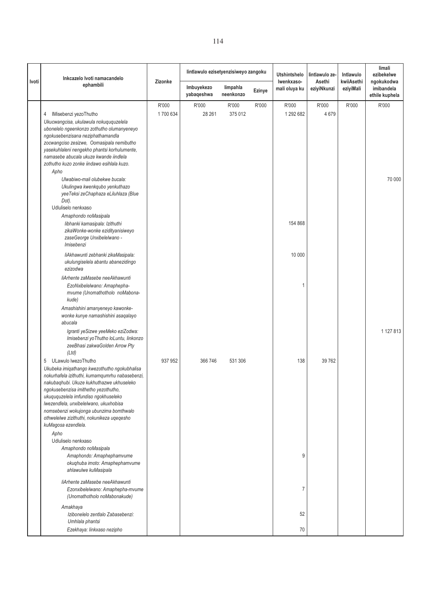|       | Inkcazelo Ivoti namacandelo                                                                                                                                                                                                                                                                                                                                                                                              |                   | lintlawulo ezisetyenzisiweyo zangoku |                       |        | <b>Utshintshelo</b>         | lintlawulo ze-        | Intlawulo               | limali<br>ezibekelwe                       |
|-------|--------------------------------------------------------------------------------------------------------------------------------------------------------------------------------------------------------------------------------------------------------------------------------------------------------------------------------------------------------------------------------------------------------------------------|-------------------|--------------------------------------|-----------------------|--------|-----------------------------|-----------------------|-------------------------|--------------------------------------------|
| Ivoti | ephambili                                                                                                                                                                                                                                                                                                                                                                                                                | Zizonke           | Imbuyekezo<br>yabaqeshwa             | limpahla<br>neenkonzo | Ezinye | Iwenkxaso-<br>mali oluya ku | Asethi<br>eziyiNkunzi | kwiiAsethi<br>eziyiMali | ngokukodwa<br>imibandela<br>ethile kuphela |
|       | IMisebenzi yezoThutho<br>4<br>Ukucwangcisa, ukulawula nokuququzelela<br>ubonelelo ngeenkonzo zothutho olumanyeneyo<br>ngokusebenzisana neziphathamandla<br>zocwangciso zesizwe, Oomasipala nemibutho<br>yasekuhlaleni nengekho phantsi korhulumente,<br>namasebe abucala ukuze kwande iindlela<br>zothutho kuzo zonke iindawo esihlala kuzo.<br>Apho<br>Ulwabiwo-mali olubekwe bucala:<br>Ukulingwa kwenkqubo yenkuthazo | R'000<br>1700 634 | R'000<br>28 26 1                     | R'000<br>375 012      | R'000  | R'000<br>1 292 682          | R'000<br>4679         | R'000                   | R'000<br>70 000                            |
|       | yeeTeksi zeChaphaza eLiluhlaza (Blue<br>Dot).<br>Udluliselo nenkxaso<br>Amaphondo noMasipala<br>libhanki kamasipala: Izithuthi<br>zikaWonke-wonke ezidityanisiweyo<br>zaseGeorge Unxibelelwano -<br>Imisebenzi                                                                                                                                                                                                           |                   |                                      |                       |        | 154 868                     |                       |                         |                                            |
|       | liAkhawunti zebhanki zikaMasipala:<br>ukulungiselela abantu abanezidingo<br>ezizodwa<br>liArhente zaMasebe neeAkhawunti<br>EzoNxibelelwano: Amaphepha-<br>mvume (Unomathotholo noMabona-<br>kude)                                                                                                                                                                                                                        |                   |                                      |                       |        | 10 000                      |                       |                         |                                            |
|       | Amashishini amanyeneyo kawonke-<br>wonke kunye namashishini asaqalayo<br>abucala<br>Igranti yeSizwe yeeMeko eziZodwa:<br>Imisebenzi yoThutho loLuntu, linkonzo<br>zeeBhasi zakwaGolden Arrow Pty<br>(Ltd)                                                                                                                                                                                                                |                   |                                      |                       |        |                             |                       |                         | 1 127 813                                  |
|       | ULawulo lwezoThutho<br>5<br>Ukubeka imiqathango kwezothutho ngokubhalisa<br>nokurhafela izithuthi, kumamqumrhu nabasebenzi,<br>nakubaghubi. Ukuze kukhuthazwe ukhuseleko<br>ngokusebenzisa imithetho yezothutho,<br>ukuququzelela imfundiso ngokhuseleko<br>Iwezendlela, unxibelelwano, ukuxhobisa<br>nomsebenzi wokujonga ubunzima bomthwalo<br>othwelelwe zizithuthi, nokunikeza uqeqesho<br>kuMagosa ezendlela.       | 937 952           | 366 746                              | 531 306               |        | 138                         | 39 762                |                         |                                            |
|       | Apho<br>Udluliselo nenkxaso<br>Amaphondo noMasipala<br>Amaphondo: Amaphephamvume<br>okuqhuba imoto: Amaphephamvume<br>ahlawulwe kuMasipala                                                                                                                                                                                                                                                                               |                   |                                      |                       |        | 9                           |                       |                         |                                            |
|       | liArhente zaMasebe neeAkhawunti<br>Ezonxibelelwano: Amaphepha-mvume<br>(Unomathotholo noMabonakude)                                                                                                                                                                                                                                                                                                                      |                   |                                      |                       |        | 7                           |                       |                         |                                            |
|       | Amakhaya<br>Izibonelelo zentlalo Zabasebenzi:<br>Umhlala phantsi<br>Ezekhaya: linkxaso nezipho                                                                                                                                                                                                                                                                                                                           |                   |                                      |                       |        | 52<br>70                    |                       |                         |                                            |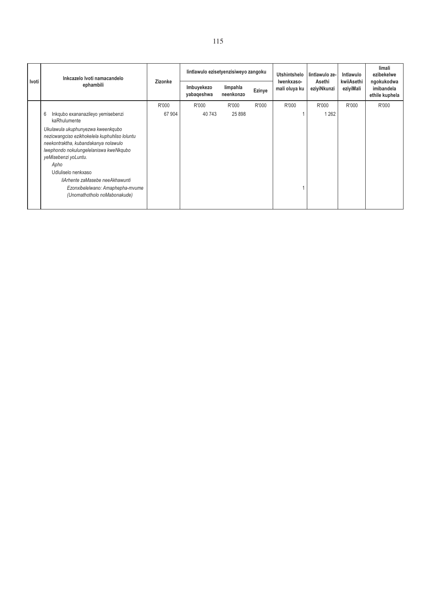| Ivoti | Inkcazelo Ivoti namacandelo                                                                                                                                                                  | lintlawulo ezisetyenzisiweyo zangoku |                          |                       |        | Utshintshelo                | lintlawulo ze-        | Intlawulo               | limali<br>ezibekelwe<br>ngokukodwa |
|-------|----------------------------------------------------------------------------------------------------------------------------------------------------------------------------------------------|--------------------------------------|--------------------------|-----------------------|--------|-----------------------------|-----------------------|-------------------------|------------------------------------|
|       | ephambili                                                                                                                                                                                    | Zizonke                              | Imbuyekezo<br>yabaqeshwa | limpahla<br>neenkonzo | Ezinye | Iwenkxaso-<br>mali oluya ku | Asethi<br>eziyiNkunzi | kwiiAsethi<br>eziyiMali | imibandela<br>ethile kuphela       |
|       |                                                                                                                                                                                              | R'000                                | R'000                    | R'000                 | R'000  | R'000                       | R'000                 | R'000                   | R'000                              |
|       | 6<br>Inkqubo exananazileyo yemisebenzi<br>kaRhulumente                                                                                                                                       | 67 904                               | 40 743                   | 25 8 98               |        |                             | 1 2 6 2               |                         |                                    |
|       | Ukulawula ukuphunyezwa kweenkqubo<br>nezicwangciso ezikhokelela kuphuhliso loluntu<br>neekontraktha, kubandakanya nolawulo<br>lwephondo nokulungelelaniswa kweNkqubo<br>yeMisebenzi yoLuntu. |                                      |                          |                       |        |                             |                       |                         |                                    |
|       | Apho                                                                                                                                                                                         |                                      |                          |                       |        |                             |                       |                         |                                    |
|       | Udluliselo nenkxaso                                                                                                                                                                          |                                      |                          |                       |        |                             |                       |                         |                                    |
|       | liArhente zaMasebe neeAkhawunti                                                                                                                                                              |                                      |                          |                       |        |                             |                       |                         |                                    |
|       | Ezonxibelelwano: Amaphepha-mvume<br>(Unomathotholo noMabonakude)                                                                                                                             |                                      |                          |                       |        |                             |                       |                         |                                    |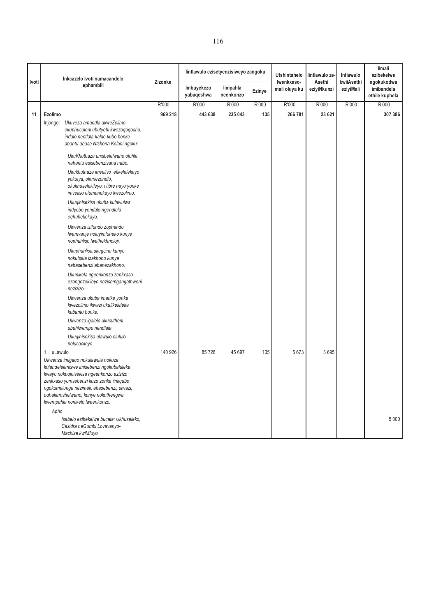|       | Inkcazelo Ivoti namacandelo                                                                                                                                                                                                                                                                                                                                                                                                                                                                                                                                                                                                                                                                                                                                                               |         | lintlawulo ezisetyenzisiweyo zangoku |                       |               | <b>Utshintshelo</b>         | lintlawulo ze-        | Intlawulo               | limali<br>ezibekelwe                       |
|-------|-------------------------------------------------------------------------------------------------------------------------------------------------------------------------------------------------------------------------------------------------------------------------------------------------------------------------------------------------------------------------------------------------------------------------------------------------------------------------------------------------------------------------------------------------------------------------------------------------------------------------------------------------------------------------------------------------------------------------------------------------------------------------------------------|---------|--------------------------------------|-----------------------|---------------|-----------------------------|-----------------------|-------------------------|--------------------------------------------|
| Ivoti | ephambili                                                                                                                                                                                                                                                                                                                                                                                                                                                                                                                                                                                                                                                                                                                                                                                 | Zizonke | Imbuyekezo<br>yabaqeshwa             | limpahla<br>neenkonzo | <b>Ezinye</b> | Iwenkxaso-<br>mali oluya ku | Asethi<br>eziyiNkunzi | kwiiAsethi<br>eziyiMali | ngokukodwa<br>imibandela<br>ethile kuphela |
|       |                                                                                                                                                                                                                                                                                                                                                                                                                                                                                                                                                                                                                                                                                                                                                                                           | R'000   | R'000                                | R'000                 | R'000         | R'000                       | R'000                 | R'000                   | R'000                                      |
| 11    | Ezolimo                                                                                                                                                                                                                                                                                                                                                                                                                                                                                                                                                                                                                                                                                                                                                                                   | 969 218 | 443 638                              | 235 043               | 135           | 266 781                     | 23 621                |                         | 307 386                                    |
|       | Injongo: Ukuveza amandla akweZolimo<br>ekuphuculeni ubutyebi kwezoqoqosho,<br>indalo nentlala-kahle kubo bonke<br>abantu abase Ntshona Koloni ngoku:<br>UkuKhuthaza unxibelelwano oluhle<br>nabantu esisebenzisana nabo.<br>Ukukhuthaza imveliso efikelelekayo<br>yokutya, okunezondlo,<br>okukhuselekileyo, i fibre nayo yonke<br>imveliso efumanekayo kwezolimo.<br>Ukuqinisekisa ukuba kulawulwa<br>indyebo yendalo ngendlela<br>eqhubekekayo.<br>Ukwenza izifundo zophando<br>Iwamvanje noluyimfuneko kunye<br>nophuhliso lwethekhnoloji.<br>Ukuphuhlisa, ukugcina kunye<br>nokutsala izakhono kunye<br>nabasebenzi abanezakhono.<br>Ukunikela ngeenkonzo zenkxaso<br>ezongezekileyo nezisemgangathweni<br>nezizizo.<br>Ukwenza ukuba imarike yonke<br>kwezolimo ikwazi ukufikeleleka |         |                                      |                       |               |                             |                       |                         |                                            |
|       | kubantu bonke.<br>Ukwenza igalelo ukucutheni                                                                                                                                                                                                                                                                                                                                                                                                                                                                                                                                                                                                                                                                                                                                              |         |                                      |                       |               |                             |                       |                         |                                            |
|       | ubuhlwempu nendlala.<br>Ukuqinisekisa ulawulo olululo<br>nolucacileyo.                                                                                                                                                                                                                                                                                                                                                                                                                                                                                                                                                                                                                                                                                                                    |         |                                      |                       |               |                             |                       |                         |                                            |
|       | uLawulo<br>$\mathbf{1}$<br>Ukwenza imigaqo nokulawula nokuze<br>kulandelelaniswe imisebenzi ngokubaluleka<br>kwayo nokuqinisekisa ngeenkonzo ezizizo<br>zenkxaso yomsebenzi kuzo zonke iinkqubo<br>ngokumalunga nezimali, abasebenzi, ulwazi,<br>uqhakamshelwano, kunye nokuthengwa<br>kwempahla nonikelo lweenkonzo.                                                                                                                                                                                                                                                                                                                                                                                                                                                                     | 140 926 | 85726                                | 45 697                | 135           | 5673                        | 3695                  |                         |                                            |
|       | Apho<br>Isabelo esibekelwe bucala: Ukhuseleko,<br>Casidra neGumbi Lovavanyo-<br>Machiza kwiMfuyo                                                                                                                                                                                                                                                                                                                                                                                                                                                                                                                                                                                                                                                                                          |         |                                      |                       |               |                             |                       |                         | 5 0 0 0                                    |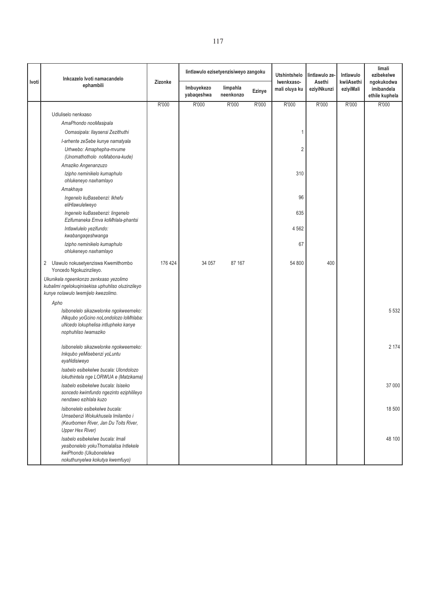|              | Inkcazelo Ivoti namacandelo                                                                                                                   |         | lintlawulo ezisetyenzisiweyo zangoku |                       |        | <b>Utshintshelo</b>         | lintlawulo ze-        | Intlawulo               | limali<br>ezibekelwe                       |
|--------------|-----------------------------------------------------------------------------------------------------------------------------------------------|---------|--------------------------------------|-----------------------|--------|-----------------------------|-----------------------|-------------------------|--------------------------------------------|
| <b>Ivoti</b> | ephambili                                                                                                                                     | Zizonke | Imbuyekezo<br>yabaqeshwa             | limpahla<br>neenkonzo | Ezinye | Iwenkxaso-<br>mali oluya ku | Asethi<br>eziyiNkunzi | kwiiAsethi<br>eziyiMali | ngokukodwa<br>imibandela<br>ethile kuphela |
|              |                                                                                                                                               | R'000   | R'000                                | R'000                 | R'000  | R'000                       | R'000                 | R'000                   | R'000                                      |
|              | Udluliselo nenkxaso                                                                                                                           |         |                                      |                       |        |                             |                       |                         |                                            |
|              | AmaPhondo nooMasipala                                                                                                                         |         |                                      |                       |        |                             |                       |                         |                                            |
|              | Oomasipala: Ilaysensi Zezithuthi                                                                                                              |         |                                      |                       |        | 1                           |                       |                         |                                            |
|              | I-arhente zeSebe kunye namatyala                                                                                                              |         |                                      |                       |        |                             |                       |                         |                                            |
|              | Urhwebo: Amaphepha-mvume<br>(Unomathotholo noMabona-kude)                                                                                     |         |                                      |                       |        | $\overline{2}$              |                       |                         |                                            |
|              | Amaziko Angenanzuzo                                                                                                                           |         |                                      |                       |        |                             |                       |                         |                                            |
|              | Izipho neminikelo kumaphulo<br>ohlukeneyo naxhamlayo                                                                                          |         |                                      |                       |        | 310                         |                       |                         |                                            |
|              | Amakhaya                                                                                                                                      |         |                                      |                       |        |                             |                       |                         |                                            |
|              | Ingenelo kuBasebenzi: Ikhefu<br>eliHlawulelweyo                                                                                               |         |                                      |                       |        | 96                          |                       |                         |                                            |
|              | Ingenelo kuBasebenzi: lingenelo<br>Ezifumaneka Emva koMhlala-phantsi                                                                          |         |                                      |                       |        | 635                         |                       |                         |                                            |
|              | Intlawlulelo yezifundo:<br>kwabangaqeshwanga                                                                                                  |         |                                      |                       |        | 4562                        |                       |                         |                                            |
|              | Izipho neminikelo kumaphulo<br>ohlukeneyo naxhamlayo                                                                                          |         |                                      |                       |        | 67                          |                       |                         |                                            |
|              | 2<br>Ulawulo nokusetyenziswa Kwemithombo<br>Yoncedo Ngokuzinzileyo.                                                                           | 176 424 | 34 057                               | 87 167                |        | 54 800                      | 400                   |                         |                                            |
|              | Ukunikela ngeenkonzo zenkxaso yezolimo<br>kubalimi ngelokuqinisekisa uphuhliso oluzinzileyo<br>kunye nolawulo lwemijelo kwezolimo.            |         |                                      |                       |        |                             |                       |                         |                                            |
|              | Apho                                                                                                                                          |         |                                      |                       |        |                             |                       |                         |                                            |
|              | Isibonelelo sikazwelonke ngokweemeko:<br>iNkqubo yoGcino noLondolozo loMhlaba:<br>uNcedo lokuphelisa intlupheko kanye<br>nophuhliso Iwamaziko |         |                                      |                       |        |                             |                       |                         | 5 5 3 2                                    |
|              | Isibonelelo sikazwelonke ngokweemeko:<br>Inkqubo yeMisebenzi yoLuntu<br>eyaNdisiweyo                                                          |         |                                      |                       |        |                             |                       |                         | 2 174                                      |
|              | Isabelo esibekelwe bucala: Ulondolozo<br>lokuthintela nge LORWUA e (Matzikama)                                                                |         |                                      |                       |        |                             |                       |                         |                                            |
|              | Isabelo esibekelwe bucala: Isiseko<br>soncedo kwimfundo ngezinto eziphilileyo<br>nendawo ezihlala kuzo                                        |         |                                      |                       |        |                             |                       |                         | 37 000                                     |
|              | Isibonelelo esibekelwe bucala:<br>Umsebenzi Wokukhusela Imilambo i<br>(Keurbomen River, Jan Du Toits River,<br><b>Upper Hex River)</b>        |         |                                      |                       |        |                             |                       |                         | 18 500                                     |
|              | Isabelo esibekelwe bucala: Imali<br>yesibonelelo yokuThomalalisa Intlekele<br>kwiPhondo (Ukubonelelwa<br>nokuthunyelwa kokutya kwemfuyo)      |         |                                      |                       |        |                             |                       |                         | 48 100                                     |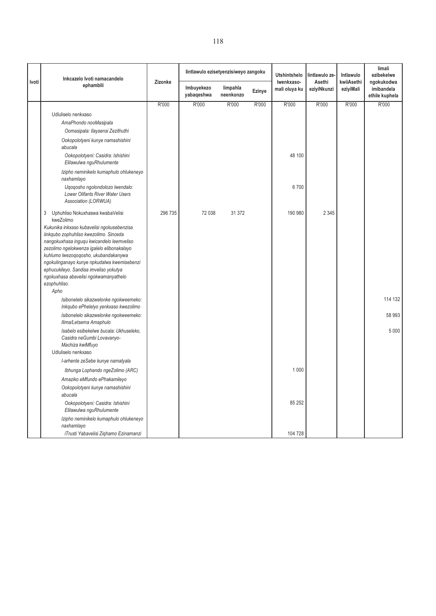|       | Inkcazelo Ivoti namacandelo                                                                                                                                                                                                                                                                                                                                               |         | lintlawulo ezisetyenzisiweyo zangoku |                       |        | <b>Utshintshelo</b>         | lintlawulo ze         | Intlawulo               | limali<br>ezibekelwe                       |
|-------|---------------------------------------------------------------------------------------------------------------------------------------------------------------------------------------------------------------------------------------------------------------------------------------------------------------------------------------------------------------------------|---------|--------------------------------------|-----------------------|--------|-----------------------------|-----------------------|-------------------------|--------------------------------------------|
| Ivoti | ephambili                                                                                                                                                                                                                                                                                                                                                                 | Zizonke | Imbuyekezo<br>yabaqeshwa             | limpahla<br>neenkonzo | Ezinye | Iwenkxaso-<br>mali oluya ku | Asethi<br>eziyiNkunzi | kwiiAsethi<br>eziyiMali | ngokukodwa<br>imibandela<br>ethile kuphela |
|       |                                                                                                                                                                                                                                                                                                                                                                           | R'000   | R'000                                | R'000                 | R'000  | R'000                       | R'000                 | R'000                   | R'000                                      |
|       | Udluliselo nenkxaso<br>AmaPhondo nooMasipala<br>Oomasipala: Ilaysensi Zezithuthi                                                                                                                                                                                                                                                                                          |         |                                      |                       |        |                             |                       |                         |                                            |
|       | Ookopolotyeni kunye namashishini<br>abucala<br>Ookopolotyeni: Casidra: Ishishini                                                                                                                                                                                                                                                                                          |         |                                      |                       |        | 48 100                      |                       |                         |                                            |
|       | Elilawulwa nguRhulumente                                                                                                                                                                                                                                                                                                                                                  |         |                                      |                       |        |                             |                       |                         |                                            |
|       | Izipho neminikelo kumaphulo ohlukeneyo<br>naxhamlayo                                                                                                                                                                                                                                                                                                                      |         |                                      |                       |        |                             |                       |                         |                                            |
|       | Ugogosho ngolondolozo lwendalo:<br>Lower Olifants River Water Users<br>Association (LORWUA)                                                                                                                                                                                                                                                                               |         |                                      |                       |        | 6700                        |                       |                         |                                            |
|       | 3<br>Uphuhliso Nokuxhaswa kwabaVelisi<br>kweZolimo                                                                                                                                                                                                                                                                                                                        | 296 735 | 72 038                               | 31 372                |        | 190 980                     | 2 3 4 5               |                         |                                            |
|       | Kukunika inkxaso kubavelisi ngokusebenzisa<br>iinkqubo zophuhliso kwezolimo. Sinceda<br>nangokuxhasa ingugu kwicandelo leemveliso<br>zezolimo ngelokwenza igalelo elibonakalayo<br>kuhlumo lwezogogosho, ukubandakanywa<br>ngokulinganayo kunye npkudalwa kwemisebenzi<br>ephucukileyo. Sandisa imveliso yokutya<br>ngokuxhasa abavelisi ngokwamanyathelo<br>ezophuhliso. |         |                                      |                       |        |                             |                       |                         |                                            |
|       | Apho                                                                                                                                                                                                                                                                                                                                                                      |         |                                      |                       |        |                             |                       |                         |                                            |
|       | Isibonelelo sikazwelonke ngokweemeko:<br>Inkqubo ePhelelyo yenkxaso kwezolimo                                                                                                                                                                                                                                                                                             |         |                                      |                       |        |                             |                       |                         | 114 132                                    |
|       | Isibonelelo sikazwelonke ngokweemeko:<br>Ilima/Letsema Amaphulo                                                                                                                                                                                                                                                                                                           |         |                                      |                       |        |                             |                       |                         | 58 993                                     |
|       | Isabelo esibekelwe bucala: Ukhuseleko,<br>Casidra neGumbi Lovavanyo-<br>Machiza kwiMfuyo                                                                                                                                                                                                                                                                                  |         |                                      |                       |        |                             |                       |                         | 5 0 0 0                                    |
|       | Udluliselo nenkxaso<br>I-arhente zeSebe kunye namatyala                                                                                                                                                                                                                                                                                                                   |         |                                      |                       |        |                             |                       |                         |                                            |
|       | Ibhunga Lophando ngeZolimo (ARC)                                                                                                                                                                                                                                                                                                                                          |         |                                      |                       |        | 1 0 0 0                     |                       |                         |                                            |
|       | Amaziko eMfundo ePhakamileyo                                                                                                                                                                                                                                                                                                                                              |         |                                      |                       |        |                             |                       |                         |                                            |
|       | Ookopolotyeni kunye namashishini<br>abucala                                                                                                                                                                                                                                                                                                                               |         |                                      |                       |        |                             |                       |                         |                                            |
|       | Ookopolotyeni: Casidra: Ishishini<br>Elilawulwa nguRhulumente                                                                                                                                                                                                                                                                                                             |         |                                      |                       |        | 85 25 2                     |                       |                         |                                            |
|       | Izipho neminikelo kumaphulo ohlukeneyo<br>naxhamlayo                                                                                                                                                                                                                                                                                                                      |         |                                      |                       |        |                             |                       |                         |                                            |
|       | iTrusti Yabavelisi Ziqhamo Ezinamanzi                                                                                                                                                                                                                                                                                                                                     |         |                                      |                       |        | 104 728                     |                       |                         |                                            |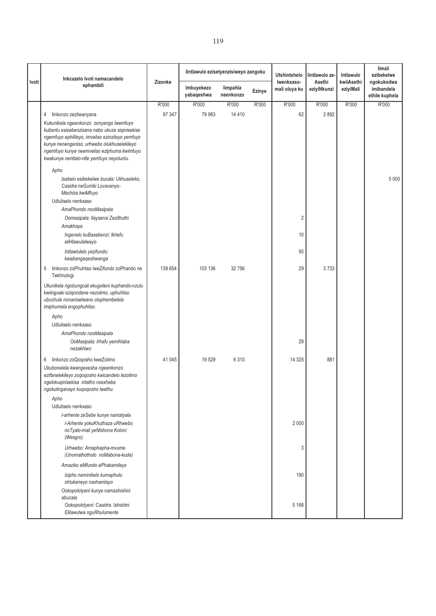|       | Inkcazelo Ivoti namacandelo                                                                                                                                      |         | lintlawulo ezisetyenzisiweyo zangoku |                       |        | <b>Utshintshelo</b>         | lintlawulo ze-        | Intlawulo               | limali<br>ezibekelwe                       |
|-------|------------------------------------------------------------------------------------------------------------------------------------------------------------------|---------|--------------------------------------|-----------------------|--------|-----------------------------|-----------------------|-------------------------|--------------------------------------------|
| Ivoti | ephambili                                                                                                                                                        | Zizonke | Imbuyekezo<br>yabaqeshwa             | limpahla<br>neenkonzo | Ezinye | Iwenkxaso-<br>mali oluya ku | Asethi<br>eziyiNkunzi | kwiiAsethi<br>eziyiMali | ngokukodwa<br>imibandela<br>ethile kuphela |
|       |                                                                                                                                                                  | R'000   | R'000                                | R'000                 | R'000  | R'000                       | R'000                 | R'000                   | R'000                                      |
|       | linkonzo zezilwanyana<br>4                                                                                                                                       | 97 347  | 79 983                               | 14 4 10               |        | 62                          | 2892                  |                         |                                            |
|       | Kukunikela ngeenkonzo zonyango lwemfuyo                                                                                                                          |         |                                      |                       |        |                             |                       |                         |                                            |
|       | kubantu esisebenzisana nabo ukuze siqinisekise                                                                                                                   |         |                                      |                       |        |                             |                       |                         |                                            |
|       | ngemfuyo ephilileyo, imveliso ezinzileyo yemfuyo<br>kunye nenengeniso, urhwebo olukhuselekileyo                                                                  |         |                                      |                       |        |                             |                       |                         |                                            |
|       | ngemfuyo kunye neemveliso eziphuma kwimfuyo                                                                                                                      |         |                                      |                       |        |                             |                       |                         |                                            |
|       | kwakunye nentlalo-ntle yemfuyo neyoluntu.                                                                                                                        |         |                                      |                       |        |                             |                       |                         |                                            |
|       | Apho                                                                                                                                                             |         |                                      |                       |        |                             |                       |                         |                                            |
|       | Isabelo esibekelwe bucala: Ukhuseleko,                                                                                                                           |         |                                      |                       |        |                             |                       |                         | 5 0 0 0                                    |
|       | Casidra neGumbi Lovavanyo-                                                                                                                                       |         |                                      |                       |        |                             |                       |                         |                                            |
|       | Machiza kwiMfuyo<br>Udluliselo nenkxaso                                                                                                                          |         |                                      |                       |        |                             |                       |                         |                                            |
|       | AmaPhondo nooMasipala                                                                                                                                            |         |                                      |                       |        |                             |                       |                         |                                            |
|       | Oomasipala: Ilaysensi Zezithuthi                                                                                                                                 |         |                                      |                       |        | $\overline{c}$              |                       |                         |                                            |
|       | Amakhaya                                                                                                                                                         |         |                                      |                       |        |                             |                       |                         |                                            |
|       | Ingenelo kuBasebenzi: Ikhefu                                                                                                                                     |         |                                      |                       |        | 10                          |                       |                         |                                            |
|       | eliHlawulelweyo                                                                                                                                                  |         |                                      |                       |        |                             |                       |                         |                                            |
|       | Intlawlulelo yezifundo:<br>kwabangaqeshwanga                                                                                                                     |         |                                      |                       |        | 50                          |                       |                         |                                            |
|       | linkonzo zoPhuhliso lweZifundo zoPhando ne<br>5<br>Tekhnologi                                                                                                    | 139 654 | 103 136                              | 32756                 |        | 29                          | 3733                  |                         |                                            |
|       | Ukunikela ngobungcali ekugxileni kuphando-nzulu<br>kwiingxaki eziqondene nezolimo, uphuhliso<br>ubuchule nonaniselwano oluphembelela<br>imiphumela engophuhliso. |         |                                      |                       |        |                             |                       |                         |                                            |
|       | Apho                                                                                                                                                             |         |                                      |                       |        |                             |                       |                         |                                            |
|       | Udluliselo nenkxaso                                                                                                                                              |         |                                      |                       |        |                             |                       |                         |                                            |
|       | AmaPhondo nooMasipala                                                                                                                                            |         |                                      |                       |        |                             |                       |                         |                                            |
|       | OoMasipala: Irhafu yemihlaba<br>nezakhiwo                                                                                                                        |         |                                      |                       |        | 29                          |                       |                         |                                            |
|       | linkonzo zoQoqosho kweZolimo<br>6                                                                                                                                | 41 0 45 | 19529                                | 6 3 1 0               |        | 14 3 25                     | 881                   |                         |                                            |
|       | Ukubonelela kwangexesha ngeenkonzo                                                                                                                               |         |                                      |                       |        |                             |                       |                         |                                            |
|       | ezifanelekileyo zoqoqosho kwicandelo lezolimo<br>ngelokuqinisekisa intatho nxaxheba                                                                              |         |                                      |                       |        |                             |                       |                         |                                            |
|       | ngokulinganayo kuqoqosho lwethu.                                                                                                                                 |         |                                      |                       |        |                             |                       |                         |                                            |
|       | Apho                                                                                                                                                             |         |                                      |                       |        |                             |                       |                         |                                            |
|       | Udluliselo nenkxaso                                                                                                                                              |         |                                      |                       |        |                             |                       |                         |                                            |
|       | I-arhente zeSebe kunye namatyala                                                                                                                                 |         |                                      |                       |        |                             |                       |                         |                                            |
|       | I-Arhente yokuKhuthaza uRhwebo<br>noTyalo-mali yeNtshona Koloni                                                                                                  |         |                                      |                       |        | 2 0 0 0                     |                       |                         |                                            |
|       | (Wesgro)                                                                                                                                                         |         |                                      |                       |        |                             |                       |                         |                                            |
|       | Urhwebo: Amaphepha-mvume<br>(Unomathotholo noMabona-kude)                                                                                                        |         |                                      |                       |        | 3                           |                       |                         |                                            |
|       | Amaziko eMfundo ePhakamileyo                                                                                                                                     |         |                                      |                       |        |                             |                       |                         |                                            |
|       | Izipho neminikelo kumaphulo<br>ohlukeneyo naxhamlayo                                                                                                             |         |                                      |                       |        | 190                         |                       |                         |                                            |
|       | Ookopolotyeni kunye namashishini<br>abucala                                                                                                                      |         |                                      |                       |        |                             |                       |                         |                                            |
|       | Ookopolotyeni: Casidra: Ishishini<br>Elilawulwa nguRhulumente                                                                                                    |         |                                      |                       |        | 5 1 6 8                     |                       |                         |                                            |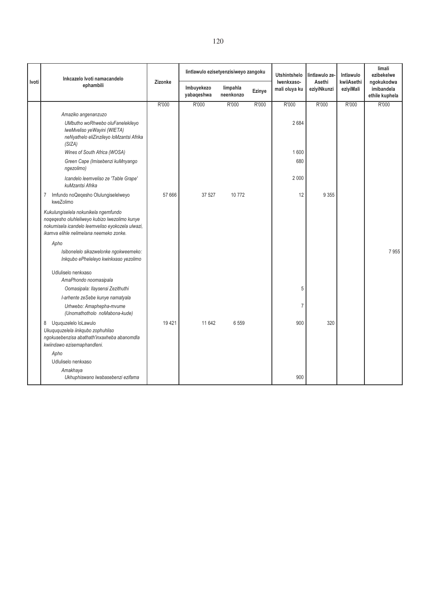|       | Inkcazelo Ivoti namacandelo                                                                                                                                                          | Zizonke | lintlawulo ezisetyenzisiweyo zangoku |                       |        | <b>Utshintshelo</b><br>Iwenkxaso- | lintlawulo ze         | Intlawulo<br>kwiiAsethi | limali<br>ezibekelwe                       |
|-------|--------------------------------------------------------------------------------------------------------------------------------------------------------------------------------------|---------|--------------------------------------|-----------------------|--------|-----------------------------------|-----------------------|-------------------------|--------------------------------------------|
| Ivoti | ephambili                                                                                                                                                                            |         | Imbuyekezo<br>yabaqeshwa             | limpahla<br>neenkonzo | Ezinye | mali oluya ku                     | Asethi<br>eziyiNkunzi | eziyiMali               | ngokukodwa<br>imibandela<br>ethile kuphela |
|       |                                                                                                                                                                                      | R'000   | R'000                                | R'000                 | R'000  | R'000                             | R'000                 | R'000                   | R'000                                      |
|       | Amaziko angenanzuzo                                                                                                                                                                  |         |                                      |                       |        |                                   |                       |                         |                                            |
|       | UMbutho woRhwebo oluFanelekileyo<br>IweMveliso yeWayini (WIETA)<br>neNyathelo eliZinzileyo loMzantsi Afrika<br>(SIZA)                                                                |         |                                      |                       |        | 2684                              |                       |                         |                                            |
|       | Wines of South Africa (WOSA)                                                                                                                                                         |         |                                      |                       |        | 1600                              |                       |                         |                                            |
|       | Green Cape (Imisebenzi kuMnyango<br>ngezolimo)                                                                                                                                       |         |                                      |                       |        | 680                               |                       |                         |                                            |
|       | Icandelo leemveliso ze 'Table Grape'<br>kuMzantsi Afrika                                                                                                                             |         |                                      |                       |        | 2 0 0 0                           |                       |                         |                                            |
|       | Imfundo noQeqesho Olulungiselelweyo<br>7<br>kweZolimo                                                                                                                                | 57 666  | 37 527                               | 10772                 |        | 12                                | 9 3 5 5               |                         |                                            |
|       | Kukulungiselela nokunikela ngemfundo<br>noqeqesho oluhleliweyo kubizo lwezolimo kunye<br>nokumisela icandelo leemveliso eyokozela ulwazi,<br>ikamva elihle nelimelana neemeko zonke. |         |                                      |                       |        |                                   |                       |                         |                                            |
|       | Apho                                                                                                                                                                                 |         |                                      |                       |        |                                   |                       |                         |                                            |
|       | Isibonelelo sikazwelonke ngokweemeko:<br>Inkqubo ePheleleyo kwinkxaso yezolimo                                                                                                       |         |                                      |                       |        |                                   |                       |                         | 7955                                       |
|       | Udluliselo nenkxaso<br>AmaPhondo noomasipala<br>Oomasipala: Ilaysensi Zezithuthi                                                                                                     |         |                                      |                       |        | 5                                 |                       |                         |                                            |
|       | I-arhente zeSebe kunye namatyala                                                                                                                                                     |         |                                      |                       |        |                                   |                       |                         |                                            |
|       | Urhwebo: Amaphepha-mvume<br>(Unomathotholo noMabona-kude)                                                                                                                            |         |                                      |                       |        | $\overline{7}$                    |                       |                         |                                            |
|       | Uququzelelo loLawulo<br>8<br>Ukuququzelela iinkqubo zophuhliso<br>ngokusebenzisa abathath'inxaxheba abanomdla<br>kwiindawo ezisemaphandleni.                                         | 19421   | 11 642                               | 6559                  |        | 900                               | 320                   |                         |                                            |
|       | Apho                                                                                                                                                                                 |         |                                      |                       |        |                                   |                       |                         |                                            |
|       | Udluliselo nenkxaso                                                                                                                                                                  |         |                                      |                       |        |                                   |                       |                         |                                            |
|       | Amakhaya<br>Ukhuphiswano lwabasebenzi ezifama                                                                                                                                        |         |                                      |                       |        | 900                               |                       |                         |                                            |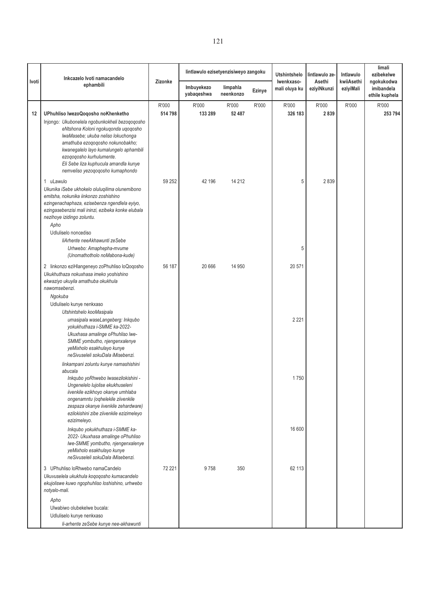|       | Inkcazelo Ivoti namacandelo                                                                                                                                                                                                                                                                                                                                             |                  | lintlawulo ezisetyenzisiweyo zangoku |                       |        | <b>Utshintshelo</b>         | lintlawulo ze-        | Intlawulo               | limali<br>ezibekelwe                       |
|-------|-------------------------------------------------------------------------------------------------------------------------------------------------------------------------------------------------------------------------------------------------------------------------------------------------------------------------------------------------------------------------|------------------|--------------------------------------|-----------------------|--------|-----------------------------|-----------------------|-------------------------|--------------------------------------------|
| Ivoti | ephambili                                                                                                                                                                                                                                                                                                                                                               | Zizonke          | Imbuyekezo<br>yabaqeshwa             | limpahla<br>neenkonzo | Ezinye | Iwenkxaso-<br>mali oluya ku | Asethi<br>eziyiNkunzi | kwiiAsethi<br>eziyiMali | ngokukodwa<br>imibandela<br>ethile kuphela |
| 12    | UPhuhliso lwezoQoqosho noKhenketho<br>Injongo: Ukubonelela ngobunkokheli bezoqoqosho<br>eNtshona Koloni ngokuqonda uqoqosho<br>IwaMasebe; ukuba neliso lokuchonga<br>amathuba ezogogosho nokunobakho;<br>kwanegalelo layo kumalungelo aphambili<br>ezoqoqosho kurhulumente.<br>Eli Sebe liza kuphucula amandla kunye<br>nemveliso yezoqoqosho kumaphondo                | R'000<br>514 798 | R'000<br>133 289                     | R'000<br>52 487       | R'000  | R'000<br>326 183            | R'000<br>2839         | R'000                   | R'000<br>253 794                           |
|       | 1 uLawulo<br>Ukunika iSebe ukhokelo oluluqilima olunemibono<br>emitsha, nokunika iinkonzo zoshishino<br>ezingenachaphaza, ezisebenza ngendlela eyiyo,<br>ezingasebenzisi mali ininzi, ezibeka konke elubala<br>nezihoye izidingo zoluntu.<br>Apho<br>Udluliselo noncediso<br>liArhente neeAkhawunti zeSebe<br>Urhwebo: Amaphepha-mvume<br>(Unomathotholo noMabona-kude) | 59 252           | 42 196                               | 14 21 2               |        | 5<br>5                      | 2839                  |                         |                                            |
|       | 2 linkonzo eziHlangeneyo zoPhuhliso loQoqosho<br>Ukukhuthaza nokuxhasa imeko yoshishino<br>ekwaziyo ukuyila amathuba okukhula<br>nawomsebenzi.<br>Ngokuba<br>Udluliselo kunye nenkxaso                                                                                                                                                                                  | 56 187           | 20 666                               | 14 950                |        | 20 571                      |                       |                         |                                            |
|       | Utshintshelo kooMasipala<br>umasipala waseLangeberg: Inkqubo<br>yokukhuthaza i-SMME ka-2022-<br>Ukuxhasa amalinge oPhuhliso lwe-<br>SMME yombutho, njengenxalenye<br>yeMixholo esakhulayo kunye<br>neSivuseleli sokuDala iMisebenzi.<br>linkampani zoluntu kunye namashishini                                                                                           |                  |                                      |                       |        | 2 2 2 1                     |                       |                         |                                            |
|       | abucala<br>Inkqubo yoRhwebo lwasezilokishini -<br>Ungenelelo lujolise ekukhuseleni<br>iivenkile ezikhoyo okanye umhlaba<br>ongenamntu (oqhelekile ziivenkile<br>zespaza okanye iivenkile zehardware)<br>ezilokishini zibe ziivenkile ezizimeleyo<br>ezizimeleyo.                                                                                                        |                  |                                      |                       |        | 1750                        |                       |                         |                                            |
|       | Inkqubo yokukhuthaza i-SMME ka-<br>2022- Ukuxhasa amalinge oPhuhliso<br>Iwe-SMME yombutho, njengenxalenye<br>yeMixholo esakhulayo kunye<br>neSivuseleli sokuDala iMisebenzi.                                                                                                                                                                                            |                  |                                      |                       |        | 16 600                      |                       |                         |                                            |
|       | 3 UPhuhliso loRhwebo namaCandelo<br>Ukuvuselela ukukhula koqoqosho kumacandelo<br>ekujoliswe kuwo ngophuhliso loshishino, urhwebo<br>notyalo-mali.                                                                                                                                                                                                                      | 72 221           | 9758                                 | 350                   |        | 62 113                      |                       |                         |                                            |
|       | Apho<br>Ulwabiwo olubekelwe bucala:<br>Udluliselo kunye nenkxaso<br>li-arhente zeSebe kunye nee-akhawunti                                                                                                                                                                                                                                                               |                  |                                      |                       |        |                             |                       |                         |                                            |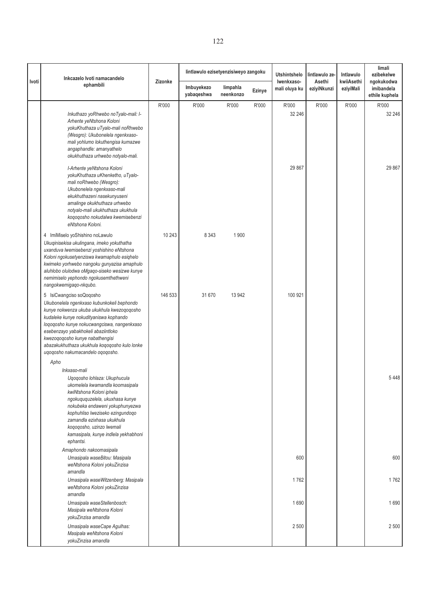| Ivoti | Inkcazelo Ivoti namacandelo                                                                                                                                                                                                                                                                                                                                                  | Zizonke | lintlawulo ezisetyenzisiweyo zangoku |                       |        | Utshintshelo<br>lintlawulo ze-<br>Iwenkxaso-<br>Asethi | Intlawulo<br>kwiiAsethi | limali<br>ezibekelwe<br>ngokukodwa |                              |
|-------|------------------------------------------------------------------------------------------------------------------------------------------------------------------------------------------------------------------------------------------------------------------------------------------------------------------------------------------------------------------------------|---------|--------------------------------------|-----------------------|--------|--------------------------------------------------------|-------------------------|------------------------------------|------------------------------|
|       | ephambili                                                                                                                                                                                                                                                                                                                                                                    |         | Imbuyekezo<br>yabaqeshwa             | limpahla<br>neenkonzo | Ezinye | mali oluya ku                                          | eziyiNkunzi             | eziyiMali                          | imibandela<br>ethile kuphela |
|       | Inkuthazo yoRhwebo noTyalo-mali: I-<br>Arhente yeNtshona Koloni<br>yokuKhuthaza uTyalo-mali noRhwebo<br>(Wesgro): Ukubonelela ngenkxaso-<br>mali yohlumo lokuthengisa kumazwe<br>angaphandle: amanyathelo<br>okukhuthaza urhwebo notyalo-mali.                                                                                                                               | R'000   | R'000                                | R'000                 | R'000  | R'000<br>32 246                                        | R'000                   | R'000                              | R'000<br>32 246              |
|       | I-Arhente yeNtshona Koloni<br>yokuKhuthaza uKhenketho, uTyalo-<br>mali noRhwebo (Wesgro):<br>Ukubonelela ngenkxaso-mali<br>ekukhuthazeni nasekunyuseni<br>amalinge okukhuthaza urhwebo<br>notyalo-mali ukukhuthaza ukukhula<br>koqoqosho nokudalwa kwemisebenzi<br>eNtshona Koloni.                                                                                          |         |                                      |                       |        | 29 867                                                 |                         |                                    | 29 867                       |
|       | 4 ImiMiselo yoShishino noLawulo<br>Ukuqinisekisa ukulingana, imeko yokuthatha<br>uxanduva lwemisebenzi yoshishino eNtshona<br>Koloni ngokusetyenziswa kwamaphulo esiqhelo<br>kwimeko yorhwebo nangoku gunyazisa amaphulo<br>aluhlobo olulodwa oMgaqo-siseko wesizwe kunye<br>nemimiselo yephondo ngokusemthethweni<br>nangokwemigaqo-nkqubo.                                 | 10 243  | 8 3 4 3                              | 1 900                 |        |                                                        |                         |                                    |                              |
|       | 5 IsiCwangciso soQoqosho<br>Ukubonelela ngenkxaso kubunkokeli bephondo<br>kunye nokwenza ukuba ukukhula kwezoqoqosho<br>kudaleke kunye nokudityaniswa kophando<br>loqoqosho kunye nokucwangciswa, nangenkxaso<br>esebenzayo yabakhokeli abaziintloko<br>kwezoqoqosho kunye nabathengisi<br>abazakukhuthaza ukukhula koqoqosho kulo lonke<br>ugogosho nakumacandelo ogogosho. | 146 533 | 31 670                               | 13 942                |        | 100 921                                                |                         |                                    |                              |
|       | Apho<br>Inkxaso-mali<br>Uqoqosho lohlaza: Ukuphucula<br>ukomelela kwamandla koomasipala<br>kwiNtshona Koloni iphela<br>ngokuququzelela, ukuxhasa kunye<br>nokubeka endaweni yokuphunyezwa<br>kophuhliso lweziseko ezingundoqo<br>zamandla ezixhasa ukukhula<br>kogogosho, uzinzo lwemali<br>kamasipala, kunye indlela yekhabhoni<br>ephantsi.                                |         |                                      |                       |        |                                                        |                         |                                    | 5448                         |
|       | Amaphondo nakoomasipala<br>Umasipala waseBitou: Masipala<br>weNtshona Koloni yokuZinzisa<br>amandla                                                                                                                                                                                                                                                                          |         |                                      |                       |        | 600                                                    |                         |                                    | 600                          |
|       | Umasipala waseWitzenberg: Masipala<br>weNtshona Koloni yokuZinzisa<br>amandla                                                                                                                                                                                                                                                                                                |         |                                      |                       |        | 1762                                                   |                         |                                    | 1762                         |
|       | Umasipala waseStellenbosch:<br>Masipala weNtshona Koloni<br>yokuZinzisa amandla                                                                                                                                                                                                                                                                                              |         |                                      |                       |        | 1690                                                   |                         |                                    | 1690                         |
|       | Umasipala waseCape Agulhas:<br>Masipala weNtshona Koloni<br>yokuZinzisa amandla                                                                                                                                                                                                                                                                                              |         |                                      |                       |        | 2 500                                                  |                         |                                    | 2 500                        |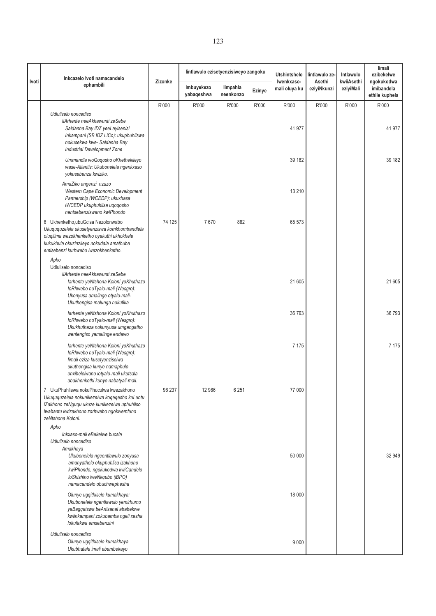| Inkcazelo Ivoti namacandelo<br>Ivoti                                                                                                                                                                                                             |         | lintlawulo ezisetyenzisiweyo zangoku |                       |        | <b>Utshintshelo</b><br>Iwenkxaso- | lintlawulo ze-<br>Asethi | Intlawulo<br>kwiiAsethi | limali<br>ezibekelwe<br>ngokukodwa |
|--------------------------------------------------------------------------------------------------------------------------------------------------------------------------------------------------------------------------------------------------|---------|--------------------------------------|-----------------------|--------|-----------------------------------|--------------------------|-------------------------|------------------------------------|
| ephambili                                                                                                                                                                                                                                        | Zizonke | Imbuyekezo<br>yabaqeshwa             | limpahla<br>neenkonzo | Ezinye | mali oluya ku                     | eziyiNkunzi              | eziyiMali               | imibandela<br>ethile kuphela       |
| Udluliselo noncediso<br>liArhente neeAkhawunti zeSebe<br>Saldanha Bay IDZ yeeLayisenisi<br>Inkampani (SB IDZ LiCo): ukuphuhliswa<br>nokusekwa kwe- Saldanha Bay<br>Industrial Development Zone                                                   | R'000   | R'000                                | R'000                 | R'000  | R'000<br>41 977                   | R'000                    | R'000                   | R'000<br>41 977                    |
| Ummandla woQoqosho oKhethekileyo<br>wase-Atlantis: Ukubonelela ngenkxaso<br>yokusebenza kwiziko.                                                                                                                                                 |         |                                      |                       |        | 39 182                            |                          |                         | 39 182                             |
| AmaZiko angenzi nzuzo<br>Western Cape Economic Development<br>Partnership (WCEDP): ukuxhasa<br>iWCEDP ukuphuhlisa uqoqosho<br>nentsebenziswano kwiPhondo                                                                                         |         |                                      |                       |        | 13 210                            |                          |                         |                                    |
| 6 Ukhenketho, ubu Gcisa Nezolonwabo<br>Ukuququzelela ukusetyenziswa komkhombandlela<br>oluqilima wezokhenketho oyakuthi ukhokhele<br>kukukhula okuzinzileyo nokudala amathuba<br>emisebenzi kurhwebo lwezokhenketho.<br>Apho                     | 74 125  | 7670                                 | 882                   |        | 65 573                            |                          |                         |                                    |
| Udluliselo noncediso<br>liArhente neeAkhawunti zeSebe<br>larhente yeNtshona Koloni yoKhuthazo<br>loRhwebo noTyalo-mali (Wesgro):<br>Ukonyusa amalinge otyalo-mali-<br>Ukuthengisa malunga nokufika                                               |         |                                      |                       |        | 21 605                            |                          |                         | 21 605                             |
| larhente yeNtshona Koloni yoKhuthazo<br>loRhwebo noTyalo-mali (Wesgro):<br>Ukukhuthaza nokunyusa umgangatho<br>wentengiso yamalinge endawo                                                                                                       |         |                                      |                       |        | 36 793                            |                          |                         | 36 793                             |
| larhente yeNtshona Koloni yoKhuthazo<br>loRhwebo noTyalo-mali (Wesgro):<br>limali eziza kusetyenziselwa<br>ukuthengisa kunye namaphulo<br>onxibelelwano lotyalo-mali ukutsala<br>abakhenkethi kunye nabatyali-mali.                              |         |                                      |                       |        | 7 1 7 5                           |                          |                         | 7 1 7 5                            |
| 7 UkuPhuhliswa nokuPhuculwa kwezakhono<br>Ukuguguzelela nokunikezelwa kogegesho kuLuntu<br>iZakhono zeNguqu ukuze kunikezelwe uphuhliso<br>lwabantu kwizakhono zorhwebo ngokwemfuno<br>zeNtshona Koloni.                                         | 96 237  | 12 986                               | 6 251                 |        | 77 000                            |                          |                         |                                    |
| Apho<br>Inkxaso-mali eBekelwe bucala<br>Udluliselo noncediso<br>Amakhaya<br>Ukubonelela ngeentlawulo zonyusa<br>amanyathelo okuphuhlisa izakhono<br>kwiPhondo, ngokukodwa kwiCandelo<br>loShishino lweNkqubo (iBPO)<br>namacandelo obuchwephesha |         |                                      |                       |        | 50 000                            |                          |                         | 32 949                             |
| Olunye ugqithiselo kumakhaya:<br>Ukubonelela ngentlawulo yemirhumo<br>yaBagqatswa beArtisanal ababekwe<br>kwiinkampani zokubamba ngeli xesha<br>lokufakwa emsebenzini                                                                            |         |                                      |                       |        | 18 000                            |                          |                         |                                    |
| Udluliselo noncediso<br>Olunye ugqithiselo kumakhaya<br>Ukubhatala imali ebambekayo                                                                                                                                                              |         |                                      |                       |        | 9 0 0 0                           |                          |                         |                                    |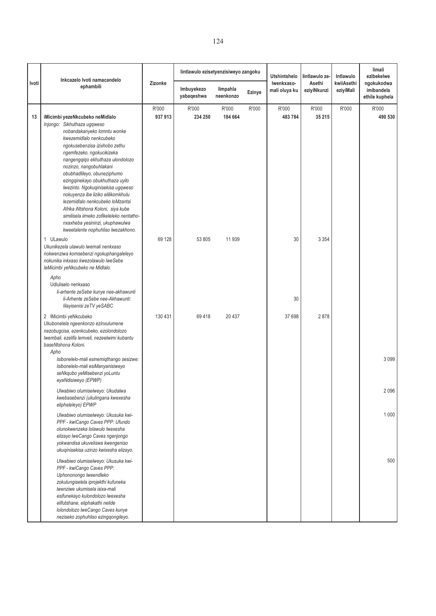|       | Inkcazelo Ivoti namacandelo                                                                                                                                                                                                                                                                                                                                                                            |                  | lintlawulo ezisetyenzisiweyo zangoku |                       |        | <b>Utshintshelo</b>         | lintlawulo ze-        | Intlawulo               | limali<br>ezibekelwe                       |
|-------|--------------------------------------------------------------------------------------------------------------------------------------------------------------------------------------------------------------------------------------------------------------------------------------------------------------------------------------------------------------------------------------------------------|------------------|--------------------------------------|-----------------------|--------|-----------------------------|-----------------------|-------------------------|--------------------------------------------|
| Ivoti | ephambili                                                                                                                                                                                                                                                                                                                                                                                              | Zizonke          | Imbuyekezo<br>yabaqeshwa             | limpahla<br>neenkonzo | Ezinye | Iwenkxaso-<br>mali oluya ku | Asethi<br>eziyiNkunzi | kwiiAsethi<br>eziyiMali | ngokukodwa<br>imibandela<br>ethile kuphela |
| 13    | iMicimbi yezeNkcubeko neMidlalo<br>Injongo: Sikhuthaza ugqweso<br>nobandakanyeko lomntu wonke<br>kwezemidlalo nenkcubeko<br>ngokusebenzisa izixhobo zethu<br>ngemfezeko, ngokucikizeka                                                                                                                                                                                                                 | R'000<br>937 913 | R'000<br>234 250                     | R'000<br>184 664      | R'000  | R'000<br>483784             | R'000<br>35 215       | R'000                   | R'000<br>490 530                           |
|       | nangengqiqo ekhuthaza ulondolozo<br>nozinzo, nangobuhlakani<br>obubhadlileyo, obuneziphumo<br>ezingqinekayo obukhuthaza uyilo<br>Iwezinto. Ngokuqinisekisa ugqweso<br>nokuyenza ibe liziko elilikomkhulu<br>lezemidlalo nenkcubeko loMzantsi<br>Afrika iNtshona Koloni, siya kube<br>similisela iimeko zofikeleleko nentatho-<br>nxaxheba yesininzi, ukuphawulwa<br>kweetalente nophuhliso lwezakhono. |                  |                                      |                       |        |                             |                       |                         |                                            |
|       | 1 ULawulo<br>Ukunikezela ulawulo lwemali nenkxaso<br>nokwenziwa komsebenzi ngokuphangaleleyo<br>nokunika inkxaso kwezolawulo lweSebe<br>leMicimbi yeNkcubeko ne Midlalo.                                                                                                                                                                                                                               | 69 128           | 53 805                               | 11 939                |        | 30                          | 3 3 5 4               |                         |                                            |
|       | Apho<br>Udluliselo nenkxaso<br>li-arhente zeSebe kunye nee-akhawunti<br>li-Arhente zeSebe nee-Akhawunti:<br>lilayisenisi zeTV yeSABC                                                                                                                                                                                                                                                                   |                  |                                      |                       |        | 30                          |                       |                         |                                            |
|       | 2 IMicimbi yeNkcubeko<br>Ukubonelela ngeenkonzo ezinxulumene<br>nezobugcisa, ezenkcubeko, ezolondolozo<br>Iwembali, ezelifa lemveli, nezeelwimi kubantu<br>baseNtshona Koloni.<br>Apho                                                                                                                                                                                                                 | 130 431          | 69 418                               | 20 437                |        | 37 698                      | 2878                  |                         |                                            |
|       | Isibonelelo-mali esinemiqthango sesizwe:<br>Isibonelelo-mali esiManyanisiweyo<br>seNkqubo yeMisebenzi yoLuntu<br>eyaNdisiweyo (EPWP)                                                                                                                                                                                                                                                                   |                  |                                      |                       |        |                             |                       |                         | 3 0 9 9                                    |
|       | Ulwabiwo olumiselweyo: Ukudalwa<br>kwebasebenzi (ukulingana kwexesha<br>elipheleleyo) EPWP                                                                                                                                                                                                                                                                                                             |                  |                                      |                       |        |                             |                       |                         | 2096                                       |
|       | Ulwabiwo olumiselweyo: Ukusuka kwi-<br>PPF - kwiCango Caves PPP: Ufundo<br>olunokwenzeka lolawulo lwexesha<br>elizayo lweCango Caves ngenjongo<br>yokwandisa ukuveliswa kwengeniso<br>ukuqinisekisa uzinzo kwixesha elizayo.                                                                                                                                                                           |                  |                                      |                       |        |                             |                       |                         | 1 0 0 0                                    |
|       | Ulwabiwo olumiselweyo: Ukusuka kwi-<br>PPF - kwiCango Caves PPP:<br>Uphononongo lweendleko<br>zokulungiselela iprojekthi kufuneka<br>Iwenziwe ukumisela isixa-mali<br>esifunekayo kulondolozo lwexesha<br>elifutshane, eliphakathi nelide<br>lolondolozo lweCango Caves kunye<br>neziseko zophuhliso ezingqongileyo.                                                                                   |                  |                                      |                       |        |                             |                       |                         | 500                                        |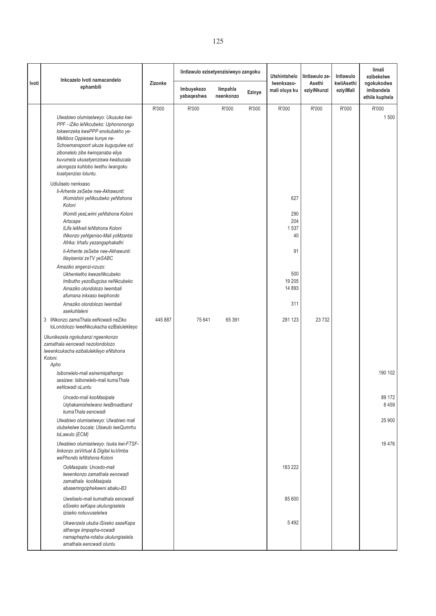|       | Inkcazelo Ivoti namacandelo<br>ephambili                                                                                                                                                                                                                                                                                 | Zizonke |                          |                       | lintlawulo ezisetyenzisiweyo zangoku |                                 |                       | lintlawulo ze-          | Intlawulo                    | limali<br>ezibekelwe<br>ngokukodwa |
|-------|--------------------------------------------------------------------------------------------------------------------------------------------------------------------------------------------------------------------------------------------------------------------------------------------------------------------------|---------|--------------------------|-----------------------|--------------------------------------|---------------------------------|-----------------------|-------------------------|------------------------------|------------------------------------|
| Ivoti |                                                                                                                                                                                                                                                                                                                          |         | Imbuyekezo<br>yabaqeshwa | limpahla<br>neenkonzo | Ezinye                               | Iwenkxaso-<br>mali oluya ku     | Asethi<br>eziyiNkunzi | kwiiAsethi<br>eziyiMali | imibandela<br>ethile kuphela |                                    |
|       | Ulwabiwo olumiselweyo: Ukusuka kwi-<br>PPF - iZiko leNkcubeko: Uphononongo<br>lokwenzeka kwePPP enokubakho ye-<br>Melkbos Oppiesee kunye ne-<br>Schoemanspoort ukuze kuguqulwe ezi<br>zibonelelo zibe kwinqanaba eliya<br>kuvumela ukusetyenziswa kwabucala<br>ukongeza kuhlobo lwethu lwangoku<br>losetyenziso loluntu. | R'000   | R'000                    | R'000                 | R'000                                | R'000                           | R'000                 | R'000                   | R'000<br>1500                |                                    |
|       | Udluliselo nenkxaso<br>li-Arhente zeSebe nee-Akhawunti:<br>IKomishini yeNkcubeko yeNtshona<br>Koloni<br>IKomiti yeeLwimi yeNtshona Koloni<br>Artscape<br>ILifa leMveli leNtshona Koloni<br>INkonzo yeNgeniso-Mali yoMzantsi                                                                                              |         |                          |                       |                                      | 627<br>290<br>204<br>1537<br>40 |                       |                         |                              |                                    |
|       | Afrika: Irhafu yezangaphakathi<br>li-Arhente zeSebe nee-Akhawunti:<br>lilayisenisi zeTV yeSABC<br>Amaziko angenzi-nzuzo:<br>Ukhenketho kwezeNkcubeko<br>Imibutho yezoBugcisa neNkcubeko<br>Amaziko olondolozo lwembali                                                                                                   |         |                          |                       |                                      | 91<br>500<br>19 20 5<br>14 8 93 |                       |                         |                              |                                    |
|       | afumana inkxaso kwiphondo<br>Amaziko olondolozo lwembali<br>asekuhlaleni<br>liNkonzo zamaThala eeNcwadi neZiko<br>3                                                                                                                                                                                                      | 445 887 | 75 641                   | 65 391                |                                      | 311<br>281 123                  | 23 7 32               |                         |                              |                                    |
|       | loLondolozo lweeNkcukacha eziBalulekileyo<br>Ukunikezela ngokubanzi ngeenkonzo<br>zamathala eencwadi nezolondolozo<br>Iweenkcukacha ezibalulekileyo eNtshona<br>Koloni.<br>Apho<br>Isibonelelo-mali esinemigathango                                                                                                      |         |                          |                       |                                      |                                 |                       |                         | 190 102                      |                                    |
|       | sesizwe: Isibonelelo-mali kumaThala<br>eeNcwadi oLuntu<br>Uncedo-mali kooMasipala<br>Uqhakamishelwano lweBroadband<br>kumaThala eencwadi<br>Ulwabiwo olumiselweyo: Ulwabiwo mali<br>olubekelwe bucala: Ulawulo lweQumrhu<br>loLawulo (ECM)                                                                               |         |                          |                       |                                      |                                 |                       |                         | 89 172<br>8 4 5 9<br>25 900  |                                    |
|       | Ulwabiwo olumiselweyo: Isuka kwi-FTSF-<br>linkonzo zeVirtual & Digital kuVimba<br>wePhondo leNtshona Koloni                                                                                                                                                                                                              |         |                          |                       |                                      |                                 |                       |                         | 16476                        |                                    |
|       | OoMasipala: Uncedo-mali<br>Iweenkonzo zamathala eencwadi<br>zamathala kooMasipala<br>abasemngciphekweni abaku-B3                                                                                                                                                                                                         |         |                          |                       |                                      | 183 222                         |                       |                         |                              |                                    |
|       | Uweliselo-mali kumathala eencwadi<br>eSixeko seKapa ukulungiselela<br>iziseko nokuvuselelwa                                                                                                                                                                                                                              |         |                          |                       |                                      | 85 600                          |                       |                         |                              |                                    |
|       | Ukwenzela ukuba iSixeko saseKapa<br>sithenge iimpepha-ncwadi<br>namaphepha-ndaba ukulungiselela<br>amathala eencwadi oluntu                                                                                                                                                                                              |         |                          |                       |                                      | 5492                            |                       |                         |                              |                                    |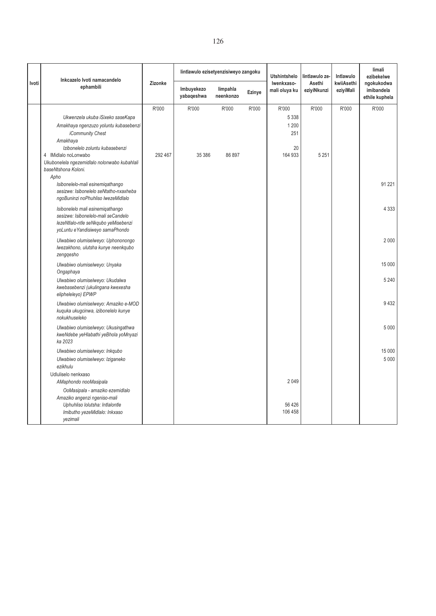|       | Inkcazelo Ivoti namacandelo                                                                                                                                                                                          |                  | lintlawulo ezisetyenzisiweyo zangoku |                       |        | <b>Utshintshelo</b>                               | lintlawulo ze-        | Intlawulo               | limali<br>ezibekelwe                       |
|-------|----------------------------------------------------------------------------------------------------------------------------------------------------------------------------------------------------------------------|------------------|--------------------------------------|-----------------------|--------|---------------------------------------------------|-----------------------|-------------------------|--------------------------------------------|
| Ivoti | ephambili                                                                                                                                                                                                            | Zizonke          | Imbuyekezo<br>yabaqeshwa             | limpahla<br>neenkonzo | Ezinye | Iwenkxaso-<br>mali oluya ku                       | Asethi<br>eziyiNkunzi | kwiiAsethi<br>eziyiMali | ngokukodwa<br>imibandela<br>ethile kuphela |
|       | Ukwenzela ukuba iSixeko saseKapa<br>Amakhaya ngenzuzo yoluntu kubasebenzi<br>iCommunity Chest<br>Amakhaya<br>Izibonelelo zoluntu kubasebenzi<br>4 IMidlalo noLonwabo<br>Ukubonelela ngezemidlalo nolonwabo kubahlali | R'000<br>292 467 | R'000<br>35 386                      | R'000<br>86 897       | R'000  | R'000<br>5 3 3 8<br>1 200<br>251<br>20<br>164 933 | R'000<br>5 2 5 1      | R'000                   | R'000                                      |
|       | baseNtshona Koloni.<br>Apho<br>Isibonelelo-mali esinemiqathango<br>sesizwe: Isibonelelo seNtatho-nxaxheba<br>ngoBuninzi noPhuhliso lwezeMidlalo                                                                      |                  |                                      |                       |        |                                                   |                       |                         | 91 2 21                                    |
|       | Isibonelelo mali esinemigathango<br>sesizwe: Isibonelelo-mali seCandelo<br>lezeNtlalo-ntle seNkqubo yeMisebenzi<br>yoLuntu eYandisiweyo samaPhondo                                                                   |                  |                                      |                       |        |                                                   |                       |                         | 4 3 3 3                                    |
|       | Ulwabiwo olumiselweyo: Uphononongo<br>Iwezakhono, ulutsha kunye neenkqubo<br>zengqesho                                                                                                                               |                  |                                      |                       |        |                                                   |                       |                         | 2 0 0 0                                    |
|       | Ulwabiwo olumiselweyo: Unyaka<br>Ongaphaya                                                                                                                                                                           |                  |                                      |                       |        |                                                   |                       |                         | 15 000                                     |
|       | Ulwabiwo olumiselweyo: Ukudalwa<br>kwebasebenzi (ukulingana kwexesha<br>elipheleleyo) EPWP                                                                                                                           |                  |                                      |                       |        |                                                   |                       |                         | 5 2 4 0                                    |
|       | Ulwabiwo olumiselweyo: Amaziko e-MOD<br>kuguka ukugcinwa, izibonelelo kunye<br>nokukhuseleko                                                                                                                         |                  |                                      |                       |        |                                                   |                       |                         | 9432                                       |
|       | Ulwabiwo olumiselweyo: Ukusingathwa<br>kweNdebe yeHlabathi yeBhola yoMnyazi<br>ka 2023                                                                                                                               |                  |                                      |                       |        |                                                   |                       |                         | 5 0 0 0                                    |
|       | Ulwabiwo olumiselweyo: Inkqubo<br>Ulwabiwo olumiselweyo: Iziganeko<br>ezikhulu                                                                                                                                       |                  |                                      |                       |        |                                                   |                       |                         | 15 000<br>5 0 0 0                          |
|       | Udluliselo nenkxaso<br>AMaphondo nooMasipala<br>OoMasipala - amaziko ezemidlalo                                                                                                                                      |                  |                                      |                       |        | 2049                                              |                       |                         |                                            |
|       | Amaziko angenzi ngeniso-mali<br>Uphuhliso lolutsha: Intlalontle<br>Imibutho yezeMidlalo: Inkxaso<br>yezimali                                                                                                         |                  |                                      |                       |        | 56 4 26<br>106 458                                |                       |                         |                                            |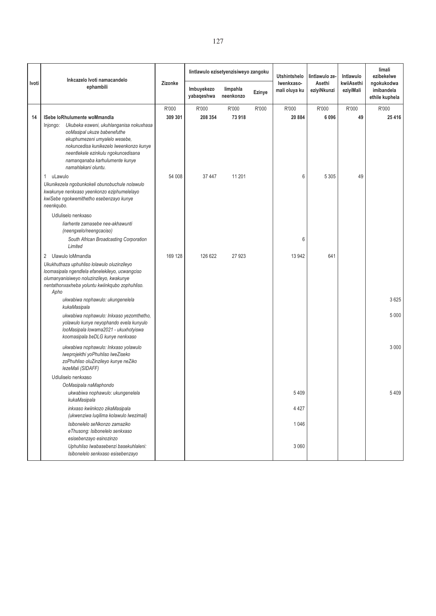|       | Inkcazelo Ivoti namacandelo                                                                                                                                                                                                                                                                        |                  | lintlawulo ezisetyenzisiweyo zangoku |                       |        | <b>Utshintshelo</b>         | lintlawulo ze-        | Intlawulo               | limali<br>ezibekelwe                       |
|-------|----------------------------------------------------------------------------------------------------------------------------------------------------------------------------------------------------------------------------------------------------------------------------------------------------|------------------|--------------------------------------|-----------------------|--------|-----------------------------|-----------------------|-------------------------|--------------------------------------------|
| Ivoti | ephambili                                                                                                                                                                                                                                                                                          | Zizonke          | Imbuyekezo<br>yabaqeshwa             | limpahla<br>neenkonzo | Ezinye | Iwenkxaso-<br>mali oluya ku | Asethi<br>eziyiNkunzi | kwiiAsethi<br>eziyiMali | ngokukodwa<br>imibandela<br>ethile kuphela |
| 14    | <b>ISebe loRhulumente woMmandla</b><br>Injongo: Ukubeka esweni, ukuhlanganisa nokuxhasa<br>ooMasipal ukuze babenefuthe<br>ekuphumezeni umyalelo wesebe,<br>nokuncedisa kunikezelo lweenkonzo kunye<br>neentlekele ezinkulu ngokuncedisana<br>namanganaba karhulumente kunye<br>namahlakani oluntu. | R'000<br>309 301 | R'000<br>208 354                     | R'000<br>73 918       | R'000  | R'000<br>20 884             | R'000<br>6096         | R'000<br>49             | R'000<br>25 4 16                           |
|       | uLawulo<br>1<br>Ukunikezela ngobunkokeli obunobuchule nolawulo<br>kwakunye nenkxaso yeenkonzo eziphumelelayo<br>kwiSebe ngokwemithetho esebenzayo kunye<br>neenkqubo.                                                                                                                              | 54 008           | 37 447                               | 11 201                |        | 6                           | 5 3 0 5               | 49                      |                                            |
|       | Udluliselo nenkxaso<br>liarhente zamasebe nee-akhawunti<br>(neengxelo/neengcaciso)<br>South African Broadcasting Corporation<br>Limited                                                                                                                                                            |                  |                                      |                       |        | 6                           |                       |                         |                                            |
|       | Ulawulo loMmandla<br>2<br>Ukukhuthaza uphuhliso lolawulo oluzinzileyo<br>loomasipala ngendlela efanelekileyo, ucwangciso<br>olumanyanisiweyo noluzinzileyo, kwakunye<br>nentathonxaxheba yoluntu kwiinkqubo zophuhliso.<br>Apho<br>ukwabiwa nophawulo: ukungenelela<br>kukaMasipala                | 169 128          | 126 622                              | 27 923                |        | 13 942                      | 641                   |                         | 3625                                       |
|       | ukwabiwa nophawulo: Inkxaso yezomthetho,<br>yolawulo kunye neyophando evela kunyulo<br>looMasipala lowama2021 - ukuxhotyiswa<br>koomasipala beDLG kunye nenkxaso                                                                                                                                   |                  |                                      |                       |        |                             |                       |                         | 5 0 0 0                                    |
|       | ukwabiwa nophawulo: Inkxaso yolawulo<br>Iweprojekthi yoPhuhliso IweZiseko<br>zoPhuhliso oluZinzileyo kunye neZiko<br>lezeMali (SIDAFF)                                                                                                                                                             |                  |                                      |                       |        |                             |                       |                         | 3 0 0 0                                    |
|       | Udluliselo nenkxaso<br>OoMasipala naMaphondo<br>ukwabiwa nophawulo: ukungenelela<br>kukaMasipala                                                                                                                                                                                                   |                  |                                      |                       |        | 5409                        |                       |                         | 5 409                                      |
|       | inkxaso kwiinkozo zikaMasipala<br>(ukwenziwa luqilima kolawulo lwezimali)<br>Isibonelelo seNkonzo zamaziko<br>eThusong: Isibonelelo senkxaso                                                                                                                                                       |                  |                                      |                       |        | 4 4 2 7<br>1046             |                       |                         |                                            |
|       | esisebenzayo esinozinzo<br>Uphuhliso lwabasebenzi basekuhlaleni:<br>Isibonelelo senkxaso esisebenzayo                                                                                                                                                                                              |                  |                                      |                       |        | 3 0 6 0                     |                       |                         |                                            |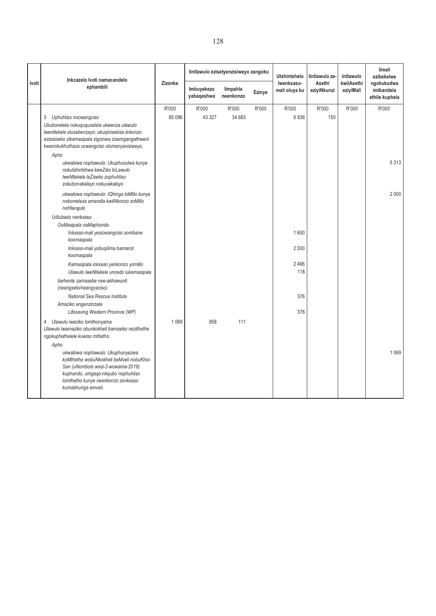|       | Inkcazelo Ivoti namacandelo<br>ephambili                                                                                                                                                                                                                                                                                                                  |                 |                          | lintlawulo ezisetyenzisiweyo zangoku |        | <b>Utshintshelo</b><br>Iwenkxaso-<br>mali oluya ku | lintlawulo ze-<br>Asethi<br>eziyiNkunzi | Intlawulo<br>kwiiAsethi<br>eziyiMali | limali<br>ezibekelwe<br>ngokukodwa<br>imibandela<br>ethile kuphela |
|-------|-----------------------------------------------------------------------------------------------------------------------------------------------------------------------------------------------------------------------------------------------------------------------------------------------------------------------------------------------------------|-----------------|--------------------------|--------------------------------------|--------|----------------------------------------------------|-----------------------------------------|--------------------------------------|--------------------------------------------------------------------|
| Ivoti |                                                                                                                                                                                                                                                                                                                                                           | Zizonke         | Imbuyekezo<br>yabaqeshwa | limpahla<br>neenkonzo                | Ezinye |                                                    |                                         |                                      |                                                                    |
|       | Uphuhliso nocwangciso<br>3<br>Ukubonelela nokuququzelela ukwenza ulawulo<br>Iwentlekele olusebenzayo; ukuqinisekisa iinkonzo<br>ezisisiseko zikamasipala zigcinwa zisemgangathweni<br>kwanokukhuthaza ucwangciso olumanyanisiweyo.<br>Apho<br>ukwabiwa nophawulo: Ukuphuculwa kunye<br>nokutshintshwa kweZiko loLawulo<br>IweNtlekele leZiseko zophuhliso | R'000<br>85 096 | R'000<br>43 327          | R'000<br>34 683                      | R'000  | R'000<br>6936                                      | R'000<br>150                            | R'000                                | R'000<br>5313                                                      |
|       | zokubonakalayo nokuvakalayo<br>ukwabiwa nophawulo: IQhinga loMlilo kunye<br>nokomeleza amandla kwiiNkonzo zoMlilo<br>noHlangulo                                                                                                                                                                                                                           |                 |                          |                                      |        |                                                    |                                         |                                      | 2000                                                               |
|       | Udluliselo nenkxaso<br>OoMasipala naMaphondo<br>Inkxaso-mali yesicwangciso sombane<br>koomaspala<br>Inkxaso-mali yobuqilima bamanzi<br>koomaspala<br>Kamasipala inkxaso yenkonzo yomlilo<br>Ulawulo lweNtlekele uncedo lukamasipala<br>liarhente zamasebe nee-akhawunti<br>(neengxelo/neengcaciso)<br>National Sea Rescue Institute                       |                 |                          |                                      |        | 1600<br>2 0 0 0<br>2466<br>118<br>376              |                                         |                                      |                                                                    |
|       | Amaziko angenzinzala<br>Lifesaving Western Province (WP)                                                                                                                                                                                                                                                                                                  |                 |                          |                                      |        | 376                                                |                                         |                                      |                                                                    |
|       | Ulawulo lweziko lomthonyama<br>4<br>Ulawulo lwamaziko obunkokheli bamasiko nezithethe<br>ngokuphathelele kuwiso mthetho.<br>Apho<br>ukwabiwa nophawulo: Ukuphunyezwa<br>koMthetho wobuNkokheli beMveli nobuKhoi-<br>San (uNombolo wesi-3 wowama-2019)<br>kuphando, umgaqo-nkqubo nophuhliso<br>lomthetho kunye neenkonzo zenkxaso<br>kumabhunga emveli.   | 1 0 6 9         | 958                      | 111                                  |        |                                                    |                                         |                                      | 1 0 6 9                                                            |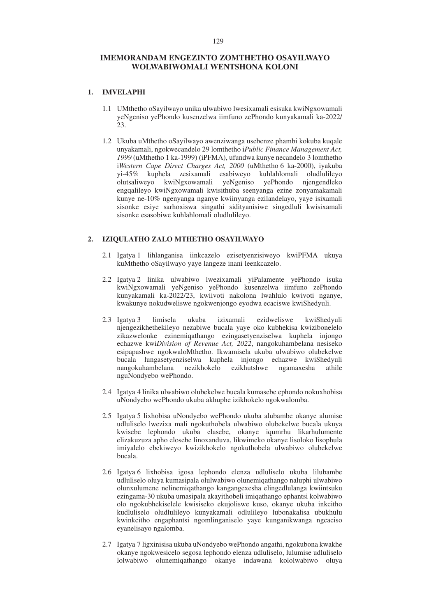# **IMEMORANDAM ENGEZINTO ZOMTHETHO OSAYILWAYO WOLWABIWOMALI WENTSHONA KOLONI**

## **1. IMVELAPHI**

- 1.1 UMthetho oSayilwayo unika ulwabiwo lwesixamali esisuka kwiNgxowamali yeNgeniso yePhondo kusenzelwa iimfuno zePhondo kunyakamali ka-2022/  $23.$
- 1.2 Ukuba uMthetho oSayilwayo awenziwanga usebenze phambi kokuba kuqale unyakamali, ngokwecandelo 29 lomthetho i*Public Finance Management Act, 1999* (uMthetho 1 ka-1999) (iPFMA), ufundwa kunye necandelo 3 lomthetho i*Western Cape Direct Charges Act, 2000* (uMthetho 6 ka-2000), iyakuba yi-45% kuphela zesixamali esabiweyo kuhlahlomali oludlulileyo olutsaliweyo kwiNgxowamali yeNgeniso yePhondo njengendleko engqalileyo kwiNgxowamali kwisithuba seenyanga ezine zonyamakamali kunye ne-10% ngenyanga nganye kwiinyanga ezilandelayo, yaye isixamali sisonke esiye sarhoxiswa singathi sidityanisiwe singedluli kwisixamali sisonke esasobiwe kuhlahlomali oludlulileyo.

#### **2. IZIQULATHO ZALO MTHETHO OSAYILWAYO**

- 2.1 Igatya 1 lihlanganisa iinkcazelo ezisetyenzisiweyo kwiPFMA ukuya kuMthetho oSayilwayo yaye langeze inani leenkcazelo.
- 2.2 Igatya 2 linika ulwabiwo lwezixamali yiPalamente yePhondo isuka kwiNgxowamali yeNgeniso yePhondo kusenzelwa iimfuno zePhondo kunyakamali ka-2022/23, kwiivoti nakolona lwahlulo kwivoti nganye, kwakunye nokudweliswe ngokwenjongo eyodwa ecaciswe kwiShedyuli.
- 2.3 Igatya 3 limisela ukuba izixamali ezidweliswe kwiShedyuli njengezikhethekileyo nezabiwe bucala yaye oko kubhekisa kwizibonelelo zikazwelonke ezinemiqathango ezingasetyenziselwa kuphela injongo echazwe kwi*Division of Revenue Act, 2022*, nangokuhambelana nesiseko esipapashwe ngokwaloMthetho. Ikwamisela ukuba ulwabiwo olubekelwe bucala lungasetyenziselwa kuphela injongo echazwe kwiShedyuli nangokuhambelana nezikhokelo ezikhutshwe ngamaxesha athile nguNondyebo wePhondo.
- 2.4 Igatya 4 linika ulwabiwo olubekelwe bucala kumasebe ephondo nokuxhobisa uNondyebo wePhondo ukuba akhuphe izikhokelo ngokwalomba.
- 2.5 Igatya 5 lixhobisa uNondyebo wePhondo ukuba alubambe okanye alumise udluliselo lwezixa mali ngokuthobela ulwabiwo olubekelwe bucala ukuya kwisebe lephondo ukuba elasebe, okanye iqumrhu likarhulumente elizakuzuza apho elosebe linoxanduva, likwimeko okanye lisoloko lisophula imiyalelo ebekiweyo kwizikhokelo ngokuthobela ulwabiwo olubekelwe bucala.
- 2.6 Igatya 6 lixhobisa igosa lephondo elenza udluliselo ukuba lilubambe udluliselo oluya kumasipala olulwabiwo olunemiqathango naluphi ulwabiwo olunxulumene nelinemiqathango kangangexesha elingedlulanga kwiintsuku ezingama-30 ukuba umasipala akayithobeli imiqathango ephantsi kolwabiwo olo ngokubhekiselele kwisiseko ekujoliswe kuso, okanye ukuba inkcitho kudluliselo oludlulileyo kunyakamali odlulileyo lubonakalisa ubukhulu kwinkcitho engaphantsi ngomlinganiselo yaye kunganikwanga ngcaciso eyanelisayo ngalomba.
- 2.7 Igatya 7 ligxinisisa ukuba uNondyebo wePhondo angathi, ngokubona kwakhe okanye ngokwesicelo segosa lephondo elenza udluliselo, lulumise udluliselo lolwabiwo olunemiqathango okanye indawana kololwabiwo oluya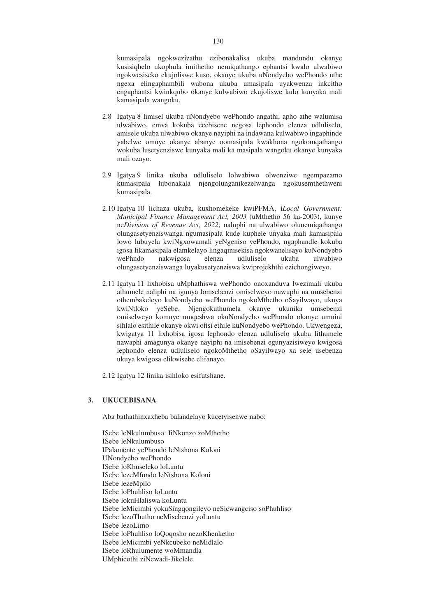kumasipala ngokwezizathu ezibonakalisa ukuba mandundu okanye kusisiqhelo ukophula imithetho nemiqathango ephantsi kwalo ulwabiwo ngokwesiseko ekujoliswe kuso, okanye ukuba uNondyebo wePhondo uthe ngexa elingaphambili wabona ukuba umasipala uyakwenza inkcitho engaphantsi kwinkqubo okanye kulwabiwo ekujoliswe kulo kunyaka mali kamasipala wangoku.

- 2.8 Igatya 8 limisel ukuba uNondyebo wePhondo angathi, apho athe walumisa ulwabiwo, emva kokuba ecebisene negosa lephondo elenza udluliselo, amisele ukuba ulwabiwo okanye nayiphi na indawana kulwabiwo ingaphinde yabelwe omnye okanye abanye oomasipala kwakhona ngokomqathango wokuba lusetyenziswe kunyaka mali ka masipala wangoku okanye kunyaka mali ozayo.
- 2.9 Igatya 9 linika ukuba udluliselo lolwabiwo olwenziwe ngempazamo kumasipala lubonakala njengolunganikezelwanga ngokusemthethweni kumasipala.
- 2.10 Igatya 10 lichaza ukuba, kuxhomekeke kwiPFMA, i*Local Government: Municipal Finance Management Act, 2003* (uMthetho 56 ka-2003), kunye ne*Division of Revenue Act, 2022*, naluphi na ulwabiwo olunemiqathango olungasetyenziswanga ngumasipala kude kuphele unyaka mali kamasipala lowo lubuyela kwiNgxowamali yeNgeniso yePhondo, ngaphandle kokuba igosa likamasipala elamkelayo lingaqinisekisa ngokwanelisayo kuNondyebo wePhndo nakwigosa elenza udluliselo ukuba ulwabiwo olungasetyenziswanga luyakusetyenziswa kwiprojekhthi ezichongiweyo.
- 2.11 Igatya 11 lixhobisa uMphathiswa wePhondo onoxanduva lwezimali ukuba athumele naliphi na igunya lomsebenzi omiselweyo nawuphi na umsebenzi othembakeleyo kuNondyebo wePhondo ngokoMthetho oSayilwayo, ukuya kwiNtloko yeSebe. Njengokuthumela okanye ukunika umsebenzi omiselweyo komnye umqeshwa okuNondyebo wePhondo okanye umnini sihlalo esithile okanye okwi ofisi ethile kuNondyebo wePhondo. Ukwengeza, kwigatya 11 lixhobisa igosa lephondo elenza udluliselo ukuba lithumele nawaphi amagunya okanye nayiphi na imisebenzi egunyazisiweyo kwigosa lephondo elenza udluliselo ngokoMthetho oSayilwayo xa sele usebenza ukuya kwigosa elikwisebe elifanayo.
- 2.12 Igatya 12 linika isihloko esifutshane.

### **3. UKUCEBISANA**

Aba bathathinxaxheba balandelayo kucetyisenwe nabo:

ISebe leNkulumbuso: IiNkonzo zoMthetho ISebe leNkulumbuso IPalamente yePhondo leNtshona Koloni UNondyebo wePhondo ISebe loKhuseleko loLuntu ISebe lezeMfundo leNtshona Koloni ISebe lezeMpilo ISebe loPhuhliso loLuntu ISebe lokuHlaliswa koLuntu ISebe leMicimbi yokuSingqongileyo neSicwangciso soPhuhliso ISebe lezoThutho neMisebenzi yoLuntu ISebe lezoLimo ISebe loPhuhliso loQoqosho nezoKhenketho ISebe leMicimbi yeNkcubeko neMidlalo ISebe loRhulumente woMmandla UMphicothi ziNcwadi-Jikelele.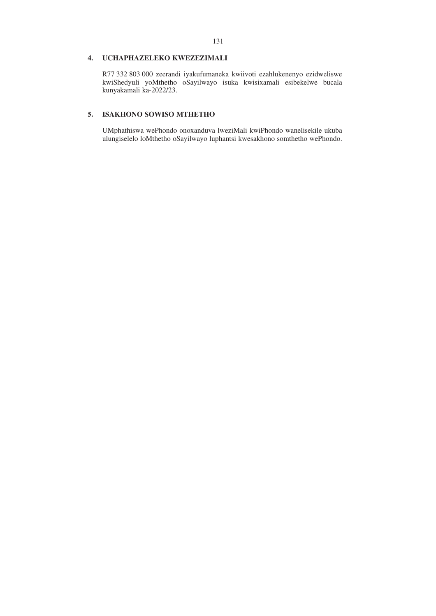## **4. UCHAPHAZELEKO KWEZEZIMALI**

R77 332 803 000 zeerandi iyakufumaneka kwiivoti ezahlukenenyo ezidweliswe kwiShedyuli yoMthetho oSayilwayo isuka kwisixamali esibekelwe bucala kunyakamali ka-2022/23.

# **5. ISAKHONO SOWISO MTHETHO**

UMphathiswa wePhondo onoxanduva lweziMali kwiPhondo wanelisekile ukuba ulungiselelo loMthetho oSayilwayo luphantsi kwesakhono somthetho wePhondo.